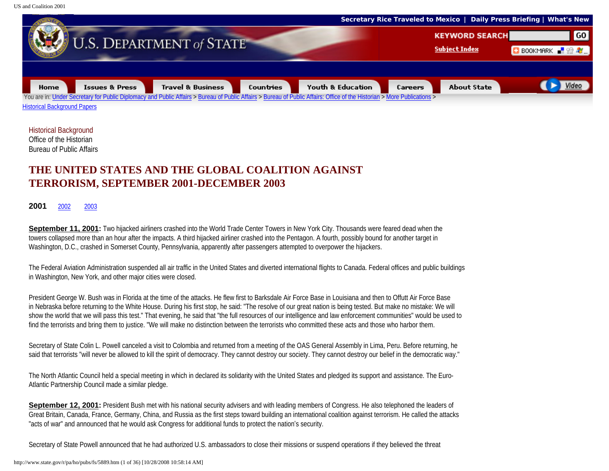

Historical Background Office of the Historian Bureau of Public Affairs

## **THE UNITED STATES AND THE GLOBAL COALITION AGAINST TERRORISM, SEPTEMBER 2001-DECEMBER 2003**

## **2001** [2002](#page-37-0)[2003](#page-78-0)

**September 11, 2001:** Two hijacked airliners crashed into the World Trade Center Towers in New York City. Thousands were feared dead when the towers collapsed more than an hour after the impacts. A third hijacked airliner crashed into the Pentagon. A fourth, possibly bound for another target in Washington, D.C., crashed in Somerset County, Pennsylvania, apparently after passengers attempted to overpower the hijackers.

The Federal Aviation Administration suspended all air traffic in the United States and diverted international flights to Canada. Federal offices and public buildings in Washington, New York, and other major cities were closed.

President George W. Bush was in Florida at the time of the attacks. He flew first to Barksdale Air Force Base in Louisiana and then to Offutt Air Force Base in Nebraska before returning to the White House. During his first stop, he said: "The resolve of our great nation is being tested. But make no mistake: We will show the world that we will pass this test." That evening, he said that "the full resources of our intelligence and law enforcement communities" would be used to find the terrorists and bring them to justice. "We will make no distinction between the terrorists who committed these acts and those who harbor them.

Secretary of State Colin L. Powell canceled a visit to Colombia and returned from a meeting of the OAS General Assembly in Lima, Peru. Before returning, he said that terrorists "will never be allowed to kill the spirit of democracy. They cannot destroy our society. They cannot destroy our belief in the democratic way."

The North Atlantic Council held a special meeting in which in declared its solidarity with the United States and pledged its support and assistance. The Euro-Atlantic Partnership Council made a similar pledge.

**September 12, 2001:** President Bush met with his national security advisers and with leading members of Congress. He also telephoned the leaders of Great Britain, Canada, France, Germany, China, and Russia as the first steps toward building an international coalition against terrorism. He called the attacks "acts of war" and announced that he would ask Congress for additional funds to protect the nation's security.

Secretary of State Powell announced that he had authorized U.S. ambassadors to close their missions or suspend operations if they believed the threat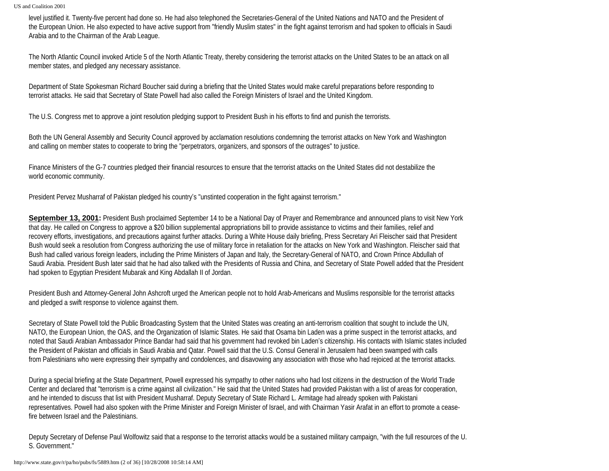level justified it. Twenty-five percent had done so. He had also telephoned the Secretaries-General of the United Nations and NATO and the President of the European Union. He also expected to have active support from "friendly Muslim states" in the fight against terrorism and had spoken to officials in Saudi Arabia and to the Chairman of the Arab League.

The North Atlantic Council invoked Article 5 of the North Atlantic Treaty, thereby considering the terrorist attacks on the United States to be an attack on all member states, and pledged any necessary assistance.

Department of State Spokesman Richard Boucher said during a briefing that the United States would make careful preparations before responding to terrorist attacks. He said that Secretary of State Powell had also called the Foreign Ministers of Israel and the United Kingdom.

The U.S. Congress met to approve a joint resolution pledging support to President Bush in his efforts to find and punish the terrorists.

Both the UN General Assembly and Security Council approved by acclamation resolutions condemning the terrorist attacks on New York and Washington and calling on member states to cooperate to bring the "perpetrators, organizers, and sponsors of the outrages" to justice.

Finance Ministers of the G-7 countries pledged their financial resources to ensure that the terrorist attacks on the United States did not destabilize the world economic community.

President Pervez Musharraf of Pakistan pledged his country's "unstinted cooperation in the fight against terrorism."

**September 13, 2001:** President Bush proclaimed September 14 to be a National Day of Prayer and Remembrance and announced plans to visit New York that day. He called on Congress to approve a \$20 billion supplemental appropriations bill to provide assistance to victims and their families, relief and recovery efforts, investigations, and precautions against further attacks. During a White House daily briefing, Press Secretary Ari Fleischer said that President Bush would seek a resolution from Congress authorizing the use of military force in retaliation for the attacks on New York and Washington. Fleischer said that Bush had called various foreign leaders, including the Prime Ministers of Japan and Italy, the Secretary-General of NATO, and Crown Prince Abdullah of Saudi Arabia. President Bush later said that he had also talked with the Presidents of Russia and China, and Secretary of State Powell added that the President had spoken to Egyptian President Mubarak and King Abdallah II of Jordan.

President Bush and Attorney-General John Ashcroft urged the American people not to hold Arab-Americans and Muslims responsible for the terrorist attacks and pledged a swift response to violence against them.

Secretary of State Powell told the Public Broadcasting System that the United States was creating an anti-terrorism coalition that sought to include the UN, NATO, the European Union, the OAS, and the Organization of Islamic States. He said that Osama bin Laden was a prime suspect in the terrorist attacks, and noted that Saudi Arabian Ambassador Prince Bandar had said that his government had revoked bin Laden's citizenship. His contacts with Islamic states included the President of Pakistan and officials in Saudi Arabia and Qatar. Powell said that the U.S. Consul General in Jerusalem had been swamped with calls from Palestinians who were expressing their sympathy and condolences, and disavowing any association with those who had rejoiced at the terrorist attacks.

During a special briefing at the State Department, Powell expressed his sympathy to other nations who had lost citizens in the destruction of the World Trade Center and declared that "terrorism is a crime against all civilization." He said that the United States had provided Pakistan with a list of areas for cooperation, and he intended to discuss that list with President Musharraf. Deputy Secretary of State Richard L. Armitage had already spoken with Pakistani representatives. Powell had also spoken with the Prime Minister and Foreign Minister of Israel, and with Chairman Yasir Arafat in an effort to promote a ceasefire between Israel and the Palestinians.

Deputy Secretary of Defense Paul Wolfowitz said that a response to the terrorist attacks would be a sustained military campaign, "with the full resources of the U. S. Government."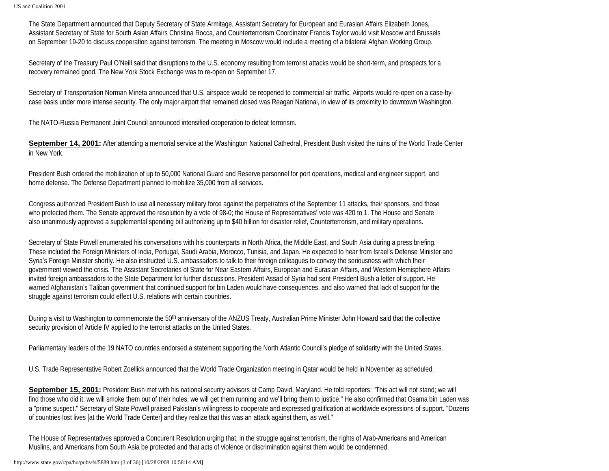The State Department announced that Deputy Secretary of State Armitage, Assistant Secretary for European and Eurasian Affairs Elizabeth Jones, Assistant Secretary of State for South Asian Affairs Christina Rocca, and Counterterrorism Coordinator Francis Taylor would visit Moscow and Brussels on September 19-20 to discuss cooperation against terrorism. The meeting in Moscow would include a meeting of a bilateral Afghan Working Group.

Secretary of the Treasury Paul O'Neill said that disruptions to the U.S. economy resulting from terrorist attacks would be short-term, and prospects for a recovery remained good. The New York Stock Exchange was to re-open on September 17.

Secretary of Transportation Norman Mineta announced that U.S. airspace would be reopened to commercial air traffic. Airports would re-open on a case-bycase basis under more intense security. The only major airport that remained closed was Reagan National, in view of its proximity to downtown Washington.

The NATO-Russia Permanent Joint Council announced intensified cooperation to defeat terrorism.

**September 14, 2001:** After attending a memorial service at the Washington National Cathedral, President Bush visited the ruins of the World Trade Center in New York.

President Bush ordered the mobilization of up to 50,000 National Guard and Reserve personnel for port operations, medical and engineer support, and home defense. The Defense Department planned to mobilize 35,000 from all services.

Congress authorized President Bush to use all necessary military force against the perpetrators of the September 11 attacks, their sponsors, and those who protected them. The Senate approved the resolution by a vote of 98-0; the House of Representatives' vote was 420 to 1. The House and Senate also unanimously approved a supplemental spending bill authorizing up to \$40 billion for disaster relief, Counterterrorism, and military operations.

Secretary of State Powell enumerated his conversations with his counterparts in North Africa, the Middle East, and South Asia during a press briefing. These included the Foreign Ministers of India, Portugal, Saudi Arabia, Morocco, Tunisia, and Japan. He expected to hear from Israel's Defense Minister and Syria's Foreign Minister shortly. He also instructed U.S. ambassadors to talk to their foreign colleagues to convey the seriousness with which their government viewed the crisis. The Assistant Secretaries of State for Near Eastern Affairs, European and Eurasian Affairs, and Western Hemisphere Affairs invited foreign ambassadors to the State Department for further discussions. President Assad of Syria had sent President Bush a letter of support. He warned Afghanistan's Taliban government that continued support for bin Laden would have consequences, and also warned that lack of support for the struggle against terrorism could effect U.S. relations with certain countries.

During a visit to Washington to commemorate the 50<sup>th</sup> anniversary of the ANZUS Treaty, Australian Prime Minister John Howard said that the collective security provision of Article IV applied to the terrorist attacks on the United States.

Parliamentary leaders of the 19 NATO countries endorsed a statement supporting the North Atlantic Council's pledge of solidarity with the United States.

U.S. Trade Representative Robert Zoellick announced that the World Trade Organization meeting in Qatar would be held in November as scheduled.

**September 15, 2001:** President Bush met with his national security advisors at Camp David, Maryland. He told reporters: "This act will not stand; we will find those who did it; we will smoke them out of their holes; we will get them running and we'll bring them to justice." He also confirmed that Osama bin Laden was a "prime suspect." Secretary of State Powell praised Pakistan's willingness to cooperate and expressed gratification at worldwide expressions of support. "Dozens of countries lost lives [at the World Trade Center] and they realize that this was an attack against them, as well."

The House of Representatives approved a Concurent Resolution urging that, in the struggle against terrorism, the rights of Arab-Americans and American Muslins, and Americans from South Asia be protected and that acts of violence or discrimination against them would be condemned.

http://www.state.gov/r/pa/ho/pubs/fs/5889.htm (3 of 36) [10/28/2008 10:58:14 AM]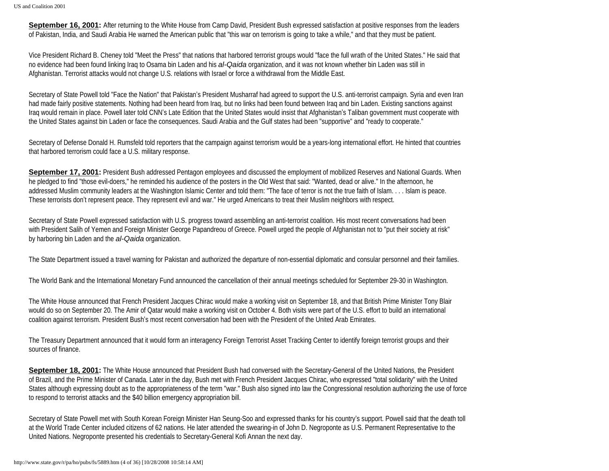**September 16, 2001:** After returning to the White House from Camp David, President Bush expressed satisfaction at positive responses from the leaders of Pakistan, India, and Saudi Arabia He warned the American public that "this war on terrorism is going to take a while," and that they must be patient.

Vice President Richard B. Cheney told "Meet the Press" that nations that harbored terrorist groups would "face the full wrath of the United States." He said that no evidence had been found linking Iraq to Osama bin Laden and his *al-Qaida* organization, and it was not known whether bin Laden was still in Afghanistan. Terrorist attacks would not change U.S. relations with Israel or force a withdrawal from the Middle East.

Secretary of State Powell told "Face the Nation" that Pakistan's President Musharraf had agreed to support the U.S. anti-terrorist campaign. Syria and even Iran had made fairly positive statements. Nothing had been heard from Iraq, but no links had been found between Iraq and bin Laden. Existing sanctions against Iraq would remain in place. Powell later told CNN's Late Edition that the United States would insist that Afghanistan's Taliban government must cooperate with the United States against bin Laden or face the consequences. Saudi Arabia and the Gulf states had been "supportive" and "ready to cooperate."

Secretary of Defense Donald H. Rumsfeld told reporters that the campaign against terrorism would be a years-long international effort. He hinted that countries that harbored terrorism could face a U.S. military response.

**September 17, 2001:** President Bush addressed Pentagon employees and discussed the employment of mobilized Reserves and National Guards. When he pledged to find "those evil-doers," he reminded his audience of the posters in the Old West that said: "Wanted, dead or alive." In the afternoon, he addressed Muslim community leaders at the Washington Islamic Center and told them: "The face of terror is not the true faith of Islam. . . . Islam is peace. These terrorists don't represent peace. They represent evil and war." He urged Americans to treat their Muslim neighbors with respect.

Secretary of State Powell expressed satisfaction with U.S. progress toward assembling an anti-terrorist coalition. His most recent conversations had been with President Salih of Yemen and Foreign Minister George Papandreou of Greece. Powell urged the people of Afghanistan not to "put their society at risk" by harboring bin Laden and the *al-Qaida* organization.

The State Department issued a travel warning for Pakistan and authorized the departure of non-essential diplomatic and consular personnel and their families.

The World Bank and the International Monetary Fund announced the cancellation of their annual meetings scheduled for September 29-30 in Washington.

The White House announced that French President Jacques Chirac would make a working visit on September 18, and that British Prime Minister Tony Blair would do so on September 20. The Amir of Qatar would make a working visit on October 4. Both visits were part of the U.S. effort to build an international coalition against terrorism. President Bush's most recent conversation had been with the President of the United Arab Emirates.

The Treasury Department announced that it would form an interagency Foreign Terrorist Asset Tracking Center to identify foreign terrorist groups and their sources of finance.

**September 18, 2001:** The White House announced that President Bush had conversed with the Secretary-General of the United Nations, the President of Brazil, and the Prime Minister of Canada. Later in the day, Bush met with French President Jacques Chirac, who expressed "total solidarity" with the United States although expressing doubt as to the appropriateness of the term "war." Bush also signed into law the Congressional resolution authorizing the use of force to respond to terrorist attacks and the \$40 billion emergency appropriation bill.

Secretary of State Powell met with South Korean Foreign Minister Han Seung-Soo and expressed thanks for his country's support. Powell said that the death toll at the World Trade Center included citizens of 62 nations. He later attended the swearing-in of John D. Negroponte as U.S. Permanent Representative to the United Nations. Negroponte presented his credentials to Secretary-General Kofi Annan the next day.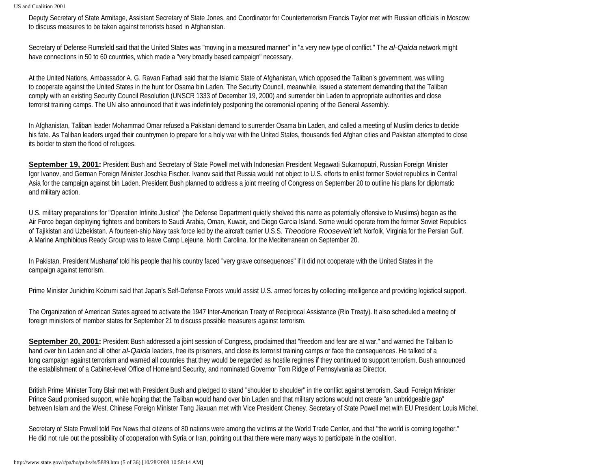Deputy Secretary of State Armitage, Assistant Secretary of State Jones, and Coordinator for Counterterrorism Francis Taylor met with Russian officials in Moscow to discuss measures to be taken against terrorists based in Afghanistan.

Secretary of Defense Rumsfeld said that the United States was "moving in a measured manner" in "a very new type of conflict." The *al-Qaida* network might have connections in 50 to 60 countries, which made a "very broadly based campaign" necessary.

At the United Nations, Ambassador A. G. Ravan Farhadi said that the Islamic State of Afghanistan, which opposed the Taliban's government, was willing to cooperate against the United States in the hunt for Osama bin Laden. The Security Council, meanwhile, issued a statement demanding that the Taliban comply with an existing Security Council Resolution (UNSCR 1333 of December 19, 2000) and surrender bin Laden to appropriate authorities and close terrorist training camps. The UN also announced that it was indefinitely postponing the ceremonial opening of the General Assembly.

In Afghanistan, Taliban leader Mohammad Omar refused a Pakistani demand to surrender Osama bin Laden, and called a meeting of Muslim clerics to decide his fate. As Taliban leaders urged their countrymen to prepare for a holy war with the United States, thousands fled Afghan cities and Pakistan attempted to close its border to stem the flood of refugees.

**September 19, 2001:** President Bush and Secretary of State Powell met with Indonesian President Megawati Sukarnoputri, Russian Foreign Minister Igor Ivanov, and German Foreign Minister Joschka Fischer. Ivanov said that Russia would not object to U.S. efforts to enlist former Soviet republics in Central Asia for the campaign against bin Laden. President Bush planned to address a joint meeting of Congress on September 20 to outline his plans for diplomatic and military action.

U.S. military preparations for "Operation Infinite Justice" (the Defense Department quietly shelved this name as potentially offensive to Muslims) began as the Air Force began deploying fighters and bombers to Saudi Arabia, Oman, Kuwait, and Diego Garcia Island. Some would operate from the former Soviet Republics of Tajikistan and Uzbekistan. A fourteen-ship Navy task force led by the aircraft carrier U.S.S. *Theodore Roosevelt* left Norfolk, Virginia for the Persian Gulf. A Marine Amphibious Ready Group was to leave Camp Lejeune, North Carolina, for the Mediterranean on September 20.

In Pakistan, President Musharraf told his people that his country faced "very grave consequences" if it did not cooperate with the United States in the campaign against terrorism.

Prime Minister Junichiro Koizumi said that Japan's Self-Defense Forces would assist U.S. armed forces by collecting intelligence and providing logistical support.

The Organization of American States agreed to activate the 1947 Inter-American Treaty of Reciprocal Assistance (Rio Treaty). It also scheduled a meeting of foreign ministers of member states for September 21 to discuss possible measurers against terrorism.

**September 20, 2001:** President Bush addressed a joint session of Congress, proclaimed that "freedom and fear are at war," and warned the Taliban to hand over bin Laden and all other *al-Qaida* leaders, free its prisoners, and close its terrorist training camps or face the consequences. He talked of a long campaign against terrorism and warned all countries that they would be regarded as hostile regimes if they continued to support terrorism. Bush announced the establishment of a Cabinet-level Office of Homeland Security, and nominated Governor Tom Ridge of Pennsylvania as Director.

British Prime Minister Tony Blair met with President Bush and pledged to stand "shoulder to shoulder" in the conflict against terrorism. Saudi Foreign Minister Prince Saud promised support, while hoping that the Taliban would hand over bin Laden and that military actions would not create "an unbridgeable gap" between Islam and the West. Chinese Foreign Minister Tang Jiaxuan met with Vice President Cheney. Secretary of State Powell met with EU President Louis Michel.

Secretary of State Powell told Fox News that citizens of 80 nations were among the victims at the World Trade Center, and that "the world is coming together." He did not rule out the possibility of cooperation with Syria or Iran, pointing out that there were many ways to participate in the coalition.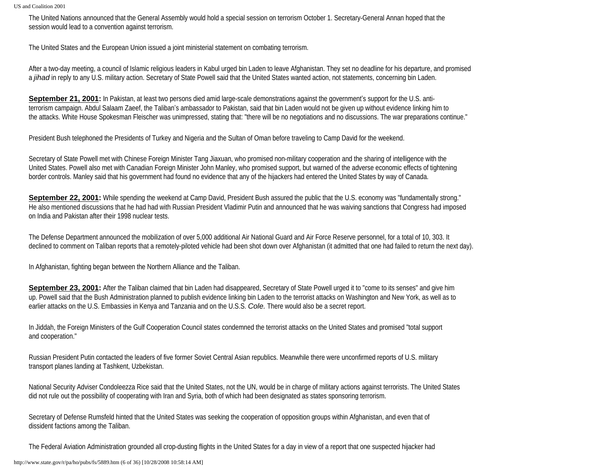The United Nations announced that the General Assembly would hold a special session on terrorism October 1. Secretary-General Annan hoped that the session would lead to a convention against terrorism.

The United States and the European Union issued a joint ministerial statement on combating terrorism.

After a two-day meeting, a council of Islamic religious leaders in Kabul urged bin Laden to leave Afghanistan. They set no deadline for his departure, and promised a *jihad* in reply to any U.S. military action. Secretary of State Powell said that the United States wanted action, not statements, concerning bin Laden.

**September 21, 2001:** In Pakistan, at least two persons died amid large-scale demonstrations against the government's support for the U.S. antiterrorism campaign. Abdul Salaam Zaeef, the Taliban's ambassador to Pakistan, said that bin Laden would not be given up without evidence linking him to the attacks. White House Spokesman Fleischer was unimpressed, stating that: "there will be no negotiations and no discussions. The war preparations continue."

President Bush telephoned the Presidents of Turkey and Nigeria and the Sultan of Oman before traveling to Camp David for the weekend.

Secretary of State Powell met with Chinese Foreign Minister Tang Jiaxuan, who promised non-military cooperation and the sharing of intelligence with the United States. Powell also met with Canadian Foreign Minister John Manley, who promised support, but warned of the adverse economic effects of tightening border controls. Manley said that his government had found no evidence that any of the hijackers had entered the United States by way of Canada.

**September 22, 2001:** While spending the weekend at Camp David, President Bush assured the public that the U.S. economy was "fundamentally strong." He also mentioned discussions that he had had with Russian President Vladimir Putin and announced that he was waiving sanctions that Congress had imposed on India and Pakistan after their 1998 nuclear tests.

The Defense Department announced the mobilization of over 5,000 additional Air National Guard and Air Force Reserve personnel, for a total of 10, 303. It declined to comment on Taliban reports that a remotely-piloted vehicle had been shot down over Afghanistan (it admitted that one had failed to return the next day).

In Afghanistan, fighting began between the Northern Alliance and the Taliban.

**September 23, 2001:** After the Taliban claimed that bin Laden had disappeared, Secretary of State Powell urged it to "come to its senses" and give him up. Powell said that the Bush Administration planned to publish evidence linking bin Laden to the terrorist attacks on Washington and New York, as well as to earlier attacks on the U.S. Embassies in Kenya and Tanzania and on the U.S.S. *Cole.* There would also be a secret report.

In Jiddah, the Foreign Ministers of the Gulf Cooperation Council states condemned the terrorist attacks on the United States and promised "total support and cooperation."

Russian President Putin contacted the leaders of five former Soviet Central Asian republics. Meanwhile there were unconfirmed reports of U.S. military transport planes landing at Tashkent, Uzbekistan.

National Security Adviser Condoleezza Rice said that the United States, not the UN, would be in charge of military actions against terrorists. The United States did not rule out the possibility of cooperating with Iran and Syria, both of which had been designated as states sponsoring terrorism.

Secretary of Defense Rumsfeld hinted that the United States was seeking the cooperation of opposition groups within Afghanistan, and even that of dissident factions among the Taliban.

The Federal Aviation Administration grounded all crop-dusting flights in the United States for a day in view of a report that one suspected hijacker had

http://www.state.gov/r/pa/ho/pubs/fs/5889.htm (6 of 36) [10/28/2008 10:58:14 AM]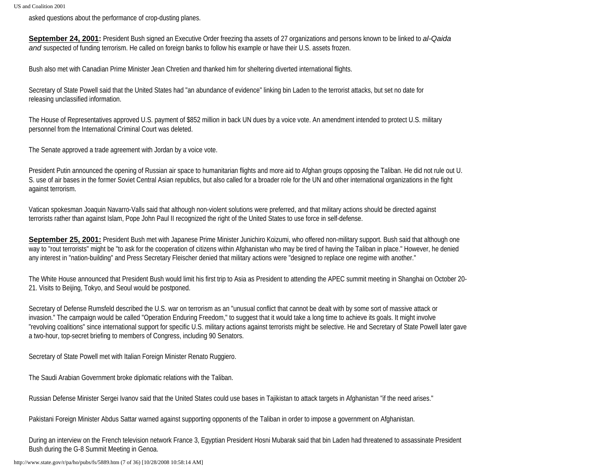asked questions about the performance of crop-dusting planes.

**September 24, 2001:** President Bush signed an Executive Order freezing tha assets of 27 organizations and persons known to be linked to *al-Qaida and* suspected of funding terrorism. He called on foreign banks to follow his example or have their U.S. assets frozen.

Bush also met with Canadian Prime Minister Jean Chretien and thanked him for sheltering diverted international flights.

Secretary of State Powell said that the United States had "an abundance of evidence" linking bin Laden to the terrorist attacks, but set no date for releasing unclassified information.

The House of Representatives approved U.S. payment of \$852 million in back UN dues by a voice vote. An amendment intended to protect U.S. military personnel from the International Criminal Court was deleted.

The Senate approved a trade agreement with Jordan by a voice vote.

President Putin announced the opening of Russian air space to humanitarian flights and more aid to Afghan groups opposing the Taliban. He did not rule out U. S. use of air bases in the former Soviet Central Asian republics, but also called for a broader role for the UN and other international organizations in the fight against terrorism.

Vatican spokesman Joaquin Navarro-Valls said that although non-violent solutions were preferred, and that military actions should be directed against terrorists rather than against Islam, Pope John Paul II recognized the right of the United States to use force in self-defense.

**September 25, 2001:** President Bush met with Japanese Prime Minister Junichiro Koizumi, who offered non-military support. Bush said that although one way to "rout terrorists" might be "to ask for the cooperation of citizens within Afghanistan who may be tired of having the Taliban in place." However, he denied any interest in "nation-building" and Press Secretary Fleischer denied that military actions were "designed to replace one regime with another."

The White House announced that President Bush would limit his first trip to Asia as President to attending the APEC summit meeting in Shanghai on October 20- 21. Visits to Beijing, Tokyo, and Seoul would be postponed.

Secretary of Defense Rumsfeld described the U.S. war on terrorism as an "unusual conflict that cannot be dealt with by some sort of massive attack or invasion." The campaign would be called "Operation Enduring Freedom," to suggest that it would take a long time to achieve its goals. It might involve "revolving coalitions" since international support for specific U.S. military actions against terrorists might be selective. He and Secretary of State Powell later gave a two-hour, top-secret briefing to members of Congress, including 90 Senators.

Secretary of State Powell met with Italian Foreign Minister Renato Ruggiero.

The Saudi Arabian Government broke diplomatic relations with the Taliban.

Russian Defense Minister Sergei Ivanov said that the United States could use bases in Tajikistan to attack targets in Afghanistan "if the need arises."

Pakistani Foreign Minister Abdus Sattar warned against supporting opponents of the Taliban in order to impose a government on Afghanistan.

During an interview on the French television network France 3, Egyptian President Hosni Mubarak said that bin Laden had threatened to assassinate President Bush during the G-8 Summit Meeting in Genoa.

http://www.state.gov/r/pa/ho/pubs/fs/5889.htm (7 of 36) [10/28/2008 10:58:14 AM]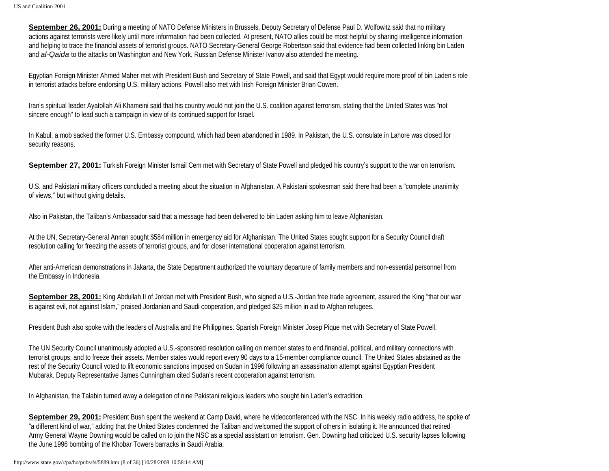**September 26, 2001:** During a meeting of NATO Defense Ministers in Brussels, Deputy Secretary of Defense Paul D. Wolfowitz said that no military actions against terrorists were likely until more information had been collected. At present, NATO allies could be most helpful by sharing intelligence information and helping to trace the financial assets of terrorist groups. NATO Secretary-General George Robertson said that evidence had been collected linking bin Laden and *al-Qaida* to the attacks on Washington and New York. Russian Defense Minister Ivanov also attended the meeting.

Egyptian Foreign Minister Ahmed Maher met with President Bush and Secretary of State Powell, and said that Egypt would require more proof of bin Laden's role in terrorist attacks before endorsing U.S. military actions. Powell also met with Irish Foreign Minister Brian Cowen.

Iran's spiritual leader Ayatollah Ali Khameini said that his country would not join the U.S. coalition against terrorism, stating that the United States was "not sincere enough" to lead such a campaign in view of its continued support for Israel.

In Kabul, a mob sacked the former U.S. Embassy compound, which had been abandoned in 1989. In Pakistan, the U.S. consulate in Lahore was closed for security reasons.

**September 27, 2001:** Turkish Foreign Minister Ismail Cem met with Secretary of State Powell and pledged his country's support to the war on terrorism.

U.S. and Pakistani military officers concluded a meeting about the situation in Afghanistan. A Pakistani spokesman said there had been a "complete unanimity of views," but without giving details.

Also in Pakistan, the Taliban's Ambassador said that a message had been delivered to bin Laden asking him to leave Afghanistan.

At the UN, Secretary-General Annan sought \$584 million in emergency aid for Afghanistan. The United States sought support for a Security Council draft resolution calling for freezing the assets of terrorist groups, and for closer international cooperation against terrorism.

After anti-American demonstrations in Jakarta, the State Department authorized the voluntary departure of family members and non-essential personnel from the Embassy in Indonesia.

**September 28, 2001:** King Abdullah II of Jordan met with President Bush, who signed a U.S.-Jordan free trade agreement, assured the King "that our war is against evil, not against Islam," praised Jordanian and Saudi cooperation, and pledged \$25 million in aid to Afghan refugees.

President Bush also spoke with the leaders of Australia and the Philippines. Spanish Foreign Minister Josep Pique met with Secretary of State Powell.

The UN Security Council unanimously adopted a U.S.-sponsored resolution calling on member states to end financial, political, and military connections with terrorist groups, and to freeze their assets. Member states would report every 90 days to a 15-member compliance council. The United States abstained as the rest of the Security Council voted to lift economic sanctions imposed on Sudan in 1996 following an assassination attempt against Egyptian President Mubarak. Deputy Representative James Cunningham cited Sudan's recent cooperation against terrorism.

In Afghanistan, the Talabin turned away a delegation of nine Pakistani religious leaders who sought bin Laden's extradition.

**September 29, 2001:** President Bush spent the weekend at Camp David, where he videoconferenced with the NSC. In his weekly radio address, he spoke of "a different kind of war," adding that the United States condemned the Taliban and welcomed the support of others in isolating it. He announced that retired Army General Wayne Downing would be called on to join the NSC as a special assistant on terrorism. Gen. Downing had criticized U.S. security lapses following the June 1996 bombing of the Khobar Towers barracks in Saudi Arabia.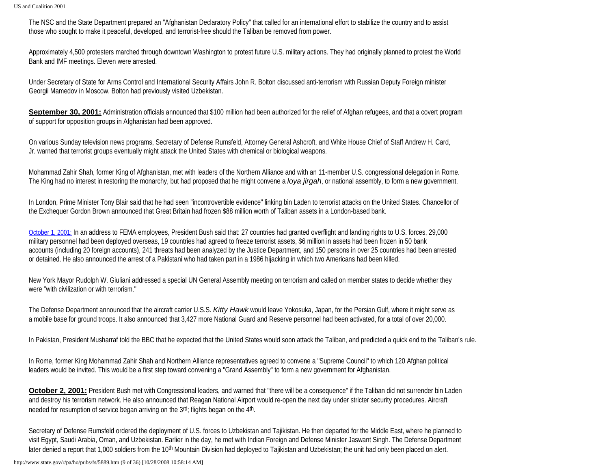The NSC and the State Department prepared an "Afghanistan Declaratory Policy" that called for an international effort to stabilize the country and to assist those who sought to make it peaceful, developed, and terrorist-free should the Taliban be removed from power.

Approximately 4,500 protesters marched through downtown Washington to protest future U.S. military actions. They had originally planned to protest the World Bank and IMF meetings. Eleven were arrested.

Under Secretary of State for Arms Control and International Security Affairs John R. Bolton discussed anti-terrorism with Russian Deputy Foreign minister Georgii Mamedov in Moscow. Bolton had previously visited Uzbekistan.

**September 30, 2001:** Administration officials announced that \$100 million had been authorized for the relief of Afghan refugees, and that a covert program of support for opposition groups in Afghanistan had been approved.

On various Sunday television news programs, Secretary of Defense Rumsfeld, Attorney General Ashcroft, and White House Chief of Staff Andrew H. Card, Jr. warned that terrorist groups eventually might attack the United States with chemical or biological weapons.

Mohammad Zahir Shah, former King of Afghanistan, met with leaders of the Northern Alliance and with an 11-member U.S. congressional delegation in Rome. The King had no interest in restoring the monarchy, but had proposed that he might convene a *loya jirgah*, or national assembly, to form a new government.

In London, Prime Minister Tony Blair said that he had seen "incontrovertible evidence" linking bin Laden to terrorist attacks on the United States. Chancellor of the Exchequer Gordon Brown announced that Great Britain had frozen \$88 million worth of Taliban assets in a London-based bank.

October 1, 2001: In an address to FEMA employees, President Bush said that: 27 countries had granted overflight and landing rights to U.S. forces, 29,000 military personnel had been deployed overseas, 19 countries had agreed to freeze terrorist assets, \$6 million in assets had been frozen in 50 bank accounts (including 20 foreign accounts), 241 threats had been analyzed by the Justice Department, and 150 persons in over 25 countries had been arrested or detained. He also announced the arrest of a Pakistani who had taken part in a 1986 hijacking in which two Americans had been killed.

New York Mayor Rudolph W. Giuliani addressed a special UN General Assembly meeting on terrorism and called on member states to decide whether they were "with civilization or with terrorism."

The Defense Department announced that the aircraft carrier U.S.S. *Kitty Hawk* would leave Yokosuka, Japan, for the Persian Gulf, where it might serve as a mobile base for ground troops. It also announced that 3,427 more National Guard and Reserve personnel had been activated, for a total of over 20,000.

In Pakistan, President Musharraf told the BBC that he expected that the United States would soon attack the Taliban, and predicted a quick end to the Taliban's rule.

In Rome, former King Mohammad Zahir Shah and Northern Alliance representatives agreed to convene a "Supreme Council" to which 120 Afghan political leaders would be invited. This would be a first step toward convening a "Grand Assembly" to form a new government for Afghanistan.

**October 2, 2001:** President Bush met with Congressional leaders, and warned that "there will be a consequence" if the Taliban did not surrender bin Laden and destroy his terrorism network. He also announced that Reagan National Airport would re-open the next day under stricter security procedures. Aircraft needed for resumption of service began arriving on the 3<sup>rd</sup>; flights began on the 4<sup>th</sup>.

Secretary of Defense Rumsfeld ordered the deployment of U.S. forces to Uzbekistan and Tajikistan. He then departed for the Middle East, where he planned to visit Egypt, Saudi Arabia, Oman, and Uzbekistan. Earlier in the day, he met with Indian Foreign and Defense Minister Jaswant Singh. The Defense Department later denied a report that 1,000 soldiers from the 10<sup>th</sup> Mountain Division had deployed to Tajikistan and Uzbekistan; the unit had only been placed on alert.

http://www.state.gov/r/pa/ho/pubs/fs/5889.htm (9 of 36) [10/28/2008 10:58:14 AM]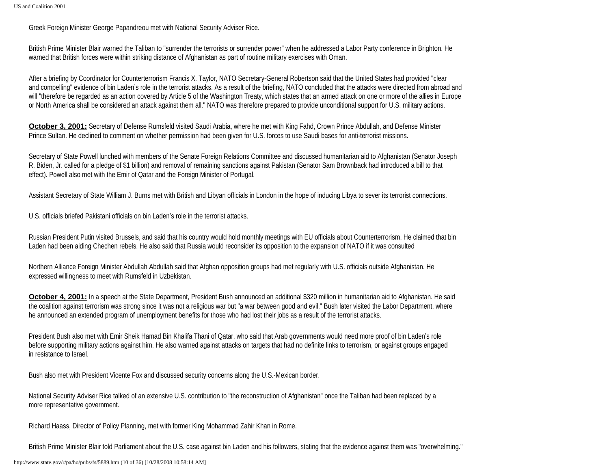Greek Foreign Minister George Papandreou met with National Security Adviser Rice.

British Prime Minister Blair warned the Taliban to "surrender the terrorists or surrender power" when he addressed a Labor Party conference in Brighton. He warned that British forces were within striking distance of Afghanistan as part of routine military exercises with Oman.

After a briefing by Coordinator for Counterterrorism Francis X. Taylor, NATO Secretary-General Robertson said that the United States had provided "clear and compelling" evidence of bin Laden's role in the terrorist attacks. As a result of the briefing, NATO concluded that the attacks were directed from abroad and will "therefore be regarded as an action covered by Article 5 of the Washington Treaty, which states that an armed attack on one or more of the allies in Europe or North America shall be considered an attack against them all." NATO was therefore prepared to provide unconditional support for U.S. military actions.

**October 3, 2001:** Secretary of Defense Rumsfeld visited Saudi Arabia, where he met with King Fahd, Crown Prince Abdullah, and Defense Minister Prince Sultan. He declined to comment on whether permission had been given for U.S. forces to use Saudi bases for anti-terrorist missions.

Secretary of State Powell lunched with members of the Senate Foreign Relations Committee and discussed humanitarian aid to Afghanistan (Senator Joseph R. Biden, Jr. called for a pledge of \$1 billion) and removal of remaining sanctions against Pakistan (Senator Sam Brownback had introduced a bill to that effect). Powell also met with the Emir of Qatar and the Foreign Minister of Portugal.

Assistant Secretary of State William J. Burns met with British and Libyan officials in London in the hope of inducing Libya to sever its terrorist connections.

U.S. officials briefed Pakistani officials on bin Laden's role in the terrorist attacks.

Russian President Putin visited Brussels, and said that his country would hold monthly meetings with EU officials about Counterterrorism. He claimed that bin Laden had been aiding Chechen rebels. He also said that Russia would reconsider its opposition to the expansion of NATO if it was consulted

Northern Alliance Foreign Minister Abdullah Abdullah said that Afghan opposition groups had met regularly with U.S. officials outside Afghanistan. He expressed willingness to meet with Rumsfeld in Uzbekistan.

**October 4, 2001:** In a speech at the State Department, President Bush announced an additional \$320 million in humanitarian aid to Afghanistan. He said the coalition against terrorism was strong since it was not a religious war but "a war between good and evil." Bush later visited the Labor Department, where he announced an extended program of unemployment benefits for those who had lost their jobs as a result of the terrorist attacks.

President Bush also met with Emir Sheik Hamad Bin Khalifa Thani of Qatar, who said that Arab governments would need more proof of bin Laden's role before supporting military actions against him. He also warned against attacks on targets that had no definite links to terrorism, or against groups engaged in resistance to Israel.

Bush also met with President Vicente Fox and discussed security concerns along the U.S.-Mexican border.

National Security Adviser Rice talked of an extensive U.S. contribution to "the reconstruction of Afghanistan" once the Taliban had been replaced by a more representative government.

Richard Haass, Director of Policy Planning, met with former King Mohammad Zahir Khan in Rome.

British Prime Minister Blair told Parliament about the U.S. case against bin Laden and his followers, stating that the evidence against them was "overwhelming."

http://www.state.gov/r/pa/ho/pubs/fs/5889.htm (10 of 36) [10/28/2008 10:58:14 AM]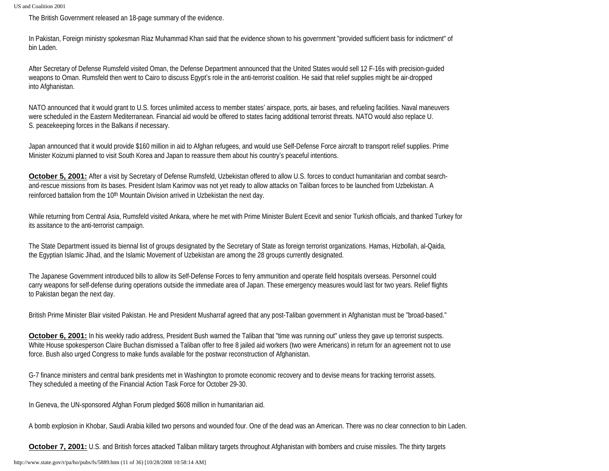The British Government released an 18-page summary of the evidence.

In Pakistan, Foreign ministry spokesman Riaz Muhammad Khan said that the evidence shown to his government "provided sufficient basis for indictment" of bin Laden.

After Secretary of Defense Rumsfeld visited Oman, the Defense Department announced that the United States would sell 12 F-16s with precision-guided weapons to Oman. Rumsfeld then went to Cairo to discuss Egypt's role in the anti-terrorist coalition. He said that relief supplies might be air-dropped into Afghanistan.

NATO announced that it would grant to U.S. forces unlimited access to member states' airspace, ports, air bases, and refueling facilities. Naval maneuvers were scheduled in the Eastern Mediterranean. Financial aid would be offered to states facing additional terrorist threats. NATO would also replace U. S. peacekeeping forces in the Balkans if necessary.

Japan announced that it would provide \$160 million in aid to Afghan refugees, and would use Self-Defense Force aircraft to transport relief supplies. Prime Minister Koizumi planned to visit South Korea and Japan to reassure them about his country's peaceful intentions.

**October 5, 2001:** After a visit by Secretary of Defense Rumsfeld, Uzbekistan offered to allow U.S. forces to conduct humanitarian and combat searchand-rescue missions from its bases. President Islam Karimov was not yet ready to allow attacks on Taliban forces to be launched from Uzbekistan. A reinforced battalion from the 10<sup>th</sup> Mountain Division arrived in Uzbekistan the next day.

While returning from Central Asia, Rumsfeld visited Ankara, where he met with Prime Minister Bulent Ecevit and senior Turkish officials, and thanked Turkey for its assitance to the anti-terrorist campaign.

The State Department issued its biennal list of groups designated by the Secretary of State as foreign terrorist organizations. Hamas, Hizbollah, al-Qaida, the Egyptian Islamic Jihad, and the Islamic Movement of Uzbekistan are among the 28 groups currently designated.

The Japanese Government introduced bills to allow its Self-Defense Forces to ferry ammunition and operate field hospitals overseas. Personnel could carry weapons for self-defense during operations outside the immediate area of Japan. These emergency measures would last for two years. Relief flights to Pakistan began the next day.

British Prime Minister Blair visited Pakistan. He and President Musharraf agreed that any post-Taliban government in Afghanistan must be "broad-based."

**October 6, 2001:** In his weekly radio address, President Bush warned the Taliban that "time was running out" unless they gave up terrorist suspects. White House spokesperson Claire Buchan dismissed a Taliban offer to free 8 jailed aid workers (two were Americans) in return for an agreement not to use force. Bush also urged Congress to make funds available for the postwar reconstruction of Afghanistan.

G-7 finance ministers and central bank presidents met in Washington to promote economic recovery and to devise means for tracking terrorist assets. They scheduled a meeting of the Financial Action Task Force for October 29-30.

In Geneva, the UN-sponsored Afghan Forum pledged \$608 million in humanitarian aid.

A bomb explosion in Khobar, Saudi Arabia killed two persons and wounded four. One of the dead was an American. There was no clear connection to bin Laden.

**October 7, 2001:** U.S. and British forces attacked Taliban military targets throughout Afghanistan with bombers and cruise missiles. The thirty targets

http://www.state.gov/r/pa/ho/pubs/fs/5889.htm (11 of 36) [10/28/2008 10:58:14 AM]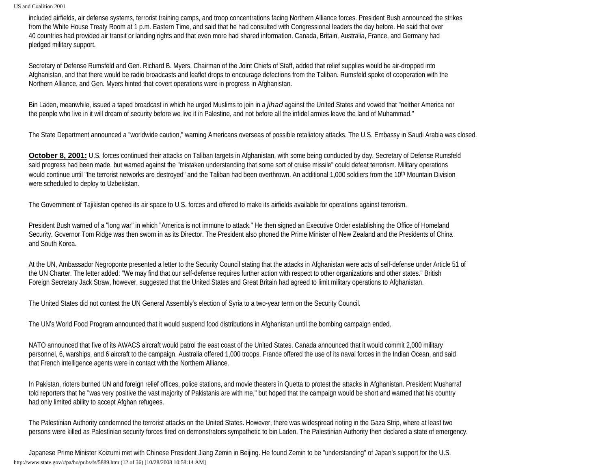included airfields, air defense systems, terrorist training camps, and troop concentrations facing Northern Alliance forces. President Bush announced the strikes from the White House Treaty Room at 1 p.m. Eastern Time, and said that he had consulted with Congressional leaders the day before. He said that over 40 countries had provided air transit or landing rights and that even more had shared information. Canada, Britain, Australia, France, and Germany had pledged military support.

Secretary of Defense Rumsfeld and Gen. Richard B. Myers, Chairman of the Joint Chiefs of Staff, added that relief supplies would be air-dropped into Afghanistan, and that there would be radio broadcasts and leaflet drops to encourage defections from the Taliban. Rumsfeld spoke of cooperation with the Northern Alliance, and Gen. Myers hinted that covert operations were in progress in Afghanistan.

Bin Laden, meanwhile, issued a taped broadcast in which he urged Muslims to join in a *jihad* against the United States and vowed that "neither America nor the people who live in it will dream of security before we live it in Palestine, and not before all the infidel armies leave the land of Muhammad."

The State Department announced a "worldwide caution," warning Americans overseas of possible retaliatory attacks. The U.S. Embassy in Saudi Arabia was closed.

**October 8, 2001:** U.S. forces continued their attacks on Taliban targets in Afghanistan, with some being conducted by day. Secretary of Defense Rumsfeld said progress had been made, but warned against the "mistaken understanding that some sort of cruise missile" could defeat terrorism. Military operations would continue until "the terrorist networks are destroyed" and the Taliban had been overthrown. An additional 1,000 soldiers from the 10<sup>th</sup> Mountain Division were scheduled to deploy to Uzbekistan.

The Government of Tajikistan opened its air space to U.S. forces and offered to make its airfields available for operations against terrorism.

President Bush warned of a "long war" in which "America is not immune to attack." He then signed an Executive Order establishing the Office of Homeland Security. Governor Tom Ridge was then sworn in as its Director. The President also phoned the Prime Minister of New Zealand and the Presidents of China and South Korea.

At the UN, Ambassador Negroponte presented a letter to the Security Council stating that the attacks in Afghanistan were acts of self-defense under Article 51 of the UN Charter. The letter added: "We may find that our self-defense requires further action with respect to other organizations and other states." British Foreign Secretary Jack Straw, however, suggested that the United States and Great Britain had agreed to limit military operations to Afghanistan.

The United States did not contest the UN General Assembly's election of Syria to a two-year term on the Security Council.

The UN's World Food Program announced that it would suspend food distributions in Afghanistan until the bombing campaign ended.

NATO announced that five of its AWACS aircraft would patrol the east coast of the United States. Canada announced that it would commit 2,000 military personnel, 6, warships, and 6 aircraft to the campaign. Australia offered 1,000 troops. France offered the use of its naval forces in the Indian Ocean, and said that French intelligence agents were in contact with the Northern Alliance.

In Pakistan, rioters burned UN and foreign relief offices, police stations, and movie theaters in Quetta to protest the attacks in Afghanistan. President Musharraf told reporters that he "was very positive the vast majority of Pakistanis are with me," but hoped that the campaign would be short and warned that his country had only limited ability to accept Afghan refugees.

The Palestinian Authority condemned the terrorist attacks on the United States. However, there was widespread rioting in the Gaza Strip, where at least two persons were killed as Palestinian security forces fired on demonstrators sympathetic to bin Laden. The Palestinian Authority then declared a state of emergency.

Japanese Prime Minister Koizumi met with Chinese President Jiang Zemin in Beijing. He found Zemin to be "understanding" of Japan's support for the U.S. http://www.state.gov/r/pa/ho/pubs/fs/5889.htm (12 of 36) [10/28/2008 10:58:14 AM]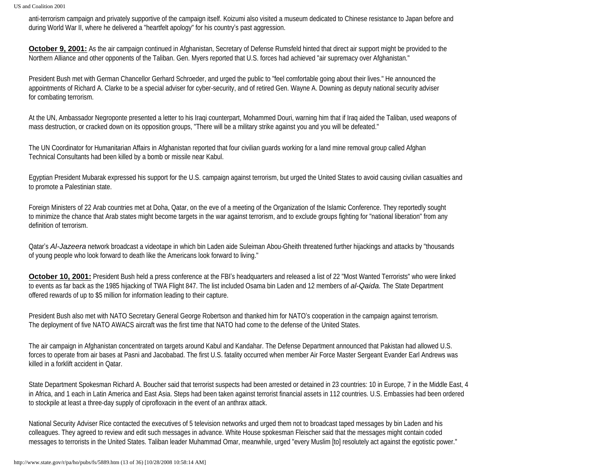anti-terrorism campaign and privately supportive of the campaign itself. Koizumi also visited a museum dedicated to Chinese resistance to Japan before and during World War II, where he delivered a "heartfelt apology" for his country's past aggression.

**October 9, 2001:** As the air campaign continued in Afghanistan, Secretary of Defense Rumsfeld hinted that direct air support might be provided to the Northern Alliance and other opponents of the Taliban. Gen. Myers reported that U.S. forces had achieved "air supremacy over Afghanistan."

President Bush met with German Chancellor Gerhard Schroeder, and urged the public to "feel comfortable going about their lives." He announced the appointments of Richard A. Clarke to be a special adviser for cyber-security, and of retired Gen. Wayne A. Downing as deputy national security adviser for combating terrorism.

At the UN, Ambassador Negroponte presented a letter to his Iraqi counterpart, Mohammed Douri, warning him that if Iraq aided the Taliban, used weapons of mass destruction, or cracked down on its opposition groups, "There will be a military strike against you and you will be defeated."

The UN Coordinator for Humanitarian Affairs in Afghanistan reported that four civilian guards working for a land mine removal group called Afghan Technical Consultants had been killed by a bomb or missile near Kabul.

Egyptian President Mubarak expressed his support for the U.S. campaign against terrorism, but urged the United States to avoid causing civilian casualties and to promote a Palestinian state.

Foreign Ministers of 22 Arab countries met at Doha, Qatar, on the eve of a meeting of the Organization of the Islamic Conference. They reportedly sought to minimize the chance that Arab states might become targets in the war against terrorism, and to exclude groups fighting for "national liberation" from any definition of terrorism.

Qatar's *Al-Jazeera* network broadcast a videotape in which bin Laden aide Suleiman Abou-Gheith threatened further hijackings and attacks by "thousands of young people who look forward to death like the Americans look forward to living."

**October 10, 2001:** President Bush held a press conference at the FBI's headquarters and released a list of 22 "Most Wanted Terrorists" who were linked to events as far back as the 1985 hijacking of TWA Flight 847. The list included Osama bin Laden and 12 members of *al-Qaida.* The State Department offered rewards of up to \$5 million for information leading to their capture.

President Bush also met with NATO Secretary General George Robertson and thanked him for NATO's cooperation in the campaign against terrorism. The deployment of five NATO AWACS aircraft was the first time that NATO had come to the defense of the United States.

The air campaign in Afghanistan concentrated on targets around Kabul and Kandahar. The Defense Department announced that Pakistan had allowed U.S. forces to operate from air bases at Pasni and Jacobabad. The first U.S. fatality occurred when member Air Force Master Sergeant Evander Earl Andrews was killed in a forklift accident in Qatar.

State Department Spokesman Richard A. Boucher said that terrorist suspects had been arrested or detained in 23 countries: 10 in Europe, 7 in the Middle East, 4 in Africa, and 1 each in Latin America and East Asia. Steps had been taken against terrorist financial assets in 112 countries. U.S. Embassies had been ordered to stockpile at least a three-day supply of ciprofloxacin in the event of an anthrax attack.

National Security Adviser Rice contacted the executives of 5 television networks and urged them not to broadcast taped messages by bin Laden and his colleagues. They agreed to review and edit such messages in advance. White House spokesman Fleischer said that the messages might contain coded messages to terrorists in the United States. Taliban leader Muhammad Omar, meanwhile, urged "every Muslim [to] resolutely act against the egotistic power."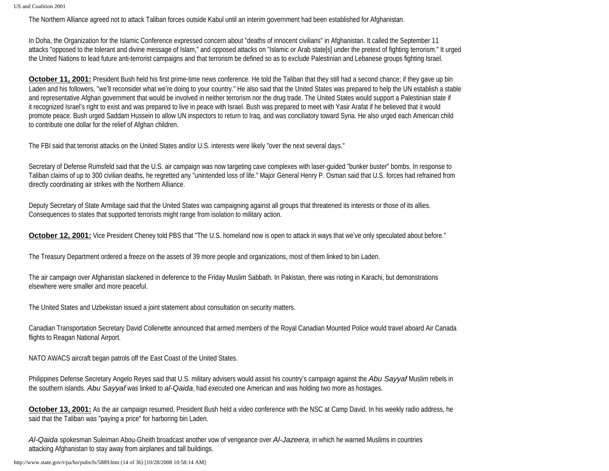The Northern Alliance agreed not to attack Taliban forces outside Kabul until an interim government had been established for Afghanistan.

In Doha, the Organization for the Islamic Conference expressed concern about "deaths of innocent civilians" in Afghanistan. It called the September 11 attacks "opposed to the tolerant and divine message of Islam," and opposed attacks on "Islamic or Arab state[s] under the pretext of fighting terrorism." It urged the United Nations to lead future anti-terrorist campaigns and that terrorism be defined so as to exclude Palestinian and Lebanese groups fighting Israel.

**October 11, 2001:** President Bush held his first prime-time news conference. He told the Taliban that they still had a second chance; if they gave up bin Laden and his followers, "we'll reconsider what we're doing to your country." He also said that the United States was prepared to help the UN establish a stable and representative Afghan government that would be involved in neither terrorism nor the drug trade. The United States would support a Palestinian state if it recognized Israel's right to exist and was prepared to live in peace with Israel. Bush was prepared to meet with Yasir Arafat if he believed that it would promote peace. Bush urged Saddam Hussein to allow UN inspectors to return to Iraq, and was conciliatory toward Syria. He also urged each American child to contribute one dollar for the relief of Afghan children.

The FBI said that terrorist attacks on the United States and/or U.S. interests were likely "over the next several days."

Secretary of Defense Rumsfeld said that the U.S. air campaign was now targeting cave complexes with laser-guided "bunker buster" bombs. In response to Taliban claims of up to 300 civilian deaths, he regretted any "unintended loss of life." Major General Henry P. Osman said that U.S. forces had refrained from directly coordinating air strikes with the Northern Alliance.

Deputy Secretary of State Armitage said that the United States was campaigning against all groups that threatened its interests or those of its allies. Consequences to states that supported terrorists might range from isolation to military action.

**October 12, 2001:** Vice President Cheney told PBS that "The U.S. homeland now is open to attack in ways that we've only speculated about before."

The Treasury Department ordered a freeze on the assets of 39 more people and organizations, most of them linked to bin Laden.

The air campaign over Afghanistan slackened in deference to the Friday Muslim Sabbath. In Pakistan, there was rioting in Karachi, but demonstrations elsewhere were smaller and more peaceful.

The United States and Uzbekistan issued a joint statement about consultation on security matters.

Canadian Transportation Secretary David Collenette announced that armed members of the Royal Canadian Mounted Police would travel aboard Air Canada flights to Reagan National Airport.

NATO AWACS aircraft began patrols off the East Coast of the United States.

Philippines Defense Secretary Angelo Reyes said that U.S. military advisers would assist his country's campaign against the *Abu Sayyaf* Muslim rebels in the southern islands. *Abu Sayyaf* was linked to *al-Qaida*, had executed one American and was holding two more as hostages.

**October 13, 2001:** As the air campaign resumed, President Bush held a video conference with the NSC at Camp David. In his weekly radio address, he said that the Taliban was "paying a price" for harboring bin Laden.

*Al-Qaida* spokesman Suleiman Abou-Gheith broadcast another vow of vengeance over *Al-Jazeera*, in which he warned Muslims in countries attacking Afghanistan to stay away from airplanes and tall buildings.

http://www.state.gov/r/pa/ho/pubs/fs/5889.htm (14 of 36) [10/28/2008 10:58:14 AM]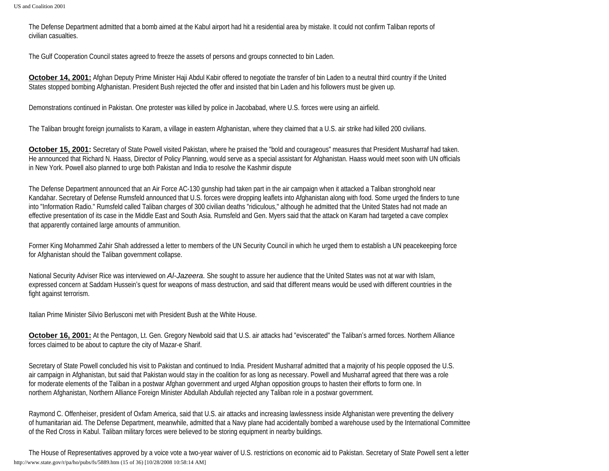The Defense Department admitted that a bomb aimed at the Kabul airport had hit a residential area by mistake. It could not confirm Taliban reports of civilian casualties.

The Gulf Cooperation Council states agreed to freeze the assets of persons and groups connected to bin Laden.

**October 14, 2001:** Afghan Deputy Prime Minister Haji Abdul Kabir offered to negotiate the transfer of bin Laden to a neutral third country if the United States stopped bombing Afghanistan. President Bush rejected the offer and insisted that bin Laden and his followers must be given up.

Demonstrations continued in Pakistan. One protester was killed by police in Jacobabad, where U.S. forces were using an airfield.

The Taliban brought foreign journalists to Karam, a village in eastern Afghanistan, where they claimed that a U.S. air strike had killed 200 civilians.

**October 15, 2001:** Secretary of State Powell visited Pakistan, where he praised the "bold and courageous" measures that President Musharraf had taken. He announced that Richard N. Haass, Director of Policy Planning, would serve as a special assistant for Afghanistan. Haass would meet soon with UN officials in New York. Powell also planned to urge both Pakistan and India to resolve the Kashmir dispute

The Defense Department announced that an Air Force AC-130 gunship had taken part in the air campaign when it attacked a Taliban stronghold near Kandahar. Secretary of Defense Rumsfeld announced that U.S. forces were dropping leaflets into Afghanistan along with food. Some urged the finders to tune into "Information Radio." Rumsfeld called Taliban charges of 300 civilian deaths "ridiculous," although he admitted that the United States had not made an effective presentation of its case in the Middle East and South Asia. Rumsfeld and Gen. Myers said that the attack on Karam had targeted a cave complex that apparently contained large amounts of ammunition.

Former King Mohammed Zahir Shah addressed a letter to members of the UN Security Council in which he urged them to establish a UN peacekeeping force for Afghanistan should the Taliban government collapse.

National Security Adviser Rice was interviewed on *Al-Jazeera.* She sought to assure her audience that the United States was not at war with Islam, expressed concern at Saddam Hussein's quest for weapons of mass destruction, and said that different means would be used with different countries in the fight against terrorism.

Italian Prime Minister Silvio Berlusconi met with President Bush at the White House.

**October 16, 2001:** At the Pentagon, Lt. Gen. Gregory Newbold said that U.S. air attacks had "eviscerated" the Taliban's armed forces. Northern Alliance forces claimed to be about to capture the city of Mazar-e Sharif.

Secretary of State Powell concluded his visit to Pakistan and continued to India. President Musharraf admitted that a majority of his people opposed the U.S. air campaign in Afghanistan, but said that Pakistan would stay in the coalition for as long as necessary. Powell and Musharraf agreed that there was a role for moderate elements of the Taliban in a postwar Afghan government and urged Afghan opposition groups to hasten their efforts to form one. In northern Afghanistan, Northern Alliance Foreign Minister Abdullah Abdullah rejected any Taliban role in a postwar government.

Raymond C. Offenheiser, president of Oxfam America, said that U.S. air attacks and increasing lawlessness inside Afghanistan were preventing the delivery of humanitarian aid. The Defense Department, meanwhile, admitted that a Navy plane had accidentally bombed a warehouse used by the International Committee of the Red Cross in Kabul. Taliban military forces were believed to be storing equipment in nearby buildings.

The House of Representatives approved by a voice vote a two-year waiver of U.S. restrictions on economic aid to Pakistan. Secretary of State Powell sent a letter http://www.state.gov/r/pa/ho/pubs/fs/5889.htm (15 of 36) [10/28/2008 10:58:14 AM]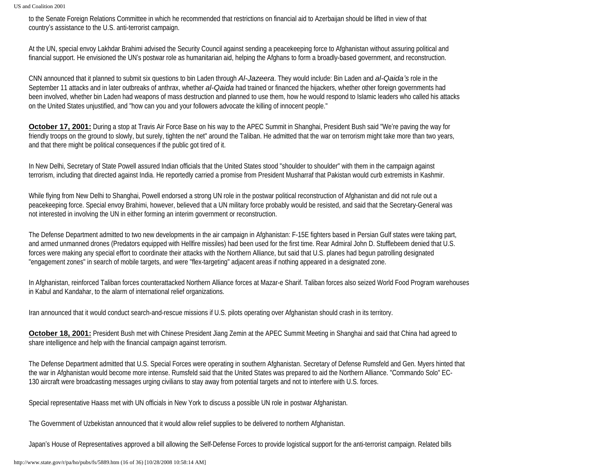to the Senate Foreign Relations Committee in which he recommended that restrictions on financial aid to Azerbaijan should be lifted in view of that country's assistance to the U.S. anti-terrorist campaign.

At the UN, special envoy Lakhdar Brahimi advised the Security Council against sending a peacekeeping force to Afghanistan without assuring political and financial support. He envisioned the UN's postwar role as humanitarian aid, helping the Afghans to form a broadly-based government, and reconstruction.

CNN announced that it planned to submit six questions to bin Laden through *Al-Jazeera*. They would include: Bin Laden and *al-Qaida's* role in the September 11 attacks and in later outbreaks of anthrax, whether *al-Qaida* had trained or financed the hijackers, whether other foreign governments had been involved, whether bin Laden had weapons of mass destruction and planned to use them, how he would respond to Islamic leaders who called his attacks on the United States unjustified, and "how can you and your followers advocate the killing of innocent people."

**October 17, 2001:** During a stop at Travis Air Force Base on his way to the APEC Summit in Shanghai, President Bush said "We're paving the way for friendly troops on the ground to slowly, but surely, tighten the net" around the Taliban. He admitted that the war on terrorism might take more than two years, and that there might be political consequences if the public got tired of it.

In New Delhi, Secretary of State Powell assured Indian officials that the United States stood "shoulder to shoulder" with them in the campaign against terrorism, including that directed against India. He reportedly carried a promise from President Musharraf that Pakistan would curb extremists in Kashmir.

While flying from New Delhi to Shanghai, Powell endorsed a strong UN role in the postwar political reconstruction of Afghanistan and did not rule out a peacekeeping force. Special envoy Brahimi, however, believed that a UN military force probably would be resisted, and said that the Secretary-General was not interested in involving the UN in either forming an interim government or reconstruction.

The Defense Department admitted to two new developments in the air campaign in Afghanistan: F-15E fighters based in Persian Gulf states were taking part, and armed unmanned drones (Predators equipped with Hellfire missiles) had been used for the first time. Rear Admiral John D. Stufflebeem denied that U.S. forces were making any special effort to coordinate their attacks with the Northern Alliance, but said that U.S. planes had begun patrolling designated "engagement zones" in search of mobile targets, and were "flex-targeting" adjacent areas if nothing appeared in a designated zone.

In Afghanistan, reinforced Taliban forces counterattacked Northern Alliance forces at Mazar-e Sharif. Taliban forces also seized World Food Program warehouses in Kabul and Kandahar, to the alarm of international relief organizations.

Iran announced that it would conduct search-and-rescue missions if U.S. pilots operating over Afghanistan should crash in its territory.

**October 18, 2001:** President Bush met with Chinese President Jiang Zemin at the APEC Summit Meeting in Shanghai and said that China had agreed to share intelligence and help with the financial campaign against terrorism.

The Defense Department admitted that U.S. Special Forces were operating in southern Afghanistan. Secretary of Defense Rumsfeld and Gen. Myers hinted that the war in Afghanistan would become more intense. Rumsfeld said that the United States was prepared to aid the Northern Alliance. "Commando Solo" EC-130 aircraft were broadcasting messages urging civilians to stay away from potential targets and not to interfere with U.S. forces.

Special representative Haass met with UN officials in New York to discuss a possible UN role in postwar Afghanistan.

The Government of Uzbekistan announced that it would allow relief supplies to be delivered to northern Afghanistan.

Japan's House of Representatives approved a bill allowing the Self-Defense Forces to provide logistical support for the anti-terrorist campaign. Related bills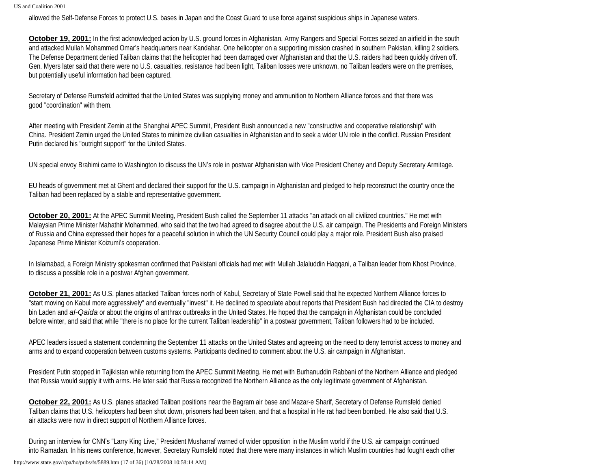allowed the Self-Defense Forces to protect U.S. bases in Japan and the Coast Guard to use force against suspicious ships in Japanese waters.

**October 19, 2001:** In the first acknowledged action by U.S. ground forces in Afghanistan, Army Rangers and Special Forces seized an airfield in the south and attacked Mullah Mohammed Omar's headquarters near Kandahar. One helicopter on a supporting mission crashed in southern Pakistan, killing 2 soldiers. The Defense Department denied Taliban claims that the helicopter had been damaged over Afghanistan and that the U.S. raiders had been quickly driven off. Gen. Myers later said that there were no U.S. casualties, resistance had been light, Taliban losses were unknown, no Taliban leaders were on the premises, but potentially useful information had been captured.

Secretary of Defense Rumsfeld admitted that the United States was supplying money and ammunition to Northern Alliance forces and that there was good "coordination" with them.

After meeting with President Zemin at the Shanghai APEC Summit, President Bush announced a new "constructive and cooperative relationship" with China. President Zemin urged the United States to minimize civilian casualties in Afghanistan and to seek a wider UN role in the conflict. Russian President Putin declared his "outright support" for the United States.

UN special envoy Brahimi came to Washington to discuss the UN's role in postwar Afghanistan with Vice President Cheney and Deputy Secretary Armitage.

EU heads of government met at Ghent and declared their support for the U.S. campaign in Afghanistan and pledged to help reconstruct the country once the Taliban had been replaced by a stable and representative government.

**October 20, 2001:** At the APEC Summit Meeting, President Bush called the September 11 attacks "an attack on all civilized countries." He met with Malaysian Prime Minister Mahathir Mohammed, who said that the two had agreed to disagree about the U.S. air campaign. The Presidents and Foreign Ministers of Russia and China expressed their hopes for a peaceful solution in which the UN Security Council could play a major role. President Bush also praised Japanese Prime Minister Koizumi's cooperation.

In Islamabad, a Foreign Ministry spokesman confirmed that Pakistani officials had met with Mullah Jalaluddin Haqqani, a Taliban leader from Khost Province, to discuss a possible role in a postwar Afghan government.

**October 21, 2001:** As U.S. planes attacked Taliban forces north of Kabul, Secretary of State Powell said that he expected Northern Alliance forces to "start moving on Kabul more aggressively" and eventually "invest" it. He declined to speculate about reports that President Bush had directed the CIA to destroy bin Laden and *al-Qaida* or about the origins of anthrax outbreaks in the United States. He hoped that the campaign in Afghanistan could be concluded before winter, and said that while "there is no place for the current Taliban leadership" in a postwar government, Taliban followers had to be included.

APEC leaders issued a statement condemning the September 11 attacks on the United States and agreeing on the need to deny terrorist access to money and arms and to expand cooperation between customs systems. Participants declined to comment about the U.S. air campaign in Afghanistan.

President Putin stopped in Tajikistan while returning from the APEC Summit Meeting. He met with Burhanuddin Rabbani of the Northern Alliance and pledged that Russia would supply it with arms. He later said that Russia recognized the Northern Alliance as the only legitimate government of Afghanistan.

**October 22, 2001:** As U.S. planes attacked Taliban positions near the Bagram air base and Mazar-e Sharif, Secretary of Defense Rumsfeld denied Taliban claims that U.S. helicopters had been shot down, prisoners had been taken, and that a hospital in He rat had been bombed. He also said that U.S. air attacks were now in direct support of Northern Alliance forces.

During an interview for CNN's "Larry King Live," President Musharraf warned of wider opposition in the Muslim world if the U.S. air campaign continued into Ramadan. In his news conference, however, Secretary Rumsfeld noted that there were many instances in which Muslim countries had fought each other

http://www.state.gov/r/pa/ho/pubs/fs/5889.htm (17 of 36) [10/28/2008 10:58:14 AM]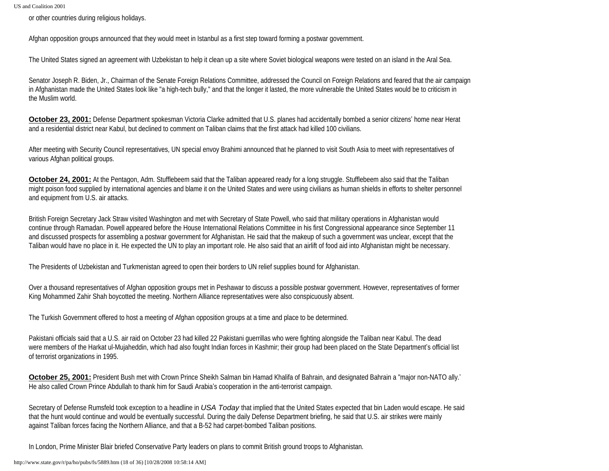or other countries during religious holidays.

Afghan opposition groups announced that they would meet in Istanbul as a first step toward forming a postwar government.

The United States signed an agreement with Uzbekistan to help it clean up a site where Soviet biological weapons were tested on an island in the Aral Sea.

Senator Joseph R. Biden, Jr., Chairman of the Senate Foreign Relations Committee, addressed the Council on Foreign Relations and feared that the air campaign in Afghanistan made the United States look like "a high-tech bully," and that the longer it lasted, the more vulnerable the United States would be to criticism in the Muslim world.

**October 23, 2001:** Defense Department spokesman Victoria Clarke admitted that U.S. planes had accidentally bombed a senior citizens' home near Herat and a residential district near Kabul, but declined to comment on Taliban claims that the first attack had killed 100 civilians.

After meeting with Security Council representatives, UN special envoy Brahimi announced that he planned to visit South Asia to meet with representatives of various Afghan political groups.

**October 24, 2001:** At the Pentagon, Adm. Stufflebeem said that the Taliban appeared ready for a long struggle. Stufflebeem also said that the Taliban might poison food supplied by international agencies and blame it on the United States and were using civilians as human shields in efforts to shelter personnel and equipment from U.S. air attacks.

British Foreign Secretary Jack Straw visited Washington and met with Secretary of State Powell, who said that military operations in Afghanistan would continue through Ramadan. Powell appeared before the House International Relations Committee in his first Congressional appearance since September 11 and discussed prospects for assembling a postwar government for Afghanistan. He said that the makeup of such a government was unclear, except that the Taliban would have no place in it. He expected the UN to play an important role. He also said that an airlift of food aid into Afghanistan might be necessary.

The Presidents of Uzbekistan and Turkmenistan agreed to open their borders to UN relief supplies bound for Afghanistan.

Over a thousand representatives of Afghan opposition groups met in Peshawar to discuss a possible postwar government. However, representatives of former King Mohammed Zahir Shah boycotted the meeting. Northern Alliance representatives were also conspicuously absent.

The Turkish Government offered to host a meeting of Afghan opposition groups at a time and place to be determined.

Pakistani officials said that a U.S. air raid on October 23 had killed 22 Pakistani guerrillas who were fighting alongside the Taliban near Kabul. The dead were members of the Harkat ul-Mujaheddin, which had also fought Indian forces in Kashmir; their group had been placed on the State Department's official list of terrorist organizations in 1995.

**October 25, 2001:** President Bush met with Crown Prince Sheikh Salman bin Hamad Khalifa of Bahrain, and designated Bahrain a "major non-NATO ally.' He also called Crown Prince Abdullah to thank him for Saudi Arabia's cooperation in the anti-terrorist campaign.

Secretary of Defense Rumsfeld took exception to a headline in *USA Today* that implied that the United States expected that bin Laden would escape. He said that the hunt would continue and would be eventually successful. During the daily Defense Department briefing, he said that U.S. air strikes were mainly against Taliban forces facing the Northern Alliance, and that a B-52 had carpet-bombed Taliban positions.

In London, Prime Minister Blair briefed Conservative Party leaders on plans to commit British ground troops to Afghanistan.

http://www.state.gov/r/pa/ho/pubs/fs/5889.htm (18 of 36) [10/28/2008 10:58:14 AM]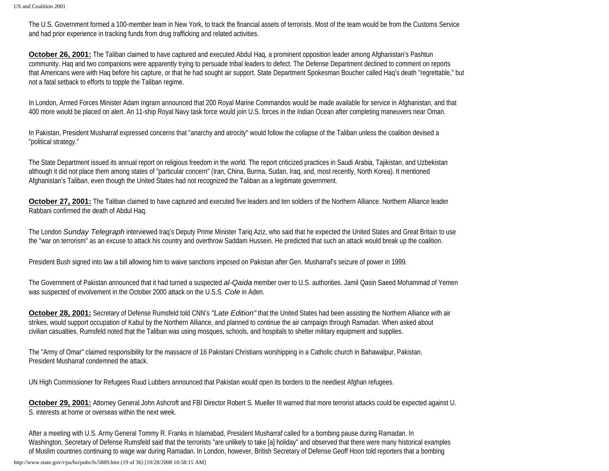The U.S. Government formed a 100-member team in New York, to track the financial assets of terrorists. Most of the team would be from the Customs Service and had prior experience in tracking funds from drug trafficking and related activities.

**October 26, 2001:** The Taliban claimed to have captured and executed Abdul Haq, a prominent opposition leader among Afghanistan's Pashtun community. Haq and two companions were apparently trying to persuade tribal leaders to defect. The Defense Department declined to comment on reports that Americans were with Haq before his capture, or that he had sought air support. State Department Spokesman Boucher called Haq's death "regrettable," but not a fatal setback to efforts to topple the Taliban regime.

In London, Armed Forces Minister Adam Ingram announced that 200 Royal Marine Commandos would be made available for service in Afghanistan, and that 400 more would be placed on alert. An 11-ship Royal Navy task force would join U.S. forces in the Indian Ocean after completing maneuvers near Oman.

In Pakistan, President Musharraf expressed concerns that "anarchy and atrocity" would follow the collapse of the Taliban unless the coalition devised a "political strategy."

The State Department issued its annual report on religious freedom in the world. The report criticized practices in Saudi Arabia, Tajikistan, and Uzbekistan although it did not place them among states of "particular concern" (Iran, China, Burma, Sudan, Iraq, and, most recently, North Korea). It mentioned Afghanistan's Taliban, even though the United States had not recognized the Taliban as a legitimate government.

**October 27, 2001:** The Taliban claimed to have captured and executed five leaders and ten soldiers of the Northern Alliance. Northern Alliance leader Rabbani confirmed the death of Abdul Haq.

The London *Sunday Telegraph* interviewed Iraq's Deputy Prime Minister Tariq Aziz, who said that he expected the United States and Great Britain to use the "war on terrorism" as an excuse to attack his country and overthrow Saddam Hussein. He predicted that such an attack would break up the coalition.

President Bush signed into law a bill allowing him to waive sanctions imposed on Pakistan after Gen. Musharraf's seizure of power in 1999.

The Government of Pakistan announced that it had turned a suspected *al-Qaida* member over to U.S. authorities. Jamil Qasin Saeed Mohammad of Yemen was suspected of involvement in the October 2000 attack on the U.S.S. *Cole* in Aden.

**October 28, 2001:** Secretary of Defense Rumsfeld told CNN's *"Late Edition"* that the United States had been assisting the Northern Alliance with air strikes, would support occupation of Kabul by the Northern Alliance, and planned to continue the air campaign through Ramadan. When asked about civilian casualties, Rumsfeld noted that the Taliban was using mosques, schools, and hospitals to shelter military equipment and supplies.

The "Army of Omar" claimed responsibility for the massacre of 16 Pakistani Christians worshipping in a Catholic church in Bahawalpur, Pakistan. President Musharraf condemned the attack.

UN High Commissioner for Refugees Ruud Lubbers announced that Pakistan would open its borders to the neediest Afghan refugees.

**October 29, 2001:** Attorney General John Ashcroft and FBI Director Robert S. Mueller III warned that more terrorist attacks could be expected against U. S. interests at home or overseas within the next week.

After a meeting with U.S. Army General Tommy R. Franks in Islamabad, President Musharraf called for a bombing pause during Ramadan. In Washington, Secretary of Defense Rumsfeld said that the terrorists "are unlikely to take [a] holiday" and observed that there were many historical examples of Muslim countries continuing to wage war during Ramadan. In London, however, British Secretary of Defense Geoff Hoon told reporters that a bombing

http://www.state.gov/r/pa/ho/pubs/fs/5889.htm (19 of 36) [10/28/2008 10:58:15 AM]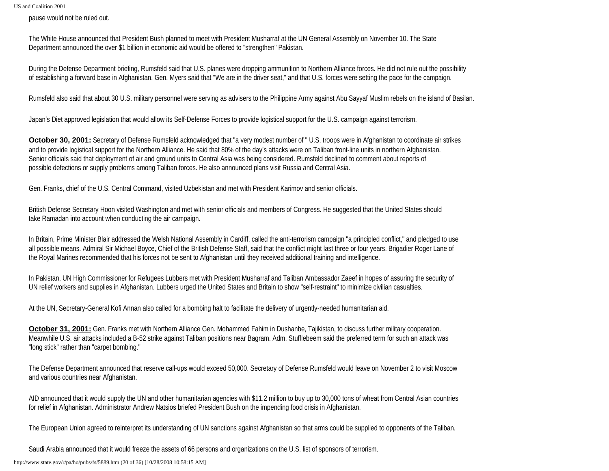pause would not be ruled out.

The White House announced that President Bush planned to meet with President Musharraf at the UN General Assembly on November 10. The State Department announced the over \$1 billion in economic aid would be offered to "strengthen" Pakistan.

During the Defense Department briefing, Rumsfeld said that U.S. planes were dropping ammunition to Northern Alliance forces. He did not rule out the possibility of establishing a forward base in Afghanistan. Gen. Myers said that "We are in the driver seat," and that U.S. forces were setting the pace for the campaign.

Rumsfeld also said that about 30 U.S. military personnel were serving as advisers to the Philippine Army against Abu Sayyaf Muslim rebels on the island of Basilan.

Japan's Diet approved legislation that would allow its Self-Defense Forces to provide logistical support for the U.S. campaign against terrorism.

**October 30, 2001:** Secretary of Defense Rumsfeld acknowledged that "a very modest number of " U.S. troops were in Afghanistan to coordinate air strikes and to provide logistical support for the Northern Alliance. He said that 80% of the day's attacks were on Taliban front-line units in northern Afghanistan. Senior officials said that deployment of air and ground units to Central Asia was being considered. Rumsfeld declined to comment about reports of possible defections or supply problems among Taliban forces. He also announced plans visit Russia and Central Asia.

Gen. Franks, chief of the U.S. Central Command, visited Uzbekistan and met with President Karimov and senior officials.

British Defense Secretary Hoon visited Washington and met with senior officials and members of Congress. He suggested that the United States should take Ramadan into account when conducting the air campaign.

In Britain, Prime Minister Blair addressed the Welsh National Assembly in Cardiff, called the anti-terrorism campaign "a principled conflict," and pledged to use all possible means. Admiral Sir Michael Boyce, Chief of the British Defense Staff, said that the conflict might last three or four years. Brigadier Roger Lane of the Royal Marines recommended that his forces not be sent to Afghanistan until they received additional training and intelligence.

In Pakistan, UN High Commissioner for Refugees Lubbers met with President Musharraf and Taliban Ambassador Zaeef in hopes of assuring the security of UN relief workers and supplies in Afghanistan. Lubbers urged the United States and Britain to show "self-restraint" to minimize civilian casualties.

At the UN, Secretary-General Kofi Annan also called for a bombing halt to facilitate the delivery of urgently-needed humanitarian aid.

**October 31, 2001:** Gen. Franks met with Northern Alliance Gen. Mohammed Fahim in Dushanbe, Tajikistan, to discuss further military cooperation. Meanwhile U.S. air attacks included a B-52 strike against Taliban positions near Bagram. Adm. Stufflebeem said the preferred term for such an attack was "long stick" rather than "carpet bombing."

The Defense Department announced that reserve call-ups would exceed 50,000. Secretary of Defense Rumsfeld would leave on November 2 to visit Moscow and various countries near Afghanistan.

AID announced that it would supply the UN and other humanitarian agencies with \$11.2 million to buy up to 30,000 tons of wheat from Central Asian countries for relief in Afghanistan. Administrator Andrew Natsios briefed President Bush on the impending food crisis in Afghanistan.

The European Union agreed to reinterpret its understanding of UN sanctions against Afghanistan so that arms could be supplied to opponents of the Taliban.

Saudi Arabia announced that it would freeze the assets of 66 persons and organizations on the U.S. list of sponsors of terrorism.

http://www.state.gov/r/pa/ho/pubs/fs/5889.htm (20 of 36) [10/28/2008 10:58:15 AM]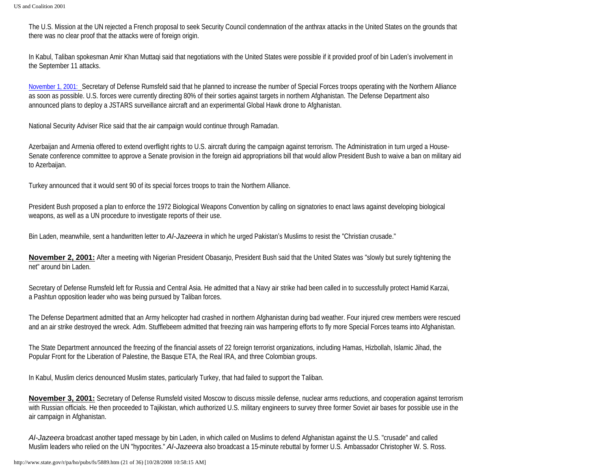The U.S. Mission at the UN rejected a French proposal to seek Security Council condemnation of the anthrax attacks in the United States on the grounds that there was no clear proof that the attacks were of foreign origin.

In Kabul, Taliban spokesman Amir Khan Muttaqi said that negotiations with the United States were possible if it provided proof of bin Laden's involvement in the September 11 attacks.

November 1, 2001:Secretary of Defense Rumsfeld said that he planned to increase the number of Special Forces troops operating with the Northern Alliance as soon as possible. U.S. forces were currently directing 80% of their sorties against targets in northern Afghanistan. The Defense Department also announced plans to deploy a JSTARS surveillance aircraft and an experimental Global Hawk drone to Afghanistan.

National Security Adviser Rice said that the air campaign would continue through Ramadan.

Azerbaijan and Armenia offered to extend overflight rights to U.S. aircraft during the campaign against terrorism. The Administration in turn urged a House-Senate conference committee to approve a Senate provision in the foreign aid appropriations bill that would allow President Bush to waive a ban on military aid to Azerbaijan.

Turkey announced that it would sent 90 of its special forces troops to train the Northern Alliance.

President Bush proposed a plan to enforce the 1972 Biological Weapons Convention by calling on signatories to enact laws against developing biological weapons, as well as a UN procedure to investigate reports of their use.

Bin Laden, meanwhile, sent a handwritten letter to *Al-Jazeera* in which he urged Pakistan's Muslims to resist the "Christian crusade."

**November 2, 2001:** After a meeting with Nigerian President Obasanjo, President Bush said that the United States was "slowly but surely tightening the net" around bin Laden.

Secretary of Defense Rumsfeld left for Russia and Central Asia. He admitted that a Navy air strike had been called in to successfully protect Hamid Karzai, a Pashtun opposition leader who was being pursued by Taliban forces.

The Defense Department admitted that an Army helicopter had crashed in northern Afghanistan during bad weather. Four injured crew members were rescued and an air strike destroyed the wreck. Adm. Stufflebeem admitted that freezing rain was hampering efforts to fly more Special Forces teams into Afghanistan.

The State Department announced the freezing of the financial assets of 22 foreign terrorist organizations, including Hamas, Hizbollah, Islamic Jihad, the Popular Front for the Liberation of Palestine, the Basque ETA, the Real IRA, and three Colombian groups.

In Kabul, Muslim clerics denounced Muslim states, particularly Turkey, that had failed to support the Taliban.

**November 3, 2001:** Secretary of Defense Rumsfeld visited Moscow to discuss missile defense, nuclear arms reductions, and cooperation against terrorism with Russian officials. He then proceeded to Tajikistan, which authorized U.S. military engineers to survey three former Soviet air bases for possible use in the air campaign in Afghanistan.

*Al-Jazeera* broadcast another taped message by bin Laden, in which called on Muslims to defend Afghanistan against the U.S. "crusade" and called Muslim leaders who relied on the UN "hypocrites." *Al-Jazeera* also broadcast a 15-minute rebuttal by former U.S. Ambassador Christopher W. S. Ross.

http://www.state.gov/r/pa/ho/pubs/fs/5889.htm (21 of 36) [10/28/2008 10:58:15 AM]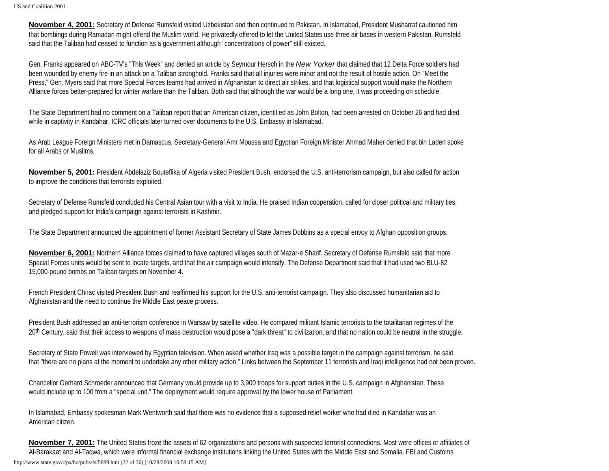**November 4, 2001:** Secretary of Defense Rumsfeld visited Uzbekistan and then continued to Pakistan. In Islamabad, President Musharraf cautioned him that bombings during Ramadan might offend the Muslim world. He privatedly offered to let the United States use three air bases in western Pakistan. Rumsfeld said that the Taliban had ceased to function as a government although "concentrations of power" still existed.

Gen. Franks appeared on ABC-TV's "This Week" and denied an article by Seymour Hersch in the *New Yorker* that claimed that 12 Delta Force soldiers had been wounded by enemy fire in an attack on a Taliban stronghold. Franks said that all injuries were minor and not the result of hostile action. On "Meet the Press," Gen. Myers said that more Special Forces teams had arrived in Afghanistan to direct air strikes, and that logistical support would make the Northern Alliance forces better-prepared for winter warfare than the Taliban. Both said that although the war would be a long one, it was proceeding on schedule.

The State Department had no comment on a Taliban report that an American citizen, identified as John Bolton, had been arrested on October 26 and had died while in captivity in Kandahar. ICRC officials later turned over documents to the U.S. Embassy in Islamabad.

As Arab League Foreign Ministers met in Damascus, Secretary-General Amr Moussa and Egyptian Foreign Minister Ahmad Maher denied that bin Laden spoke for all Arabs or Muslims.

**November 5, 2001:** President Abdelaziz Bouteflika of Algeria visited President Bush, endorsed the U.S. anti-terrorism campaign, but also called for action to improve the conditions that terrorists exploited.

Secretary of Defense Rumsfeld concluded his Central Asian tour with a visit to India. He praised Indian cooperation, called for closer political and military ties, and pledged support for India's campaign against terrorists in Kashmir.

The State Department announced the appointment of former Assistant Secretary of State James Dobbins as a special envoy to Afghan opposition groups.

**November 6, 2001:** Northern Alliance forces claimed to have captured villages south of Mazar-e Sharif. Secretary of Defense Rumsfeld said that more Special Forces units would be sent to locate targets, and that the air campaign would intensify. The Defense Department said that it had used two BLU-82 15,000-pound bombs on Taliban targets on November 4.

French President Chirac visited President Bush and reaffirmed his support for the U.S. anti-terrorist campaign. They also discussed humanitarian aid to Afghanistan and the need to continue the Middle East peace process.

President Bush addressed an anti-terrorism conference in Warsaw by satellite video. He compared militant Islamic terrorists to the totalitarian regimes of the 20<sup>th</sup> Century, said that their access to weapons of mass destruction would pose a "dark threat" to civilization, and that no nation could be neutral in the struggle.

Secretary of State Powell was interviewed by Egyptian television. When asked whether Iraq was a possible target in the campaign against terrorism, he said that "there are no plans at the moment to undertake any other military action." Links between the September 11 terrorists and Iraqi intelligence had not been proven.

Chancellor Gerhard Schroeder announced that Germany would provide up to 3,900 troops for support duties in the U.S. campaign in Afghanistan. These would include up to 100 from a "special unit." The deployment would require approval by the lower house of Parliament.

In Islamabad, Embassy spokesman Mark Wentworth said that there was no evidence that a supposed relief worker who had died in Kandahar was an American citizen.

**November 7, 2001:** The United States froze the assets of 62 organizations and persons with suspected terrorist connections. Most were offices or affiliates of Al-Barakaat and Al-Taqwa, which were informal financial exchange institutions linking the United States with the Middle East and Somalia. FBI and Customs http://www.state.gov/r/pa/ho/pubs/fs/5889.htm (22 of 36) [10/28/2008 10:58:15 AM]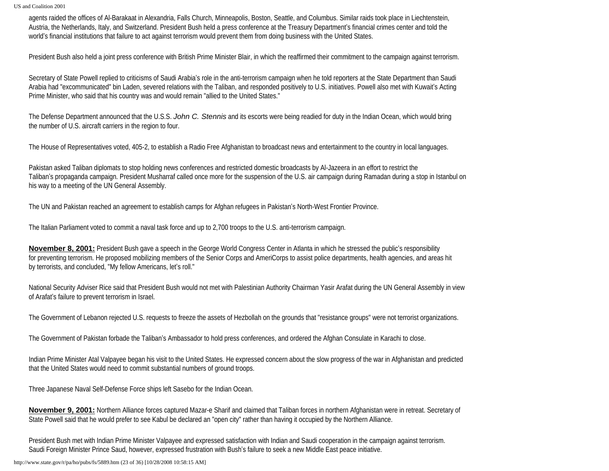agents raided the offices of Al-Barakaat in Alexandria, Falls Church, Minneapolis, Boston, Seattle, and Columbus. Similar raids took place in Liechtenstein, Austria, the Netherlands, Italy, and Switzerland. President Bush held a press conference at the Treasury Department's financial crimes center and told the world's financial institutions that failure to act against terrorism would prevent them from doing business with the United States.

President Bush also held a joint press conference with British Prime Minister Blair, in which the reaffirmed their commitment to the campaign against terrorism.

Secretary of State Powell replied to criticisms of Saudi Arabia's role in the anti-terrorism campaign when he told reporters at the State Department than Saudi Arabia had "excommunicated" bin Laden, severed relations with the Taliban, and responded positively to U.S. initiatives. Powell also met with Kuwait's Acting Prime Minister, who said that his country was and would remain "allied to the United States."

The Defense Department announced that the U.S.S. *John C. Stennis* and its escorts were being readied for duty in the Indian Ocean, which would bring the number of U.S. aircraft carriers in the region to four.

The House of Representatives voted, 405-2, to establish a Radio Free Afghanistan to broadcast news and entertainment to the country in local languages.

Pakistan asked Taliban diplomats to stop holding news conferences and restricted domestic broadcasts by Al-Jazeera in an effort to restrict the Taliban's propaganda campaign. President Musharraf called once more for the suspension of the U.S. air campaign during Ramadan during a stop in Istanbul on his way to a meeting of the UN General Assembly.

The UN and Pakistan reached an agreement to establish camps for Afghan refugees in Pakistan's North-West Frontier Province.

The Italian Parliament voted to commit a naval task force and up to 2,700 troops to the U.S. anti-terrorism campaign.

**November 8, 2001:** President Bush gave a speech in the George World Congress Center in Atlanta in which he stressed the public's responsibility for preventing terrorism. He proposed mobilizing members of the Senior Corps and AmeriCorps to assist police departments, health agencies, and areas hit by terrorists, and concluded, "My fellow Americans, let's roll."

National Security Adviser Rice said that President Bush would not met with Palestinian Authority Chairman Yasir Arafat during the UN General Assembly in view of Arafat's failure to prevent terrorism in Israel.

The Government of Lebanon rejected U.S. requests to freeze the assets of Hezbollah on the grounds that "resistance groups" were not terrorist organizations.

The Government of Pakistan forbade the Taliban's Ambassador to hold press conferences, and ordered the Afghan Consulate in Karachi to close.

Indian Prime Minister Atal Valpayee began his visit to the United States. He expressed concern about the slow progress of the war in Afghanistan and predicted that the United States would need to commit substantial numbers of ground troops.

Three Japanese Naval Self-Defense Force ships left Sasebo for the Indian Ocean.

**November 9, 2001:** Northern Alliance forces captured Mazar-e Sharif and claimed that Taliban forces in northern Afghanistan were in retreat. Secretary of State Powell said that he would prefer to see Kabul be declared an "open city" rather than having it occupied by the Northern Alliance.

President Bush met with Indian Prime Minister Valpayee and expressed satisfaction with Indian and Saudi cooperation in the campaign against terrorism. Saudi Foreign Minister Prince Saud, however, expressed frustration with Bush's failure to seek a new Middle East peace initiative.

http://www.state.gov/r/pa/ho/pubs/fs/5889.htm (23 of 36) [10/28/2008 10:58:15 AM]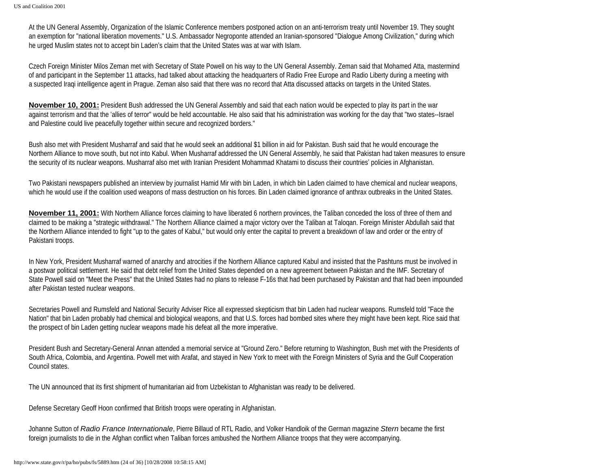At the UN General Assembly, Organization of the Islamic Conference members postponed action on an anti-terrorism treaty until November 19. They sought an exemption for "national liberation movements." U.S. Ambassador Negroponte attended an Iranian-sponsored "Dialogue Among Civilization," during which he urged Muslim states not to accept bin Laden's claim that the United States was at war with Islam.

Czech Foreign Minister Milos Zeman met with Secretary of State Powell on his way to the UN General Assembly. Zeman said that Mohamed Atta, mastermind of and participant in the September 11 attacks, had talked about attacking the headquarters of Radio Free Europe and Radio Liberty during a meeting with a suspected Iraqi intelligence agent in Prague. Zeman also said that there was no record that Atta discussed attacks on targets in the United States.

**November 10, 2001:** President Bush addressed the UN General Assembly and said that each nation would be expected to play its part in the war against terrorism and that the 'allies of terror" would be held accountable. He also said that his administration was working for the day that "two states--Israel and Palestine could live peacefully together within secure and recognized borders."

Bush also met with President Musharraf and said that he would seek an additional \$1 billion in aid for Pakistan. Bush said that he would encourage the Northern Alliance to move south, but not into Kabul. When Musharraf addressed the UN General Assembly, he said that Pakistan had taken measures to ensure the security of its nuclear weapons. Musharraf also met with Iranian President Mohammad Khatami to discuss their countries' policies in Afghanistan.

Two Pakistani newspapers published an interview by journalist Hamid Mir with bin Laden, in which bin Laden claimed to have chemical and nuclear weapons, which he would use if the coalition used weapons of mass destruction on his forces. Bin Laden claimed ignorance of anthrax outbreaks in the United States.

**November 11, 2001:** With Northern Alliance forces claiming to have liberated 6 northern provinces, the Taliban conceded the loss of three of them and claimed to be making a "strategic withdrawal." The Northern Alliance claimed a major victory over the Taliban at Taloqan. Foreign Minister Abdullah said that the Northern Alliance intended to fight "up to the gates of Kabul," but would only enter the capital to prevent a breakdown of law and order or the entry of Pakistani troops.

In New York, President Musharraf warned of anarchy and atrocities if the Northern Alliance captured Kabul and insisted that the Pashtuns must be involved in a postwar political settlement. He said that debt relief from the United States depended on a new agreement between Pakistan and the IMF. Secretary of State Powell said on "Meet the Press" that the United States had no plans to release F-16s that had been purchased by Pakistan and that had been impounded after Pakistan tested nuclear weapons.

Secretaries Powell and Rumsfeld and National Security Adviser Rice all expressed skepticism that bin Laden had nuclear weapons. Rumsfeld told "Face the Nation" that bin Laden probably had chemical and biological weapons, and that U.S. forces had bombed sites where they might have been kept. Rice said that the prospect of bin Laden getting nuclear weapons made his defeat all the more imperative.

President Bush and Secretary-General Annan attended a memorial service at "Ground Zero." Before returning to Washington, Bush met with the Presidents of South Africa, Colombia, and Argentina. Powell met with Arafat, and stayed in New York to meet with the Foreign Ministers of Syria and the Gulf Cooperation Council states.

The UN announced that its first shipment of humanitarian aid from Uzbekistan to Afghanistan was ready to be delivered.

Defense Secretary Geoff Hoon confirmed that British troops were operating in Afghanistan.

Johanne Sutton of *Radio France Internationale*, Pierre Billaud of RTL Radio, and Volker Handloik of the German magazine *Stern* became the first foreign journalists to die in the Afghan conflict when Taliban forces ambushed the Northern Alliance troops that they were accompanying.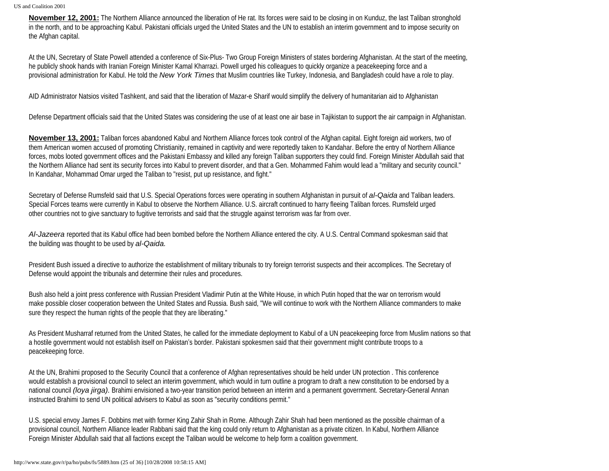**November 12, 2001:** The Northern Alliance announced the liberation of He rat. Its forces were said to be closing in on Kunduz, the last Taliban stronghold in the north, and to be approaching Kabul. Pakistani officials urged the United States and the UN to establish an interim government and to impose security on the Afghan capital.

At the UN, Secretary of State Powell attended a conference of Six-Plus- Two Group Foreign Ministers of states bordering Afghanistan. At the start of the meeting, he publicly shook hands with Iranian Foreign Minister Kamal Kharrazi. Powell urged his colleagues to quickly organize a peacekeeping force and a provisional administration for Kabul. He told the *New York Times* that Muslim countries like Turkey, Indonesia, and Bangladesh could have a role to play.

AID Administrator Natsios visited Tashkent, and said that the liberation of Mazar-e Sharif would simplify the delivery of humanitarian aid to Afghanistan

Defense Department officials said that the United States was considering the use of at least one air base in Tajikistan to support the air campaign in Afghanistan.

**November 13, 2001:** Taliban forces abandoned Kabul and Northern Alliance forces took control of the Afghan capital. Eight foreign aid workers, two of them American women accused of promoting Christianity, remained in captivity and were reportedly taken to Kandahar. Before the entry of Northern Alliance forces, mobs looted government offices and the Pakistani Embassy and killed any foreign Taliban supporters they could find. Foreign Minister Abdullah said that the Northern Alliance had sent its security forces into Kabul to prevent disorder, and that a Gen. Mohammed Fahim would lead a "military and security council." In Kandahar, Mohammad Omar urged the Taliban to "resist, put up resistance, and fight."

Secretary of Defense Rumsfeld said that U.S. Special Operations forces were operating in southern Afghanistan in pursuit of *al-Qaida* and Taliban leaders. Special Forces teams were currently in Kabul to observe the Northern Alliance. U.S. aircraft continued to harry fleeing Taliban forces. Rumsfeld urged other countries not to give sanctuary to fugitive terrorists and said that the struggle against terrorism was far from over.

*Al-Jazeera* reported that its Kabul office had been bombed before the Northern Alliance entered the city. A U.S. Central Command spokesman said that the building was thought to be used by *al-Qaida.*

President Bush issued a directive to authorize the establishment of military tribunals to try foreign terrorist suspects and their accomplices. The Secretary of Defense would appoint the tribunals and determine their rules and procedures.

Bush also held a joint press conference with Russian President Vladimir Putin at the White House, in which Putin hoped that the war on terrorism would make possible closer cooperation between the United States and Russia. Bush said, "We will continue to work with the Northern Alliance commanders to make sure they respect the human rights of the people that they are liberating."

As President Musharraf returned from the United States, he called for the immediate deployment to Kabul of a UN peacekeeping force from Muslim nations so that a hostile government would not establish itself on Pakistan's border. Pakistani spokesmen said that their government might contribute troops to a peacekeeping force.

At the UN, Brahimi proposed to the Security Council that a conference of Afghan representatives should be held under UN protection . This conference would establish a provisional council to select an interim government, which would in turn outline a program to draft a new constitution to be endorsed by a national council *(loya jirga).* Brahimi envisioned a two-year transition period between an interim and a permanent government. Secretary-General Annan instructed Brahimi to send UN political advisers to Kabul as soon as "security conditions permit."

U.S. special envoy James F. Dobbins met with former King Zahir Shah in Rome. Although Zahir Shah had been mentioned as the possible chairman of a provisional council, Northern Alliance leader Rabbani said that the king could only return to Afghanistan as a private citizen. In Kabul, Northern Alliance Foreign Minister Abdullah said that all factions except the Taliban would be welcome to help form a coalition government.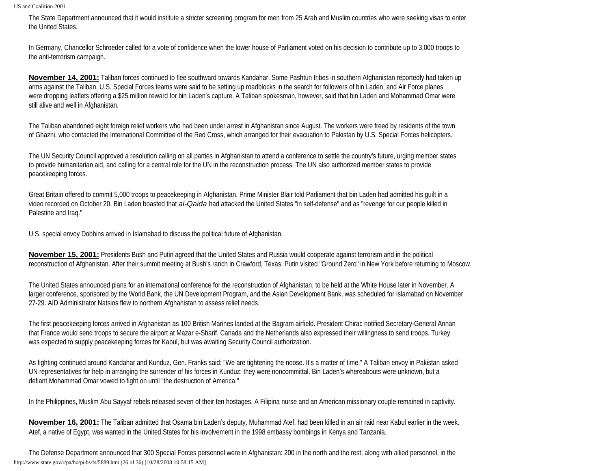The State Department announced that it would institute a stricter screening program for men from 25 Arab and Muslim countries who were seeking visas to enter the United States.

In Germany, Chancellor Schroeder called for a vote of confidence when the lower house of Parliament voted on his decision to contribute up to 3,000 troops to the anti-terrorism campaign.

**November 14, 2001:** Taliban forces continued to flee southward towards Kandahar. Some Pashtun tribes in southern Afghanistan reportedly had taken up arms against the Taliban. U.S. Special Forces teams were said to be setting up roadblocks in the search for followers of bin Laden, and Air Force planes were dropping leaflets offering a \$25 million reward for bin Laden's capture. A Taliban spokesman, however, said that bin Laden and Mohammad Omar were still alive and well in Afghanistan.

The Taliban abandoned eight foreign relief workers who had been under arrest in Afghanistan since August. The workers were freed by residents of the town of Ghazni, who contacted the International Committee of the Red Cross, which arranged for their evacuation to Pakistan by U.S. Special Forces helicopters.

The UN Security Council approved a resolution calling on all parties in Afghanistan to attend a conference to settle the country's future, urging member states to provide humanitarian aid, and calling for a central role for the UN in the reconstruction process. The UN also authorized member states to provide peacekeeping forces.

Great Britain offered to commit 5,000 troops to peacekeeping in Afghanistan. Prime Minister Blair told Parliament that bin Laden had admitted his guilt in a video recorded on October 20. Bin Laden boasted that *al-Qaida* had attacked the United States "in self-defense" and as "revenge for our people killed in Palestine and Iraq."

U.S. special envoy Dobbins arrived in Islamabad to discuss the political future of Afghanistan.

**November 15, 2001:** Presidents Bush and Putin agreed that the United States and Russia would cooperate against terrorism and in the political reconstruction of Afghanistan. After their summit meeting at Bush's ranch in Crawford, Texas, Putin visited "Ground Zero" in New York before returning to Moscow.

The United States announced plans for an international conference for the reconstruction of Afghanistan, to be held at the White House later in November. A larger conference, sponsored by the World Bank, the UN Development Program, and the Asian Development Bank, was scheduled for Islamabad on November 27-29. AID Administrator Natsios flew to northern Afghanistan to assess relief needs.

The first peacekeeping forces arrived in Afghanistan as 100 British Marines landed at the Bagram airfield. President Chirac notified Secretary-General Annan that France would send troops to secure the airport at Mazar e-Sharif. Canada and the Netherlands also expressed their willingness to send troops. Turkey was expected to supply peacekeeping forces for Kabul, but was awaiting Security Council authorization.

As fighting continued around Kandahar and Kunduz, Gen. Franks said: "We are tightening the noose. It's a matter of time." A Taliban envoy in Pakistan asked UN representatives for help in arranging the surrender of his forces in Kunduz; they were noncommittal. Bin Laden's whereabouts were unknown, but a defiant Mohammad Omar vowed to fight on until "the destruction of America."

In the Philippines, Muslim Abu Sayyaf rebels released seven of their ten hostages. A Filipina nurse and an American missionary couple remained in captivity.

**November 16, 2001:** The Taliban admitted that Osama bin Laden's deputy, Muhammad Atef, had been killed in an air raid near Kabul earlier in the week. Atef, a native of Egypt, was wanted in the United States for his involvement in the 1998 embassy bombings in Kenya and Tanzania.

The Defense Department announced that 300 Special Forces personnel were in Afghanistan: 200 in the north and the rest, along with allied personnel, in the http://www.state.gov/r/pa/ho/pubs/fs/5889.htm (26 of 36) [10/28/2008 10:58:15 AM]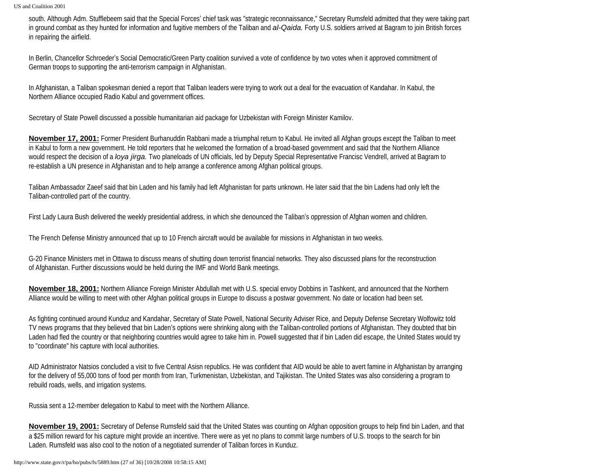south. Although Adm. Stufflebeem said that the Special Forces' chief task was "strategic reconnaissance," Secretary Rumsfeld admitted that they were taking part in ground combat as they hunted for information and fugitive members of the Taliban and *al-Qaida.* Forty U.S. soldiers arrived at Bagram to join British forces in repairing the airfield.

In Berlin, Chancellor Schroeder's Social Democratic/Green Party coalition survived a vote of confidence by two votes when it approved commitment of German troops to supporting the anti-terrorism campaign in Afghanistan.

In Afghanistan, a Taliban spokesman denied a report that Taliban leaders were trying to work out a deal for the evacuation of Kandahar. In Kabul, the Northern Alliance occupied Radio Kabul and government offices.

Secretary of State Powell discussed a possible humanitarian aid package for Uzbekistan with Foreign Minister Kamilov.

**November 17, 2001:** Former President Burhanuddin Rabbani made a triumphal return to Kabul. He invited all Afghan groups except the Taliban to meet in Kabul to form a new government. He told reporters that he welcomed the formation of a broad-based government and said that the Northern Alliance would respect the decision of a *loya jirga.* Two planeloads of UN officials, led by Deputy Special Representative Francisc Vendrell, arrived at Bagram to re-establish a UN presence in Afghanistan and to help arrange a conference among Afghan political groups.

Taliban Ambassador Zaeef said that bin Laden and his family had left Afghanistan for parts unknown. He later said that the bin Ladens had only left the Taliban-controlled part of the country.

First Lady Laura Bush delivered the weekly presidential address, in which she denounced the Taliban's oppression of Afghan women and children.

The French Defense Ministry announced that up to 10 French aircraft would be available for missions in Afghanistan in two weeks.

G-20 Finance Ministers met in Ottawa to discuss means of shutting down terrorist financial networks. They also discussed plans for the reconstruction of Afghanistan. Further discussions would be held during the IMF and World Bank meetings.

**November 18, 2001:** Northern Alliance Foreign Minister Abdullah met with U.S. special envoy Dobbins in Tashkent, and announced that the Northern Alliance would be willing to meet with other Afghan political groups in Europe to discuss a postwar government. No date or location had been set.

As fighting continued around Kunduz and Kandahar, Secretary of State Powell, National Security Adviser Rice, and Deputy Defense Secretary Wolfowitz told TV news programs that they believed that bin Laden's options were shrinking along with the Taliban-controlled portions of Afghanistan. They doubted that bin Laden had fled the country or that neighboring countries would agree to take him in. Powell suggested that if bin Laden did escape, the United States would try to "coordinate" his capture with local authorities.

AID Administrator Natsios concluded a visit to five Central Asisn republics. He was confident that AID would be able to avert famine in Afghanistan by arranging for the delivery of 55,000 tons of food per month from Iran, Turkmenistan, Uzbekistan, and Tajikistan. The United States was also considering a program to rebuild roads, wells, and irrigation systems.

Russia sent a 12-member delegation to Kabul to meet with the Northern Alliance.

**November 19, 2001:** Secretary of Defense Rumsfeld said that the United States was counting on Afghan opposition groups to help find bin Laden, and that a \$25 million reward for his capture might provide an incentive. There were as yet no plans to commit large numbers of U.S. troops to the search for bin Laden. Rumsfeld was also cool to the notion of a negotiated surrender of Taliban forces in Kunduz.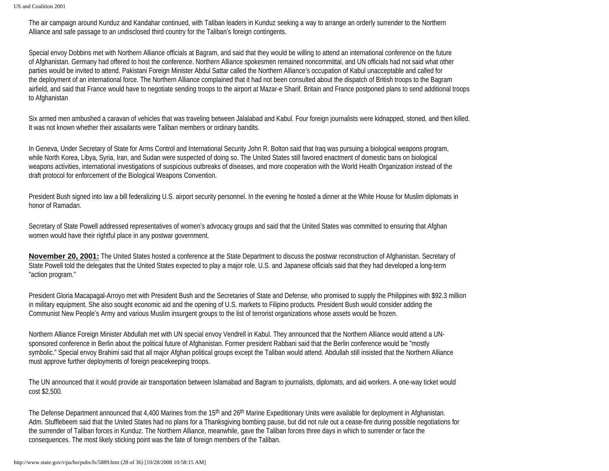The air campaign around Kunduz and Kandahar continued, with Taliban leaders in Kunduz seeking a way to arrange an orderly surrender to the Northern Alliance and safe passage to an undisclosed third country for the Taliban's foreign contingents.

Special envoy Dobbins met with Northern Alliance officials at Bagram, and said that they would be willing to attend an international conference on the future of Afghanistan. Germany had offered to host the conference. Northern Alliance spokesmen remained noncommittal, and UN officials had not said what other parties would be invited to attend. Pakistani Foreign Minister Abdul Sattar called the Northern Alliance's occupation of Kabul unacceptable and called for the deployment of an international force. The Northern Alliance complained that it had not been consulted about the dispatch of British troops to the Bagram airfield, and said that France would have to negotiate sending troops to the airport at Mazar-e Sharif. Britain and France postponed plans to send additional troops to Afghanistan

Six armed men ambushed a caravan of vehicles that was traveling between Jalalabad and Kabul. Four foreign journalists were kidnapped, stoned, and then killed. It was not known whether their assailants were Taliban members or ordinary bandits.

In Geneva, Under Secretary of State for Arms Control and International Security John R. Bolton said that Iraq was pursuing a biological weapons program, while North Korea, Libya, Syria, Iran, and Sudan were suspected of doing so. The United States still favored enactment of domestic bans on biological weapons activities, international investigations of suspicious outbreaks of diseases, and more cooperation with the World Health Organization instead of the draft protocol for enforcement of the Biological Weapons Convention.

President Bush signed into law a bill federalizing U.S. airport security personnel. In the evening he hosted a dinner at the White House for Muslim diplomats in honor of Ramadan.

Secretary of State Powell addressed representatives of women's advocacy groups and said that the United States was committed to ensuring that Afghan women would have their rightful place in any postwar government.

**November 20, 2001:** The United States hosted a conference at the State Department to discuss the postwar reconstruction of Afghanistan. Secretary of State Powell told the delegates that the United States expected to play a major role. U.S. and Japanese officials said that they had developed a long-term "action program."

President Gloria Macapagal-Arroyo met with President Bush and the Secretaries of State and Defense, who promised to supply the Philippines with \$92.3 million in military equipment. She also sought economic aid and the opening of U.S. markets to Filipino products. President Bush would consider adding the Communist New People's Army and various Muslim insurgent groups to the list of terrorist organizations whose assets would be frozen.

Northern Alliance Foreign Minister Abdullah met with UN special envoy Vendrell in Kabul. They announced that the Northern Alliance would attend a UNsponsored conference in Berlin about the political future of Afghanistan. Former president Rabbani said that the Berlin conference would be "mostly symbolic." Special envoy Brahimi said that all major Afghan political groups except the Taliban would attend. Abdullah still insisted that the Northern Alliance must approve further deployments of foreign peacekeeping troops.

The UN announced that it would provide air transportation between Islamabad and Bagram to journalists, diplomats, and aid workers. A one-way ticket would cost \$2,500.

The Defense Department announced that 4,400 Marines from the 15<sup>th</sup> and 26<sup>th</sup> Marine Expeditionary Units were available for deployment in Afghanistan. Adm. Stufflebeem said that the United States had no plans for a Thanksgiving bombing pause, but did not rule out a cease-fire during possible negotiations for the surrender of Taliban forces in Kunduz. The Northern Alliance, meanwhile, gave the Taliban forces three days in which to surrender or face the consequences. The most likely sticking point was the fate of foreign members of the Taliban.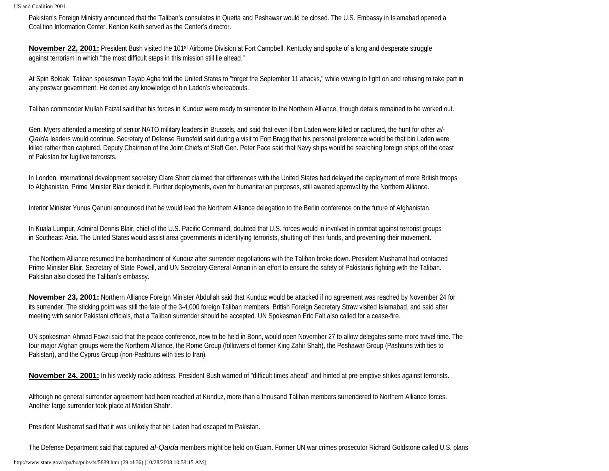Pakistan's Foreign Ministry announced that the Taliban's consulates in Quetta and Peshawar would be closed. The U.S. Embassy in Islamabad opened a Coalition Information Center. Kenton Keith served as the Center's director.

**November 22, 2001:** President Bush visited the 101st Airborne Division at Fort Campbell, Kentucky and spoke of a long and desperate struggle against terrorism in which "the most difficult steps in this mission still lie ahead."

At Spin Boldak, Taliban spokesman Tayab Agha told the United States to "forget the September 11 attacks," while vowing to fight on and refusing to take part in any postwar government. He denied any knowledge of bin Laden's whereabouts.

Taliban commander Mullah Faizal said that his forces in Kunduz were ready to surrender to the Northern Alliance, though details remained to be worked out.

Gen. Myers attended a meeting of senior NATO military leaders in Brussels, and said that even if bin Laden were killed or captured, the hunt for other *al-Qaida* leaders would continue. Secretary of Defense Rumsfeld said during a visit to Fort Bragg that his personal preference would be that bin Laden were killed rather than captured. Deputy Chairman of the Joint Chiefs of Staff Gen. Peter Pace said that Navy ships would be searching foreign ships off the coast of Pakistan for fugitive terrorists.

In London, international development secretary Clare Short claimed that differences with the United States had delayed the deployment of more British troops to Afghanistan. Prime Minister Blair denied it. Further deployments, even for humanitarian purposes, still awaited approval by the Northern Alliance.

Interior Minister Yunus Qanuni announced that he would lead the Northern Alliance delegation to the Berlin conference on the future of Afghanistan.

In Kuala Lumpur, Admiral Dennis Blair, chief of the U.S. Pacific Command, doubted that U.S. forces would in involved in combat against terrorist groups in Southeast Asia. The United States would assist area governments in identifying terrorists, shutting off their funds, and preventing their movement.

The Northern Alliance resumed the bombardment of Kunduz after surrender negotiations with the Taliban broke down. President Musharraf had contacted Prime Minister Blair, Secretary of State Powell, and UN Secretary-General Annan in an effort to ensure the safety of Pakistanis fighting with the Taliban. Pakistan also closed the Taliban's embassy.

**November 23, 2001:** Northern Alliance Foreign Minister Abdullah said that Kunduz would be attacked if no agreement was reached by November 24 for its surrender. The sticking point was still the fate of the 3-4,000 foreign Taliban members. British Foreign Secretary Straw visited Islamabad, and said after meeting with senior Pakistani officials, that a Taliban surrender should be accepted. UN Spokesman Eric Falt also called for a cease-fire.

UN spokesman Ahmad Fawzi said that the peace conference, now to be held in Bonn, would open November 27 to allow delegates some more travel time. The four major Afghan groups were the Northern Alliance, the Rome Group (followers of former King Zahir Shah), the Peshawar Group (Pashtuns with ties to Pakistan), and the Cyprus Group (non-Pashtuns with ties to Iran).

**November 24, 2001:** In his weekly radio address, President Bush warned of "difficult times ahead" and hinted at pre-emptive strikes against terrorists.

Although no general surrender agreement had been reached at Kunduz, more than a thousand Taliban members surrendered to Northern Alliance forces. Another large surrender took place at Maidan Shahr.

President Musharraf said that it was unlikely that bin Laden had escaped to Pakistan.

The Defense Department said that captured *al-Qaida* members might be held on Guam. Former UN war crimes prosecutor Richard Goldstone called U.S. plans

http://www.state.gov/r/pa/ho/pubs/fs/5889.htm (29 of 36) [10/28/2008 10:58:15 AM]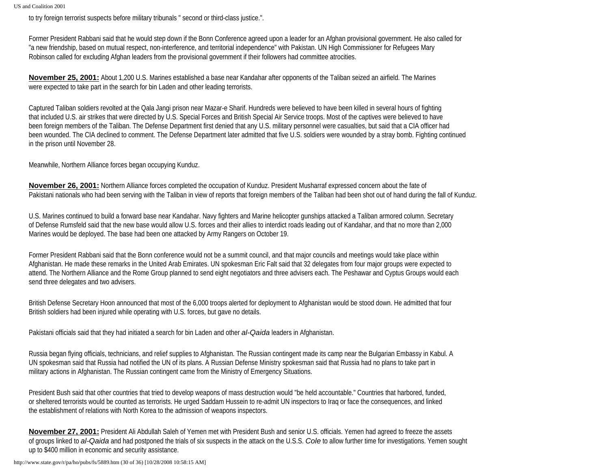to try foreign terrorist suspects before military tribunals " second or third-class justice.".

Former President Rabbani said that he would step down if the Bonn Conference agreed upon a leader for an Afghan provisional government. He also called for "a new friendship, based on mutual respect, non-interference, and territorial independence" with Pakistan. UN High Commissioner for Refugees Mary Robinson called for excluding Afghan leaders from the provisional government if their followers had committee atrocities.

**November 25, 2001:** About 1,200 U.S. Marines established a base near Kandahar after opponents of the Taliban seized an airfield. The Marines were expected to take part in the search for bin Laden and other leading terrorists.

Captured Taliban soldiers revolted at the Qala Jangi prison near Mazar-e Sharif. Hundreds were believed to have been killed in several hours of fighting that included U.S. air strikes that were directed by U.S. Special Forces and British Special Air Service troops. Most of the captives were believed to have been foreign members of the Taliban. The Defense Department first denied that any U.S. military personnel were casualties, but said that a CIA officer had been wounded. The CIA declined to comment. The Defense Department later admitted that five U.S. soldiers were wounded by a stray bomb. Fighting continued in the prison until November 28.

Meanwhile, Northern Alliance forces began occupying Kunduz.

**November 26, 2001:** Northern Alliance forces completed the occupation of Kunduz. President Musharraf expressed concern about the fate of Pakistani nationals who had been serving with the Taliban in view of reports that foreign members of the Taliban had been shot out of hand during the fall of Kunduz.

U.S. Marines continued to build a forward base near Kandahar. Navy fighters and Marine helicopter gunships attacked a Taliban armored column. Secretary of Defense Rumsfeld said that the new base would allow U.S. forces and their allies to interdict roads leading out of Kandahar, and that no more than 2,000 Marines would be deployed. The base had been one attacked by Army Rangers on October 19.

Former President Rabbani said that the Bonn conference would not be a summit council, and that major councils and meetings would take place within Afghanistan. He made these remarks in the United Arab Emirates. UN spokesman Eric Falt said that 32 delegates from four major groups were expected to attend. The Northern Alliance and the Rome Group planned to send eight negotiators and three advisers each. The Peshawar and Cyptus Groups would each send three delegates and two advisers.

British Defense Secretary Hoon announced that most of the 6,000 troops alerted for deployment to Afghanistan would be stood down. He admitted that four British soldiers had been injured while operating with U.S. forces, but gave no details.

Pakistani officials said that they had initiated a search for bin Laden and other *al-Qaida* leaders in Afghanistan.

Russia began flying officials, technicians, and relief supplies to Afghanistan. The Russian contingent made its camp near the Bulgarian Embassy in Kabul. A UN spokesman said that Russia had notified the UN of its plans. A Russian Defense Ministry spokesman said that Russia had no plans to take part in military actions in Afghanistan. The Russian contingent came from the Ministry of Emergency Situations.

President Bush said that other countries that tried to develop weapons of mass destruction would "be held accountable." Countries that harbored, funded, or sheltered terrorists would be counted as terrorists. He urged Saddam Hussein to re-admit UN inspectors to Iraq or face the consequences, and linked the establishment of relations with North Korea to the admission of weapons inspectors.

**November 27, 2001:** President Ali Abdullah Saleh of Yemen met with President Bush and senior U.S. officials. Yemen had agreed to freeze the assets of groups linked to *al-Qaida* and had postponed the trials of six suspects in the attack on the U.S.S. *Cole* to allow further time for investigations. Yemen sought up to \$400 million in economic and security assistance.

http://www.state.gov/r/pa/ho/pubs/fs/5889.htm (30 of 36) [10/28/2008 10:58:15 AM]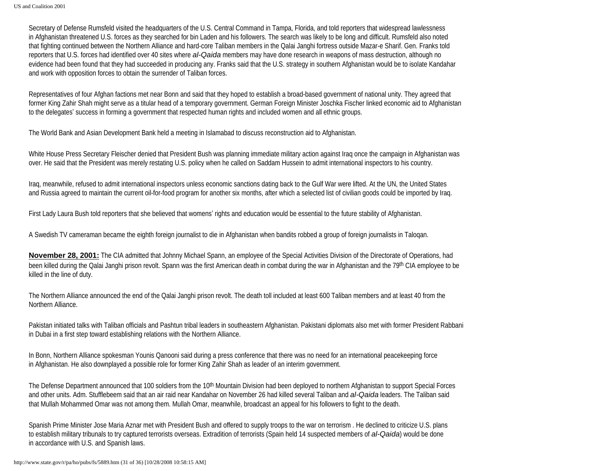Secretary of Defense Rumsfeld visited the headquarters of the U.S. Central Command in Tampa, Florida, and told reporters that widespread lawlessness in Afghanistan threatened U.S. forces as they searched for bin Laden and his followers. The search was likely to be long and difficult. Rumsfeld also noted that fighting continued between the Northern Alliance and hard-core Taliban members in the Qalai Janghi fortress outside Mazar-e Sharif. Gen. Franks told reporters that U.S. forces had identified over 40 sites where *al-Qaida* members may have done research in weapons of mass destruction, although no evidence had been found that they had succeeded in producing any. Franks said that the U.S. strategy in southern Afghanistan would be to isolate Kandahar and work with opposition forces to obtain the surrender of Taliban forces.

Representatives of four Afghan factions met near Bonn and said that they hoped to establish a broad-based government of national unity. They agreed that former King Zahir Shah might serve as a titular head of a temporary government. German Foreign Minister Joschka Fischer linked economic aid to Afghanistan to the delegates' success in forming a government that respected human rights and included women and all ethnic groups.

The World Bank and Asian Development Bank held a meeting in Islamabad to discuss reconstruction aid to Afghanistan.

White House Press Secretary Fleischer denied that President Bush was planning immediate military action against Iraq once the campaign in Afghanistan was over. He said that the President was merely restating U.S. policy when he called on Saddam Hussein to admit international inspectors to his country.

Iraq, meanwhile, refused to admit international inspectors unless economic sanctions dating back to the Gulf War were lifted. At the UN, the United States and Russia agreed to maintain the current oil-for-food program for another six months, after which a selected list of civilian goods could be imported by Iraq.

First Lady Laura Bush told reporters that she believed that womens' rights and education would be essential to the future stability of Afghanistan.

A Swedish TV cameraman became the eighth foreign journalist to die in Afghanistan when bandits robbed a group of foreign journalists in Taloqan.

**November 28, 2001:** The CIA admitted that Johnny Michael Spann, an employee of the Special Activities Division of the Directorate of Operations, had been killed during the Qalai Janghi prison revolt. Spann was the first American death in combat during the war in Afghanistan and the 79<sup>th</sup> CIA employee to be killed in the line of duty.

The Northern Alliance announced the end of the Qalai Janghi prison revolt. The death toll included at least 600 Taliban members and at least 40 from the Northern Alliance.

Pakistan initiated talks with Taliban officials and Pashtun tribal leaders in southeastern Afghanistan. Pakistani diplomats also met with former President Rabbani in Dubai in a first step toward establishing relations with the Northern Alliance.

In Bonn, Northern Alliance spokesman Younis Qanooni said during a press conference that there was no need for an international peacekeeping force in Afghanistan. He also downplayed a possible role for former King Zahir Shah as leader of an interim government.

The Defense Department announced that 100 soldiers from the 10<sup>th</sup> Mountain Division had been deployed to northern Afghanistan to support Special Forces and other units. Adm. Stufflebeem said that an air raid near Kandahar on November 26 had killed several Taliban and *al-Qaida* leaders. The Taliban said that Mullah Mohammed Omar was not among them. Mullah Omar, meanwhile, broadcast an appeal for his followers to fight to the death.

Spanish Prime Minister Jose Maria Aznar met with President Bush and offered to supply troops to the war on terrorism . He declined to criticize U.S. plans to establish military tribunals to try captured terrorists overseas. Extradition of terrorists (Spain held 14 suspected members of *al-Qaida*) would be done in accordance with U.S. and Spanish laws.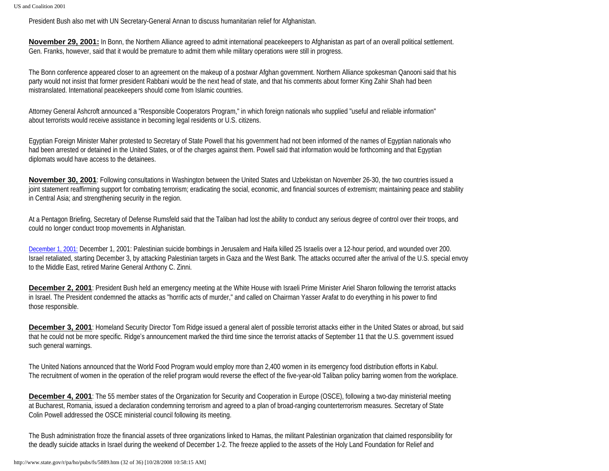President Bush also met with UN Secretary-General Annan to discuss humanitarian relief for Afghanistan.

**November 29, 2001:** In Bonn, the Northern Alliance agreed to admit international peacekeepers to Afghanistan as part of an overall political settlement. Gen. Franks, however, said that it would be premature to admit them while military operations were still in progress.

The Bonn conference appeared closer to an agreement on the makeup of a postwar Afghan government. Northern Alliance spokesman Qanooni said that his party would not insist that former president Rabbani would be the next head of state, and that his comments about former King Zahir Shah had been mistranslated. International peacekeepers should come from Islamic countries.

Attorney General Ashcroft announced a "Responsible Cooperators Program," in which foreign nationals who supplied "useful and reliable information" about terrorists would receive assistance in becoming legal residents or U.S. citizens.

Egyptian Foreign Minister Maher protested to Secretary of State Powell that his government had not been informed of the names of Egyptian nationals who had been arrested or detained in the United States, or of the charges against them. Powell said that information would be forthcoming and that Egyptian diplomats would have access to the detainees.

**November 30, 2001**: Following consultations in Washington between the United States and Uzbekistan on November 26-30, the two countries issued a joint statement reaffirming support for combating terrorism; eradicating the social, economic, and financial sources of extremism; maintaining peace and stability in Central Asia; and strengthening security in the region.

At a Pentagon Briefing, Secretary of Defense Rumsfeld said that the Taliban had lost the ability to conduct any serious degree of control over their troops, and could no longer conduct troop movements in Afghanistan.

December 1, 2001: December 1, 2001: Palestinian suicide bombings in Jerusalem and Haifa killed 25 Israelis over a 12-hour period, and wounded over 200. Israel retaliated, starting December 3, by attacking Palestinian targets in Gaza and the West Bank. The attacks occurred after the arrival of the U.S. special envoy to the Middle East, retired Marine General Anthony C. Zinni.

**December 2, 2001**: President Bush held an emergency meeting at the White House with Israeli Prime Minister Ariel Sharon following the terrorist attacks in Israel. The President condemned the attacks as "horrific acts of murder," and called on Chairman Yasser Arafat to do everything in his power to find those responsible.

**December 3, 2001**: Homeland Security Director Tom Ridge issued a general alert of possible terrorist attacks either in the United States or abroad, but said that he could not be more specific. Ridge's announcement marked the third time since the terrorist attacks of September 11 that the U.S. government issued such general warnings.

The United Nations announced that the World Food Program would employ more than 2,400 women in its emergency food distribution efforts in Kabul. The recruitment of women in the operation of the relief program would reverse the effect of the five-year-old Taliban policy barring women from the workplace.

**December 4, 2001**: The 55 member states of the Organization for Security and Cooperation in Europe (OSCE), following a two-day ministerial meeting at Bucharest, Romania, issued a declaration condemning terrorism and agreed to a plan of broad-ranging counterterrorism measures. Secretary of State Colin Powell addressed the OSCE ministerial council following its meeting.

The Bush administration froze the financial assets of three organizations linked to Hamas, the militant Palestinian organization that claimed responsibility for the deadly suicide attacks in Israel during the weekend of December 1-2. The freeze applied to the assets of the Holy Land Foundation for Relief and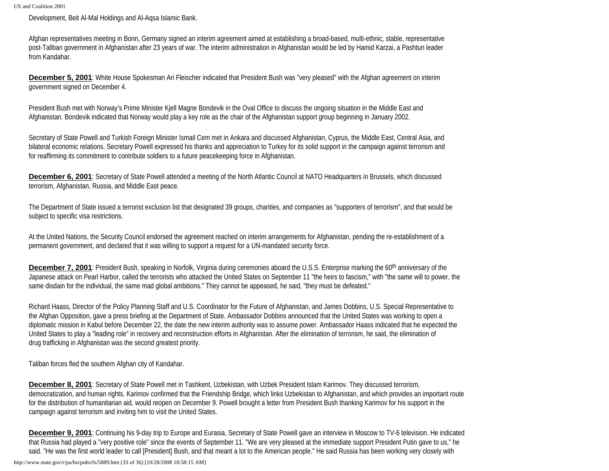Development, Beit Al-Mal Holdings and Al-Aqsa Islamic Bank.

Afghan representatives meeting in Bonn, Germany signed an interim agreement aimed at establishing a broad-based, multi-ethnic, stable, representative post-Taliban government in Afghanistan after 23 years of war. The interim administration in Afghanistan would be led by Hamid Karzai, a Pashtun leader from Kandahar.

**December 5, 2001**: White House Spokesman Ari Fleischer indicated that President Bush was "very pleased" with the Afghan agreement on interim government signed on December 4.

President Bush met with Norway's Prime Minister Kjell Magne Bondevik in the Oval Office to discuss the ongoing situation in the Middle East and Afghanistan. Bondevik indicated that Norway would play a key role as the chair of the Afghanistan support group beginning in January 2002.

Secretary of State Powell and Turkish Foreign Minister Ismail Cem met in Ankara and discussed Afghanistan, Cyprus, the Middle East, Central Asia, and bilateral economic relations. Secretary Powell expressed his thanks and appreciation to Turkey for its solid support in the campaign against terrorism and for reaffirming its commitment to contribute soldiers to a future peacekeeping force in Afghanistan.

**December 6, 2001**: Secretary of State Powell attended a meeting of the North Atlantic Council at NATO Headquarters in Brussels, which discussed terrorism, Afghanistan, Russia, and Middle East peace.

The Department of State issued a terrorist exclusion list that designated 39 groups, charities, and companies as "supporters of terrorism", and that would be subject to specific visa restrictions.

At the United Nations, the Security Council endorsed the agreement reached on interim arrangements for Afghanistan, pending the re-establishment of a permanent government, and declared that it was willing to support a request for a UN-mandated security force.

**December 7, 2001**: President Bush, speaking in Norfolk, Virginia during ceremonies aboard the U.S.S. Enterprise marking the 60<sup>th</sup> anniversary of the Japanese attack on Pearl Harbor, called the terrorists who attacked the United States on September 11 "the heirs to fascism," with "the same will to power, the same disdain for the individual, the same mad global ambitions." They cannot be appeased, he said, "they must be defeated."

Richard Haass, Director of the Policy Planning Staff and U.S. Coordinator for the Future of Afghanistan, and James Dobbins, U.S. Special Representative to the Afghan Opposition, gave a press briefing at the Department of State. Ambassador Dobbins announced that the United States was working to open a diplomatic mission in Kabul before December 22, the date the new interim authority was to assume power. Ambassador Haass indicated that he expected the United States to play a "leading role" in recovery and reconstruction efforts in Afghanistan. After the elimination of terrorism, he said, the elimination of drug trafficking in Afghanistan was the second greatest priority.

Taliban forces fled the southern Afghan city of Kandahar.

**December 8, 2001**: Secretary of State Powell met in Tashkent, Uzbekistan, with Uzbek President Islam Karimov. They discussed terrorism, democratization, and human rights. Karimov confirmed that the Friendship Bridge, which links Uzbekistan to Afghanistan, and which provides an important route for the distribution of humanitarian aid, would reopen on December 9. Powell brought a letter from President Bush thanking Karimov for his support in the campaign against terrorism and inviting him to visit the United States.

**December 9, 2001**: Continuing his 9-day trip to Europe and Eurasia, Secretary of State Powell gave an interview in Moscow to TV-6 television. He indicated that Russia had played a "very positive role" since the events of September 11. "We are very pleased at the immediate support President Putin gave to us," he said. "He was the first world leader to call [President] Bush, and that meant a lot to the American people." He said Russia has been working very closely with

http://www.state.gov/r/pa/ho/pubs/fs/5889.htm (33 of 36) [10/28/2008 10:58:15 AM]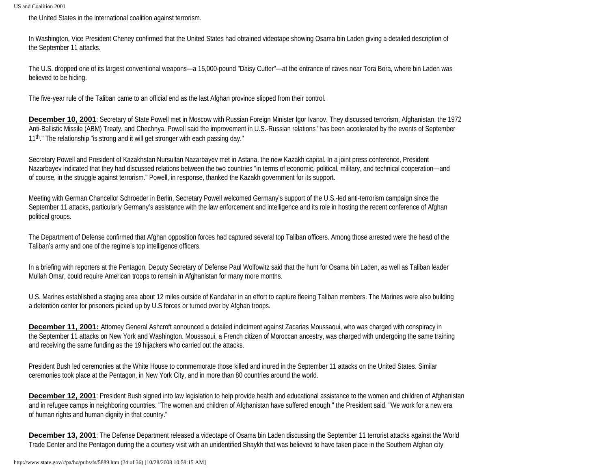the United States in the international coalition against terrorism.

In Washington, Vice President Cheney confirmed that the United States had obtained videotape showing Osama bin Laden giving a detailed description of the September 11 attacks.

The U.S. dropped one of its largest conventional weapons—a 15,000-pound "Daisy Cutter"—at the entrance of caves near Tora Bora, where bin Laden was believed to be hiding.

The five-year rule of the Taliban came to an official end as the last Afghan province slipped from their control.

**December 10, 2001**: Secretary of State Powell met in Moscow with Russian Foreign Minister Igor Ivanov. They discussed terrorism, Afghanistan, the 1972 Anti-Ballistic Missile (ABM) Treaty, and Chechnya. Powell said the improvement in U.S.-Russian relations "has been accelerated by the events of September 11th." The relationship "is strong and it will get stronger with each passing day."

Secretary Powell and President of Kazakhstan Nursultan Nazarbayev met in Astana, the new Kazakh capital. In a joint press conference, President Nazarbayev indicated that they had discussed relations between the two countries "in terms of economic, political, military, and technical cooperation—and of course, in the struggle against terrorism." Powell, in response, thanked the Kazakh government for its support.

Meeting with German Chancellor Schroeder in Berlin, Secretary Powell welcomed Germany's support of the U.S.-led anti-terrorism campaign since the September 11 attacks, particularly Germany's assistance with the law enforcement and intelligence and its role in hosting the recent conference of Afghan political groups.

The Department of Defense confirmed that Afghan opposition forces had captured several top Taliban officers. Among those arrested were the head of the Taliban's army and one of the regime's top intelligence officers.

In a briefing with reporters at the Pentagon, Deputy Secretary of Defense Paul Wolfowitz said that the hunt for Osama bin Laden, as well as Taliban leader Mullah Omar, could require American troops to remain in Afghanistan for many more months.

U.S. Marines established a staging area about 12 miles outside of Kandahar in an effort to capture fleeing Taliban members. The Marines were also building a detention center for prisoners picked up by U.S forces or turned over by Afghan troops.

**December 11, 2001:** Attorney General Ashcroft announced a detailed indictment against Zacarias Moussaoui, who was charged with conspiracy in the September 11 attacks on New York and Washington. Moussaoui, a French citizen of Moroccan ancestry, was charged with undergoing the same training and receiving the same funding as the 19 hijackers who carried out the attacks.

President Bush led ceremonies at the White House to commemorate those killed and inured in the September 11 attacks on the United States. Similar ceremonies took place at the Pentagon, in New York City, and in more than 80 countries around the world.

**December 12, 2001**: President Bush signed into law legislation to help provide health and educational assistance to the women and children of Afghanistan and in refugee camps in neighboring countries. "The women and children of Afghanistan have suffered enough," the President said. "We work for a new era of human rights and human dignity in that country."

**December 13, 2001**: The Defense Department released a videotape of Osama bin Laden discussing the September 11 terrorist attacks against the World Trade Center and the Pentagon during the a courtesy visit with an unidentified Shaykh that was believed to have taken place in the Southern Afghan city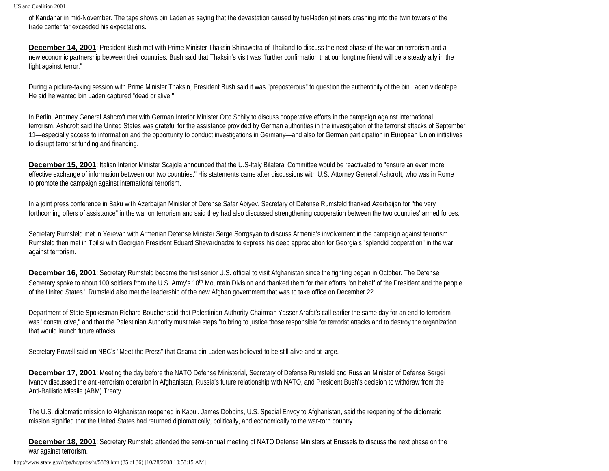of Kandahar in mid-November. The tape shows bin Laden as saying that the devastation caused by fuel-laden jetliners crashing into the twin towers of the trade center far exceeded his expectations.

**December 14, 2001**: President Bush met with Prime Minister Thaksin Shinawatra of Thailand to discuss the next phase of the war on terrorism and a new economic partnership between their countries. Bush said that Thaksin's visit was "further confirmation that our longtime friend will be a steady ally in the fight against terror."

During a picture-taking session with Prime Minister Thaksin, President Bush said it was "preposterous" to question the authenticity of the bin Laden videotape. He aid he wanted bin Laden captured "dead or alive."

In Berlin, Attorney General Ashcroft met with German Interior Minister Otto Schily to discuss cooperative efforts in the campaign against international terrorism. Ashcroft said the United States was grateful for the assistance provided by German authorities in the investigation of the terrorist attacks of September 11—especially access to information and the opportunity to conduct investigations in Germany—and also for German participation in European Union initiatives to disrupt terrorist funding and financing.

**December 15, 2001**: Italian Interior Minister Scajola announced that the U.S-Italy Bilateral Committee would be reactivated to "ensure an even more effective exchange of information between our two countries." His statements came after discussions with U.S. Attorney General Ashcroft, who was in Rome to promote the campaign against international terrorism.

In a joint press conference in Baku with Azerbaijan Minister of Defense Safar Abiyev, Secretary of Defense Rumsfeld thanked Azerbaijan for "the very forthcoming offers of assistance" in the war on terrorism and said they had also discussed strengthening cooperation between the two countries' armed forces.

Secretary Rumsfeld met in Yerevan with Armenian Defense Minister Serge Sorrgsyan to discuss Armenia's involvement in the campaign against terrorism. Rumsfeld then met in Tbilisi with Georgian President Eduard Shevardnadze to express his deep appreciation for Georgia's "splendid cooperation" in the war against terrorism.

**December 16, 2001**: Secretary Rumsfeld became the first senior U.S. official to visit Afghanistan since the fighting began in October. The Defense Secretary spoke to about 100 soldiers from the U.S. Army's 10<sup>th</sup> Mountain Division and thanked them for their efforts "on behalf of the President and the people of the United States." Rumsfeld also met the leadership of the new Afghan government that was to take office on December 22.

Department of State Spokesman Richard Boucher said that Palestinian Authority Chairman Yasser Arafat's call earlier the same day for an end to terrorism was "constructive," and that the Palestinian Authority must take steps "to bring to justice those responsible for terrorist attacks and to destroy the organization that would launch future attacks.

Secretary Powell said on NBC's "Meet the Press" that Osama bin Laden was believed to be still alive and at large.

**December 17, 2001**: Meeting the day before the NATO Defense Ministerial, Secretary of Defense Rumsfeld and Russian Minister of Defense Sergei Ivanov discussed the anti-terrorism operation in Afghanistan, Russia's future relationship with NATO, and President Bush's decision to withdraw from the Anti-Ballistic Missile (ABM) Treaty.

The U.S. diplomatic mission to Afghanistan reopened in Kabul. James Dobbins, U.S. Special Envoy to Afghanistan, said the reopening of the diplomatic mission signified that the United States had returned diplomatically, politically, and economically to the war-torn country.

**December 18, 2001**: Secretary Rumsfeld attended the semi-annual meeting of NATO Defense Ministers at Brussels to discuss the next phase on the war against terrorism.

http://www.state.gov/r/pa/ho/pubs/fs/5889.htm (35 of 36) [10/28/2008 10:58:15 AM]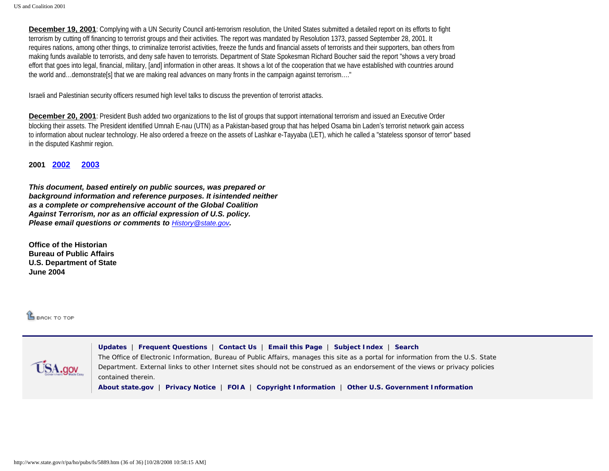**December 19, 2001**: Complying with a UN Security Council anti-terrorism resolution, the United States submitted a detailed report on its efforts to fight terrorism by cutting off financing to terrorist groups and their activities. The report was mandated by Resolution 1373, passed September 28, 2001. It requires nations, among other things, to criminalize terrorist activities, freeze the funds and financial assets of terrorists and their supporters, ban others from making funds available to terrorists, and deny safe haven to terrorists. Department of State Spokesman Richard Boucher said the report "shows a very broad effort that goes into legal, financial, military, [and] information in other areas. It shows a lot of the cooperation that we have established with countries around the world and…demonstrate[s] that we are making real advances on many fronts in the campaign against terrorism…."

Israeli and Palestinian security officers resumed high level talks to discuss the prevention of terrorist attacks.

**December 20, 2001**: President Bush added two organizations to the list of groups that support international terrorism and issued an Executive Order blocking their assets. The President identified Umnah E-nau (UTN) as a Pakistan-based group that has helped Osama bin Laden's terrorist network gain access to information about nuclear technology. He also ordered a freeze on the assets of Lashkar e-Tayyaba (LET), which he called a "stateless sponsor of terror" based in the disputed Kashmir region.

**2001 [2002](http://www.state.gov/r/pa/ho/pubs/fs/33354.htm) [2003](http://www.state.gov/r/pa/ho/pubs/fs/33355.htm)**

*This document, based entirely on public sources, was prepared or background information and reference purposes. It isintended neither as a complete or comprehensive account of the Global Coalition Against Terrorism, nor as an official expression of U.S. policy. Please email questions or comments to [History@state.gov](mailto:History@state.gov).*

**Office of the Historian Bureau of Public Affairs U.S. Department of State June 2004** 

**LE BACK TO TOP** 

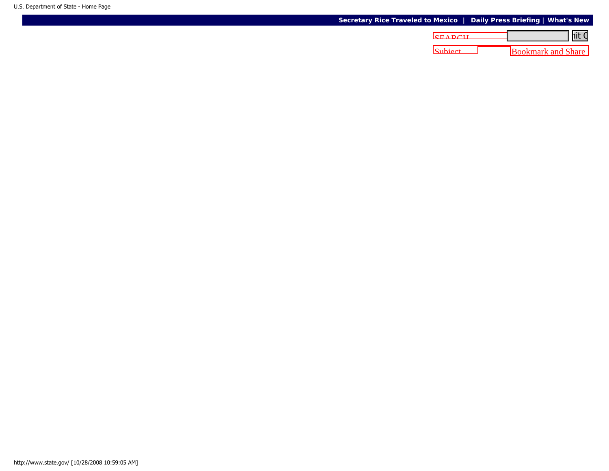## **[Secretary Rice Traveled to Mexico](http://www.state.gov/secretary/rm/2008/10/111205.htm) | [Daily Press Briefing](http://www.state.gov/r/pa/prs/dpb/2008/) | [What's New](http://www.state.gov/whats_new/)**

| <u>nit C</u>              | <b>CEADCH</b> |
|---------------------------|---------------|
| <b>Bookmark and Share</b> | Subject       |
|                           |               |
|                           |               |
|                           |               |
|                           |               |
|                           |               |
|                           |               |
|                           |               |
|                           |               |
|                           |               |
|                           |               |
|                           |               |
|                           |               |
|                           |               |
|                           |               |
|                           |               |
|                           |               |
|                           |               |
|                           |               |
|                           |               |
|                           |               |
|                           |               |
|                           |               |
|                           |               |
|                           |               |
|                           |               |
|                           |               |
|                           |               |
|                           |               |
|                           |               |
|                           |               |
|                           |               |
|                           |               |
|                           |               |
|                           |               |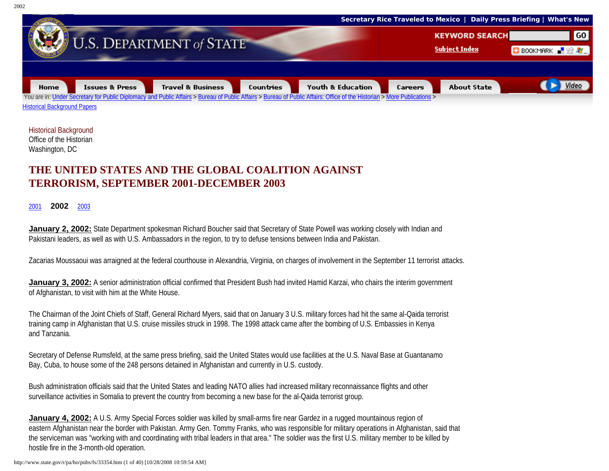

Historical Background Office of the Historian Washington, DC

## **THE UNITED STATES AND THE GLOBAL COALITION AGAINST TERRORISM, SEPTEMBER 2001-DECEMBER 2003**

## [2001](http://www.state.gov/r/pa/ho/pubs/fs/5889.htm) **2002** [2003](http://www.state.gov/r/pa/ho/pubs/fs/33355.htm)

**January 2, 2002:** State Department spokesman Richard Boucher said that Secretary of State Powell was working closely with Indian and Pakistani leaders, as well as with U.S. Ambassadors in the region, to try to defuse tensions between India and Pakistan.

Zacarias Moussaoui was arraigned at the federal courthouse in Alexandria, Virginia, on charges of involvement in the September 11 terrorist attacks.

**January 3, 2002:** A senior administration official confirmed that President Bush had invited Hamid Karzai, who chairs the interim government of Afghanistan, to visit with him at the White House.

The Chairman of the Joint Chiefs of Staff, General Richard Myers, said that on January 3 U.S. military forces had hit the same al-Qaida terrorist training camp in Afghanistan that U.S. cruise missiles struck in 1998. The 1998 attack came after the bombing of U.S. Embassies in Kenya and Tanzania.

Secretary of Defense Rumsfeld, at the same press briefing, said the United States would use facilities at the U.S. Naval Base at Guantanamo Bay, Cuba, to house some of the 248 persons detained in Afghanistan and currently in U.S. custody.

Bush administration officials said that the United States and leading NATO allies had increased military reconnaissance flights and other surveillance activities in Somalia to prevent the country from becoming a new base for the al-Qaida terrorist group.

**January 4, 2002:** A U.S. Army Special Forces soldier was killed by small-arms fire near Gardez in a rugged mountainous region of eastern Afghanistan near the border with Pakistan. Army Gen. Tommy Franks, who was responsible for military operations in Afghanistan, said that the serviceman was "working with and coordinating with tribal leaders in that area." The soldier was the first U.S. military member to be killed by hostile fire in the 3-month-old operation.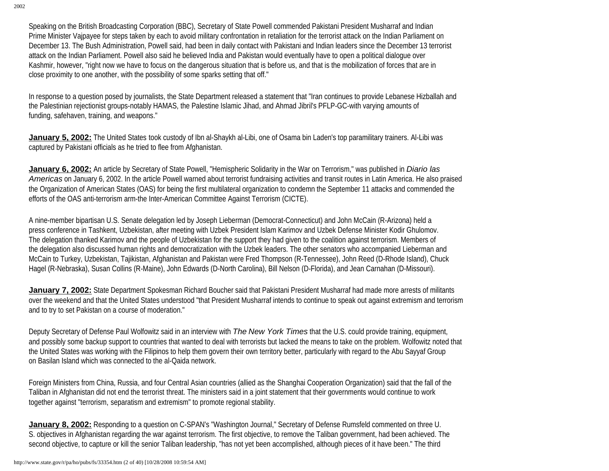Speaking on the British Broadcasting Corporation (BBC), Secretary of State Powell commended Pakistani President Musharraf and Indian Prime Minister Vajpayee for steps taken by each to avoid military confrontation in retaliation for the terrorist attack on the Indian Parliament on December 13. The Bush Administration, Powell said, had been in daily contact with Pakistani and Indian leaders since the December 13 terrorist attack on the Indian Parliament. Powell also said he believed India and Pakistan would eventually have to open a political dialogue over Kashmir, however, "right now we have to focus on the dangerous situation that is before us, and that is the mobilization of forces that are in close proximity to one another, with the possibility of some sparks setting that off."

In response to a question posed by journalists, the State Department released a statement that "Iran continues to provide Lebanese Hizballah and the Palestinian rejectionist groups-notably HAMAS, the Palestine Islamic Jihad, and Ahmad Jibril's PFLP-GC-with varying amounts of funding, safehaven, training, and weapons."

**January 5, 2002:** The United States took custody of Ibn al-Shaykh al-Libi, one of Osama bin Laden's top paramilitary trainers. Al-Libi was captured by Pakistani officials as he tried to flee from Afghanistan.

**January 6, 2002:** An article by Secretary of State Powell, "Hemispheric Solidarity in the War on Terrorism," was published in *Diario las Americas* on January 6, 2002. In the article Powell warned about terrorist fundraising activities and transit routes in Latin America. He also praised the Organization of American States (OAS) for being the first multilateral organization to condemn the September 11 attacks and commended the efforts of the OAS anti-terrorism arm-the Inter-American Committee Against Terrorism (CICTE).

A nine-member bipartisan U.S. Senate delegation led by Joseph Lieberman (Democrat-Connecticut) and John McCain (R-Arizona) held a press conference in Tashkent, Uzbekistan, after meeting with Uzbek President Islam Karimov and Uzbek Defense Minister Kodir Ghulomov. The delegation thanked Karimov and the people of Uzbekistan for the support they had given to the coalition against terrorism. Members of the delegation also discussed human rights and democratization with the Uzbek leaders. The other senators who accompanied Lieberman and McCain to Turkey, Uzbekistan, Tajikistan, Afghanistan and Pakistan were Fred Thompson (R-Tennessee), John Reed (D-Rhode Island), Chuck Hagel (R-Nebraska), Susan Collins (R-Maine), John Edwards (D-North Carolina), Bill Nelson (D-Florida), and Jean Carnahan (D-Missouri).

**January 7, 2002:** State Department Spokesman Richard Boucher said that Pakistani President Musharraf had made more arrests of militants over the weekend and that the United States understood "that President Musharraf intends to continue to speak out against extremism and terrorism and to try to set Pakistan on a course of moderation."

Deputy Secretary of Defense Paul Wolfowitz said in an interview with *The New York Times* that the U.S. could provide training, equipment, and possibly some backup support to countries that wanted to deal with terrorists but lacked the means to take on the problem. Wolfowitz noted that the United States was working with the Filipinos to help them govern their own territory better, particularly with regard to the Abu Sayyaf Group on Basilan Island which was connected to the al-Qaida network.

Foreign Ministers from China, Russia, and four Central Asian countries (allied as the Shanghai Cooperation Organization) said that the fall of the Taliban in Afghanistan did not end the terrorist threat. The ministers said in a joint statement that their governments would continue to work together against "terrorism, separatism and extremism" to promote regional stability.

**January 8, 2002:** Responding to a question on C-SPAN's "Washington Journal," Secretary of Defense Rumsfeld commented on three U. S. objectives in Afghanistan regarding the war against terrorism. The first objective, to remove the Taliban government, had been achieved. The second objective, to capture or kill the senior Taliban leadership, "has not yet been accomplished, although pieces of it have been." The third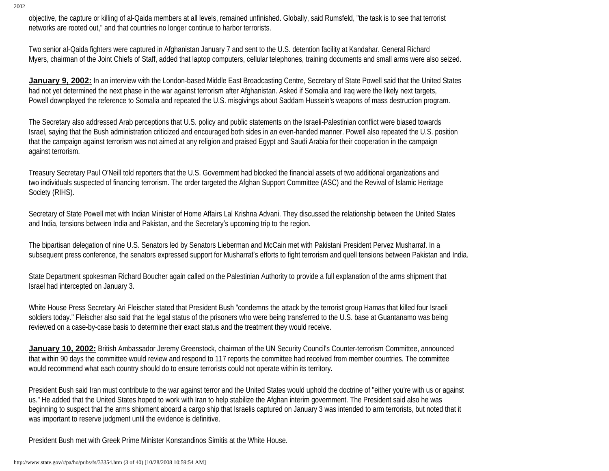objective, the capture or killing of al-Qaida members at all levels, remained unfinished. Globally, said Rumsfeld, "the task is to see that terrorist networks are rooted out," and that countries no longer continue to harbor terrorists.

Two senior al-Qaida fighters were captured in Afghanistan January 7 and sent to the U.S. detention facility at Kandahar. General Richard Myers, chairman of the Joint Chiefs of Staff, added that laptop computers, cellular telephones, training documents and small arms were also seized.

**January 9, 2002:** In an interview with the London-based Middle East Broadcasting Centre, Secretary of State Powell said that the United States had not yet determined the next phase in the war against terrorism after Afghanistan. Asked if Somalia and Iraq were the likely next targets, Powell downplayed the reference to Somalia and repeated the U.S. misgivings about Saddam Hussein's weapons of mass destruction program.

The Secretary also addressed Arab perceptions that U.S. policy and public statements on the Israeli-Palestinian conflict were biased towards Israel, saying that the Bush administration criticized and encouraged both sides in an even-handed manner. Powell also repeated the U.S. position that the campaign against terrorism was not aimed at any religion and praised Egypt and Saudi Arabia for their cooperation in the campaign against terrorism.

Treasury Secretary Paul O'Neill told reporters that the U.S. Government had blocked the financial assets of two additional organizations and two individuals suspected of financing terrorism. The order targeted the Afghan Support Committee (ASC) and the Revival of Islamic Heritage Society (RIHS).

Secretary of State Powell met with Indian Minister of Home Affairs Lal Krishna Advani. They discussed the relationship between the United States and India, tensions between India and Pakistan, and the Secretary's upcoming trip to the region.

The bipartisan delegation of nine U.S. Senators led by Senators Lieberman and McCain met with Pakistani President Pervez Musharraf. In a subsequent press conference, the senators expressed support for Musharraf's efforts to fight terrorism and quell tensions between Pakistan and India.

State Department spokesman Richard Boucher again called on the Palestinian Authority to provide a full explanation of the arms shipment that Israel had intercepted on January 3.

White House Press Secretary Ari Fleischer stated that President Bush "condemns the attack by the terrorist group Hamas that killed four Israeli soldiers today." Fleischer also said that the legal status of the prisoners who were being transferred to the U.S. base at Guantanamo was being reviewed on a case-by-case basis to determine their exact status and the treatment they would receive.

**January 10, 2002:** British Ambassador Jeremy Greenstock, chairman of the UN Security Council's Counter-terrorism Committee, announced that within 90 days the committee would review and respond to 117 reports the committee had received from member countries. The committee would recommend what each country should do to ensure terrorists could not operate within its territory.

President Bush said Iran must contribute to the war against terror and the United States would uphold the doctrine of "either you're with us or against us." He added that the United States hoped to work with Iran to help stabilize the Afghan interim government. The President said also he was beginning to suspect that the arms shipment aboard a cargo ship that Israelis captured on January 3 was intended to arm terrorists, but noted that it was important to reserve judgment until the evidence is definitive.

President Bush met with Greek Prime Minister Konstandinos Simitis at the White House.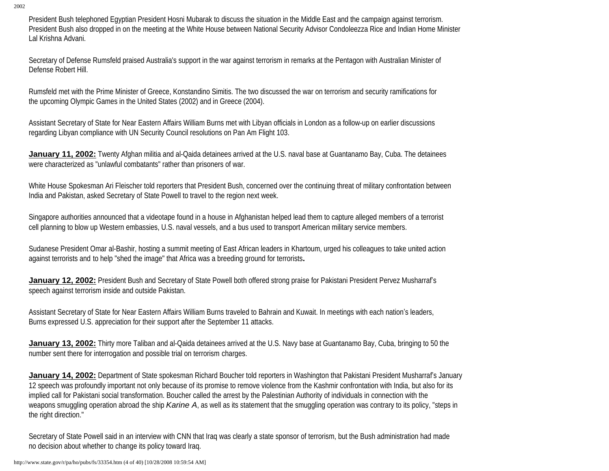President Bush telephoned Egyptian President Hosni Mubarak to discuss the situation in the Middle East and the campaign against terrorism. President Bush also dropped in on the meeting at the White House between National Security Advisor Condoleezza Rice and Indian Home Minister Lal Krishna Advani.

Secretary of Defense Rumsfeld praised Australia's support in the war against terrorism in remarks at the Pentagon with Australian Minister of Defense Robert Hill.

Rumsfeld met with the Prime Minister of Greece, Konstandino Simitis. The two discussed the war on terrorism and security ramifications for the upcoming Olympic Games in the United States (2002) and in Greece (2004).

Assistant Secretary of State for Near Eastern Affairs William Burns met with Libyan officials in London as a follow-up on earlier discussions regarding Libyan compliance with UN Security Council resolutions on Pan Am Flight 103.

**January 11, 2002:** Twenty Afghan militia and al-Qaida detainees arrived at the U.S. naval base at Guantanamo Bay, Cuba. The detainees were characterized as "unlawful combatants" rather than prisoners of war.

White House Spokesman Ari Fleischer told reporters that President Bush, concerned over the continuing threat of military confrontation between India and Pakistan, asked Secretary of State Powell to travel to the region next week.

Singapore authorities announced that a videotape found in a house in Afghanistan helped lead them to capture alleged members of a terrorist cell planning to blow up Western embassies, U.S. naval vessels, and a bus used to transport American military service members.

Sudanese President Omar al-Bashir, hosting a summit meeting of East African leaders in Khartoum, urged his colleagues to take united action against terrorists and to help "shed the image" that Africa was a breeding ground for terrorists**.**

**January 12, 2002:** President Bush and Secretary of State Powell both offered strong praise for Pakistani President Pervez Musharraf's speech against terrorism inside and outside Pakistan.

Assistant Secretary of State for Near Eastern Affairs William Burns traveled to Bahrain and Kuwait. In meetings with each nation's leaders, Burns expressed U.S. appreciation for their support after the September 11 attacks.

**January 13, 2002:** Thirty more Taliban and al-Qaida detainees arrived at the U.S. Navy base at Guantanamo Bay, Cuba, bringing to 50 the number sent there for interrogation and possible trial on terrorism charges.

**January 14, 2002:** Department of State spokesman Richard Boucher told reporters in Washington that Pakistani President Musharraf's January 12 speech was profoundly important not only because of its promise to remove violence from the Kashmir confrontation with India, but also for its implied call for Pakistani social transformation. Boucher called the arrest by the Palestinian Authority of individuals in connection with the weapons smuggling operation abroad the ship *Karine A*, as well as its statement that the smuggling operation was contrary to its policy, "steps in the right direction."

Secretary of State Powell said in an interview with CNN that Iraq was clearly a state sponsor of terrorism, but the Bush administration had made no decision about whether to change its policy toward Iraq.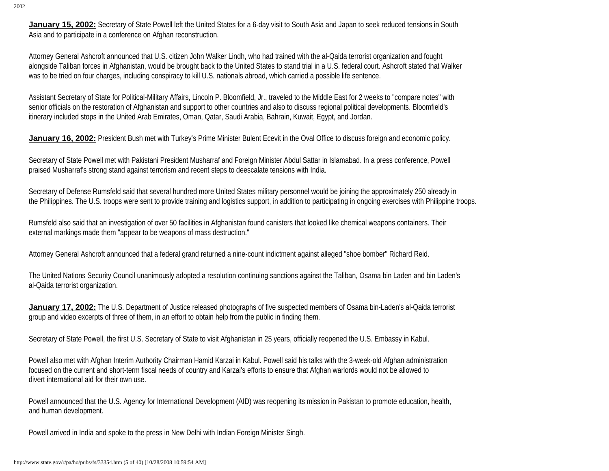**January 15, 2002:** Secretary of State Powell left the United States for a 6-day visit to South Asia and Japan to seek reduced tensions in South Asia and to participate in a conference on Afghan reconstruction.

Attorney General Ashcroft announced that U.S. citizen John Walker Lindh, who had trained with the al-Qaida terrorist organization and fought alongside Taliban forces in Afghanistan, would be brought back to the United States to stand trial in a U.S. federal court. Ashcroft stated that Walker was to be tried on four charges, including conspiracy to kill U.S. nationals abroad, which carried a possible life sentence.

Assistant Secretary of State for Political-Military Affairs, Lincoln P. Bloomfield, Jr., traveled to the Middle East for 2 weeks to "compare notes" with senior officials on the restoration of Afghanistan and support to other countries and also to discuss regional political developments. Bloomfield's itinerary included stops in the United Arab Emirates, Oman, Qatar, Saudi Arabia, Bahrain, Kuwait, Egypt, and Jordan.

**January 16, 2002:** President Bush met with Turkey's Prime Minister Bulent Ecevit in the Oval Office to discuss foreign and economic policy.

Secretary of State Powell met with Pakistani President Musharraf and Foreign Minister Abdul Sattar in Islamabad. In a press conference, Powell praised Musharraf's strong stand against terrorism and recent steps to deescalate tensions with India.

Secretary of Defense Rumsfeld said that several hundred more United States military personnel would be joining the approximately 250 already in the Philippines. The U.S. troops were sent to provide training and logistics support, in addition to participating in ongoing exercises with Philippine troops.

Rumsfeld also said that an investigation of over 50 facilities in Afghanistan found canisters that looked like chemical weapons containers. Their external markings made them "appear to be weapons of mass destruction."

Attorney General Ashcroft announced that a federal grand returned a nine-count indictment against alleged "shoe bomber" Richard Reid.

The United Nations Security Council unanimously adopted a resolution continuing sanctions against the Taliban, Osama bin Laden and bin Laden's al-Qaida terrorist organization.

**January 17, 2002:** The U.S. Department of Justice released photographs of five suspected members of Osama bin-Laden's al-Qaida terrorist group and video excerpts of three of them, in an effort to obtain help from the public in finding them.

Secretary of State Powell, the first U.S. Secretary of State to visit Afghanistan in 25 years, officially reopened the U.S. Embassy in Kabul.

Powell also met with Afghan Interim Authority Chairman Hamid Karzai in Kabul. Powell said his talks with the 3-week-old Afghan administration focused on the current and short-term fiscal needs of country and Karzai's efforts to ensure that Afghan warlords would not be allowed to divert international aid for their own use.

Powell announced that the U.S. Agency for International Development (AID) was reopening its mission in Pakistan to promote education, health, and human development.

Powell arrived in India and spoke to the press in New Delhi with Indian Foreign Minister Singh.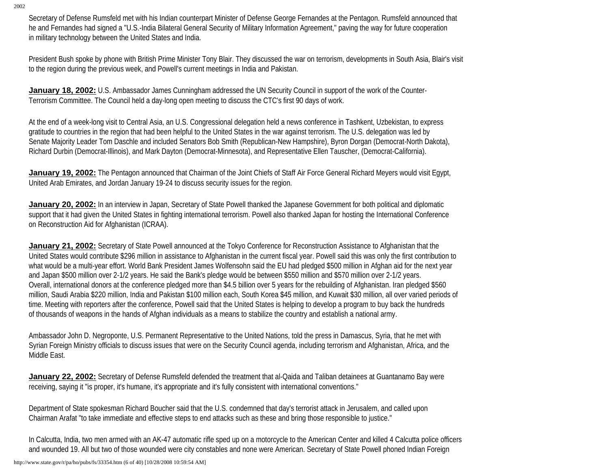Secretary of Defense Rumsfeld met with his Indian counterpart Minister of Defense George Fernandes at the Pentagon. Rumsfeld announced that he and Fernandes had signed a "U.S.-India Bilateral General Security of Military Information Agreement," paving the way for future cooperation in military technology between the United States and India.

President Bush spoke by phone with British Prime Minister Tony Blair. They discussed the war on terrorism, developments in South Asia, Blair's visit to the region during the previous week, and Powell's current meetings in India and Pakistan.

**January 18, 2002:** U.S. Ambassador James Cunningham addressed the UN Security Council in support of the work of the Counter-Terrorism Committee. The Council held a day-long open meeting to discuss the CTC's first 90 days of work.

At the end of a week-long visit to Central Asia, an U.S. Congressional delegation held a news conference in Tashkent, Uzbekistan, to express gratitude to countries in the region that had been helpful to the United States in the war against terrorism. The U.S. delegation was led by Senate Majority Leader Tom Daschle and included Senators Bob Smith (Republican-New Hampshire), Byron Dorgan (Democrat-North Dakota), Richard Durbin (Democrat-Illinois), and Mark Dayton (Democrat-Minnesota), and Representative Ellen Tauscher, (Democrat-California).

**January 19, 2002:** The Pentagon announced that Chairman of the Joint Chiefs of Staff Air Force General Richard Meyers would visit Egypt, United Arab Emirates, and Jordan January 19-24 to discuss security issues for the region.

**January 20, 2002:** In an interview in Japan, Secretary of State Powell thanked the Japanese Government for both political and diplomatic support that it had given the United States in fighting international terrorism. Powell also thanked Japan for hosting the International Conference on Reconstruction Aid for Afghanistan (ICRAA).

**January 21, 2002:** Secretary of State Powell announced at the Tokyo Conference for Reconstruction Assistance to Afghanistan that the United States would contribute \$296 million in assistance to Afghanistan in the current fiscal year. Powell said this was only the first contribution to what would be a multi-year effort. World Bank President James Wolfensohn said the EU had pledged \$500 million in Afghan aid for the next year and Japan \$500 million over 2-1/2 years. He said the Bank's pledge would be between \$550 million and \$570 million over 2-1/2 years. Overall, international donors at the conference pledged more than \$4.5 billion over 5 years for the rebuilding of Afghanistan. Iran pledged \$560 million, Saudi Arabia \$220 million, India and Pakistan \$100 million each, South Korea \$45 million, and Kuwait \$30 million, all over varied periods of time. Meeting with reporters after the conference, Powell said that the United States is helping to develop a program to buy back the hundreds of thousands of weapons in the hands of Afghan individuals as a means to stabilize the country and establish a national army.

Ambassador John D. Negroponte, U.S. Permanent Representative to the United Nations, told the press in Damascus, Syria, that he met with Syrian Foreign Ministry officials to discuss issues that were on the Security Council agenda, including terrorism and Afghanistan, Africa, and the Middle East.

**January 22, 2002:** Secretary of Defense Rumsfeld defended the treatment that al-Qaida and Taliban detainees at Guantanamo Bay were receiving, saying it "is proper, it's humane, it's appropriate and it's fully consistent with international conventions."

Department of State spokesman Richard Boucher said that the U.S. condemned that day's terrorist attack in Jerusalem, and called upon Chairman Arafat "to take immediate and effective steps to end attacks such as these and bring those responsible to justice."

In Calcutta, India, two men armed with an AK-47 automatic rifle sped up on a motorcycle to the American Center and killed 4 Calcutta police officers and wounded 19. All but two of those wounded were city constables and none were American. Secretary of State Powell phoned Indian Foreign

http://www.state.gov/r/pa/ho/pubs/fs/33354.htm (6 of 40) [10/28/2008 10:59:54 AM]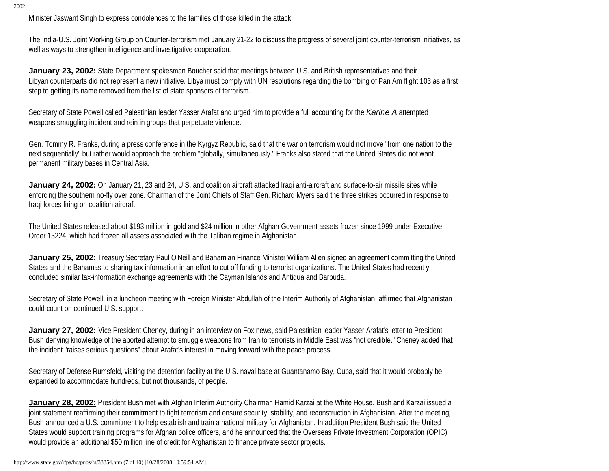Minister Jaswant Singh to express condolences to the families of those killed in the attack.

The India-U.S. Joint Working Group on Counter-terrorism met January 21-22 to discuss the progress of several joint counter-terrorism initiatives, as well as ways to strengthen intelligence and investigative cooperation.

**January 23, 2002:** State Department spokesman Boucher said that meetings between U.S. and British representatives and their Libyan counterparts did not represent a new initiative. Libya must comply with UN resolutions regarding the bombing of Pan Am flight 103 as a first step to getting its name removed from the list of state sponsors of terrorism.

Secretary of State Powell called Palestinian leader Yasser Arafat and urged him to provide a full accounting for the *Karine A* attempted weapons smuggling incident and rein in groups that perpetuate violence.

Gen. Tommy R. Franks, during a press conference in the Kyrgyz Republic, said that the war on terrorism would not move "from one nation to the next sequentially" but rather would approach the problem "globally, simultaneously." Franks also stated that the United States did not want permanent military bases in Central Asia.

**January 24, 2002:** On January 21, 23 and 24, U.S. and coalition aircraft attacked Iraqi anti-aircraft and surface-to-air missile sites while enforcing the southern no-fly over zone. Chairman of the Joint Chiefs of Staff Gen. Richard Myers said the three strikes occurred in response to Iraqi forces firing on coalition aircraft.

The United States released about \$193 million in gold and \$24 million in other Afghan Government assets frozen since 1999 under Executive Order 13224, which had frozen all assets associated with the Taliban regime in Afghanistan.

**January 25, 2002:** Treasury Secretary Paul O'Neill and Bahamian Finance Minister William Allen signed an agreement committing the United States and the Bahamas to sharing tax information in an effort to cut off funding to terrorist organizations. The United States had recently concluded similar tax-information exchange agreements with the Cayman Islands and Antigua and Barbuda.

Secretary of State Powell, in a luncheon meeting with Foreign Minister Abdullah of the Interim Authority of Afghanistan, affirmed that Afghanistan could count on continued U.S. support.

**January 27, 2002:** Vice President Cheney, during in an interview on Fox news, said Palestinian leader Yasser Arafat's letter to President Bush denying knowledge of the aborted attempt to smuggle weapons from Iran to terrorists in Middle East was "not credible." Cheney added that the incident "raises serious questions" about Arafat's interest in moving forward with the peace process.

Secretary of Defense Rumsfeld, visiting the detention facility at the U.S. naval base at Guantanamo Bay, Cuba, said that it would probably be expanded to accommodate hundreds, but not thousands, of people.

**January 28, 2002:** President Bush met with Afghan Interim Authority Chairman Hamid Karzai at the White House. Bush and Karzai issued a joint statement reaffirming their commitment to fight terrorism and ensure security, stability, and reconstruction in Afghanistan. After the meeting, Bush announced a U.S. commitment to help establish and train a national military for Afghanistan. In addition President Bush said the United States would support training programs for Afghan police officers, and he announced that the Overseas Private Investment Corporation (OPIC) would provide an additional \$50 million line of credit for Afghanistan to finance private sector projects.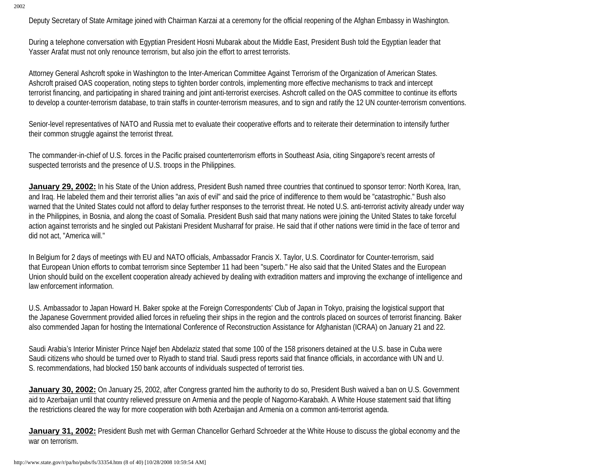Deputy Secretary of State Armitage joined with Chairman Karzai at a ceremony for the official reopening of the Afghan Embassy in Washington.

During a telephone conversation with Egyptian President Hosni Mubarak about the Middle East, President Bush told the Egyptian leader that Yasser Arafat must not only renounce terrorism, but also join the effort to arrest terrorists.

Attorney General Ashcroft spoke in Washington to the Inter-American Committee Against Terrorism of the Organization of American States. Ashcroft praised OAS cooperation, noting steps to tighten border controls, implementing more effective mechanisms to track and intercept terrorist financing, and participating in shared training and joint anti-terrorist exercises. Ashcroft called on the OAS committee to continue its efforts to develop a counter-terrorism database, to train staffs in counter-terrorism measures, and to sign and ratify the 12 UN counter-terrorism conventions.

Senior-level representatives of NATO and Russia met to evaluate their cooperative efforts and to reiterate their determination to intensify further their common struggle against the terrorist threat.

The commander-in-chief of U.S. forces in the Pacific praised counterterrorism efforts in Southeast Asia, citing Singapore's recent arrests of suspected terrorists and the presence of U.S. troops in the Philippines.

**January 29, 2002:** In his State of the Union address, President Bush named three countries that continued to sponsor terror: North Korea, Iran, and Iraq. He labeled them and their terrorist allies "an axis of evil" and said the price of indifference to them would be "catastrophic." Bush also warned that the United States could not afford to delay further responses to the terrorist threat. He noted U.S. anti-terrorist activity already under way in the Philippines, in Bosnia, and along the coast of Somalia. President Bush said that many nations were joining the United States to take forceful action against terrorists and he singled out Pakistani President Musharraf for praise. He said that if other nations were timid in the face of terror and did not act, "America will."

In Belgium for 2 days of meetings with EU and NATO officials, Ambassador Francis X. Taylor, U.S. Coordinator for Counter-terrorism, said that European Union efforts to combat terrorism since September 11 had been "superb." He also said that the United States and the European Union should build on the excellent cooperation already achieved by dealing with extradition matters and improving the exchange of intelligence and law enforcement information.

U.S. Ambassador to Japan Howard H. Baker spoke at the Foreign Correspondents' Club of Japan in Tokyo, praising the logistical support that the Japanese Government provided allied forces in refueling their ships in the region and the controls placed on sources of terrorist financing. Baker also commended Japan for hosting the International Conference of Reconstruction Assistance for Afghanistan (ICRAA) on January 21 and 22.

Saudi Arabia's Interior Minister Prince Najef ben Abdelaziz stated that some 100 of the 158 prisoners detained at the U.S. base in Cuba were Saudi citizens who should be turned over to Riyadh to stand trial. Saudi press reports said that finance officials, in accordance with UN and U. S. recommendations, had blocked 150 bank accounts of individuals suspected of terrorist ties.

**January 30, 2002:** On January 25, 2002, after Congress granted him the authority to do so, President Bush waived a ban on U.S. Government aid to Azerbaijan until that country relieved pressure on Armenia and the people of Nagorno-Karabakh. A White House statement said that lifting the restrictions cleared the way for more cooperation with both Azerbaijan and Armenia on a common anti-terrorist agenda.

**January 31, 2002:** President Bush met with German Chancellor Gerhard Schroeder at the White House to discuss the global economy and the war on terrorism.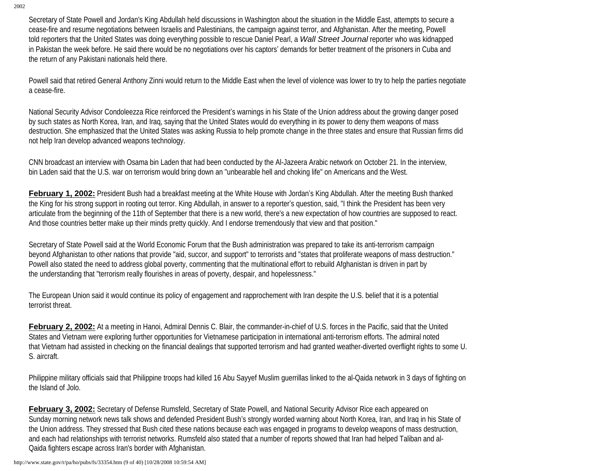Secretary of State Powell and Jordan's King Abdullah held discussions in Washington about the situation in the Middle East, attempts to secure a cease-fire and resume negotiations between Israelis and Palestinians, the campaign against terror, and Afghanistan. After the meeting, Powell told reporters that the United States was doing everything possible to rescue Daniel Pearl, a *Wall Street Journal* reporter who was kidnapped in Pakistan the week before. He said there would be no negotiations over his captors' demands for better treatment of the prisoners in Cuba and the return of any Pakistani nationals held there.

Powell said that retired General Anthony Zinni would return to the Middle East when the level of violence was lower to try to help the parties negotiate a cease-fire.

National Security Advisor Condoleezza Rice reinforced the President's warnings in his State of the Union address about the growing danger posed by such states as North Korea, Iran, and Iraq, saying that the United States would do everything in its power to deny them weapons of mass destruction. She emphasized that the United States was asking Russia to help promote change in the three states and ensure that Russian firms did not help Iran develop advanced weapons technology.

CNN broadcast an interview with Osama bin Laden that had been conducted by the Al-Jazeera Arabic network on October 21. In the interview, bin Laden said that the U.S. war on terrorism would bring down an "unbearable hell and choking life" on Americans and the West.

**February 1, 2002:** President Bush had a breakfast meeting at the White House with Jordan's King Abdullah. After the meeting Bush thanked the King for his strong support in rooting out terror. King Abdullah, in answer to a reporter's question, said, "I think the President has been very articulate from the beginning of the 11th of September that there is a new world, there's a new expectation of how countries are supposed to react. And those countries better make up their minds pretty quickly. And I endorse tremendously that view and that position."

Secretary of State Powell said at the World Economic Forum that the Bush administration was prepared to take its anti-terrorism campaign beyond Afghanistan to other nations that provide "aid, succor, and support" to terrorists and "states that proliferate weapons of mass destruction." Powell also stated the need to address global poverty, commenting that the multinational effort to rebuild Afghanistan is driven in part by the understanding that "terrorism really flourishes in areas of poverty, despair, and hopelessness."

The European Union said it would continue its policy of engagement and rapprochement with Iran despite the U.S. belief that it is a potential terrorist threat.

**February 2, 2002:** At a meeting in Hanoi, Admiral Dennis C. Blair, the commander-in-chief of U.S. forces in the Pacific, said that the United States and Vietnam were exploring further opportunities for Vietnamese participation in international anti-terrorism efforts. The admiral noted that Vietnam had assisted in checking on the financial dealings that supported terrorism and had granted weather-diverted overflight rights to some U. S. aircraft.

Philippine military officials said that Philippine troops had killed 16 Abu Sayyef Muslim guerrillas linked to the al-Qaida network in 3 days of fighting on the Island of Jolo.

**February 3, 2002:** Secretary of Defense Rumsfeld, Secretary of State Powell, and National Security Advisor Rice each appeared on Sunday morning network news talk shows and defended President Bush's strongly worded warning about North Korea, Iran, and Iraq in his State of the Union address. They stressed that Bush cited these nations because each was engaged in programs to develop weapons of mass destruction, and each had relationships with terrorist networks. Rumsfeld also stated that a number of reports showed that Iran had helped Taliban and al-Qaida fighters escape across Iran's border with Afghanistan.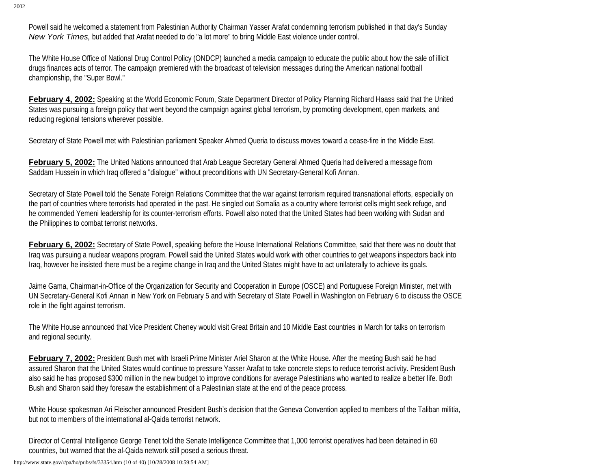Powell said he welcomed a statement from Palestinian Authority Chairman Yasser Arafat condemning terrorism published in that day's Sunday *New York Times,* but added that Arafat needed to do "a lot more" to bring Middle East violence under control.

The White House Office of National Drug Control Policy (ONDCP) launched a media campaign to educate the public about how the sale of illicit drugs finances acts of terror. The campaign premiered with the broadcast of television messages during the American national football championship, the "Super Bowl."

**February 4, 2002:** Speaking at the World Economic Forum, State Department Director of Policy Planning Richard Haass said that the United States was pursuing a foreign policy that went beyond the campaign against global terrorism, by promoting development, open markets, and reducing regional tensions wherever possible.

Secretary of State Powell met with Palestinian parliament Speaker Ahmed Queria to discuss moves toward a cease-fire in the Middle East.

**February 5, 2002:** The United Nations announced that Arab League Secretary General Ahmed Queria had delivered a message from Saddam Hussein in which Iraq offered a "dialogue" without preconditions with UN Secretary-General Kofi Annan.

Secretary of State Powell told the Senate Foreign Relations Committee that the war against terrorism required transnational efforts, especially on the part of countries where terrorists had operated in the past. He singled out Somalia as a country where terrorist cells might seek refuge, and he commended Yemeni leadership for its counter-terrorism efforts. Powell also noted that the United States had been working with Sudan and the Philippines to combat terrorist networks.

**February 6, 2002:** Secretary of State Powell, speaking before the House International Relations Committee, said that there was no doubt that Iraq was pursuing a nuclear weapons program. Powell said the United States would work with other countries to get weapons inspectors back into Iraq, however he insisted there must be a regime change in Iraq and the United States might have to act unilaterally to achieve its goals.

Jaime Gama, Chairman-in-Office of the Organization for Security and Cooperation in Europe (OSCE) and Portuguese Foreign Minister, met with UN Secretary-General Kofi Annan in New York on February 5 and with Secretary of State Powell in Washington on February 6 to discuss the OSCE role in the fight against terrorism.

The White House announced that Vice President Cheney would visit Great Britain and 10 Middle East countries in March for talks on terrorism and regional security.

**February 7, 2002:** President Bush met with Israeli Prime Minister Ariel Sharon at the White House. After the meeting Bush said he had assured Sharon that the United States would continue to pressure Yasser Arafat to take concrete steps to reduce terrorist activity. President Bush also said he has proposed \$300 million in the new budget to improve conditions for average Palestinians who wanted to realize a better life. Both Bush and Sharon said they foresaw the establishment of a Palestinian state at the end of the peace process.

White House spokesman Ari Fleischer announced President Bush's decision that the Geneva Convention applied to members of the Taliban militia, but not to members of the international al-Qaida terrorist network.

Director of Central Intelligence George Tenet told the Senate Intelligence Committee that 1,000 terrorist operatives had been detained in 60 countries, but warned that the al-Qaida network still posed a serious threat.

http://www.state.gov/r/pa/ho/pubs/fs/33354.htm (10 of 40) [10/28/2008 10:59:54 AM]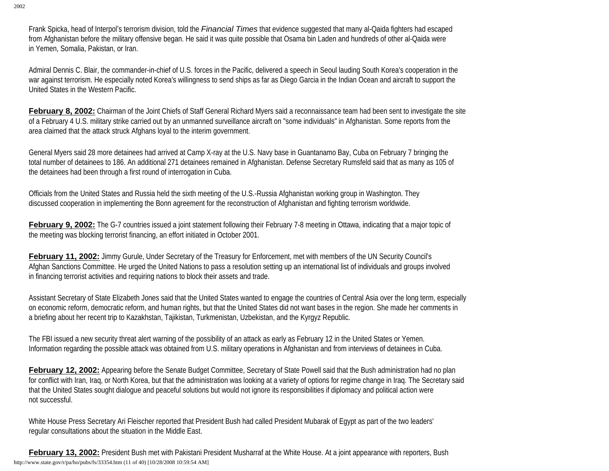Frank Spicka, head of Interpol's terrorism division, told the *Financial Times* that evidence suggested that many al-Qaida fighters had escaped from Afghanistan before the military offensive began. He said it was quite possible that Osama bin Laden and hundreds of other al-Qaida were in Yemen, Somalia, Pakistan, or Iran.

Admiral Dennis C. Blair, the commander-in-chief of U.S. forces in the Pacific, delivered a speech in Seoul lauding South Korea's cooperation in the war against terrorism. He especially noted Korea's willingness to send ships as far as Diego Garcia in the Indian Ocean and aircraft to support the United States in the Western Pacific.

**February 8, 2002:** Chairman of the Joint Chiefs of Staff General Richard Myers said a reconnaissance team had been sent to investigate the site of a February 4 U.S. military strike carried out by an unmanned surveillance aircraft on "some individuals" in Afghanistan. Some reports from the area claimed that the attack struck Afghans loyal to the interim government.

General Myers said 28 more detainees had arrived at Camp X-ray at the U.S. Navy base in Guantanamo Bay, Cuba on February 7 bringing the total number of detainees to 186. An additional 271 detainees remained in Afghanistan. Defense Secretary Rumsfeld said that as many as 105 of the detainees had been through a first round of interrogation in Cuba.

Officials from the United States and Russia held the sixth meeting of the U.S.-Russia Afghanistan working group in Washington. They discussed cooperation in implementing the Bonn agreement for the reconstruction of Afghanistan and fighting terrorism worldwide.

February 9, 2002: The G-7 countries issued a joint statement following their February 7-8 meeting in Ottawa, indicating that a major topic of the meeting was blocking terrorist financing, an effort initiated in October 2001.

**February 11, 2002:** Jimmy Gurule, Under Secretary of the Treasury for Enforcement, met with members of the UN Security Council's Afghan Sanctions Committee. He urged the United Nations to pass a resolution setting up an international list of individuals and groups involved in financing terrorist activities and requiring nations to block their assets and trade.

Assistant Secretary of State Elizabeth Jones said that the United States wanted to engage the countries of Central Asia over the long term, especially on economic reform, democratic reform, and human rights, but that the United States did not want bases in the region. She made her comments in a briefing about her recent trip to Kazakhstan, Tajikistan, Turkmenistan, Uzbekistan, and the Kyrgyz Republic.

The FBI issued a new security threat alert warning of the possibility of an attack as early as February 12 in the United States or Yemen. Information regarding the possible attack was obtained from U.S. military operations in Afghanistan and from interviews of detainees in Cuba.

February 12, 2002: Appearing before the Senate Budget Committee, Secretary of State Powell said that the Bush administration had no plan for conflict with Iran, Iraq, or North Korea, but that the administration was looking at a variety of options for regime change in Iraq. The Secretary said that the United States sought dialogue and peaceful solutions but would not ignore its responsibilities if diplomacy and political action were not successful.

White House Press Secretary Ari Fleischer reported that President Bush had called President Mubarak of Egypt as part of the two leaders' regular consultations about the situation in the Middle East.

**February 13, 2002:** President Bush met with Pakistani President Musharraf at the White House. At a joint appearance with reporters, Bush http://www.state.gov/r/pa/ho/pubs/fs/33354.htm (11 of 40) [10/28/2008 10:59:54 AM]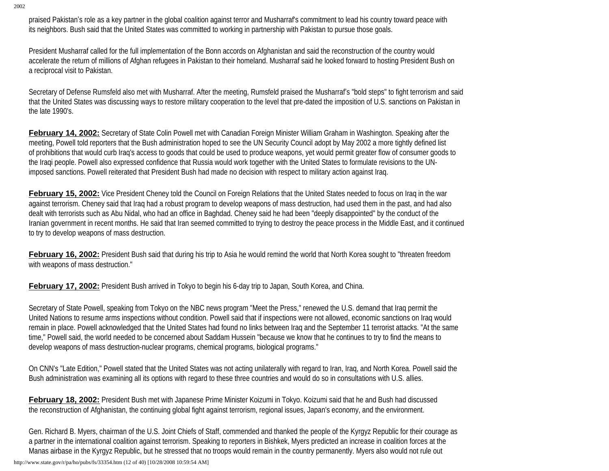praised Pakistan's role as a key partner in the global coalition against terror and Musharraf's commitment to lead his country toward peace with its neighbors. Bush said that the United States was committed to working in partnership with Pakistan to pursue those goals.

President Musharraf called for the full implementation of the Bonn accords on Afghanistan and said the reconstruction of the country would accelerate the return of millions of Afghan refugees in Pakistan to their homeland. Musharraf said he looked forward to hosting President Bush on a reciprocal visit to Pakistan.

Secretary of Defense Rumsfeld also met with Musharraf. After the meeting, Rumsfeld praised the Musharraf's "bold steps" to fight terrorism and said that the United States was discussing ways to restore military cooperation to the level that pre-dated the imposition of U.S. sanctions on Pakistan in the late 1990's.

**February 14, 2002:** Secretary of State Colin Powell met with Canadian Foreign Minister William Graham in Washington. Speaking after the meeting, Powell told reporters that the Bush administration hoped to see the UN Security Council adopt by May 2002 a more tightly defined list of prohibitions that would curb Iraq's access to goods that could be used to produce weapons, yet would permit greater flow of consumer goods to the Iraqi people. Powell also expressed confidence that Russia would work together with the United States to formulate revisions to the UNimposed sanctions. Powell reiterated that President Bush had made no decision with respect to military action against Iraq.

**February 15, 2002:** Vice President Cheney told the Council on Foreign Relations that the United States needed to focus on Iraq in the war against terrorism. Cheney said that Iraq had a robust program to develop weapons of mass destruction, had used them in the past, and had also dealt with terrorists such as Abu Nidal, who had an office in Baghdad. Cheney said he had been "deeply disappointed" by the conduct of the Iranian government in recent months. He said that Iran seemed committed to trying to destroy the peace process in the Middle East, and it continued to try to develop weapons of mass destruction.

February 16, 2002: President Bush said that during his trip to Asia he would remind the world that North Korea sought to "threaten freedom with weapons of mass destruction."

**February 17, 2002:** President Bush arrived in Tokyo to begin his 6-day trip to Japan, South Korea, and China.

Secretary of State Powell, speaking from Tokyo on the NBC news program "Meet the Press," renewed the U.S. demand that Iraq permit the United Nations to resume arms inspections without condition. Powell said that if inspections were not allowed, economic sanctions on Iraq would remain in place. Powell acknowledged that the United States had found no links between Iraq and the September 11 terrorist attacks. "At the same time," Powell said, the world needed to be concerned about Saddam Hussein "because we know that he continues to try to find the means to develop weapons of mass destruction-nuclear programs, chemical programs, biological programs."

On CNN's "Late Edition," Powell stated that the United States was not acting unilaterally with regard to Iran, Iraq, and North Korea. Powell said the Bush administration was examining all its options with regard to these three countries and would do so in consultations with U.S. allies.

**February 18, 2002:** President Bush met with Japanese Prime Minister Koizumi in Tokyo. Koizumi said that he and Bush had discussed the reconstruction of Afghanistan, the continuing global fight against terrorism, regional issues, Japan's economy, and the environment.

Gen. Richard B. Myers, chairman of the U.S. Joint Chiefs of Staff, commended and thanked the people of the Kyrgyz Republic for their courage as a partner in the international coalition against terrorism. Speaking to reporters in Bishkek, Myers predicted an increase in coalition forces at the Manas airbase in the Kyrgyz Republic, but he stressed that no troops would remain in the country permanently. Myers also would not rule out

http://www.state.gov/r/pa/ho/pubs/fs/33354.htm (12 of 40) [10/28/2008 10:59:54 AM]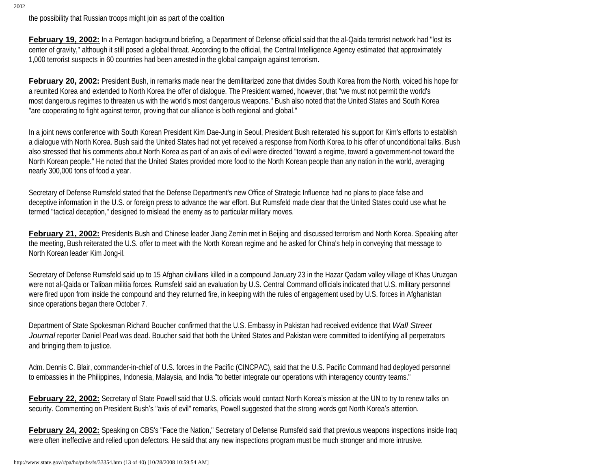the possibility that Russian troops might join as part of the coalition

**February 19, 2002:** In a Pentagon background briefing, a Department of Defense official said that the al-Qaida terrorist network had "lost its center of gravity," although it still posed a global threat. According to the official, the Central Intelligence Agency estimated that approximately 1,000 terrorist suspects in 60 countries had been arrested in the global campaign against terrorism.

**February 20, 2002:** President Bush, in remarks made near the demilitarized zone that divides South Korea from the North, voiced his hope for a reunited Korea and extended to North Korea the offer of dialogue. The President warned, however, that "we must not permit the world's most dangerous regimes to threaten us with the world's most dangerous weapons." Bush also noted that the United States and South Korea "are cooperating to fight against terror, proving that our alliance is both regional and global."

In a joint news conference with South Korean President Kim Dae-Jung in Seoul, President Bush reiterated his support for Kim's efforts to establish a dialogue with North Korea. Bush said the United States had not yet received a response from North Korea to his offer of unconditional talks. Bush also stressed that his comments about North Korea as part of an axis of evil were directed "toward a regime, toward a government-not toward the North Korean people." He noted that the United States provided more food to the North Korean people than any nation in the world, averaging nearly 300,000 tons of food a year.

Secretary of Defense Rumsfeld stated that the Defense Department's new Office of Strategic Influence had no plans to place false and deceptive information in the U.S. or foreign press to advance the war effort. But Rumsfeld made clear that the United States could use what he termed "tactical deception," designed to mislead the enemy as to particular military moves.

**February 21, 2002:** Presidents Bush and Chinese leader Jiang Zemin met in Beijing and discussed terrorism and North Korea. Speaking after the meeting, Bush reiterated the U.S. offer to meet with the North Korean regime and he asked for China's help in conveying that message to North Korean leader Kim Jong-il.

Secretary of Defense Rumsfeld said up to 15 Afghan civilians killed in a compound January 23 in the Hazar Qadam valley village of Khas Uruzgan were not al-Qaida or Taliban militia forces. Rumsfeld said an evaluation by U.S. Central Command officials indicated that U.S. military personnel were fired upon from inside the compound and they returned fire, in keeping with the rules of engagement used by U.S. forces in Afghanistan since operations began there October 7.

Department of State Spokesman Richard Boucher confirmed that the U.S. Embassy in Pakistan had received evidence that *Wall Street Journal* reporter Daniel Pearl was dead. Boucher said that both the United States and Pakistan were committed to identifying all perpetrators and bringing them to justice.

Adm. Dennis C. Blair, commander-in-chief of U.S. forces in the Pacific (CINCPAC), said that the U.S. Pacific Command had deployed personnel to embassies in the Philippines, Indonesia, Malaysia, and India "to better integrate our operations with interagency country teams."

February 22, 2002: Secretary of State Powell said that U.S. officials would contact North Korea's mission at the UN to try to renew talks on security. Commenting on President Bush's "axis of evil" remarks, Powell suggested that the strong words got North Korea's attention.

February 24, 2002: Speaking on CBS's "Face the Nation," Secretary of Defense Rumsfeld said that previous weapons inspections inside Iraq were often ineffective and relied upon defectors. He said that any new inspections program must be much stronger and more intrusive.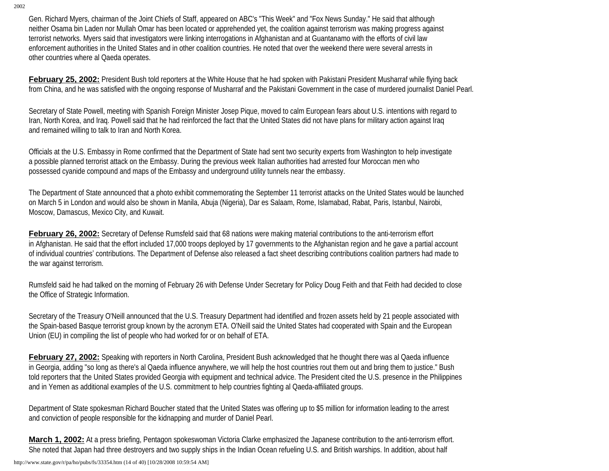Gen. Richard Myers, chairman of the Joint Chiefs of Staff, appeared on ABC's "This Week" and "Fox News Sunday." He said that although neither Osama bin Laden nor Mullah Omar has been located or apprehended yet, the coalition against terrorism was making progress against terrorist networks. Myers said that investigators were linking interrogations in Afghanistan and at Guantanamo with the efforts of civil law enforcement authorities in the United States and in other coalition countries. He noted that over the weekend there were several arrests in other countries where al Qaeda operates.

**February 25, 2002:** President Bush told reporters at the White House that he had spoken with Pakistani President Musharraf while flying back from China, and he was satisfied with the ongoing response of Musharraf and the Pakistani Government in the case of murdered journalist Daniel Pearl.

Secretary of State Powell, meeting with Spanish Foreign Minister Josep Pique, moved to calm European fears about U.S. intentions with regard to Iran, North Korea, and Iraq. Powell said that he had reinforced the fact that the United States did not have plans for military action against Iraq and remained willing to talk to Iran and North Korea.

Officials at the U.S. Embassy in Rome confirmed that the Department of State had sent two security experts from Washington to help investigate a possible planned terrorist attack on the Embassy. During the previous week Italian authorities had arrested four Moroccan men who possessed cyanide compound and maps of the Embassy and underground utility tunnels near the embassy.

The Department of State announced that a photo exhibit commemorating the September 11 terrorist attacks on the United States would be launched on March 5 in London and would also be shown in Manila, Abuja (Nigeria), Dar es Salaam, Rome, Islamabad, Rabat, Paris, Istanbul, Nairobi, Moscow, Damascus, Mexico City, and Kuwait.

**February 26, 2002:** Secretary of Defense Rumsfeld said that 68 nations were making material contributions to the anti-terrorism effort in Afghanistan. He said that the effort included 17,000 troops deployed by 17 governments to the Afghanistan region and he gave a partial account of individual countries' contributions. The Department of Defense also released a fact sheet describing contributions coalition partners had made to the war against terrorism.

Rumsfeld said he had talked on the morning of February 26 with Defense Under Secretary for Policy Doug Feith and that Feith had decided to close the Office of Strategic Information.

Secretary of the Treasury O'Neill announced that the U.S. Treasury Department had identified and frozen assets held by 21 people associated with the Spain-based Basque terrorist group known by the acronym ETA. O'Neill said the United States had cooperated with Spain and the European Union (EU) in compiling the list of people who had worked for or on behalf of ETA.

February 27, 2002: Speaking with reporters in North Carolina, President Bush acknowledged that he thought there was al Qaeda influence in Georgia, adding "so long as there's al Qaeda influence anywhere, we will help the host countries rout them out and bring them to justice." Bush told reporters that the United States provided Georgia with equipment and technical advice. The President cited the U.S. presence in the Philippines and in Yemen as additional examples of the U.S. commitment to help countries fighting al Qaeda-affiliated groups.

Department of State spokesman Richard Boucher stated that the United States was offering up to \$5 million for information leading to the arrest and conviction of people responsible for the kidnapping and murder of Daniel Pearl.

**March 1, 2002:** At a press briefing, Pentagon spokeswoman Victoria Clarke emphasized the Japanese contribution to the anti-terrorism effort. She noted that Japan had three destroyers and two supply ships in the Indian Ocean refueling U.S. and British warships. In addition, about half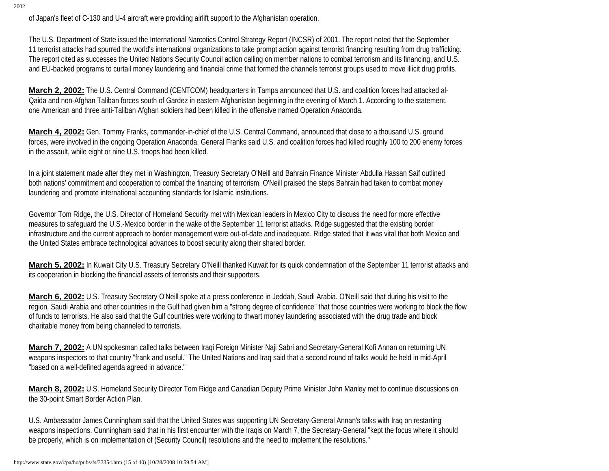of Japan's fleet of C-130 and U-4 aircraft were providing airlift support to the Afghanistan operation.

The U.S. Department of State issued the International Narcotics Control Strategy Report (INCSR) of 2001. The report noted that the September 11 terrorist attacks had spurred the world's international organizations to take prompt action against terrorist financing resulting from drug trafficking. The report cited as successes the United Nations Security Council action calling on member nations to combat terrorism and its financing, and U.S. and EU-backed programs to curtail money laundering and financial crime that formed the channels terrorist groups used to move illicit drug profits.

**March 2, 2002:** The U.S. Central Command (CENTCOM) headquarters in Tampa announced that U.S. and coalition forces had attacked al-Qaida and non-Afghan Taliban forces south of Gardez in eastern Afghanistan beginning in the evening of March 1. According to the statement, one American and three anti-Taliban Afghan soldiers had been killed in the offensive named Operation Anaconda.

**March 4, 2002:** Gen. Tommy Franks, commander-in-chief of the U.S. Central Command, announced that close to a thousand U.S. ground forces, were involved in the ongoing Operation Anaconda. General Franks said U.S. and coalition forces had killed roughly 100 to 200 enemy forces in the assault, while eight or nine U.S. troops had been killed.

In a joint statement made after they met in Washington, Treasury Secretary O'Neill and Bahrain Finance Minister Abdulla Hassan Saif outlined both nations' commitment and cooperation to combat the financing of terrorism. O'Neill praised the steps Bahrain had taken to combat money laundering and promote international accounting standards for Islamic institutions.

Governor Tom Ridge, the U.S. Director of Homeland Security met with Mexican leaders in Mexico City to discuss the need for more effective measures to safeguard the U.S.-Mexico border in the wake of the September 11 terrorist attacks. Ridge suggested that the existing border infrastructure and the current approach to border management were out-of-date and inadequate. Ridge stated that it was vital that both Mexico and the United States embrace technological advances to boost security along their shared border.

**March 5, 2002:** In Kuwait City U.S. Treasury Secretary O'Neill thanked Kuwait for its quick condemnation of the September 11 terrorist attacks and its cooperation in blocking the financial assets of terrorists and their supporters.

**March 6, 2002:** U.S. Treasury Secretary O'Neill spoke at a press conference in Jeddah, Saudi Arabia. O'Neill said that during his visit to the region, Saudi Arabia and other countries in the Gulf had given him a "strong degree of confidence" that those countries were working to block the flow of funds to terrorists. He also said that the Gulf countries were working to thwart money laundering associated with the drug trade and block charitable money from being channeled to terrorists.

**March 7, 2002:** A UN spokesman called talks between Iraqi Foreign Minister Naji Sabri and Secretary-General Kofi Annan on returning UN weapons inspectors to that country "frank and useful." The United Nations and Iraq said that a second round of talks would be held in mid-April "based on a well-defined agenda agreed in advance."

**March 8, 2002:** U.S. Homeland Security Director Tom Ridge and Canadian Deputy Prime Minister John Manley met to continue discussions on the 30-point Smart Border Action Plan.

U.S. Ambassador James Cunningham said that the United States was supporting UN Secretary-General Annan's talks with Iraq on restarting weapons inspections. Cunningham said that in his first encounter with the Iraqis on March 7, the Secretary-General "kept the focus where it should be properly, which is on implementation of (Security Council) resolutions and the need to implement the resolutions."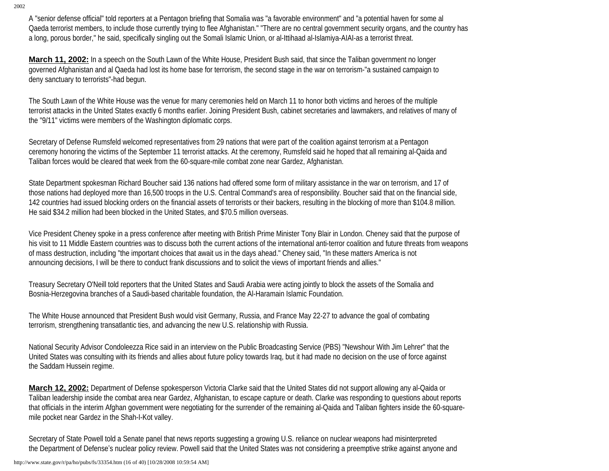A "senior defense official" told reporters at a Pentagon briefing that Somalia was "a favorable environment" and "a potential haven for some al Qaeda terrorist members, to include those currently trying to flee Afghanistan." "There are no central government security organs, and the country has a long, porous border," he said, specifically singling out the Somali Islamic Union, or al-Ittihaad al-Islamiya-AIAI-as a terrorist threat.

**March 11, 2002:** In a speech on the South Lawn of the White House, President Bush said, that since the Taliban government no longer governed Afghanistan and al Qaeda had lost its home base for terrorism, the second stage in the war on terrorism-"a sustained campaign to deny sanctuary to terrorists"-had begun.

The South Lawn of the White House was the venue for many ceremonies held on March 11 to honor both victims and heroes of the multiple terrorist attacks in the United States exactly 6 months earlier. Joining President Bush, cabinet secretaries and lawmakers, and relatives of many of the "9/11" victims were members of the Washington diplomatic corps.

Secretary of Defense Rumsfeld welcomed representatives from 29 nations that were part of the coalition against terrorism at a Pentagon ceremony honoring the victims of the September 11 terrorist attacks. At the ceremony, Rumsfeld said he hoped that all remaining al-Qaida and Taliban forces would be cleared that week from the 60-square-mile combat zone near Gardez, Afghanistan.

State Department spokesman Richard Boucher said 136 nations had offered some form of military assistance in the war on terrorism, and 17 of those nations had deployed more than 16,500 troops in the U.S. Central Command's area of responsibility. Boucher said that on the financial side, 142 countries had issued blocking orders on the financial assets of terrorists or their backers, resulting in the blocking of more than \$104.8 million. He said \$34.2 million had been blocked in the United States, and \$70.5 million overseas.

Vice President Cheney spoke in a press conference after meeting with British Prime Minister Tony Blair in London. Cheney said that the purpose of his visit to 11 Middle Eastern countries was to discuss both the current actions of the international anti-terror coalition and future threats from weapons of mass destruction, including "the important choices that await us in the days ahead." Cheney said, "In these matters America is not announcing decisions, I will be there to conduct frank discussions and to solicit the views of important friends and allies."

Treasury Secretary O'Neill told reporters that the United States and Saudi Arabia were acting jointly to block the assets of the Somalia and Bosnia-Herzegovina branches of a Saudi-based charitable foundation, the Al-Haramain Islamic Foundation.

The White House announced that President Bush would visit Germany, Russia, and France May 22-27 to advance the goal of combating terrorism, strengthening transatlantic ties, and advancing the new U.S. relationship with Russia.

National Security Advisor Condoleezza Rice said in an interview on the Public Broadcasting Service (PBS) "Newshour With Jim Lehrer" that the United States was consulting with its friends and allies about future policy towards Iraq, but it had made no decision on the use of force against the Saddam Hussein regime.

**March 12, 2002:** Department of Defense spokesperson Victoria Clarke said that the United States did not support allowing any al-Qaida or Taliban leadership inside the combat area near Gardez, Afghanistan, to escape capture or death. Clarke was responding to questions about reports that officials in the interim Afghan government were negotiating for the surrender of the remaining al-Qaida and Taliban fighters inside the 60-squaremile pocket near Gardez in the Shah-I-Kot valley.

Secretary of State Powell told a Senate panel that news reports suggesting a growing U.S. reliance on nuclear weapons had misinterpreted the Department of Defense's nuclear policy review. Powell said that the United States was not considering a preemptive strike against anyone and

http://www.state.gov/r/pa/ho/pubs/fs/33354.htm (16 of 40) [10/28/2008 10:59:54 AM]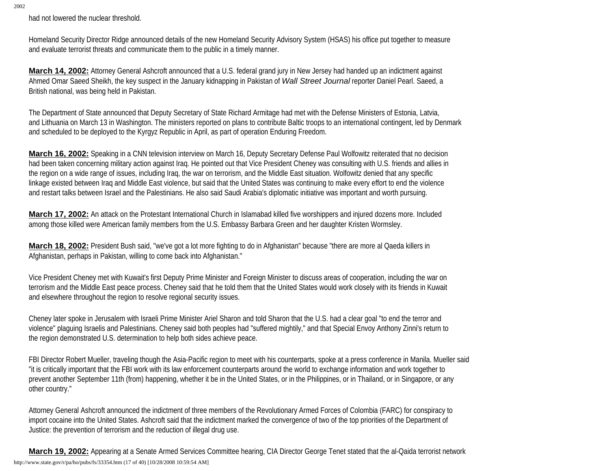had not lowered the nuclear threshold.

Homeland Security Director Ridge announced details of the new Homeland Security Advisory System (HSAS) his office put together to measure and evaluate terrorist threats and communicate them to the public in a timely manner.

**March 14, 2002:** Attorney General Ashcroft announced that a U.S. federal grand jury in New Jersey had handed up an indictment against Ahmed Omar Saeed Sheikh, the key suspect in the January kidnapping in Pakistan of *Wall Street Journal* reporter Daniel Pearl. Saeed, a British national, was being held in Pakistan.

The Department of State announced that Deputy Secretary of State Richard Armitage had met with the Defense Ministers of Estonia, Latvia, and Lithuania on March 13 in Washington. The ministers reported on plans to contribute Baltic troops to an international contingent, led by Denmark and scheduled to be deployed to the Kyrgyz Republic in April, as part of operation Enduring Freedom.

**March 16, 2002:** Speaking in a CNN television interview on March 16, Deputy Secretary Defense Paul Wolfowitz reiterated that no decision had been taken concerning military action against Iraq. He pointed out that Vice President Cheney was consulting with U.S. friends and allies in the region on a wide range of issues, including Iraq, the war on terrorism, and the Middle East situation. Wolfowitz denied that any specific linkage existed between Iraq and Middle East violence, but said that the United States was continuing to make every effort to end the violence and restart talks between Israel and the Palestinians. He also said Saudi Arabia's diplomatic initiative was important and worth pursuing.

**March 17, 2002:** An attack on the Protestant International Church in Islamabad killed five worshippers and injured dozens more. Included among those killed were American family members from the U.S. Embassy Barbara Green and her daughter Kristen Wormsley.

**March 18, 2002:** President Bush said, "we've got a lot more fighting to do in Afghanistan" because "there are more al Qaeda killers in Afghanistan, perhaps in Pakistan, willing to come back into Afghanistan."

Vice President Cheney met with Kuwait's first Deputy Prime Minister and Foreign Minister to discuss areas of cooperation, including the war on terrorism and the Middle East peace process. Cheney said that he told them that the United States would work closely with its friends in Kuwait and elsewhere throughout the region to resolve regional security issues.

Cheney later spoke in Jerusalem with Israeli Prime Minister Ariel Sharon and told Sharon that the U.S. had a clear goal "to end the terror and violence" plaguing Israelis and Palestinians. Cheney said both peoples had "suffered mightily," and that Special Envoy Anthony Zinni's return to the region demonstrated U.S. determination to help both sides achieve peace.

FBI Director Robert Mueller, traveling though the Asia-Pacific region to meet with his counterparts, spoke at a press conference in Manila. Mueller said "it is critically important that the FBI work with its law enforcement counterparts around the world to exchange information and work together to prevent another September 11th (from) happening, whether it be in the United States, or in the Philippines, or in Thailand, or in Singapore, or any other country."

Attorney General Ashcroft announced the indictment of three members of the Revolutionary Armed Forces of Colombia (FARC) for conspiracy to import cocaine into the United States. Ashcroft said that the indictment marked the convergence of two of the top priorities of the Department of Justice: the prevention of terrorism and the reduction of illegal drug use.

**March 19, 2002:** Appearing at a Senate Armed Services Committee hearing, CIA Director George Tenet stated that the al-Qaida terrorist network http://www.state.gov/r/pa/ho/pubs/fs/33354.htm (17 of 40) [10/28/2008 10:59:54 AM]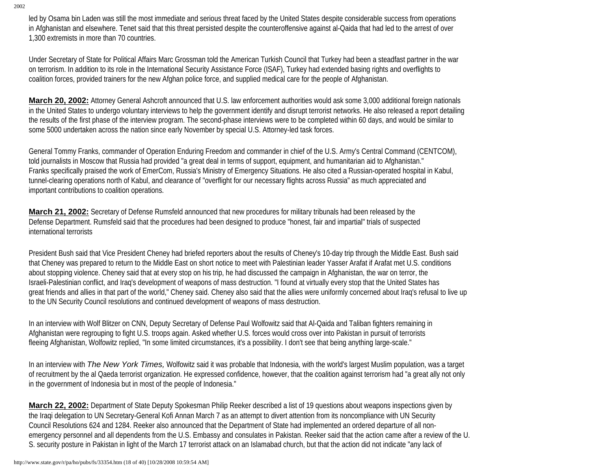led by Osama bin Laden was still the most immediate and serious threat faced by the United States despite considerable success from operations in Afghanistan and elsewhere. Tenet said that this threat persisted despite the counteroffensive against al-Qaida that had led to the arrest of over 1,300 extremists in more than 70 countries.

Under Secretary of State for Political Affairs Marc Grossman told the American Turkish Council that Turkey had been a steadfast partner in the war on terrorism. In addition to its role in the International Security Assistance Force (ISAF), Turkey had extended basing rights and overflights to coalition forces, provided trainers for the new Afghan police force, and supplied medical care for the people of Afghanistan.

**March 20, 2002:** Attorney General Ashcroft announced that U.S. law enforcement authorities would ask some 3,000 additional foreign nationals in the United States to undergo voluntary interviews to help the government identify and disrupt terrorist networks. He also released a report detailing the results of the first phase of the interview program. The second-phase interviews were to be completed within 60 days, and would be similar to some 5000 undertaken across the nation since early November by special U.S. Attorney-led task forces.

General Tommy Franks, commander of Operation Enduring Freedom and commander in chief of the U.S. Army's Central Command (CENTCOM), told journalists in Moscow that Russia had provided "a great deal in terms of support, equipment, and humanitarian aid to Afghanistan." Franks specifically praised the work of EmerCom, Russia's Ministry of Emergency Situations. He also cited a Russian-operated hospital in Kabul, tunnel-clearing operations north of Kabul, and clearance of "overflight for our necessary flights across Russia" as much appreciated and important contributions to coalition operations.

**March 21, 2002:** Secretary of Defense Rumsfeld announced that new procedures for military tribunals had been released by the Defense Department. Rumsfeld said that the procedures had been designed to produce "honest, fair and impartial" trials of suspected international terrorists

President Bush said that Vice President Cheney had briefed reporters about the results of Cheney's 10-day trip through the Middle East. Bush said that Cheney was prepared to return to the Middle East on short notice to meet with Palestinian leader Yasser Arafat if Arafat met U.S. conditions about stopping violence. Cheney said that at every stop on his trip, he had discussed the campaign in Afghanistan, the war on terror, the Israeli-Palestinian conflict, and Iraq's development of weapons of mass destruction. "I found at virtually every stop that the United States has great friends and allies in that part of the world," Cheney said. Cheney also said that the allies were uniformly concerned about Iraq's refusal to live up to the UN Security Council resolutions and continued development of weapons of mass destruction.

In an interview with Wolf Blitzer on CNN, Deputy Secretary of Defense Paul Wolfowitz said that Al-Qaida and Taliban fighters remaining in Afghanistan were regrouping to fight U.S. troops again. Asked whether U.S. forces would cross over into Pakistan in pursuit of terrorists fleeing Afghanistan, Wolfowitz replied, "In some limited circumstances, it's a possibility. I don't see that being anything large-scale."

In an interview with *The New York Times,* Wolfowitz said it was probable that Indonesia, with the world's largest Muslim population, was a target of recruitment by the al Qaeda terrorist organization. He expressed confidence, however, that the coalition against terrorism had "a great ally not only in the government of Indonesia but in most of the people of Indonesia."

**March 22, 2002:** Department of State Deputy Spokesman Philip Reeker described a list of 19 questions about weapons inspections given by the Iraqi delegation to UN Secretary-General Kofi Annan March 7 as an attempt to divert attention from its noncompliance with UN Security Council Resolutions 624 and 1284. Reeker also announced that the Department of State had implemented an ordered departure of all nonemergency personnel and all dependents from the U.S. Embassy and consulates in Pakistan. Reeker said that the action came after a review of the U. S. security posture in Pakistan in light of the March 17 terrorist attack on an Islamabad church, but that the action did not indicate "any lack of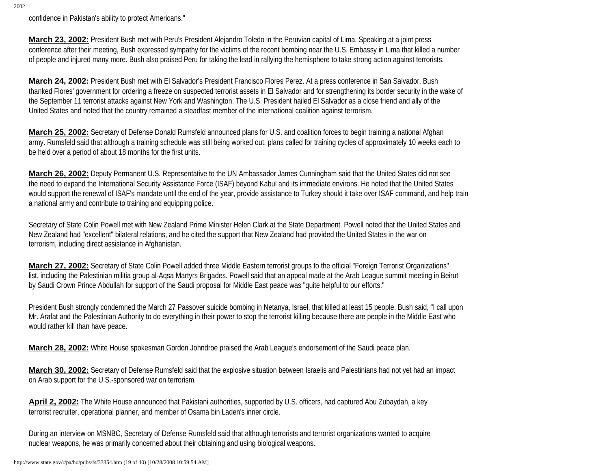confidence in Pakistan's ability to protect Americans."

**March 23, 2002:** President Bush met with Peru's President Alejandro Toledo in the Peruvian capital of Lima. Speaking at a joint press conference after their meeting, Bush expressed sympathy for the victims of the recent bombing near the U.S. Embassy in Lima that killed a number of people and injured many more. Bush also praised Peru for taking the lead in rallying the hemisphere to take strong action against terrorists.

**March 24, 2002:** President Bush met with El Salvador's President Francisco Flores Perez. At a press conference in San Salvador, Bush thanked Flores' government for ordering a freeze on suspected terrorist assets in El Salvador and for strengthening its border security in the wake of the September 11 terrorist attacks against New York and Washington. The U.S. President hailed El Salvador as a close friend and ally of the United States and noted that the country remained a steadfast member of the international coalition against terrorism.

**March 25, 2002:** Secretary of Defense Donald Rumsfeld announced plans for U.S. and coalition forces to begin training a national Afghan army. Rumsfeld said that although a training schedule was still being worked out, plans called for training cycles of approximately 10 weeks each to be held over a period of about 18 months for the first units.

**March 26, 2002:** Deputy Permanent U.S. Representative to the UN Ambassador James Cunningham said that the United States did not see the need to expand the International Security Assistance Force (ISAF) beyond Kabul and its immediate environs. He noted that the United States would support the renewal of ISAF's mandate until the end of the year, provide assistance to Turkey should it take over ISAF command, and help train a national army and contribute to training and equipping police.

Secretary of State Colin Powell met with New Zealand Prime Minister Helen Clark at the State Department. Powell noted that the United States and New Zealand had "excellent" bilateral relations, and he cited the support that New Zealand had provided the United States in the war on terrorism, including direct assistance in Afghanistan.

**March 27, 2002:** Secretary of State Colin Powell added three Middle Eastern terrorist groups to the official "Foreign Terrorist Organizations" list, including the Palestinian militia group al-Aqsa Martyrs Brigades. Powell said that an appeal made at the Arab League summit meeting in Beirut by Saudi Crown Prince Abdullah for support of the Saudi proposal for Middle East peace was "quite helpful to our efforts."

President Bush strongly condemned the March 27 Passover suicide bombing in Netanya, Israel, that killed at least 15 people. Bush said, "I call upon Mr. Arafat and the Palestinian Authority to do everything in their power to stop the terrorist killing because there are people in the Middle East who would rather kill than have peace.

**March 28, 2002:** White House spokesman Gordon Johndroe praised the Arab League's endorsement of the Saudi peace plan.

**March 30, 2002:** Secretary of Defense Rumsfeld said that the explosive situation between Israelis and Palestinians had not yet had an impact on Arab support for the U.S.-sponsored war on terrorism.

April 2, 2002: The White House announced that Pakistani authorities, supported by U.S. officers, had captured Abu Zubaydah, a key terrorist recruiter, operational planner, and member of Osama bin Laden's inner circle.

During an interview on MSNBC, Secretary of Defense Rumsfeld said that although terrorists and terrorist organizations wanted to acquire nuclear weapons, he was primarily concerned about their obtaining and using biological weapons.

http://www.state.gov/r/pa/ho/pubs/fs/33354.htm (19 of 40) [10/28/2008 10:59:54 AM]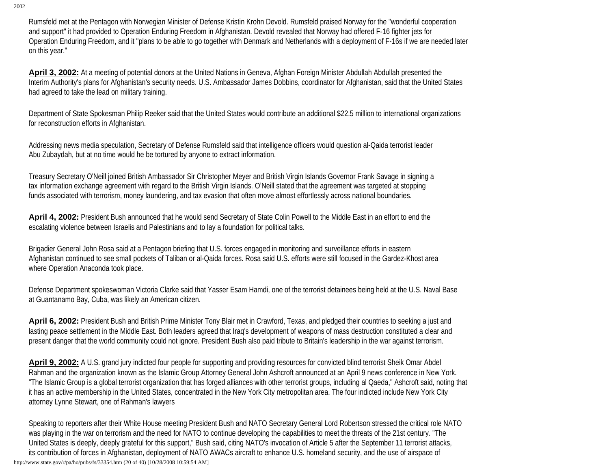Rumsfeld met at the Pentagon with Norwegian Minister of Defense Kristin Krohn Devold. Rumsfeld praised Norway for the "wonderful cooperation and support" it had provided to Operation Enduring Freedom in Afghanistan. Devold revealed that Norway had offered F-16 fighter jets for Operation Enduring Freedom, and it "plans to be able to go together with Denmark and Netherlands with a deployment of F-16s if we are needed later on this year."

**April 3, 2002:** At a meeting of potential donors at the United Nations in Geneva, Afghan Foreign Minister Abdullah Abdullah presented the Interim Authority's plans for Afghanistan's security needs. U.S. Ambassador James Dobbins, coordinator for Afghanistan, said that the United States had agreed to take the lead on military training.

Department of State Spokesman Philip Reeker said that the United States would contribute an additional \$22.5 million to international organizations for reconstruction efforts in Afghanistan.

Addressing news media speculation, Secretary of Defense Rumsfeld said that intelligence officers would question al-Qaida terrorist leader Abu Zubaydah, but at no time would he be tortured by anyone to extract information.

Treasury Secretary O'Neill joined British Ambassador Sir Christopher Meyer and British Virgin Islands Governor Frank Savage in signing a tax information exchange agreement with regard to the British Virgin Islands. O'Neill stated that the agreement was targeted at stopping funds associated with terrorism, money laundering, and tax evasion that often move almost effortlessly across national boundaries.

**April 4, 2002:** President Bush announced that he would send Secretary of State Colin Powell to the Middle East in an effort to end the escalating violence between Israelis and Palestinians and to lay a foundation for political talks.

Brigadier General John Rosa said at a Pentagon briefing that U.S. forces engaged in monitoring and surveillance efforts in eastern Afghanistan continued to see small pockets of Taliban or al-Qaida forces. Rosa said U.S. efforts were still focused in the Gardez-Khost area where Operation Anaconda took place.

Defense Department spokeswoman Victoria Clarke said that Yasser Esam Hamdi, one of the terrorist detainees being held at the U.S. Naval Base at Guantanamo Bay, Cuba, was likely an American citizen.

**April 6, 2002:** President Bush and British Prime Minister Tony Blair met in Crawford, Texas, and pledged their countries to seeking a just and lasting peace settlement in the Middle East. Both leaders agreed that Iraq's development of weapons of mass destruction constituted a clear and present danger that the world community could not ignore. President Bush also paid tribute to Britain's leadership in the war against terrorism.

**April 9, 2002:** A U.S. grand jury indicted four people for supporting and providing resources for convicted blind terrorist Sheik Omar Abdel Rahman and the organization known as the Islamic Group Attorney General John Ashcroft announced at an April 9 news conference in New York. "The Islamic Group is a global terrorist organization that has forged alliances with other terrorist groups, including al Qaeda," Ashcroft said, noting that it has an active membership in the United States, concentrated in the New York City metropolitan area. The four indicted include New York City attorney Lynne Stewart, one of Rahman's lawyers

Speaking to reporters after their White House meeting President Bush and NATO Secretary General Lord Robertson stressed the critical role NATO was playing in the war on terrorism and the need for NATO to continue developing the capabilities to meet the threats of the 21st century. "The United States is deeply, deeply grateful for this support," Bush said, citing NATO's invocation of Article 5 after the September 11 terrorist attacks, its contribution of forces in Afghanistan, deployment of NATO AWACs aircraft to enhance U.S. homeland security, and the use of airspace of http://www.state.gov/r/pa/ho/pubs/fs/33354.htm (20 of 40) [10/28/2008 10:59:54 AM]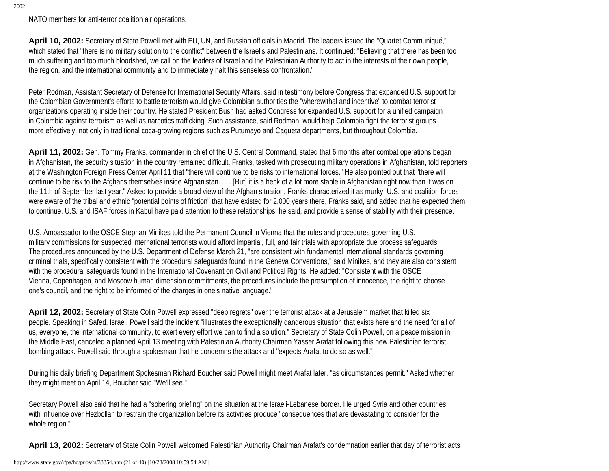NATO members for anti-terror coalition air operations.

April 10, 2002: Secretary of State Powell met with EU, UN, and Russian officials in Madrid. The leaders issued the "Quartet Communiqué," which stated that "there is no military solution to the conflict" between the Israelis and Palestinians. It continued: "Believing that there has been too much suffering and too much bloodshed, we call on the leaders of Israel and the Palestinian Authority to act in the interests of their own people, the region, and the international community and to immediately halt this senseless confrontation."

Peter Rodman, Assistant Secretary of Defense for International Security Affairs, said in testimony before Congress that expanded U.S. support for the Colombian Government's efforts to battle terrorism would give Colombian authorities the "wherewithal and incentive" to combat terrorist organizations operating inside their country. He stated President Bush had asked Congress for expanded U.S. support for a unified campaign in Colombia against terrorism as well as narcotics trafficking. Such assistance, said Rodman, would help Colombia fight the terrorist groups more effectively, not only in traditional coca-growing regions such as Putumayo and Caqueta departments, but throughout Colombia.

**April 11, 2002:** Gen. Tommy Franks, commander in chief of the U.S. Central Command, stated that 6 months after combat operations began in Afghanistan, the security situation in the country remained difficult. Franks, tasked with prosecuting military operations in Afghanistan, told reporters at the Washington Foreign Press Center April 11 that "there will continue to be risks to international forces." He also pointed out that "there will continue to be risk to the Afghans themselves inside Afghanistan. . . . [But] it is a heck of a lot more stable in Afghanistan right now than it was on the 11th of September last year." Asked to provide a broad view of the Afghan situation, Franks characterized it as murky. U.S. and coalition forces were aware of the tribal and ethnic "potential points of friction" that have existed for 2,000 years there, Franks said, and added that he expected them to continue. U.S. and ISAF forces in Kabul have paid attention to these relationships, he said, and provide a sense of stability with their presence.

U.S. Ambassador to the OSCE Stephan Minikes told the Permanent Council in Vienna that the rules and procedures governing U.S. military commissions for suspected international terrorists would afford impartial, full, and fair trials with appropriate due process safeguards The procedures announced by the U.S. Department of Defense March 21, "are consistent with fundamental international standards governing criminal trials, specifically consistent with the procedural safeguards found in the Geneva Conventions," said Minikes, and they are also consistent with the procedural safeguards found in the International Covenant on Civil and Political Rights. He added: "Consistent with the OSCE Vienna, Copenhagen, and Moscow human dimension commitments, the procedures include the presumption of innocence, the right to choose one's council, and the right to be informed of the charges in one's native language."

**April 12, 2002:** Secretary of State Colin Powell expressed "deep regrets" over the terrorist attack at a Jerusalem market that killed six people. Speaking in Safed, Israel, Powell said the incident "illustrates the exceptionally dangerous situation that exists here and the need for all of us, everyone, the international community, to exert every effort we can to find a solution." Secretary of State Colin Powell, on a peace mission in the Middle East, canceled a planned April 13 meeting with Palestinian Authority Chairman Yasser Arafat following this new Palestinian terrorist bombing attack. Powell said through a spokesman that he condemns the attack and "expects Arafat to do so as well."

During his daily briefing Department Spokesman Richard Boucher said Powell might meet Arafat later, "as circumstances permit." Asked whether they might meet on April 14, Boucher said "We'll see."

Secretary Powell also said that he had a "sobering briefing" on the situation at the Israeli-Lebanese border. He urged Syria and other countries with influence over Hezbollah to restrain the organization before its activities produce "consequences that are devastating to consider for the whole region."

**April 13, 2002:** Secretary of State Colin Powell welcomed Palestinian Authority Chairman Arafat's condemnation earlier that day of terrorist acts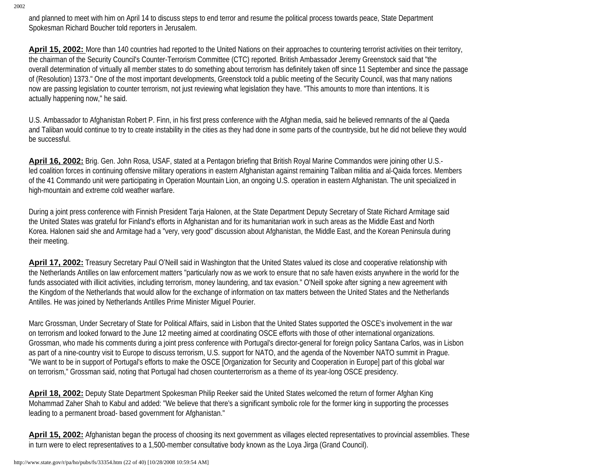and planned to meet with him on April 14 to discuss steps to end terror and resume the political process towards peace, State Department Spokesman Richard Boucher told reporters in Jerusalem.

**April 15, 2002:** More than 140 countries had reported to the United Nations on their approaches to countering terrorist activities on their territory, the chairman of the Security Council's Counter-Terrorism Committee (CTC) reported. British Ambassador Jeremy Greenstock said that "the overall determination of virtually all member states to do something about terrorism has definitely taken off since 11 September and since the passage of (Resolution) 1373." One of the most important developments, Greenstock told a public meeting of the Security Council, was that many nations now are passing legislation to counter terrorism, not just reviewing what legislation they have. "This amounts to more than intentions. It is actually happening now," he said.

U.S. Ambassador to Afghanistan Robert P. Finn, in his first press conference with the Afghan media, said he believed remnants of the al Qaeda and Taliban would continue to try to create instability in the cities as they had done in some parts of the countryside, but he did not believe they would be successful.

**April 16, 2002:** Brig. Gen. John Rosa, USAF, stated at a Pentagon briefing that British Royal Marine Commandos were joining other U.S. led coalition forces in continuing offensive military operations in eastern Afghanistan against remaining Taliban militia and al-Qaida forces. Members of the 41 Commando unit were participating in Operation Mountain Lion, an ongoing U.S. operation in eastern Afghanistan. The unit specialized in high-mountain and extreme cold weather warfare.

During a joint press conference with Finnish President Tarja Halonen, at the State Department Deputy Secretary of State Richard Armitage said the United States was grateful for Finland's efforts in Afghanistan and for its humanitarian work in such areas as the Middle East and North Korea. Halonen said she and Armitage had a "very, very good" discussion about Afghanistan, the Middle East, and the Korean Peninsula during their meeting.

April 17, 2002: Treasury Secretary Paul O'Neill said in Washington that the United States valued its close and cooperative relationship with the Netherlands Antilles on law enforcement matters "particularly now as we work to ensure that no safe haven exists anywhere in the world for the funds associated with illicit activities, including terrorism, money laundering, and tax evasion." O'Neill spoke after signing a new agreement with the Kingdom of the Netherlands that would allow for the exchange of information on tax matters between the United States and the Netherlands Antilles. He was joined by Netherlands Antilles Prime Minister Miguel Pourier.

Marc Grossman, Under Secretary of State for Political Affairs, said in Lisbon that the United States supported the OSCE's involvement in the war on terrorism and looked forward to the June 12 meeting aimed at coordinating OSCE efforts with those of other international organizations. Grossman, who made his comments during a joint press conference with Portugal's director-general for foreign policy Santana Carlos, was in Lisbon as part of a nine-country visit to Europe to discuss terrorism, U.S. support for NATO, and the agenda of the November NATO summit in Prague. "We want to be in support of Portugal's efforts to make the OSCE [Organization for Security and Cooperation in Europe] part of this global war on terrorism," Grossman said, noting that Portugal had chosen counterterrorism as a theme of its year-long OSCE presidency.

**April 18, 2002:** Deputy State Department Spokesman Philip Reeker said the United States welcomed the return of former Afghan King Mohammad Zaher Shah to Kabul and added: "We believe that there's a significant symbolic role for the former king in supporting the processes leading to a permanent broad- based government for Afghanistan."

April 15, 2002: Afghanistan began the process of choosing its next government as villages elected representatives to provincial assemblies. These in turn were to elect representatives to a 1,500-member consultative body known as the Loya Jirga (Grand Council).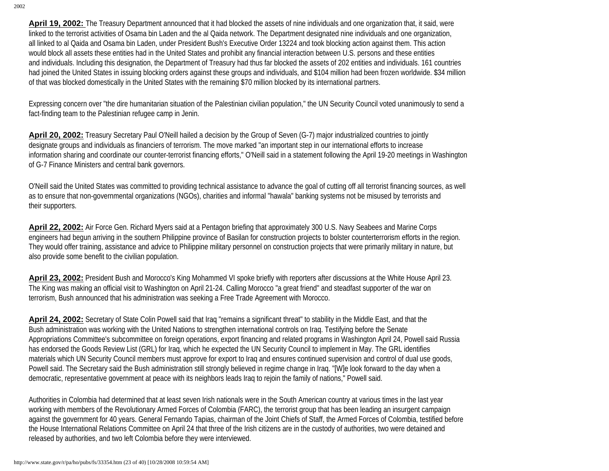**April 19, 2002:** The Treasury Department announced that it had blocked the assets of nine individuals and one organization that, it said, were linked to the terrorist activities of Osama bin Laden and the al Qaida network. The Department designated nine individuals and one organization, all linked to al Qaida and Osama bin Laden, under President Bush's Executive Order 13224 and took blocking action against them. This action would block all assets these entities had in the United States and prohibit any financial interaction between U.S. persons and these entities and individuals. Including this designation, the Department of Treasury had thus far blocked the assets of 202 entities and individuals. 161 countries had joined the United States in issuing blocking orders against these groups and individuals, and \$104 million had been frozen worldwide. \$34 million of that was blocked domestically in the United States with the remaining \$70 million blocked by its international partners.

Expressing concern over "the dire humanitarian situation of the Palestinian civilian population," the UN Security Council voted unanimously to send a fact-finding team to the Palestinian refugee camp in Jenin.

**April 20, 2002:** Treasury Secretary Paul O'Neill hailed a decision by the Group of Seven (G-7) major industrialized countries to jointly designate groups and individuals as financiers of terrorism. The move marked "an important step in our international efforts to increase information sharing and coordinate our counter-terrorist financing efforts," O'Neill said in a statement following the April 19-20 meetings in Washington of G-7 Finance Ministers and central bank governors.

O'Neill said the United States was committed to providing technical assistance to advance the goal of cutting off all terrorist financing sources, as well as to ensure that non-governmental organizations (NGOs), charities and informal "hawala" banking systems not be misused by terrorists and their supporters.

**April 22, 2002:** Air Force Gen. Richard Myers said at a Pentagon briefing that approximately 300 U.S. Navy Seabees and Marine Corps engineers had begun arriving in the southern Philippine province of Basilan for construction projects to bolster counterterrorism efforts in the region. They would offer training, assistance and advice to Philippine military personnel on construction projects that were primarily military in nature, but also provide some benefit to the civilian population.

**April 23, 2002:** President Bush and Morocco's King Mohammed VI spoke briefly with reporters after discussions at the White House April 23. The King was making an official visit to Washington on April 21-24. Calling Morocco "a great friend" and steadfast supporter of the war on terrorism, Bush announced that his administration was seeking a Free Trade Agreement with Morocco.

**April 24, 2002:** Secretary of State Colin Powell said that Iraq "remains a significant threat" to stability in the Middle East, and that the Bush administration was working with the United Nations to strengthen international controls on Iraq. Testifying before the Senate Appropriations Committee's subcommittee on foreign operations, export financing and related programs in Washington April 24, Powell said Russia has endorsed the Goods Review List (GRL) for Iraq, which he expected the UN Security Council to implement in May. The GRL identifies materials which UN Security Council members must approve for export to Iraq and ensures continued supervision and control of dual use goods, Powell said. The Secretary said the Bush administration still strongly believed in regime change in Iraq. "[W]e look forward to the day when a democratic, representative government at peace with its neighbors leads Iraq to rejoin the family of nations," Powell said.

Authorities in Colombia had determined that at least seven Irish nationals were in the South American country at various times in the last year working with members of the Revolutionary Armed Forces of Colombia (FARC), the terrorist group that has been leading an insurgent campaign against the government for 40 years. General Fernando Tapias, chairman of the Joint Chiefs of Staff, the Armed Forces of Colombia, testified before the House International Relations Committee on April 24 that three of the Irish citizens are in the custody of authorities, two were detained and released by authorities, and two left Colombia before they were interviewed.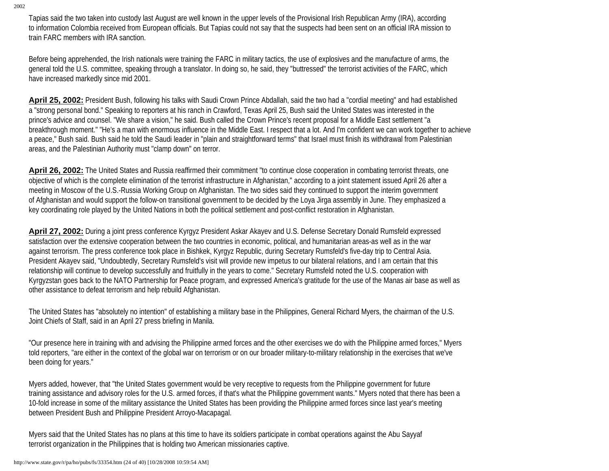Tapias said the two taken into custody last August are well known in the upper levels of the Provisional Irish Republican Army (IRA), according to information Colombia received from European officials. But Tapias could not say that the suspects had been sent on an official IRA mission to train FARC members with IRA sanction.

Before being apprehended, the Irish nationals were training the FARC in military tactics, the use of explosives and the manufacture of arms, the general told the U.S. committee, speaking through a translator. In doing so, he said, they "buttressed" the terrorist activities of the FARC, which have increased markedly since mid 2001.

**April 25, 2002:** President Bush, following his talks with Saudi Crown Prince Abdallah, said the two had a "cordial meeting" and had established a "strong personal bond." Speaking to reporters at his ranch in Crawford, Texas April 25, Bush said the United States was interested in the prince's advice and counsel. "We share a vision," he said. Bush called the Crown Prince's recent proposal for a Middle East settlement "a breakthrough moment." "He's a man with enormous influence in the Middle East. I respect that a lot. And I'm confident we can work together to achieve a peace," Bush said. Bush said he told the Saudi leader in "plain and straightforward terms" that Israel must finish its withdrawal from Palestinian areas, and the Palestinian Authority must "clamp down" on terror.

**April 26, 2002:** The United States and Russia reaffirmed their commitment "to continue close cooperation in combating terrorist threats, one objective of which is the complete elimination of the terrorist infrastructure in Afghanistan," according to a joint statement issued April 26 after a meeting in Moscow of the U.S.-Russia Working Group on Afghanistan. The two sides said they continued to support the interim government of Afghanistan and would support the follow-on transitional government to be decided by the Loya Jirga assembly in June. They emphasized a key coordinating role played by the United Nations in both the political settlement and post-conflict restoration in Afghanistan.

**April 27, 2002:** During a joint press conference Kyrgyz President Askar Akayev and U.S. Defense Secretary Donald Rumsfeld expressed satisfaction over the extensive cooperation between the two countries in economic, political, and humanitarian areas-as well as in the war against terrorism. The press conference took place in Bishkek, Kyrgyz Republic, during Secretary Rumsfeld's five-day trip to Central Asia. President Akayev said, "Undoubtedly, Secretary Rumsfeld's visit will provide new impetus to our bilateral relations, and I am certain that this relationship will continue to develop successfully and fruitfully in the years to come." Secretary Rumsfeld noted the U.S. cooperation with Kyrgyzstan goes back to the NATO Partnership for Peace program, and expressed America's gratitude for the use of the Manas air base as well as other assistance to defeat terrorism and help rebuild Afghanistan.

The United States has "absolutely no intention" of establishing a military base in the Philippines, General Richard Myers, the chairman of the U.S. Joint Chiefs of Staff, said in an April 27 press briefing in Manila.

"Our presence here in training with and advising the Philippine armed forces and the other exercises we do with the Philippine armed forces," Myers told reporters, "are either in the context of the global war on terrorism or on our broader military-to-military relationship in the exercises that we've been doing for years."

Myers added, however, that "the United States government would be very receptive to requests from the Philippine government for future training assistance and advisory roles for the U.S. armed forces, if that's what the Philippine government wants." Myers noted that there has been a 10-fold increase in some of the military assistance the United States has been providing the Philippine armed forces since last year's meeting between President Bush and Philippine President Arroyo-Macapagal.

Myers said that the United States has no plans at this time to have its soldiers participate in combat operations against the Abu Sayyaf terrorist organization in the Philippines that is holding two American missionaries captive.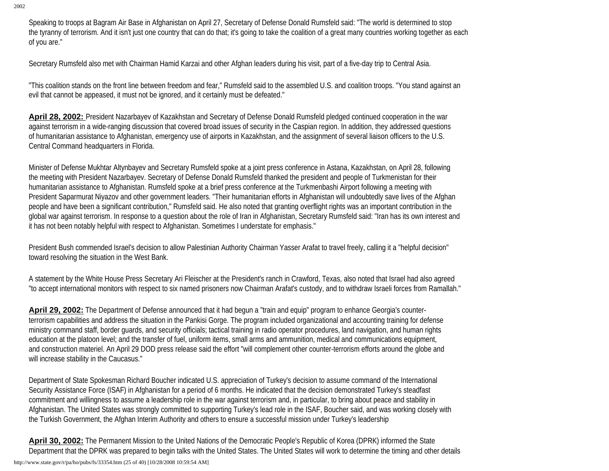Speaking to troops at Bagram Air Base in Afghanistan on April 27, Secretary of Defense Donald Rumsfeld said: "The world is determined to stop the tyranny of terrorism. And it isn't just one country that can do that; it's going to take the coalition of a great many countries working together as each of you are."

Secretary Rumsfeld also met with Chairman Hamid Karzai and other Afghan leaders during his visit, part of a five-day trip to Central Asia.

"This coalition stands on the front line between freedom and fear," Rumsfeld said to the assembled U.S. and coalition troops. "You stand against an evil that cannot be appeased, it must not be ignored, and it certainly must be defeated."

**April 28, 2002:** President Nazarbayev of Kazakhstan and Secretary of Defense Donald Rumsfeld pledged continued cooperation in the war against terrorism in a wide-ranging discussion that covered broad issues of security in the Caspian region. In addition, they addressed questions of humanitarian assistance to Afghanistan, emergency use of airports in Kazakhstan, and the assignment of several liaison officers to the U.S. Central Command headquarters in Florida.

Minister of Defense Mukhtar Altynbayev and Secretary Rumsfeld spoke at a joint press conference in Astana, Kazakhstan, on April 28, following the meeting with President Nazarbayev. Secretary of Defense Donald Rumsfeld thanked the president and people of Turkmenistan for their humanitarian assistance to Afghanistan. Rumsfeld spoke at a brief press conference at the Turkmenbashi Airport following a meeting with President Saparmurat Niyazov and other government leaders. "Their humanitarian efforts in Afghanistan will undoubtedly save lives of the Afghan people and have been a significant contribution," Rumsfeld said. He also noted that granting overflight rights was an important contribution in the global war against terrorism. In response to a question about the role of Iran in Afghanistan, Secretary Rumsfeld said: "Iran has its own interest and it has not been notably helpful with respect to Afghanistan. Sometimes I understate for emphasis."

President Bush commended Israel's decision to allow Palestinian Authority Chairman Yasser Arafat to travel freely, calling it a "helpful decision" toward resolving the situation in the West Bank.

A statement by the White House Press Secretary Ari Fleischer at the President's ranch in Crawford, Texas, also noted that Israel had also agreed "to accept international monitors with respect to six named prisoners now Chairman Arafat's custody, and to withdraw Israeli forces from Ramallah."

**April 29, 2002:** The Department of Defense announced that it had begun a "train and equip" program to enhance Georgia's counterterrorism capabilities and address the situation in the Pankisi Gorge. The program included organizational and accounting training for defense ministry command staff, border guards, and security officials; tactical training in radio operator procedures, land navigation, and human rights education at the platoon level; and the transfer of fuel, uniform items, small arms and ammunition, medical and communications equipment, and construction materiel. An April 29 DOD press release said the effort "will complement other counter-terrorism efforts around the globe and will increase stability in the Caucasus."

Department of State Spokesman Richard Boucher indicated U.S. appreciation of Turkey's decision to assume command of the International Security Assistance Force (ISAF) in Afghanistan for a period of 6 months. He indicated that the decision demonstrated Turkey's steadfast commitment and willingness to assume a leadership role in the war against terrorism and, in particular, to bring about peace and stability in Afghanistan. The United States was strongly committed to supporting Turkey's lead role in the ISAF, Boucher said, and was working closely with the Turkish Government, the Afghan Interim Authority and others to ensure a successful mission under Turkey's leadership

**April 30, 2002:** The Permanent Mission to the United Nations of the Democratic People's Republic of Korea (DPRK) informed the State Department that the DPRK was prepared to begin talks with the United States. The United States will work to determine the timing and other details http://www.state.gov/r/pa/ho/pubs/fs/33354.htm (25 of 40) [10/28/2008 10:59:54 AM]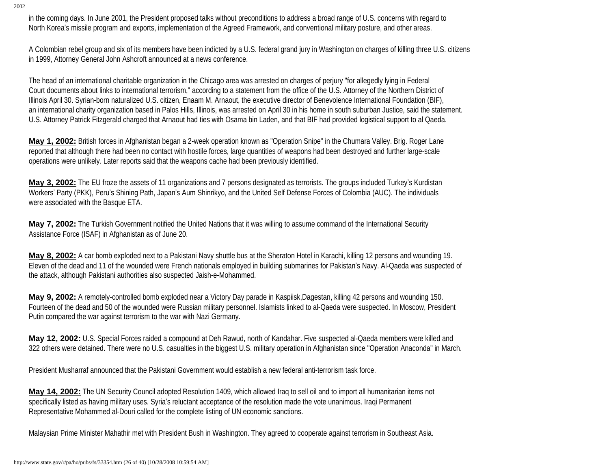in the coming days. In June 2001, the President proposed talks without preconditions to address a broad range of U.S. concerns with regard to North Korea's missile program and exports, implementation of the Agreed Framework, and conventional military posture, and other areas.

A Colombian rebel group and six of its members have been indicted by a U.S. federal grand jury in Washington on charges of killing three U.S. citizens in 1999, Attorney General John Ashcroft announced at a news conference.

The head of an international charitable organization in the Chicago area was arrested on charges of perjury "for allegedly lying in Federal Court documents about links to international terrorism," according to a statement from the office of the U.S. Attorney of the Northern District of Illinois April 30. Syrian-born naturalized U.S. citizen, Enaam M. Arnaout, the executive director of Benevolence International Foundation (BIF), an international charity organization based in Palos Hills, Illinois, was arrested on April 30 in his home in south suburban Justice, said the statement. U.S. Attorney Patrick Fitzgerald charged that Arnaout had ties with Osama bin Laden, and that BIF had provided logistical support to al Qaeda.

**May 1, 2002:** British forces in Afghanistan began a 2-week operation known as "Operation Snipe" in the Chumara Valley. Brig. Roger Lane reported that although there had been no contact with hostile forces, large quantities of weapons had been destroyed and further large-scale operations were unlikely. Later reports said that the weapons cache had been previously identified.

**May 3, 2002:** The EU froze the assets of 11 organizations and 7 persons designated as terrorists. The groups included Turkey's Kurdistan Workers' Party (PKK), Peru's Shining Path, Japan's Aum Shinrikyo, and the United Self Defense Forces of Colombia (AUC). The individuals were associated with the Basque ETA.

**May 7, 2002:** The Turkish Government notified the United Nations that it was willing to assume command of the International Security Assistance Force (ISAF) in Afghanistan as of June 20.

**May 8, 2002:** A car bomb exploded next to a Pakistani Navy shuttle bus at the Sheraton Hotel in Karachi, killing 12 persons and wounding 19. Eleven of the dead and 11 of the wounded were French nationals employed in building submarines for Pakistan's Navy. Al-Qaeda was suspected of the attack, although Pakistani authorities also suspected Jaish-e-Mohammed.

**May 9, 2002:** A remotely-controlled bomb exploded near a Victory Day parade in Kaspiisk,Dagestan, killing 42 persons and wounding 150. Fourteen of the dead and 50 of the wounded were Russian military personnel. Islamists linked to al-Qaeda were suspected. In Moscow, President Putin compared the war against terrorism to the war with Nazi Germany.

**May 12, 2002:** U.S. Special Forces raided a compound at Deh Rawud, north of Kandahar. Five suspected al-Qaeda members were killed and 322 others were detained. There were no U.S. casualties in the biggest U.S. military operation in Afghanistan since "Operation Anaconda" in March.

President Musharraf announced that the Pakistani Government would establish a new federal anti-terrorism task force.

**May 14, 2002:** The UN Security Council adopted Resolution 1409, which allowed Iraq to sell oil and to import all humanitarian items not specifically listed as having military uses. Syria's reluctant acceptance of the resolution made the vote unanimous. Iraqi Permanent Representative Mohammed al-Douri called for the complete listing of UN economic sanctions.

Malaysian Prime Minister Mahathir met with President Bush in Washington. They agreed to cooperate against terrorism in Southeast Asia.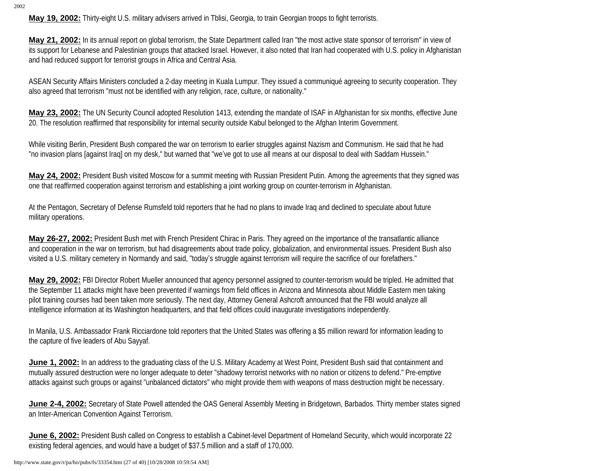**May 19, 2002:** Thirty-eight U.S. military advisers arrived in Tblisi, Georgia, to train Georgian troops to fight terrorists.

**May 21, 2002:** In its annual report on global terrorism, the State Department called Iran "the most active state sponsor of terrorism" in view of its support for Lebanese and Palestinian groups that attacked Israel. However, it also noted that Iran had cooperated with U.S. policy in Afghanistan and had reduced support for terrorist groups in Africa and Central Asia.

ASEAN Security Affairs Ministers concluded a 2-day meeting in Kuala Lumpur. They issued a communiqué agreeing to security cooperation. They also agreed that terrorism "must not be identified with any religion, race, culture, or nationality."

**May 23, 2002:** The UN Security Council adopted Resolution 1413, extending the mandate of ISAF in Afghanistan for six months, effective June 20. The resolution reaffirmed that responsibility for internal security outside Kabul belonged to the Afghan Interim Government.

While visiting Berlin, President Bush compared the war on terrorism to earlier struggles against Nazism and Communism. He said that he had "no invasion plans [against Iraq] on my desk," but warned that "we've got to use all means at our disposal to deal with Saddam Hussein."

**May 24, 2002:** President Bush visited Moscow for a summit meeting with Russian President Putin. Among the agreements that they signed was one that reaffirmed cooperation against terrorism and establishing a joint working group on counter-terrorism in Afghanistan.

At the Pentagon, Secretary of Defense Rumsfeld told reporters that he had no plans to invade Iraq and declined to speculate about future military operations.

**May 26-27, 2002:** President Bush met with French President Chirac in Paris. They agreed on the importance of the transatlantic alliance and cooperation in the war on terrorism, but had disagreements about trade policy, globalization, and environmental issues. President Bush also visited a U.S. military cemetery in Normandy and said, "today's struggle against terrorism will require the sacrifice of our forefathers."

**May 29, 2002:** FBI Director Robert Mueller announced that agency personnel assigned to counter-terrorism would be tripled. He admitted that the September 11 attacks might have been prevented if warnings from field offices in Arizona and Minnesota about Middle Eastern men taking pilot training courses had been taken more seriously. The next day, Attorney General Ashcroft announced that the FBI would analyze all intelligence information at its Washington headquarters, and that field offices could inaugurate investigations independently.

In Manila, U.S. Ambassador Frank Ricciardone told reporters that the United States was offering a \$5 million reward for information leading to the capture of five leaders of Abu Sayyaf.

June 1, 2002: In an address to the graduating class of the U.S. Military Academy at West Point, President Bush said that containment and mutually assured destruction were no longer adequate to deter "shadowy terrorist networks with no nation or citizens to defend." Pre-emptive attacks against such groups or against "unbalanced dictators" who might provide them with weapons of mass destruction might be necessary.

**June 2-4, 2002:** Secretary of State Powell attended the OAS General Assembly Meeting in Bridgetown, Barbados. Thirty member states signed an Inter-American Convention Against Terrorism.

**June 6, 2002:** President Bush called on Congress to establish a Cabinet-level Department of Homeland Security, which would incorporate 22 existing federal agencies, and would have a budget of \$37.5 million and a staff of 170,000.

http://www.state.gov/r/pa/ho/pubs/fs/33354.htm (27 of 40) [10/28/2008 10:59:54 AM]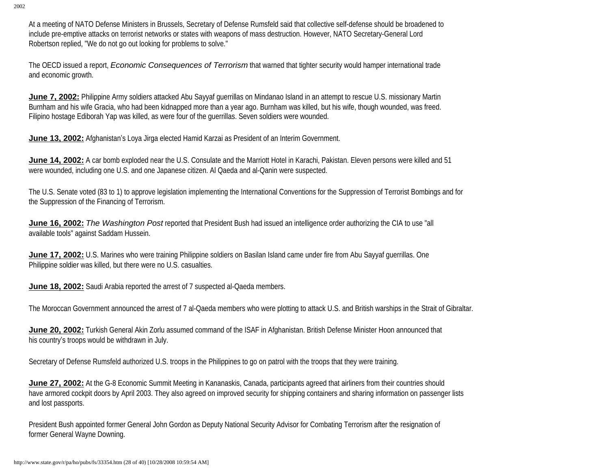At a meeting of NATO Defense Ministers in Brussels, Secretary of Defense Rumsfeld said that collective self-defense should be broadened to include pre-emptive attacks on terrorist networks or states with weapons of mass destruction. However, NATO Secretary-General Lord Robertson replied, "We do not go out looking for problems to solve."

The OECD issued a report, *Economic Consequences of Terrorism* that warned that tighter security would hamper international trade and economic growth.

**June 7, 2002:** Philippine Army soldiers attacked Abu Sayyaf querrillas on Mindanao Island in an attempt to rescue U.S. missionary Martin Burnham and his wife Gracia, who had been kidnapped more than a year ago. Burnham was killed, but his wife, though wounded, was freed. Filipino hostage Ediborah Yap was killed, as were four of the guerrillas. Seven soldiers were wounded.

**June 13, 2002:** Afghanistan's Loya Jirga elected Hamid Karzai as President of an Interim Government.

**June 14, 2002:** A car bomb exploded near the U.S. Consulate and the Marriott Hotel in Karachi, Pakistan. Eleven persons were killed and 51 were wounded, including one U.S. and one Japanese citizen. Al Qaeda and al-Qanin were suspected.

The U.S. Senate voted (83 to 1) to approve legislation implementing the International Conventions for the Suppression of Terrorist Bombings and for the Suppression of the Financing of Terrorism.

**June 16, 2002:** *The Washington Post* reported that President Bush had issued an intelligence order authorizing the CIA to use "all available tools" against Saddam Hussein.

**June 17, 2002:** U.S. Marines who were training Philippine soldiers on Basilan Island came under fire from Abu Sayyaf querrillas. One Philippine soldier was killed, but there were no U.S. casualties.

**June 18, 2002:** Saudi Arabia reported the arrest of 7 suspected al-Qaeda members.

The Moroccan Government announced the arrest of 7 al-Qaeda members who were plotting to attack U.S. and British warships in the Strait of Gibraltar.

**June 20, 2002:** Turkish General Akin Zorlu assumed command of the ISAF in Afghanistan. British Defense Minister Hoon announced that his country's troops would be withdrawn in July.

Secretary of Defense Rumsfeld authorized U.S. troops in the Philippines to go on patrol with the troops that they were training.

**June 27, 2002:** At the G-8 Economic Summit Meeting in Kananaskis, Canada, participants agreed that airliners from their countries should have armored cockpit doors by April 2003. They also agreed on improved security for shipping containers and sharing information on passenger lists and lost passports.

President Bush appointed former General John Gordon as Deputy National Security Advisor for Combating Terrorism after the resignation of former General Wayne Downing.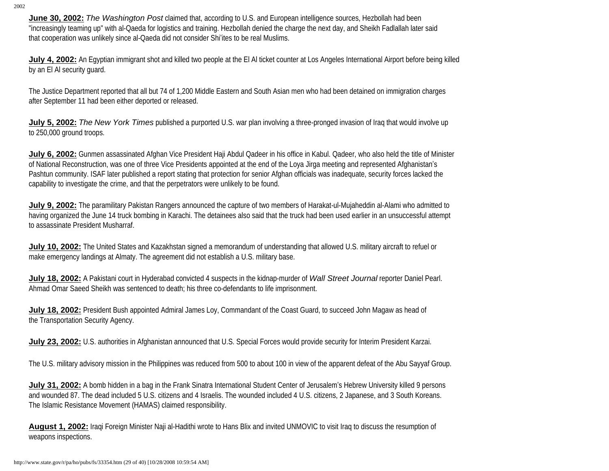**June 30, 2002:** *The Washington Post* claimed that, according to U.S. and European intelligence sources, Hezbollah had been "increasingly teaming up" with al-Qaeda for logistics and training. Hezbollah denied the charge the next day, and Sheikh Fadlallah later said that cooperation was unlikely since al-Qaeda did not consider Shi'ites to be real Muslims.

**July 4, 2002:** An Egyptian immigrant shot and killed two people at the El Al ticket counter at Los Angeles International Airport before being killed by an El Al security guard.

The Justice Department reported that all but 74 of 1,200 Middle Eastern and South Asian men who had been detained on immigration charges after September 11 had been either deported or released.

**July 5, 2002:** The New York Times published a purported U.S. war plan involving a three-pronged invasion of Iraq that would involve up to 250,000 ground troops.

**July 6, 2002:** Gunmen assassinated Afghan Vice President Haji Abdul Qadeer in his office in Kabul. Qadeer, who also held the title of Minister of National Reconstruction, was one of three Vice Presidents appointed at the end of the Loya Jirga meeting and represented Afghanistan's Pashtun community. ISAF later published a report stating that protection for senior Afghan officials was inadequate, security forces lacked the capability to investigate the crime, and that the perpetrators were unlikely to be found.

**July 9, 2002:** The paramilitary Pakistan Rangers announced the capture of two members of Harakat-ul-Mujaheddin al-Alami who admitted to having organized the June 14 truck bombing in Karachi. The detainees also said that the truck had been used earlier in an unsuccessful attempt to assassinate President Musharraf.

**July 10, 2002:** The United States and Kazakhstan signed a memorandum of understanding that allowed U.S. military aircraft to refuel or make emergency landings at Almaty. The agreement did not establish a U.S. military base.

**July 18, 2002:** A Pakistani court in Hyderabad convicted 4 suspects in the kidnap-murder of *Wall Street Journal* reporter Daniel Pearl. Ahmad Omar Saeed Sheikh was sentenced to death; his three co-defendants to life imprisonment.

**July 18, 2002:** President Bush appointed Admiral James Loy, Commandant of the Coast Guard, to succeed John Magaw as head of the Transportation Security Agency.

**July 23, 2002:** U.S. authorities in Afghanistan announced that U.S. Special Forces would provide security for Interim President Karzai.

The U.S. military advisory mission in the Philippines was reduced from 500 to about 100 in view of the apparent defeat of the Abu Sayyaf Group.

**July 31, 2002:** A bomb hidden in a bag in the Frank Sinatra International Student Center of Jerusalem's Hebrew University killed 9 persons and wounded 87. The dead included 5 U.S. citizens and 4 Israelis. The wounded included 4 U.S. citizens, 2 Japanese, and 3 South Koreans. The Islamic Resistance Movement (HAMAS) claimed responsibility.

**August 1, 2002:** Iraqi Foreign Minister Naji al-Hadithi wrote to Hans Blix and invited UNMOVIC to visit Iraq to discuss the resumption of weapons inspections.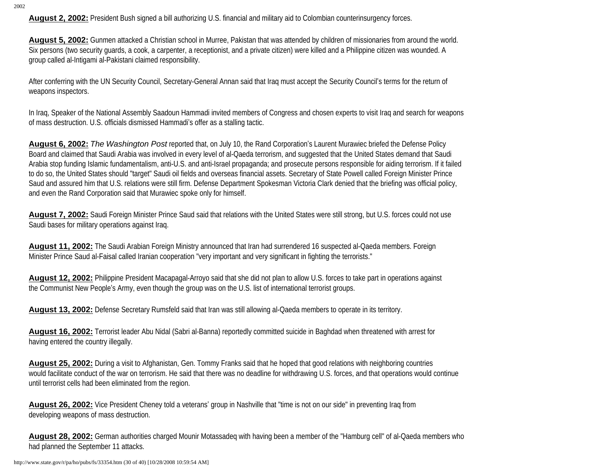**August 2, 2002:** President Bush signed a bill authorizing U.S. financial and military aid to Colombian counterinsurgency forces.

**August 5, 2002:** Gunmen attacked a Christian school in Murree, Pakistan that was attended by children of missionaries from around the world. Six persons (two security guards, a cook, a carpenter, a receptionist, and a private citizen) were killed and a Philippine citizen was wounded. A group called al-Intigami al-Pakistani claimed responsibility.

After conferring with the UN Security Council, Secretary-General Annan said that Iraq must accept the Security Council's terms for the return of weapons inspectors.

In Iraq, Speaker of the National Assembly Saadoun Hammadi invited members of Congress and chosen experts to visit Iraq and search for weapons of mass destruction. U.S. officials dismissed Hammadi's offer as a stalling tactic.

**August 6, 2002:** *The Washington Post* reported that, on July 10, the Rand Corporation's Laurent Murawiec briefed the Defense Policy Board and claimed that Saudi Arabia was involved in every level of al-Qaeda terrorism, and suggested that the United States demand that Saudi Arabia stop funding Islamic fundamentalism, anti-U.S. and anti-Israel propaganda; and prosecute persons responsible for aiding terrorism. If it failed to do so, the United States should "target" Saudi oil fields and overseas financial assets. Secretary of State Powell called Foreign Minister Prince Saud and assured him that U.S. relations were still firm. Defense Department Spokesman Victoria Clark denied that the briefing was official policy, and even the Rand Corporation said that Murawiec spoke only for himself.

**August 7, 2002:** Saudi Foreign Minister Prince Saud said that relations with the United States were still strong, but U.S. forces could not use Saudi bases for military operations against Iraq.

**August 11, 2002:** The Saudi Arabian Foreign Ministry announced that Iran had surrendered 16 suspected al-Qaeda members. Foreign Minister Prince Saud al-Faisal called Iranian cooperation "very important and very significant in fighting the terrorists."

**August 12, 2002:** Philippine President Macapagal-Arroyo said that she did not plan to allow U.S. forces to take part in operations against the Communist New People's Army, even though the group was on the U.S. list of international terrorist groups.

**August 13, 2002:** Defense Secretary Rumsfeld said that Iran was still allowing al-Qaeda members to operate in its territory.

**August 16, 2002:** Terrorist leader Abu Nidal (Sabri al-Banna) reportedly committed suicide in Baghdad when threatened with arrest for having entered the country illegally.

**August 25, 2002:** During a visit to Afghanistan, Gen. Tommy Franks said that he hoped that good relations with neighboring countries would facilitate conduct of the war on terrorism. He said that there was no deadline for withdrawing U.S. forces, and that operations would continue until terrorist cells had been eliminated from the region.

**August 26, 2002:** Vice President Cheney told a veterans' group in Nashville that "time is not on our side" in preventing Iraq from developing weapons of mass destruction.

**August 28, 2002:** German authorities charged Mounir Motassadeq with having been a member of the "Hamburg cell" of al-Qaeda members who had planned the September 11 attacks.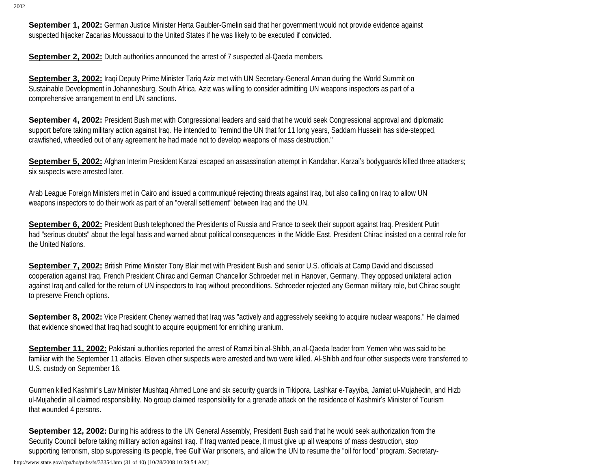**September 1, 2002:** German Justice Minister Herta Gaubler-Gmelin said that her government would not provide evidence against suspected hijacker Zacarias Moussaoui to the United States if he was likely to be executed if convicted.

**September 2, 2002:** Dutch authorities announced the arrest of 7 suspected al-Qaeda members.

**September 3, 2002:** Iraqi Deputy Prime Minister Tariq Aziz met with UN Secretary-General Annan during the World Summit on Sustainable Development in Johannesburg, South Africa. Aziz was willing to consider admitting UN weapons inspectors as part of a comprehensive arrangement to end UN sanctions.

**September 4, 2002:** President Bush met with Congressional leaders and said that he would seek Congressional approval and diplomatic support before taking military action against Iraq. He intended to "remind the UN that for 11 long years, Saddam Hussein has side-stepped, crawfished, wheedled out of any agreement he had made not to develop weapons of mass destruction."

**September 5, 2002:** Afghan Interim President Karzai escaped an assassination attempt in Kandahar. Karzai's bodyguards killed three attackers; six suspects were arrested later.

Arab League Foreign Ministers met in Cairo and issued a communiqué rejecting threats against Iraq, but also calling on Iraq to allow UN weapons inspectors to do their work as part of an "overall settlement" between Iraq and the UN.

**September 6, 2002:** President Bush telephoned the Presidents of Russia and France to seek their support against Iraq. President Putin had "serious doubts" about the legal basis and warned about political consequences in the Middle East. President Chirac insisted on a central role for the United Nations.

**September 7, 2002:** British Prime Minister Tony Blair met with President Bush and senior U.S. officials at Camp David and discussed cooperation against Iraq. French President Chirac and German Chancellor Schroeder met in Hanover, Germany. They opposed unilateral action against Iraq and called for the return of UN inspectors to Iraq without preconditions. Schroeder rejected any German military role, but Chirac sought to preserve French options.

September 8, 2002: Vice President Cheney warned that Iraq was "actively and aggressively seeking to acquire nuclear weapons." He claimed that evidence showed that Iraq had sought to acquire equipment for enriching uranium.

**September 11, 2002:** Pakistani authorities reported the arrest of Ramzi bin al-Shibh, an al-Qaeda leader from Yemen who was said to be familiar with the September 11 attacks. Eleven other suspects were arrested and two were killed. Al-Shibh and four other suspects were transferred to U.S. custody on September 16.

Gunmen killed Kashmir's Law Minister Mushtaq Ahmed Lone and six security guards in Tikipora. Lashkar e-Tayyiba, Jamiat ul-Mujahedin, and Hizb ul-Mujahedin all claimed responsibility. No group claimed responsibility for a grenade attack on the residence of Kashmir's Minister of Tourism that wounded 4 persons.

**September 12, 2002:** During his address to the UN General Assembly, President Bush said that he would seek authorization from the Security Council before taking military action against Iraq. If Iraq wanted peace, it must give up all weapons of mass destruction, stop supporting terrorism, stop suppressing its people, free Gulf War prisoners, and allow the UN to resume the "oil for food" program. Secretary-

http://www.state.gov/r/pa/ho/pubs/fs/33354.htm (31 of 40) [10/28/2008 10:59:54 AM]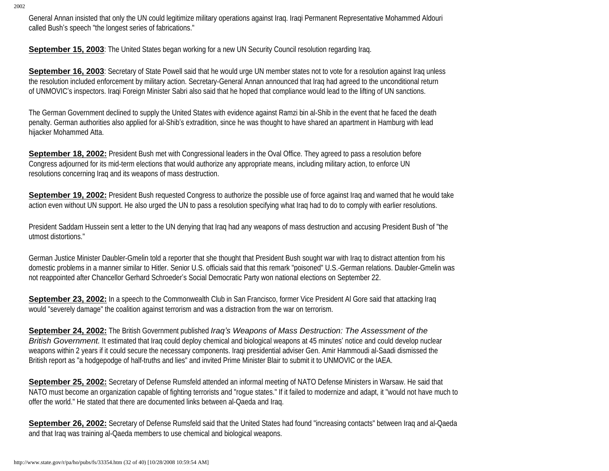General Annan insisted that only the UN could legitimize military operations against Iraq. Iraqi Permanent Representative Mohammed Aldouri called Bush's speech "the longest series of fabrications."

**September 15, 2003**: The United States began working for a new UN Security Council resolution regarding Iraq.

**September 16, 2003**: Secretary of State Powell said that he would urge UN member states not to vote for a resolution against Iraq unless the resolution included enforcement by military action. Secretary-General Annan announced that Iraq had agreed to the unconditional return of UNMOVIC's inspectors. Iraqi Foreign Minister Sabri also said that he hoped that compliance would lead to the lifting of UN sanctions.

The German Government declined to supply the United States with evidence against Ramzi bin al-Shib in the event that he faced the death penalty. German authorities also applied for al-Shib's extradition, since he was thought to have shared an apartment in Hamburg with lead hijacker Mohammed Atta.

**September 18, 2002:** President Bush met with Congressional leaders in the Oval Office. They agreed to pass a resolution before Congress adjourned for its mid-term elections that would authorize any appropriate means, including military action, to enforce UN resolutions concerning Iraq and its weapons of mass destruction.

**September 19, 2002:** President Bush requested Congress to authorize the possible use of force against Iraq and warned that he would take action even without UN support. He also urged the UN to pass a resolution specifying what Iraq had to do to comply with earlier resolutions.

President Saddam Hussein sent a letter to the UN denying that Iraq had any weapons of mass destruction and accusing President Bush of "the utmost distortions."

German Justice Minister Daubler-Gmelin told a reporter that she thought that President Bush sought war with Iraq to distract attention from his domestic problems in a manner similar to Hitler. Senior U.S. officials said that this remark "poisoned" U.S.-German relations. Daubler-Gmelin was not reappointed after Chancellor Gerhard Schroeder's Social Democratic Party won national elections on September 22.

**September 23, 2002:** In a speech to the Commonwealth Club in San Francisco, former Vice President AI Gore said that attacking Iraq would "severely damage" the coalition against terrorism and was a distraction from the war on terrorism.

**September 24, 2002:** The British Government published *Iraq's Weapons of Mass Destruction: The Assessment of the British Government.* It estimated that Iraq could deploy chemical and biological weapons at 45 minutes' notice and could develop nuclear weapons within 2 years if it could secure the necessary components. Iraqi presidential adviser Gen. Amir Hammoudi al-Saadi dismissed the British report as "a hodgepodge of half-truths and lies" and invited Prime Minister Blair to submit it to UNMOVIC or the IAEA.

**September 25, 2002:** Secretary of Defense Rumsfeld attended an informal meeting of NATO Defense Ministers in Warsaw. He said that NATO must become an organization capable of fighting terrorists and "rogue states." If it failed to modernize and adapt, it "would not have much to offer the world." He stated that there are documented links between al-Qaeda and Iraq.

**September 26, 2002:** Secretary of Defense Rumsfeld said that the United States had found "increasing contacts" between Iraq and al-Qaeda and that Iraq was training al-Qaeda members to use chemical and biological weapons.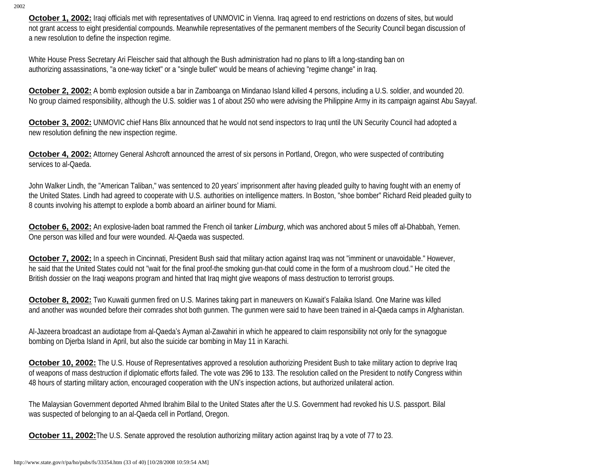**October 1, 2002:** Iraqi officials met with representatives of UNMOVIC in Vienna. Iraq agreed to end restrictions on dozens of sites, but would not grant access to eight presidential compounds. Meanwhile representatives of the permanent members of the Security Council began discussion of a new resolution to define the inspection regime.

White House Press Secretary Ari Fleischer said that although the Bush administration had no plans to lift a long-standing ban on authorizing assassinations, "a one-way ticket" or a "single bullet" would be means of achieving "regime change" in Iraq.

**October 2, 2002:** A bomb explosion outside a bar in Zamboanga on Mindanao Island killed 4 persons, including a U.S. soldier, and wounded 20. No group claimed responsibility, although the U.S. soldier was 1 of about 250 who were advising the Philippine Army in its campaign against Abu Sayyaf.

**October 3, 2002:** UNMOVIC chief Hans Blix announced that he would not send inspectors to Iraq until the UN Security Council had adopted a new resolution defining the new inspection regime.

**October 4, 2002:** Attorney General Ashcroft announced the arrest of six persons in Portland, Oregon, who were suspected of contributing services to al-Qaeda.

John Walker Lindh, the "American Taliban," was sentenced to 20 years' imprisonment after having pleaded guilty to having fought with an enemy of the United States. Lindh had agreed to cooperate with U.S. authorities on intelligence matters. In Boston, "shoe bomber" Richard Reid pleaded guilty to 8 counts involving his attempt to explode a bomb aboard an airliner bound for Miami.

**October 6, 2002:** An explosive-laden boat rammed the French oil tanker *Limburg*, which was anchored about 5 miles off al-Dhabbah, Yemen. One person was killed and four were wounded. Al-Qaeda was suspected.

**October 7, 2002:** In a speech in Cincinnati, President Bush said that military action against Iraq was not "imminent or unavoidable." However, he said that the United States could not "wait for the final proof-the smoking gun-that could come in the form of a mushroom cloud." He cited the British dossier on the Iraqi weapons program and hinted that Iraq might give weapons of mass destruction to terrorist groups.

**October 8, 2002:** Two Kuwaiti gunmen fired on U.S. Marines taking part in maneuvers on Kuwait's Falaika Island. One Marine was killed and another was wounded before their comrades shot both gunmen. The gunmen were said to have been trained in al-Qaeda camps in Afghanistan.

Al-Jazeera broadcast an audiotape from al-Qaeda's Ayman al-Zawahiri in which he appeared to claim responsibility not only for the synagogue bombing on Djerba Island in April, but also the suicide car bombing in May 11 in Karachi.

**October 10, 2002:** The U.S. House of Representatives approved a resolution authorizing President Bush to take military action to deprive Iraq of weapons of mass destruction if diplomatic efforts failed. The vote was 296 to 133. The resolution called on the President to notify Congress within 48 hours of starting military action, encouraged cooperation with the UN's inspection actions, but authorized unilateral action.

The Malaysian Government deported Ahmed Ibrahim Bilal to the United States after the U.S. Government had revoked his U.S. passport. Bilal was suspected of belonging to an al-Qaeda cell in Portland, Oregon.

**October 11, 2002:** The U.S. Senate approved the resolution authorizing military action against Iraq by a vote of 77 to 23.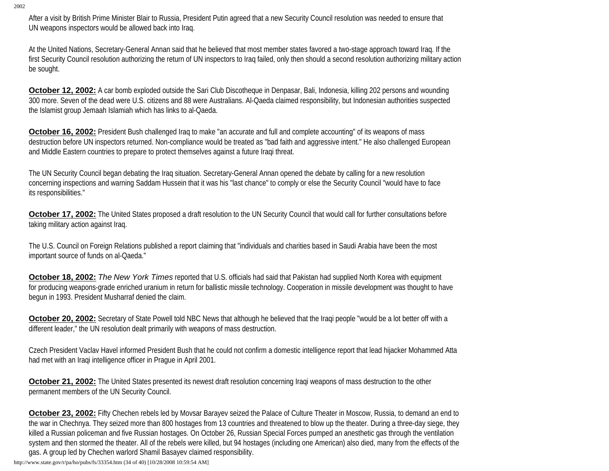After a visit by British Prime Minister Blair to Russia, President Putin agreed that a new Security Council resolution was needed to ensure that UN weapons inspectors would be allowed back into Iraq.

At the United Nations, Secretary-General Annan said that he believed that most member states favored a two-stage approach toward Iraq. If the first Security Council resolution authorizing the return of UN inspectors to Iraq failed, only then should a second resolution authorizing military action be sought.

**October 12, 2002:** A car bomb exploded outside the Sari Club Discotheque in Denpasar, Bali, Indonesia, killing 202 persons and wounding 300 more. Seven of the dead were U.S. citizens and 88 were Australians. Al-Qaeda claimed responsibility, but Indonesian authorities suspected the Islamist group Jemaah Islamiah which has links to al-Qaeda.

**October 16, 2002:** President Bush challenged Iraq to make "an accurate and full and complete accounting" of its weapons of mass destruction before UN inspectors returned. Non-compliance would be treated as "bad faith and aggressive intent." He also challenged European and Middle Eastern countries to prepare to protect themselves against a future Iraqi threat.

The UN Security Council began debating the Iraq situation. Secretary-General Annan opened the debate by calling for a new resolution concerning inspections and warning Saddam Hussein that it was his "last chance" to comply or else the Security Council "would have to face its responsibilities."

**October 17, 2002:** The United States proposed a draft resolution to the UN Security Council that would call for further consultations before taking military action against Iraq.

The U.S. Council on Foreign Relations published a report claiming that "individuals and charities based in Saudi Arabia have been the most important source of funds on al-Qaeda."

**October 18, 2002:** *The New York Times* reported that U.S. officials had said that Pakistan had supplied North Korea with equipment for producing weapons-grade enriched uranium in return for ballistic missile technology. Cooperation in missile development was thought to have begun in 1993. President Musharraf denied the claim.

**October 20, 2002:** Secretary of State Powell told NBC News that although he believed that the Iraqi people "would be a lot better off with a different leader," the UN resolution dealt primarily with weapons of mass destruction.

Czech President Vaclav Havel informed President Bush that he could not confirm a domestic intelligence report that lead hijacker Mohammed Atta had met with an Iraqi intelligence officer in Prague in April 2001.

**October 21, 2002:** The United States presented its newest draft resolution concerning Iraqi weapons of mass destruction to the other permanent members of the UN Security Council.

**October 23, 2002:** Fifty Chechen rebels led by Movsar Barayev seized the Palace of Culture Theater in Moscow, Russia, to demand an end to the war in Chechnya. They seized more than 800 hostages from 13 countries and threatened to blow up the theater. During a three-day siege, they killed a Russian policeman and five Russian hostages. On October 26, Russian Special Forces pumped an anesthetic gas through the ventilation system and then stormed the theater. All of the rebels were killed, but 94 hostages (including one American) also died, many from the effects of the gas. A group led by Chechen warlord Shamil Basayev claimed responsibility.

http://www.state.gov/r/pa/ho/pubs/fs/33354.htm (34 of 40) [10/28/2008 10:59:54 AM]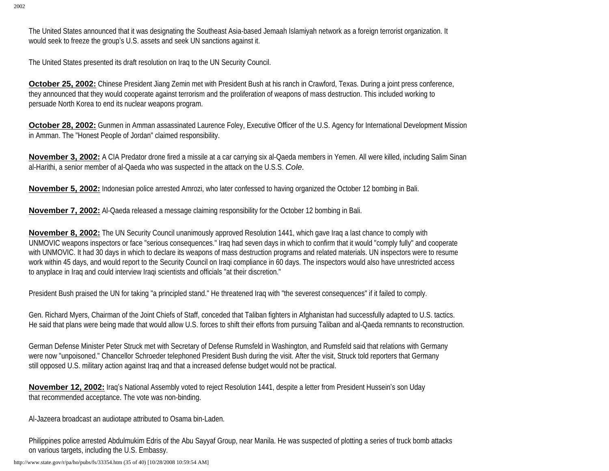The United States announced that it was designating the Southeast Asia-based Jemaah Islamiyah network as a foreign terrorist organization. It would seek to freeze the group's U.S. assets and seek UN sanctions against it.

The United States presented its draft resolution on Iraq to the UN Security Council.

**October 25, 2002:** Chinese President Jiang Zemin met with President Bush at his ranch in Crawford, Texas. During a joint press conference, they announced that they would cooperate against terrorism and the proliferation of weapons of mass destruction. This included working to persuade North Korea to end its nuclear weapons program.

**October 28, 2002:** Gunmen in Amman assassinated Laurence Foley, Executive Officer of the U.S. Agency for International Development Mission in Amman. The "Honest People of Jordan" claimed responsibility.

**November 3, 2002:** A CIA Predator drone fired a missile at a car carrying six al-Qaeda members in Yemen. All were killed, including Salim Sinan al-Harithi, a senior member of al-Qaeda who was suspected in the attack on the U.S.S. *Cole.*

**November 5, 2002:** Indonesian police arrested Amrozi, who later confessed to having organized the October 12 bombing in Bali.

**November 7, 2002:** Al-Qaeda released a message claiming responsibility for the October 12 bombing in Bali.

**November 8, 2002:** The UN Security Council unanimously approved Resolution 1441, which gave Iraq a last chance to comply with UNMOVIC weapons inspectors or face "serious consequences." Iraq had seven days in which to confirm that it would "comply fully" and cooperate with UNMOVIC. It had 30 days in which to declare its weapons of mass destruction programs and related materials. UN inspectors were to resume work within 45 days, and would report to the Security Council on Iraqi compliance in 60 days. The inspectors would also have unrestricted access to anyplace in Iraq and could interview Iraqi scientists and officials "at their discretion."

President Bush praised the UN for taking "a principled stand." He threatened Iraq with "the severest consequences" if it failed to comply.

Gen. Richard Myers, Chairman of the Joint Chiefs of Staff, conceded that Taliban fighters in Afghanistan had successfully adapted to U.S. tactics. He said that plans were being made that would allow U.S. forces to shift their efforts from pursuing Taliban and al-Qaeda remnants to reconstruction.

German Defense Minister Peter Struck met with Secretary of Defense Rumsfeld in Washington, and Rumsfeld said that relations with Germany were now "unpoisoned." Chancellor Schroeder telephoned President Bush during the visit. After the visit, Struck told reporters that Germany still opposed U.S. military action against Iraq and that a increased defense budget would not be practical.

**November 12, 2002:** Iraq's National Assembly voted to reject Resolution 1441, despite a letter from President Hussein's son Uday that recommended acceptance. The vote was non-binding.

Al-Jazeera broadcast an audiotape attributed to Osama bin-Laden.

Philippines police arrested Abdulmukim Edris of the Abu Sayyaf Group, near Manila. He was suspected of plotting a series of truck bomb attacks on various targets, including the U.S. Embassy.

http://www.state.gov/r/pa/ho/pubs/fs/33354.htm (35 of 40) [10/28/2008 10:59:54 AM]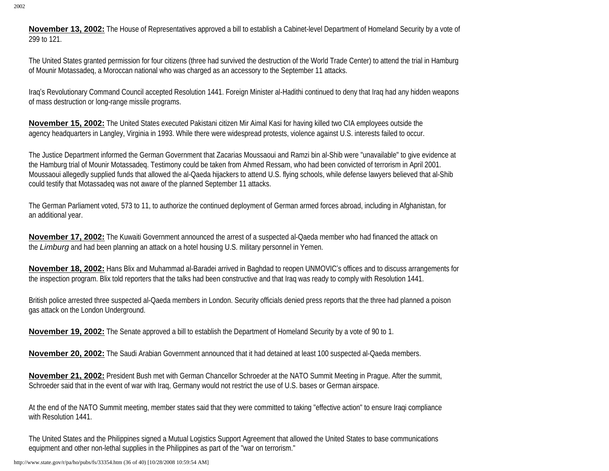**November 13, 2002:** The House of Representatives approved a bill to establish a Cabinet-level Department of Homeland Security by a vote of 299 to 121.

The United States granted permission for four citizens (three had survived the destruction of the World Trade Center) to attend the trial in Hamburg of Mounir Motassadeq, a Moroccan national who was charged as an accessory to the September 11 attacks.

Iraq's Revolutionary Command Council accepted Resolution 1441. Foreign Minister al-Hadithi continued to deny that Iraq had any hidden weapons of mass destruction or long-range missile programs.

**November 15, 2002:** The United States executed Pakistani citizen Mir Aimal Kasi for having killed two CIA employees outside the agency headquarters in Langley, Virginia in 1993. While there were widespread protests, violence against U.S. interests failed to occur.

The Justice Department informed the German Government that Zacarias Moussaoui and Ramzi bin al-Shib were "unavailable" to give evidence at the Hamburg trial of Mounir Motassadeq. Testimony could be taken from Ahmed Ressam, who had been convicted of terrorism in April 2001. Moussaoui allegedly supplied funds that allowed the al-Qaeda hijackers to attend U.S. flying schools, while defense lawyers believed that al-Shib could testify that Motassadeq was not aware of the planned September 11 attacks.

The German Parliament voted, 573 to 11, to authorize the continued deployment of German armed forces abroad, including in Afghanistan, for an additional year.

**November 17, 2002:** The Kuwaiti Government announced the arrest of a suspected al-Qaeda member who had financed the attack on the *Limburg* and had been planning an attack on a hotel housing U.S. military personnel in Yemen.

**November 18, 2002:** Hans Blix and Muhammad al-Baradei arrived in Baghdad to reopen UNMOVIC's offices and to discuss arrangements for the inspection program. Blix told reporters that the talks had been constructive and that Iraq was ready to comply with Resolution 1441.

British police arrested three suspected al-Qaeda members in London. Security officials denied press reports that the three had planned a poison gas attack on the London Underground.

**November 19, 2002:** The Senate approved a bill to establish the Department of Homeland Security by a vote of 90 to 1.

**November 20, 2002:** The Saudi Arabian Government announced that it had detained at least 100 suspected al-Qaeda members.

**November 21, 2002:** President Bush met with German Chancellor Schroeder at the NATO Summit Meeting in Prague. After the summit, Schroeder said that in the event of war with Iraq, Germany would not restrict the use of U.S. bases or German airspace.

At the end of the NATO Summit meeting, member states said that they were committed to taking "effective action" to ensure Iraqi compliance with Resolution 1441.

The United States and the Philippines signed a Mutual Logistics Support Agreement that allowed the United States to base communications equipment and other non-lethal supplies in the Philippines as part of the "war on terrorism."

http://www.state.gov/r/pa/ho/pubs/fs/33354.htm (36 of 40) [10/28/2008 10:59:54 AM]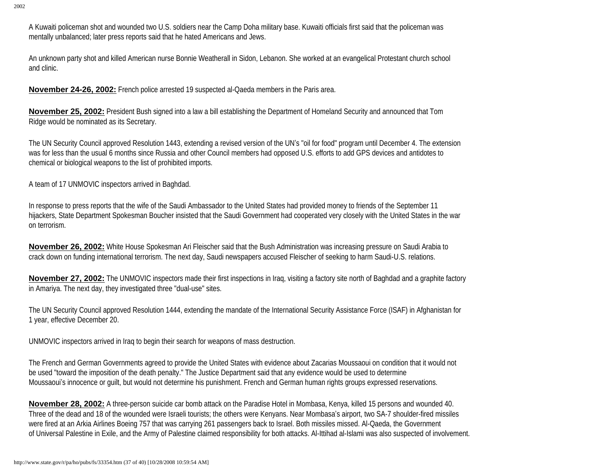A Kuwaiti policeman shot and wounded two U.S. soldiers near the Camp Doha military base. Kuwaiti officials first said that the policeman was mentally unbalanced; later press reports said that he hated Americans and Jews.

An unknown party shot and killed American nurse Bonnie Weatherall in Sidon, Lebanon. She worked at an evangelical Protestant church school and clinic.

**November 24-26, 2002:** French police arrested 19 suspected al-Qaeda members in the Paris area.

**November 25, 2002:** President Bush signed into a law a bill establishing the Department of Homeland Security and announced that Tom Ridge would be nominated as its Secretary.

The UN Security Council approved Resolution 1443, extending a revised version of the UN's "oil for food" program until December 4. The extension was for less than the usual 6 months since Russia and other Council members had opposed U.S. efforts to add GPS devices and antidotes to chemical or biological weapons to the list of prohibited imports.

A team of 17 UNMOVIC inspectors arrived in Baghdad.

In response to press reports that the wife of the Saudi Ambassador to the United States had provided money to friends of the September 11 hijackers, State Department Spokesman Boucher insisted that the Saudi Government had cooperated very closely with the United States in the war on terrorism.

**November 26, 2002:** White House Spokesman Ari Fleischer said that the Bush Administration was increasing pressure on Saudi Arabia to crack down on funding international terrorism. The next day, Saudi newspapers accused Fleischer of seeking to harm Saudi-U.S. relations.

**November 27, 2002:** The UNMOVIC inspectors made their first inspections in Iraq, visiting a factory site north of Baghdad and a graphite factory in Amariya. The next day, they investigated three "dual-use" sites.

The UN Security Council approved Resolution 1444, extending the mandate of the International Security Assistance Force (ISAF) in Afghanistan for 1 year, effective December 20.

UNMOVIC inspectors arrived in Iraq to begin their search for weapons of mass destruction.

The French and German Governments agreed to provide the United States with evidence about Zacarias Moussaoui on condition that it would not be used "toward the imposition of the death penalty." The Justice Department said that any evidence would be used to determine Moussaoui's innocence or guilt, but would not determine his punishment. French and German human rights groups expressed reservations.

**November 28, 2002:** A three-person suicide car bomb attack on the Paradise Hotel in Mombasa, Kenya, killed 15 persons and wounded 40. Three of the dead and 18 of the wounded were Israeli tourists; the others were Kenyans. Near Mombasa's airport, two SA-7 shoulder-fired missiles were fired at an Arkia Airlines Boeing 757 that was carrying 261 passengers back to Israel. Both missiles missed. Al-Qaeda, the Government of Universal Palestine in Exile, and the Army of Palestine claimed responsibility for both attacks. Al-Ittihad al-Islami was also suspected of involvement.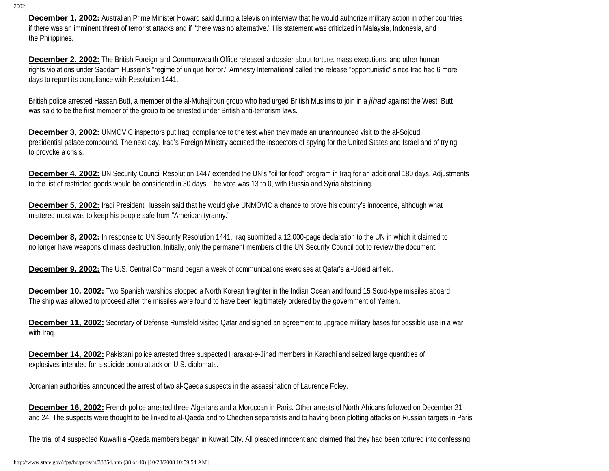**December 1, 2002:** Australian Prime Minister Howard said during a television interview that he would authorize military action in other countries if there was an imminent threat of terrorist attacks and if "there was no alternative." His statement was criticized in Malaysia, Indonesia, and the Philippines.

**December 2, 2002:** The British Foreign and Commonwealth Office released a dossier about torture, mass executions, and other human rights violations under Saddam Hussein's "regime of unique horror." Amnesty International called the release "opportunistic" since Iraq had 6 more days to report its compliance with Resolution 1441.

British police arrested Hassan Butt, a member of the al-Muhajiroun group who had urged British Muslims to join in a *jihad* against the West. Butt was said to be the first member of the group to be arrested under British anti-terrorism laws.

**December 3, 2002:** UNMOVIC inspectors put Iraqi compliance to the test when they made an unannounced visit to the al-Sojoud presidential palace compound. The next day, Iraq's Foreign Ministry accused the inspectors of spying for the United States and Israel and of trying to provoke a crisis.

**December 4, 2002:** UN Security Council Resolution 1447 extended the UN's "oil for food" program in Iraq for an additional 180 days. Adjustments to the list of restricted goods would be considered in 30 days. The vote was 13 to 0, with Russia and Syria abstaining.

**December 5, 2002:** Iraqi President Hussein said that he would give UNMOVIC a chance to prove his country's innocence, although what mattered most was to keep his people safe from "American tyranny."

**December 8, 2002:** In response to UN Security Resolution 1441, Iraq submitted a 12,000-page declaration to the UN in which it claimed to no longer have weapons of mass destruction. Initially, only the permanent members of the UN Security Council got to review the document.

**December 9, 2002:** The U.S. Central Command began a week of communications exercises at Qatar's al-Udeid airfield.

**December 10, 2002:** Two Spanish warships stopped a North Korean freighter in the Indian Ocean and found 15 Scud-type missiles aboard. The ship was allowed to proceed after the missiles were found to have been legitimately ordered by the government of Yemen.

**December 11, 2002:** Secretary of Defense Rumsfeld visited Qatar and signed an agreement to upgrade military bases for possible use in a war with Iraq.

**December 14, 2002:** Pakistani police arrested three suspected Harakat-e-Jihad members in Karachi and seized large quantities of explosives intended for a suicide bomb attack on U.S. diplomats.

Jordanian authorities announced the arrest of two al-Qaeda suspects in the assassination of Laurence Foley.

**December 16, 2002:** French police arrested three Algerians and a Moroccan in Paris. Other arrests of North Africans followed on December 21 and 24. The suspects were thought to be linked to al-Qaeda and to Chechen separatists and to having been plotting attacks on Russian targets in Paris.

The trial of 4 suspected Kuwaiti al-Qaeda members began in Kuwait City. All pleaded innocent and claimed that they had been tortured into confessing.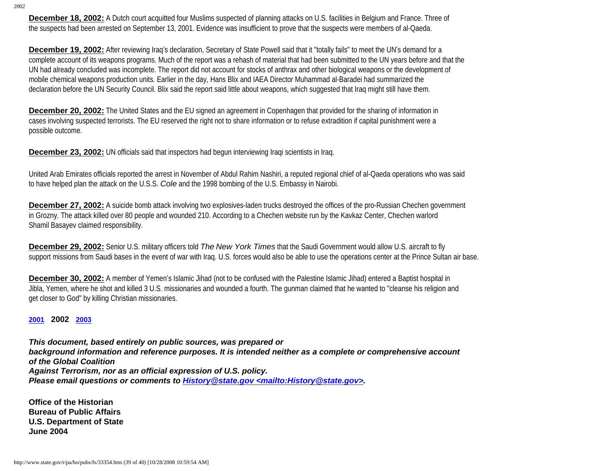**December 18, 2002:** A Dutch court acquitted four Muslims suspected of planning attacks on U.S. facilities in Belgium and France. Three of the suspects had been arrested on September 13, 2001. Evidence was insufficient to prove that the suspects were members of al-Qaeda.

**December 19, 2002:** After reviewing Iraq's declaration, Secretary of State Powell said that it "totally fails" to meet the UN's demand for a complete account of its weapons programs. Much of the report was a rehash of material that had been submitted to the UN years before and that the UN had already concluded was incomplete. The report did not account for stocks of anthrax and other biological weapons or the development of mobile chemical weapons production units. Earlier in the day, Hans Blix and IAEA Director Muhammad al-Baradei had summarized the declaration before the UN Security Council. Blix said the report said little about weapons, which suggested that Iraq might still have them.

**December 20, 2002:** The United States and the EU signed an agreement in Copenhagen that provided for the sharing of information in cases involving suspected terrorists. The EU reserved the right not to share information or to refuse extradition if capital punishment were a possible outcome.

**December 23, 2002:** UN officials said that inspectors had begun interviewing Iraqi scientists in Iraq.

United Arab Emirates officials reported the arrest in November of Abdul Rahim Nashiri, a reputed regional chief of al-Qaeda operations who was said to have helped plan the attack on the U.S.S. *Cole* and the 1998 bombing of the U.S. Embassy in Nairobi.

**December 27, 2002:** A suicide bomb attack involving two explosives-laden trucks destroyed the offices of the pro-Russian Chechen government in Grozny. The attack killed over 80 people and wounded 210. According to a Chechen website run by the Kavkaz Center, Chechen warlord Shamil Basayev claimed responsibility.

**December 29, 2002:** Senior U.S. military officers told *The New York Times* that the Saudi Government would allow U.S. aircraft to fly support missions from Saudi bases in the event of war with Iraq. U.S. forces would also be able to use the operations center at the Prince Sultan air base.

**December 30, 2002:** A member of Yemen's Islamic Jihad (not to be confused with the Palestine Islamic Jihad) entered a Baptist hospital in Jibla, Yemen, where he shot and killed 3 U.S. missionaries and wounded a fourth. The gunman claimed that he wanted to "cleanse his religion and get closer to God" by killing Christian missionaries.

**[2001](http://www.state.gov/r/pa/ho/pubs/fs/5889.htm) 2002 [2003](http://www.state.gov/r/pa/ho/pubs/fs/33355.htm)**

*This document, based entirely on public sources, was prepared or background information and reference purposes. It is intended neither as a complete or comprehensive account of the Global Coalition Against Terrorism, nor as an official expression of U.S. policy. Please email questions or comments to History@state.gov <mailto:History@state.gov>.*

**Office of the Historian Bureau of Public Affairs U.S. Department of State June 2004**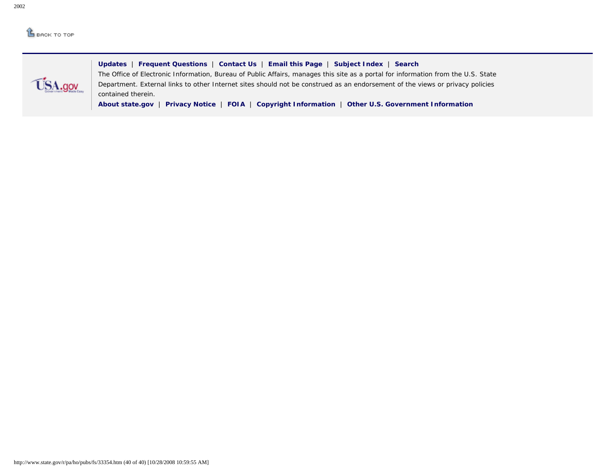## $<sup>1</sup>$  BACK TO TOP</sup>



**[Updates](http://www.state.gov/whats_new/)** | **[Frequent Questions](http://contact-us.state.gov/cgi-bin/state.cfg/php/enduser/std_alp.php)** | **[Contact Us](http://contact-us.state.gov/)** | **[Email this Page](mailto:?body=I thought you might be interested in the following information: http://www.state.gov/r/pa/ho/pubs/fs/&subject=Interesting Information from the U.S. State Department)** | **[Subject Index](http://www.state.gov/r/pa/ei/a2z/)** | **[Search](http://search.state.gov/search)** The Office of Electronic Information, Bureau of Public Affairs, manages this site as a portal for information from the U.S. State Department. External links to other Internet sites should not be construed as an endorsement of the views or privacy policies contained therein.

**[About state.gov](http://www.state.gov/misc/87529.htm)** | **[Privacy Notice](http://www.state.gov/misc/87529.htm#privacy)** | **[FOIA](http://foia.state.gov/)** | **[Copyright Information](http://www.state.gov/misc/87529.htm#copyright)** | **[Other U.S. Government Information](http://www.state.gov/misc/60289.htm)**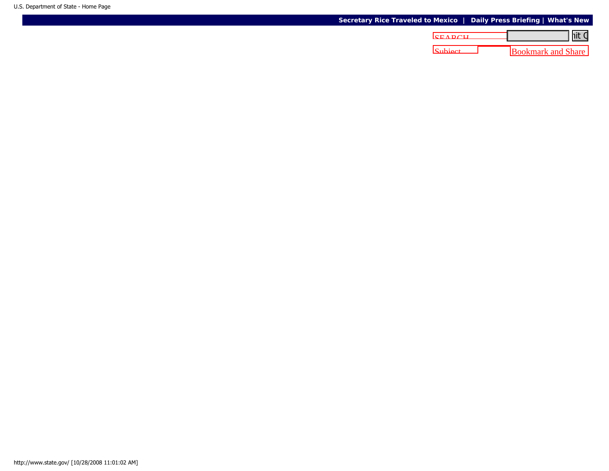## **[Secretary Rice Traveled to Mexico](http://www.state.gov/secretary/rm/2008/10/111205.htm) | [Daily Press Briefing](http://www.state.gov/r/pa/prs/dpb/2008/) | [What's New](http://www.state.gov/whats_new/)**

| <u>nit C</u><br><b>CEADCH</b> |  |         |
|-------------------------------|--|---------|
| <b>Bookmark and Share</b>     |  | Subject |
|                               |  |         |
|                               |  |         |
|                               |  |         |
|                               |  |         |
|                               |  |         |
|                               |  |         |
|                               |  |         |
|                               |  |         |
|                               |  |         |
|                               |  |         |
|                               |  |         |
|                               |  |         |
|                               |  |         |
|                               |  |         |
|                               |  |         |
|                               |  |         |
|                               |  |         |
|                               |  |         |
|                               |  |         |
|                               |  |         |
|                               |  |         |
|                               |  |         |
|                               |  |         |
|                               |  |         |
|                               |  |         |
|                               |  |         |
|                               |  |         |
|                               |  |         |
|                               |  |         |
|                               |  |         |
|                               |  |         |
|                               |  |         |
|                               |  |         |
|                               |  |         |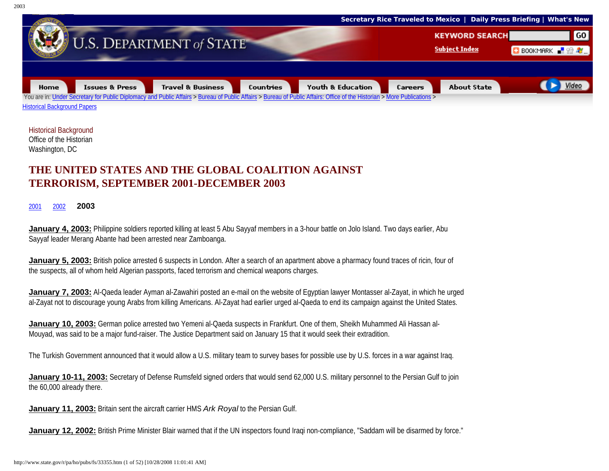

Historical Background Office of the Historian Washington, DC

## **THE UNITED STATES AND THE GLOBAL COALITION AGAINST TERRORISM, SEPTEMBER 2001-DECEMBER 2003**

[2001](http://www.state.gov/r/pa/ho/pubs/fs/5889.htm)[2002](http://www.state.gov/r/pa/ho/pubs/fs/33354.htm) **2003**

**January 4, 2003:** Philippine soldiers reported killing at least 5 Abu Sayyaf members in a 3-hour battle on Jolo Island. Two days earlier, Abu Sayyaf leader Merang Abante had been arrested near Zamboanga.

**January 5, 2003:** British police arrested 6 suspects in London. After a search of an apartment above a pharmacy found traces of ricin, four of the suspects, all of whom held Algerian passports, faced terrorism and chemical weapons charges.

**January 7, 2003:** Al-Qaeda leader Ayman al-Zawahiri posted an e-mail on the website of Egyptian lawyer Montasser al-Zayat, in which he urged al-Zayat not to discourage young Arabs from killing Americans. Al-Zayat had earlier urged al-Qaeda to end its campaign against the United States.

**January 10, 2003:** German police arrested two Yemeni al-Qaeda suspects in Frankfurt. One of them, Sheikh Muhammed Ali Hassan al-Mouyad, was said to be a major fund-raiser. The Justice Department said on January 15 that it would seek their extradition.

The Turkish Government announced that it would allow a U.S. military team to survey bases for possible use by U.S. forces in a war against Iraq.

**January 10-11, 2003:** Secretary of Defense Rumsfeld signed orders that would send 62,000 U.S. military personnel to the Persian Gulf to join the 60,000 already there.

**January 11, 2003:** Britain sent the aircraft carrier HMS *Ark Royal* to the Persian Gulf.

**January 12, 2002:** British Prime Minister Blair warned that if the UN inspectors found Iraqi non-compliance, "Saddam will be disarmed by force."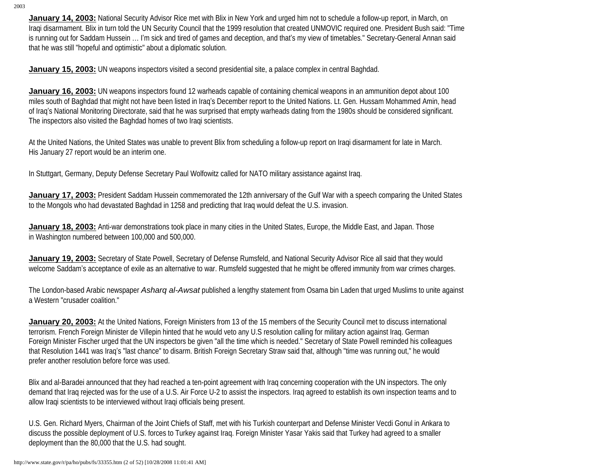**January 14, 2003:** National Security Advisor Rice met with Blix in New York and urged him not to schedule a follow-up report, in March, on Iraqi disarmament. Blix in turn told the UN Security Council that the 1999 resolution that created UNMOVIC required one. President Bush said: "Time is running out for Saddam Hussein … I'm sick and tired of games and deception, and that's my view of timetables." Secretary-General Annan said that he was still "hopeful and optimistic" about a diplomatic solution.

**January 15, 2003:** UN weapons inspectors visited a second presidential site, a palace complex in central Baghdad.

**January 16, 2003:** UN weapons inspectors found 12 warheads capable of containing chemical weapons in an ammunition depot about 100 miles south of Baghdad that might not have been listed in Iraq's December report to the United Nations. Lt. Gen. Hussam Mohammed Amin, head of Iraq's National Monitoring Directorate, said that he was surprised that empty warheads dating from the 1980s should be considered significant. The inspectors also visited the Baghdad homes of two Iraqi scientists.

At the United Nations, the United States was unable to prevent Blix from scheduling a follow-up report on Iraqi disarmament for late in March. His January 27 report would be an interim one.

In Stuttgart, Germany, Deputy Defense Secretary Paul Wolfowitz called for NATO military assistance against Iraq.

**January 17, 2003:** President Saddam Hussein commemorated the 12th anniversary of the Gulf War with a speech comparing the United States to the Mongols who had devastated Baghdad in 1258 and predicting that Iraq would defeat the U.S. invasion.

**January 18, 2003:** Anti-war demonstrations took place in many cities in the United States, Europe, the Middle East, and Japan. Those in Washington numbered between 100,000 and 500,000.

**January 19, 2003:** Secretary of State Powell, Secretary of Defense Rumsfeld, and National Security Advisor Rice all said that they would welcome Saddam's acceptance of exile as an alternative to war. Rumsfeld suggested that he might be offered immunity from war crimes charges.

The London-based Arabic newspaper *Asharq al-Awsat* published a lengthy statement from Osama bin Laden that urged Muslims to unite against a Western "crusader coalition."

**January 20, 2003:** At the United Nations, Foreign Ministers from 13 of the 15 members of the Security Council met to discuss international terrorism. French Foreign Minister de Villepin hinted that he would veto any U.S resolution calling for military action against Iraq. German Foreign Minister Fischer urged that the UN inspectors be given "all the time which is needed." Secretary of State Powell reminded his colleagues that Resolution 1441 was Iraq's "last chance" to disarm. British Foreign Secretary Straw said that, although "time was running out," he would prefer another resolution before force was used.

Blix and al-Baradei announced that they had reached a ten-point agreement with Iraq concerning cooperation with the UN inspectors. The only demand that Iraq rejected was for the use of a U.S. Air Force U-2 to assist the inspectors. Iraq agreed to establish its own inspection teams and to allow Iraqi scientists to be interviewed without Iraqi officials being present.

U.S. Gen. Richard Myers, Chairman of the Joint Chiefs of Staff, met with his Turkish counterpart and Defense Minister Vecdi Gonul in Ankara to discuss the possible deployment of U.S. forces to Turkey against Iraq. Foreign Minister Yasar Yakis said that Turkey had agreed to a smaller deployment than the 80,000 that the U.S. had sought.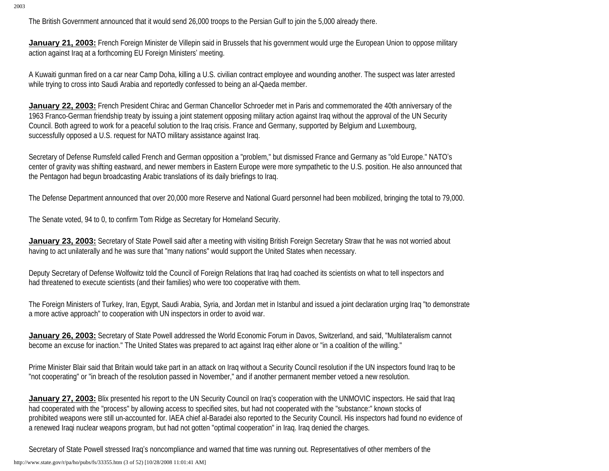The British Government announced that it would send 26,000 troops to the Persian Gulf to join the 5,000 already there.

**January 21, 2003:** French Foreign Minister de Villepin said in Brussels that his government would urge the European Union to oppose military action against Iraq at a forthcoming EU Foreign Ministers' meeting.

A Kuwaiti gunman fired on a car near Camp Doha, killing a U.S. civilian contract employee and wounding another. The suspect was later arrested while trying to cross into Saudi Arabia and reportedly confessed to being an al-Qaeda member.

**January 22, 2003:** French President Chirac and German Chancellor Schroeder met in Paris and commemorated the 40th anniversary of the 1963 Franco-German friendship treaty by issuing a joint statement opposing military action against Iraq without the approval of the UN Security Council. Both agreed to work for a peaceful solution to the Iraq crisis. France and Germany, supported by Belgium and Luxembourg, successfully opposed a U.S. request for NATO military assistance against Iraq.

Secretary of Defense Rumsfeld called French and German opposition a "problem," but dismissed France and Germany as "old Europe." NATO's center of gravity was shifting eastward, and newer members in Eastern Europe were more sympathetic to the U.S. position. He also announced that the Pentagon had begun broadcasting Arabic translations of its daily briefings to Iraq.

The Defense Department announced that over 20,000 more Reserve and National Guard personnel had been mobilized, bringing the total to 79,000.

The Senate voted, 94 to 0, to confirm Tom Ridge as Secretary for Homeland Security.

**January 23, 2003:** Secretary of State Powell said after a meeting with visiting British Foreign Secretary Straw that he was not worried about having to act unilaterally and he was sure that "many nations" would support the United States when necessary.

Deputy Secretary of Defense Wolfowitz told the Council of Foreign Relations that Iraq had coached its scientists on what to tell inspectors and had threatened to execute scientists (and their families) who were too cooperative with them.

The Foreign Ministers of Turkey, Iran, Egypt, Saudi Arabia, Syria, and Jordan met in Istanbul and issued a joint declaration urging Iraq "to demonstrate a more active approach" to cooperation with UN inspectors in order to avoid war.

**January 26, 2003:** Secretary of State Powell addressed the World Economic Forum in Davos, Switzerland, and said, "Multilateralism cannot become an excuse for inaction." The United States was prepared to act against Iraq either alone or "in a coalition of the willing."

Prime Minister Blair said that Britain would take part in an attack on Iraq without a Security Council resolution if the UN inspectors found Iraq to be "not cooperating" or "in breach of the resolution passed in November," and if another permanent member vetoed a new resolution.

**January 27, 2003:** Blix presented his report to the UN Security Council on Iraq's cooperation with the UNMOVIC inspectors. He said that Iraq had cooperated with the "process" by allowing access to specified sites, but had not cooperated with the "substance:" known stocks of prohibited weapons were still un-accounted for. IAEA chief al-Baradei also reported to the Security Council. His inspectors had found no evidence of a renewed Iraqi nuclear weapons program, but had not gotten "optimal cooperation" in Iraq. Iraq denied the charges.

Secretary of State Powell stressed Iraq's noncompliance and warned that time was running out. Representatives of other members of the

http://www.state.gov/r/pa/ho/pubs/fs/33355.htm (3 of 52) [10/28/2008 11:01:41 AM]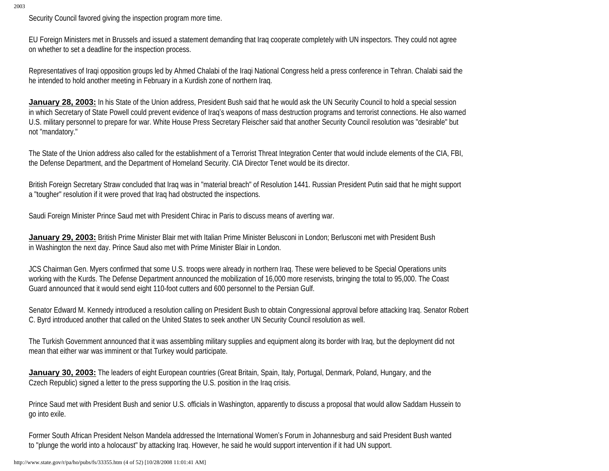Security Council favored giving the inspection program more time.

EU Foreign Ministers met in Brussels and issued a statement demanding that Iraq cooperate completely with UN inspectors. They could not agree on whether to set a deadline for the inspection process.

Representatives of Iraqi opposition groups led by Ahmed Chalabi of the Iraqi National Congress held a press conference in Tehran. Chalabi said the he intended to hold another meeting in February in a Kurdish zone of northern Iraq.

**January 28, 2003:** In his State of the Union address, President Bush said that he would ask the UN Security Council to hold a special session in which Secretary of State Powell could prevent evidence of Iraq's weapons of mass destruction programs and terrorist connections. He also warned U.S. military personnel to prepare for war. White House Press Secretary Fleischer said that another Security Council resolution was "desirable" but not "mandatory."

The State of the Union address also called for the establishment of a Terrorist Threat Integration Center that would include elements of the CIA, FBI, the Defense Department, and the Department of Homeland Security. CIA Director Tenet would be its director.

British Foreign Secretary Straw concluded that Iraq was in "material breach" of Resolution 1441. Russian President Putin said that he might support a "tougher" resolution if it were proved that Iraq had obstructed the inspections.

Saudi Foreign Minister Prince Saud met with President Chirac in Paris to discuss means of averting war.

**January 29, 2003:** British Prime Minister Blair met with Italian Prime Minister Belusconi in London; Berlusconi met with President Bush in Washington the next day. Prince Saud also met with Prime Minister Blair in London.

JCS Chairman Gen. Myers confirmed that some U.S. troops were already in northern Iraq. These were believed to be Special Operations units working with the Kurds. The Defense Department announced the mobilization of 16,000 more reservists, bringing the total to 95,000. The Coast Guard announced that it would send eight 110-foot cutters and 600 personnel to the Persian Gulf.

Senator Edward M. Kennedy introduced a resolution calling on President Bush to obtain Congressional approval before attacking Iraq. Senator Robert C. Byrd introduced another that called on the United States to seek another UN Security Council resolution as well.

The Turkish Government announced that it was assembling military supplies and equipment along its border with Iraq, but the deployment did not mean that either war was imminent or that Turkey would participate.

**January 30, 2003:** The leaders of eight European countries (Great Britain, Spain, Italy, Portugal, Denmark, Poland, Hungary, and the Czech Republic) signed a letter to the press supporting the U.S. position in the Iraq crisis.

Prince Saud met with President Bush and senior U.S. officials in Washington, apparently to discuss a proposal that would allow Saddam Hussein to go into exile.

Former South African President Nelson Mandela addressed the International Women's Forum in Johannesburg and said President Bush wanted to "plunge the world into a holocaust" by attacking Iraq. However, he said he would support intervention if it had UN support.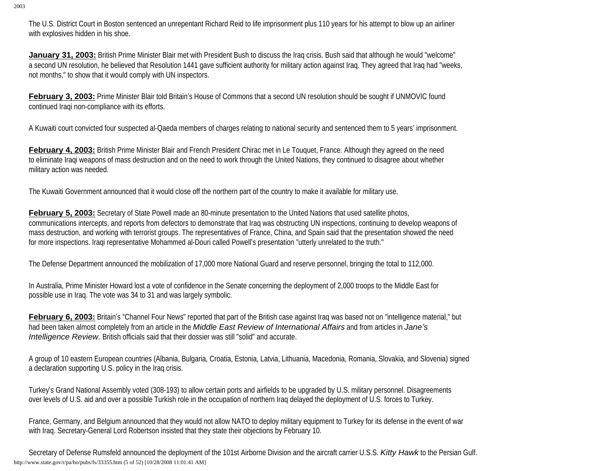The U.S. District Court in Boston sentenced an unrepentant Richard Reid to life imprisonment plus 110 years for his attempt to blow up an airliner with explosives hidden in his shoe.

**January 31, 2003:** British Prime Minister Blair met with President Bush to discuss the Iraq crisis. Bush said that although he would "welcome" a second UN resolution, he believed that Resolution 1441 gave sufficient authority for military action against Iraq. They agreed that Iraq had "weeks, not months," to show that it would comply with UN inspectors.

**February 3, 2003:** Prime Minister Blair told Britain's House of Commons that a second UN resolution should be sought if UNMOVIC found continued Iraqi non-compliance with its efforts.

A Kuwaiti court convicted four suspected al-Qaeda members of charges relating to national security and sentenced them to 5 years' imprisonment.

**February 4, 2003:** British Prime Minister Blair and French President Chirac met in Le Touquet, France. Although they agreed on the need to eliminate Iraqi weapons of mass destruction and on the need to work through the United Nations, they continued to disagree about whether military action was needed.

The Kuwaiti Government announced that it would close off the northern part of the country to make it available for military use.

**February 5, 2003:** Secretary of State Powell made an 80-minute presentation to the United Nations that used satellite photos, communications intercepts, and reports from defectors to demonstrate that Iraq was obstructing UN inspections, continuing to develop weapons of mass destruction, and working with terrorist groups. The representatives of France, China, and Spain said that the presentation showed the need for more inspections. Iraqi representative Mohammed al-Douri called Powell's presentation "utterly unrelated to the truth."

The Defense Department announced the mobilization of 17,000 more National Guard and reserve personnel, bringing the total to 112,000.

In Australia, Prime Minister Howard lost a vote of confidence in the Senate concerning the deployment of 2,000 troops to the Middle East for possible use in Iraq. The vote was 34 to 31 and was largely symbolic.

February 6, 2003: Britain's "Channel Four News" reported that part of the British case against Iraq was based not on "intelligence material," but had been taken almost completely from an article in the *Middle East Review of International Affairs* and from articles in *Jane's Intelligence Review.* British officials said that their dossier was still "solid" and accurate.

A group of 10 eastern European countries (Albania, Bulgaria, Croatia, Estonia, Latvia, Lithuania, Macedonia, Romania, Slovakia, and Slovenia) signed a declaration supporting U.S. policy in the Iraq crisis.

Turkey's Grand National Assembly voted (308-193) to allow certain ports and airfields to be upgraded by U.S. military personnel. Disagreements over levels of U.S. aid and over a possible Turkish role in the occupation of northern Iraq delayed the deployment of U.S. forces to Turkey.

France, Germany, and Belgium announced that they would not allow NATO to deploy military equipment to Turkey for its defense in the event of war with Iraq. Secretary-General Lord Robertson insisted that they state their objections by February 10.

Secretary of Defense Rumsfeld announced the deployment of the 101st Airborne Division and the aircraft carrier U.S.S. *Kitty Hawk* to the Persian Gulf. http://www.state.gov/r/pa/ho/pubs/fs/33355.htm (5 of 52) [10/28/2008 11:01:41 AM]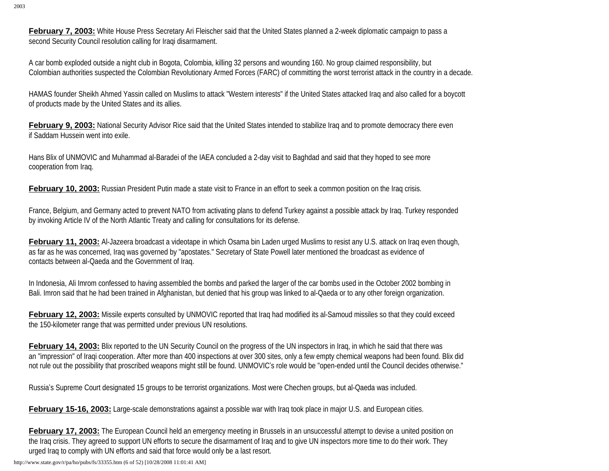**February 7, 2003:** White House Press Secretary Ari Fleischer said that the United States planned a 2-week diplomatic campaign to pass a second Security Council resolution calling for Iraqi disarmament.

A car bomb exploded outside a night club in Bogota, Colombia, killing 32 persons and wounding 160. No group claimed responsibility, but Colombian authorities suspected the Colombian Revolutionary Armed Forces (FARC) of committing the worst terrorist attack in the country in a decade.

HAMAS founder Sheikh Ahmed Yassin called on Muslims to attack "Western interests" if the United States attacked Iraq and also called for a boycott of products made by the United States and its allies.

**February 9, 2003:** National Security Advisor Rice said that the United States intended to stabilize Iraq and to promote democracy there even if Saddam Hussein went into exile.

Hans Blix of UNMOVIC and Muhammad al-Baradei of the IAEA concluded a 2-day visit to Baghdad and said that they hoped to see more cooperation from Iraq.

**February 10, 2003:** Russian President Putin made a state visit to France in an effort to seek a common position on the Iraq crisis.

France, Belgium, and Germany acted to prevent NATO from activating plans to defend Turkey against a possible attack by Iraq. Turkey responded by invoking Article IV of the North Atlantic Treaty and calling for consultations for its defense.

**February 11, 2003:** Al-Jazeera broadcast a videotape in which Osama bin Laden urged Muslims to resist any U.S. attack on Iraq even though, as far as he was concerned, Iraq was governed by "apostates." Secretary of State Powell later mentioned the broadcast as evidence of contacts between al-Qaeda and the Government of Iraq.

In Indonesia, Ali Imrom confessed to having assembled the bombs and parked the larger of the car bombs used in the October 2002 bombing in Bali. Imron said that he had been trained in Afghanistan, but denied that his group was linked to al-Qaeda or to any other foreign organization.

**February 12, 2003:** Missile experts consulted by UNMOVIC reported that Iraq had modified its al-Samoud missiles so that they could exceed the 150-kilometer range that was permitted under previous UN resolutions.

**February 14, 2003:** Blix reported to the UN Security Council on the progress of the UN inspectors in Iraq, in which he said that there was an "impression" of Iraqi cooperation. After more than 400 inspections at over 300 sites, only a few empty chemical weapons had been found. Blix did not rule out the possibility that proscribed weapons might still be found. UNMOVIC's role would be "open-ended until the Council decides otherwise."

Russia's Supreme Court designated 15 groups to be terrorist organizations. Most were Chechen groups, but al-Qaeda was included.

**February 15-16, 2003:** Large-scale demonstrations against a possible war with Iraq took place in major U.S. and European cities.

**February 17, 2003:** The European Council held an emergency meeting in Brussels in an unsuccessful attempt to devise a united position on the Iraq crisis. They agreed to support UN efforts to secure the disarmament of Iraq and to give UN inspectors more time to do their work. They urged Iraq to comply with UN efforts and said that force would only be a last resort.

http://www.state.gov/r/pa/ho/pubs/fs/33355.htm (6 of 52) [10/28/2008 11:01:41 AM]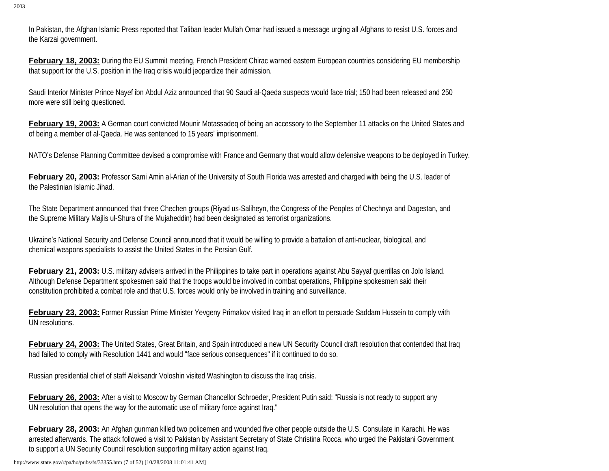In Pakistan, the Afghan Islamic Press reported that Taliban leader Mullah Omar had issued a message urging all Afghans to resist U.S. forces and the Karzai government.

**February 18, 2003:** During the EU Summit meeting, French President Chirac warned eastern European countries considering EU membership that support for the U.S. position in the Iraq crisis would jeopardize their admission.

Saudi Interior Minister Prince Nayef ibn Abdul Aziz announced that 90 Saudi al-Qaeda suspects would face trial; 150 had been released and 250 more were still being questioned.

**February 19, 2003:** A German court convicted Mounir Motassadeq of being an accessory to the September 11 attacks on the United States and of being a member of al-Qaeda. He was sentenced to 15 years' imprisonment.

NATO's Defense Planning Committee devised a compromise with France and Germany that would allow defensive weapons to be deployed in Turkey.

**February 20, 2003:** Professor Sami Amin al-Arian of the University of South Florida was arrested and charged with being the U.S. leader of the Palestinian Islamic Jihad.

The State Department announced that three Chechen groups (Riyad us-Saliheyn, the Congress of the Peoples of Chechnya and Dagestan, and the Supreme Military Majlis ul-Shura of the Mujaheddin) had been designated as terrorist organizations.

Ukraine's National Security and Defense Council announced that it would be willing to provide a battalion of anti-nuclear, biological, and chemical weapons specialists to assist the United States in the Persian Gulf.

**February 21, 2003:** U.S. military advisers arrived in the Philippines to take part in operations against Abu Sayyaf querrillas on Jolo Island. Although Defense Department spokesmen said that the troops would be involved in combat operations, Philippine spokesmen said their constitution prohibited a combat role and that U.S. forces would only be involved in training and surveillance.

**February 23, 2003:** Former Russian Prime Minister Yevgeny Primakov visited Iraq in an effort to persuade Saddam Hussein to comply with UN resolutions.

February 24, 2003: The United States, Great Britain, and Spain introduced a new UN Security Council draft resolution that contended that Iraq had failed to comply with Resolution 1441 and would "face serious consequences" if it continued to do so.

Russian presidential chief of staff Aleksandr Voloshin visited Washington to discuss the Iraq crisis.

**February 26, 2003:** After a visit to Moscow by German Chancellor Schroeder, President Putin said: "Russia is not ready to support any UN resolution that opens the way for the automatic use of military force against Iraq."

**February 28, 2003:** An Afghan gunman killed two policemen and wounded five other people outside the U.S. Consulate in Karachi. He was arrested afterwards. The attack followed a visit to Pakistan by Assistant Secretary of State Christina Rocca, who urged the Pakistani Government to support a UN Security Council resolution supporting military action against Iraq.

http://www.state.gov/r/pa/ho/pubs/fs/33355.htm (7 of 52) [10/28/2008 11:01:41 AM]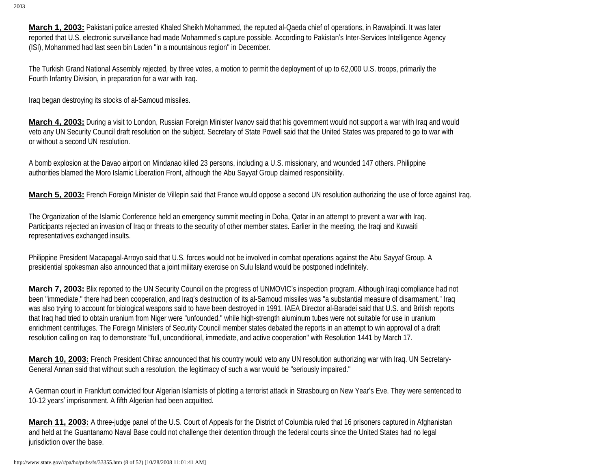**March 1, 2003:** Pakistani police arrested Khaled Sheikh Mohammed, the reputed al-Qaeda chief of operations, in Rawalpindi. It was later reported that U.S. electronic surveillance had made Mohammed's capture possible. According to Pakistan's Inter-Services Intelligence Agency (ISI), Mohammed had last seen bin Laden "in a mountainous region" in December.

The Turkish Grand National Assembly rejected, by three votes, a motion to permit the deployment of up to 62,000 U.S. troops, primarily the Fourth Infantry Division, in preparation for a war with Iraq.

Iraq began destroying its stocks of al-Samoud missiles.

**March 4, 2003:** During a visit to London, Russian Foreign Minister Ivanov said that his government would not support a war with Iraq and would veto any UN Security Council draft resolution on the subject. Secretary of State Powell said that the United States was prepared to go to war with or without a second UN resolution.

A bomb explosion at the Davao airport on Mindanao killed 23 persons, including a U.S. missionary, and wounded 147 others. Philippine authorities blamed the Moro Islamic Liberation Front, although the Abu Sayyaf Group claimed responsibility.

**March 5, 2003:** French Foreign Minister de Villepin said that France would oppose a second UN resolution authorizing the use of force against Iraq.

The Organization of the Islamic Conference held an emergency summit meeting in Doha, Qatar in an attempt to prevent a war with Iraq. Participants rejected an invasion of Iraq or threats to the security of other member states. Earlier in the meeting, the Iraqi and Kuwaiti representatives exchanged insults.

Philippine President Macapagal-Arroyo said that U.S. forces would not be involved in combat operations against the Abu Sayyaf Group. A presidential spokesman also announced that a joint military exercise on Sulu lsland would be postponed indefinitely.

**March 7, 2003:** Blix reported to the UN Security Council on the progress of UNMOVIC's inspection program. Although Iraqi compliance had not been "immediate," there had been cooperation, and Iraq's destruction of its al-Samoud missiles was "a substantial measure of disarmament." Iraq was also trying to account for biological weapons said to have been destroyed in 1991. IAEA Director al-Baradei said that U.S. and British reports that Iraq had tried to obtain uranium from Niger were "unfounded," while high-strength aluminum tubes were not suitable for use in uranium enrichment centrifuges. The Foreign Ministers of Security Council member states debated the reports in an attempt to win approval of a draft resolution calling on Iraq to demonstrate "full, unconditional, immediate, and active cooperation" with Resolution 1441 by March 17.

**March 10, 2003:** French President Chirac announced that his country would veto any UN resolution authorizing war with Iraq. UN Secretary-General Annan said that without such a resolution, the legitimacy of such a war would be "seriously impaired."

A German court in Frankfurt convicted four Algerian Islamists of plotting a terrorist attack in Strasbourg on New Year's Eve. They were sentenced to 10-12 years' imprisonment. A fifth Algerian had been acquitted.

**March 11, 2003:** A three-judge panel of the U.S. Court of Appeals for the District of Columbia ruled that 16 prisoners captured in Afghanistan and held at the Guantanamo Naval Base could not challenge their detention through the federal courts since the United States had no legal jurisdiction over the base.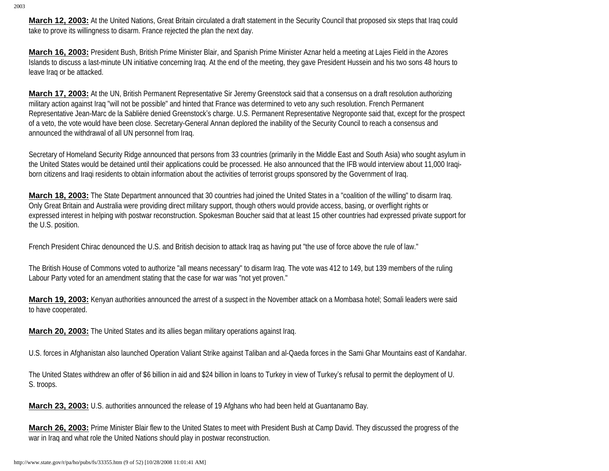**March 12, 2003:** At the United Nations, Great Britain circulated a draft statement in the Security Council that proposed six steps that Iraq could take to prove its willingness to disarm. France rejected the plan the next day.

**March 16, 2003:** President Bush, British Prime Minister Blair, and Spanish Prime Minister Aznar held a meeting at Lajes Field in the Azores Islands to discuss a last-minute UN initiative concerning Iraq. At the end of the meeting, they gave President Hussein and his two sons 48 hours to leave Iraq or be attacked.

**March 17, 2003:** At the UN, British Permanent Representative Sir Jeremy Greenstock said that a consensus on a draft resolution authorizing military action against Iraq "will not be possible" and hinted that France was determined to veto any such resolution. French Permanent Representative Jean-Marc de la Sablière denied Greenstock's charge. U.S. Permanent Representative Negroponte said that, except for the prospect of a veto, the vote would have been close. Secretary-General Annan deplored the inability of the Security Council to reach a consensus and announced the withdrawal of all UN personnel from Iraq.

Secretary of Homeland Security Ridge announced that persons from 33 countries (primarily in the Middle East and South Asia) who sought asylum in the United States would be detained until their applications could be processed. He also announced that the IFB would interview about 11,000 Iraqiborn citizens and Iraqi residents to obtain information about the activities of terrorist groups sponsored by the Government of Iraq.

**March 18, 2003:** The State Department announced that 30 countries had joined the United States in a "coalition of the willing" to disarm Iraq. Only Great Britain and Australia were providing direct military support, though others would provide access, basing, or overflight rights or expressed interest in helping with postwar reconstruction. Spokesman Boucher said that at least 15 other countries had expressed private support for the U.S. position.

French President Chirac denounced the U.S. and British decision to attack Iraq as having put "the use of force above the rule of law."

The British House of Commons voted to authorize "all means necessary" to disarm Iraq. The vote was 412 to 149, but 139 members of the ruling Labour Party voted for an amendment stating that the case for war was "not yet proven."

**March 19, 2003:** Kenyan authorities announced the arrest of a suspect in the November attack on a Mombasa hotel; Somali leaders were said to have cooperated.

**March 20, 2003:** The United States and its allies began military operations against Iraq.

U.S. forces in Afghanistan also launched Operation Valiant Strike against Taliban and al-Qaeda forces in the Sami Ghar Mountains east of Kandahar.

The United States withdrew an offer of \$6 billion in aid and \$24 billion in loans to Turkey in view of Turkey's refusal to permit the deployment of U. S. troops.

**March 23, 2003:** U.S. authorities announced the release of 19 Afghans who had been held at Guantanamo Bay.

**March 26, 2003:** Prime Minister Blair flew to the United States to meet with President Bush at Camp David. They discussed the progress of the war in Iraq and what role the United Nations should play in postwar reconstruction.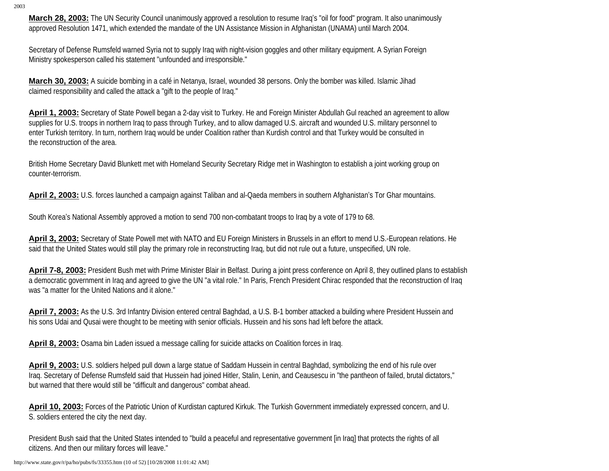**March 28, 2003:** The UN Security Council unanimously approved a resolution to resume Iraq's "oil for food" program. It also unanimously approved Resolution 1471, which extended the mandate of the UN Assistance Mission in Afghanistan (UNAMA) until March 2004.

Secretary of Defense Rumsfeld warned Syria not to supply Iraq with night-vision goggles and other military equipment. A Syrian Foreign Ministry spokesperson called his statement "unfounded and irresponsible."

**March 30, 2003:** A suicide bombing in a café in Netanya, Israel, wounded 38 persons. Only the bomber was killed. Islamic Jihad claimed responsibility and called the attack a "gift to the people of Iraq."

**April 1, 2003:** Secretary of State Powell began a 2-day visit to Turkey. He and Foreign Minister Abdullah Gul reached an agreement to allow supplies for U.S. troops in northern Iraq to pass through Turkey, and to allow damaged U.S. aircraft and wounded U.S. military personnel to enter Turkish territory. In turn, northern Iraq would be under Coalition rather than Kurdish control and that Turkey would be consulted in the reconstruction of the area.

British Home Secretary David Blunkett met with Homeland Security Secretary Ridge met in Washington to establish a joint working group on counter-terrorism.

**April 2, 2003:** U.S. forces launched a campaign against Taliban and al-Qaeda members in southern Afghanistan's Tor Ghar mountains.

South Korea's National Assembly approved a motion to send 700 non-combatant troops to Iraq by a vote of 179 to 68.

**April 3, 2003:** Secretary of State Powell met with NATO and EU Foreign Ministers in Brussels in an effort to mend U.S.-European relations. He said that the United States would still play the primary role in reconstructing Iraq, but did not rule out a future, unspecified, UN role.

**April 7-8, 2003:** President Bush met with Prime Minister Blair in Belfast. During a joint press conference on April 8, they outlined plans to establish a democratic government in Iraq and agreed to give the UN "a vital role." In Paris, French President Chirac responded that the reconstruction of Iraq was "a matter for the United Nations and it alone."

**April 7, 2003:** As the U.S. 3rd Infantry Division entered central Baghdad, a U.S. B-1 bomber attacked a building where President Hussein and his sons Udai and Qusai were thought to be meeting with senior officials. Hussein and his sons had left before the attack.

**April 8, 2003:** Osama bin Laden issued a message calling for suicide attacks on Coalition forces in Iraq.

**April 9, 2003:** U.S. soldiers helped pull down a large statue of Saddam Hussein in central Baghdad, symbolizing the end of his rule over Iraq. Secretary of Defense Rumsfeld said that Hussein had joined Hitler, Stalin, Lenin, and Ceausescu in "the pantheon of failed, brutal dictators," but warned that there would still be "difficult and dangerous" combat ahead.

**April 10, 2003:** Forces of the Patriotic Union of Kurdistan captured Kirkuk. The Turkish Government immediately expressed concern, and U. S. soldiers entered the city the next day.

President Bush said that the United States intended to "build a peaceful and representative government [in Iraq] that protects the rights of all citizens. And then our military forces will leave."

http://www.state.gov/r/pa/ho/pubs/fs/33355.htm (10 of 52) [10/28/2008 11:01:42 AM]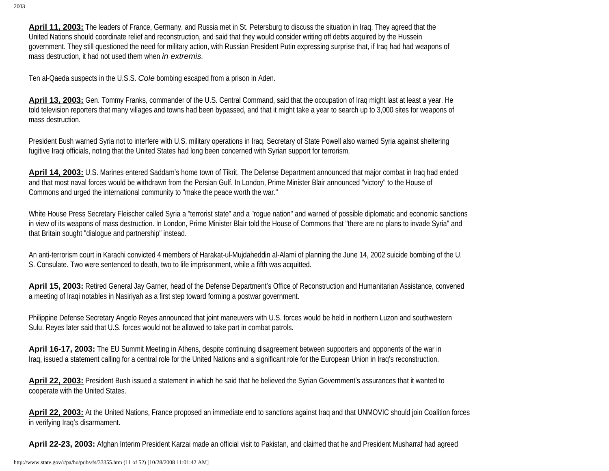**April 11, 2003:** The leaders of France, Germany, and Russia met in St. Petersburg to discuss the situation in Iraq. They agreed that the United Nations should coordinate relief and reconstruction, and said that they would consider writing off debts acquired by the Hussein government. They still questioned the need for military action, with Russian President Putin expressing surprise that, if Iraq had had weapons of mass destruction, it had not used them when *in extremis*.

Ten al-Qaeda suspects in the U.S.S. *Cole* bombing escaped from a prison in Aden.

April 13, 2003: Gen. Tommy Franks, commander of the U.S. Central Command, said that the occupation of Iraq might last at least a year. He told television reporters that many villages and towns had been bypassed, and that it might take a year to search up to 3,000 sites for weapons of mass destruction.

President Bush warned Syria not to interfere with U.S. military operations in Iraq. Secretary of State Powell also warned Syria against sheltering fugitive Iraqi officials, noting that the United States had long been concerned with Syrian support for terrorism.

**April 14, 2003:** U.S. Marines entered Saddam's home town of Tikrit. The Defense Department announced that major combat in Iraq had ended and that most naval forces would be withdrawn from the Persian Gulf. In London, Prime Minister Blair announced "victory" to the House of Commons and urged the international community to "make the peace worth the war."

White House Press Secretary Fleischer called Syria a "terrorist state" and a "rogue nation" and warned of possible diplomatic and economic sanctions in view of its weapons of mass destruction. In London, Prime Minister Blair told the House of Commons that "there are no plans to invade Syria" and that Britain sought "dialogue and partnership" instead.

An anti-terrorism court in Karachi convicted 4 members of Harakat-ul-Mujdaheddin al-Alami of planning the June 14, 2002 suicide bombing of the U. S. Consulate. Two were sentenced to death, two to life imprisonment, while a fifth was acquitted.

**April 15, 2003:** Retired General Jay Garner, head of the Defense Department's Office of Reconstruction and Humanitarian Assistance, convened a meeting of Iraqi notables in Nasiriyah as a first step toward forming a postwar government.

Philippine Defense Secretary Angelo Reyes announced that joint maneuvers with U.S. forces would be held in northern Luzon and southwestern Sulu. Reyes later said that U.S. forces would not be allowed to take part in combat patrols.

**April 16-17, 2003:** The EU Summit Meeting in Athens, despite continuing disagreement between supporters and opponents of the war in Iraq, issued a statement calling for a central role for the United Nations and a significant role for the European Union in Iraq's reconstruction.

April 22, 2003: President Bush issued a statement in which he said that he believed the Syrian Government's assurances that it wanted to cooperate with the United States.

**April 22, 2003:** At the United Nations, France proposed an immediate end to sanctions against Iraq and that UNMOVIC should join Coalition forces in verifying Iraq's disarmament.

**April 22-23, 2003:** Afghan Interim President Karzai made an official visit to Pakistan, and claimed that he and President Musharraf had agreed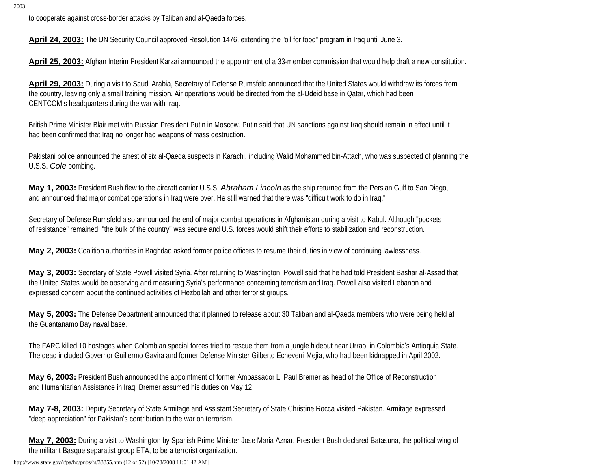to cooperate against cross-border attacks by Taliban and al-Qaeda forces.

**April 24, 2003:** The UN Security Council approved Resolution 1476, extending the "oil for food" program in Iraq until June 3.

**April 25, 2003:** Afghan Interim President Karzai announced the appointment of a 33-member commission that would help draft a new constitution.

**April 29, 2003:** During a visit to Saudi Arabia, Secretary of Defense Rumsfeld announced that the United States would withdraw its forces from the country, leaving only a small training mission. Air operations would be directed from the al-Udeid base in Qatar, which had been CENTCOM's headquarters during the war with Iraq.

British Prime Minister Blair met with Russian President Putin in Moscow. Putin said that UN sanctions against Iraq should remain in effect until it had been confirmed that Iraq no longer had weapons of mass destruction.

Pakistani police announced the arrest of six al-Qaeda suspects in Karachi, including Walid Mohammed bin-Attach, who was suspected of planning the U.S.S. *Cole* bombing.

**May 1, 2003:** President Bush flew to the aircraft carrier U.S.S. *Abraham Lincoln* as the ship returned from the Persian Gulf to San Diego, and announced that major combat operations in Iraq were over. He still warned that there was "difficult work to do in Iraq."

Secretary of Defense Rumsfeld also announced the end of major combat operations in Afghanistan during a visit to Kabul. Although "pockets of resistance" remained, "the bulk of the country" was secure and U.S. forces would shift their efforts to stabilization and reconstruction.

**May 2, 2003:** Coalition authorities in Baghdad asked former police officers to resume their duties in view of continuing lawlessness.

**May 3, 2003:** Secretary of State Powell visited Syria. After returning to Washington, Powell said that he had told President Bashar al-Assad that the United States would be observing and measuring Syria's performance concerning terrorism and Iraq. Powell also visited Lebanon and expressed concern about the continued activities of Hezbollah and other terrorist groups.

**May 5, 2003:** The Defense Department announced that it planned to release about 30 Taliban and al-Qaeda members who were being held at the Guantanamo Bay naval base.

The FARC killed 10 hostages when Colombian special forces tried to rescue them from a jungle hideout near Urrao, in Colombia's Antioquia State. The dead included Governor Guillermo Gavira and former Defense Minister Gilberto Echeverri Mejia, who had been kidnapped in April 2002.

**May 6, 2003:** President Bush announced the appointment of former Ambassador L. Paul Bremer as head of the Office of Reconstruction and Humanitarian Assistance in Iraq. Bremer assumed his duties on May 12.

**May 7-8, 2003:** Deputy Secretary of State Armitage and Assistant Secretary of State Christine Rocca visited Pakistan. Armitage expressed "deep appreciation" for Pakistan's contribution to the war on terrorism.

**May 7, 2003:** During a visit to Washington by Spanish Prime Minister Jose Maria Aznar, President Bush declared Batasuna, the political wing of the militant Basque separatist group ETA, to be a terrorist organization.

http://www.state.gov/r/pa/ho/pubs/fs/33355.htm (12 of 52) [10/28/2008 11:01:42 AM]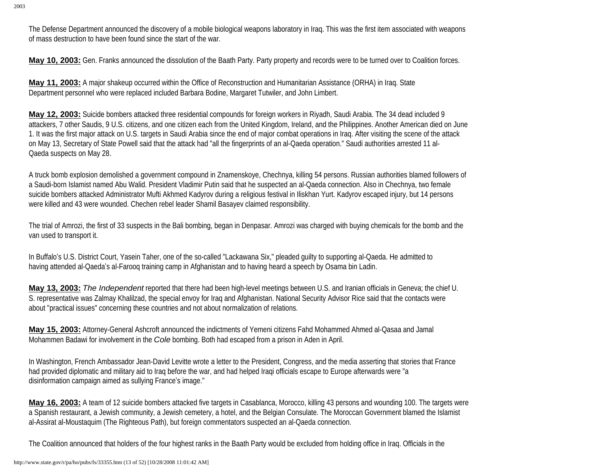The Defense Department announced the discovery of a mobile biological weapons laboratory in Iraq. This was the first item associated with weapons of mass destruction to have been found since the start of the war.

**May 10, 2003:** Gen. Franks announced the dissolution of the Baath Party. Party property and records were to be turned over to Coalition forces.

**May 11, 2003:** A major shakeup occurred within the Office of Reconstruction and Humanitarian Assistance (ORHA) in Iraq. State Department personnel who were replaced included Barbara Bodine, Margaret Tutwiler, and John Limbert.

**May 12, 2003:** Suicide bombers attacked three residential compounds for foreign workers in Riyadh, Saudi Arabia. The 34 dead included 9 attackers, 7 other Saudis, 9 U.S. citizens, and one citizen each from the United Kingdom, Ireland, and the Philippines. Another American died on June 1. It was the first major attack on U.S. targets in Saudi Arabia since the end of major combat operations in Iraq. After visiting the scene of the attack on May 13, Secretary of State Powell said that the attack had "all the fingerprints of an al-Qaeda operation." Saudi authorities arrested 11 al-Qaeda suspects on May 28.

A truck bomb explosion demolished a government compound in Znamenskoye, Chechnya, killing 54 persons. Russian authorities blamed followers of a Saudi-born Islamist named Abu Walid. President Vladimir Putin said that he suspected an al-Qaeda connection. Also in Chechnya, two female suicide bombers attacked Administrator Mufti Akhmed Kadyrov during a religious festival in Iliskhan Yurt. Kadyrov escaped injury, but 14 persons were killed and 43 were wounded. Chechen rebel leader Shamil Basayev claimed responsibility.

The trial of Amrozi, the first of 33 suspects in the Bali bombing, began in Denpasar. Amrozi was charged with buying chemicals for the bomb and the van used to transport it.

In Buffalo's U.S. District Court, Yasein Taher, one of the so-called "Lackawana Six," pleaded guilty to supporting al-Qaeda. He admitted to having attended al-Qaeda's al-Farooq training camp in Afghanistan and to having heard a speech by Osama bin Ladin.

**May 13, 2003:** *The Independent* reported that there had been high-level meetings between U.S. and Iranian officials in Geneva; the chief U. S. representative was Zalmay Khalilzad, the special envoy for Iraq and Afghanistan. National Security Advisor Rice said that the contacts were about "practical issues" concerning these countries and not about normalization of relations.

**May 15, 2003:** Attorney-General Ashcroft announced the indictments of Yemeni citizens Fahd Mohammed Ahmed al-Qasaa and Jamal Mohammen Badawi for involvement in the *Cole* bombing. Both had escaped from a prison in Aden in April.

In Washington, French Ambassador Jean-David Levitte wrote a letter to the President, Congress, and the media asserting that stories that France had provided diplomatic and military aid to Iraq before the war, and had helped Iraqi officials escape to Europe afterwards were "a disinformation campaign aimed as sullying France's image."

**May 16, 2003:** A team of 12 suicide bombers attacked five targets in Casablanca, Morocco, killing 43 persons and wounding 100. The targets were a Spanish restaurant, a Jewish community, a Jewish cemetery, a hotel, and the Belgian Consulate. The Moroccan Government blamed the Islamist al-Assirat al-Moustaquim (The Righteous Path), but foreign commentators suspected an al-Qaeda connection.

The Coalition announced that holders of the four highest ranks in the Baath Party would be excluded from holding office in Iraq. Officials in the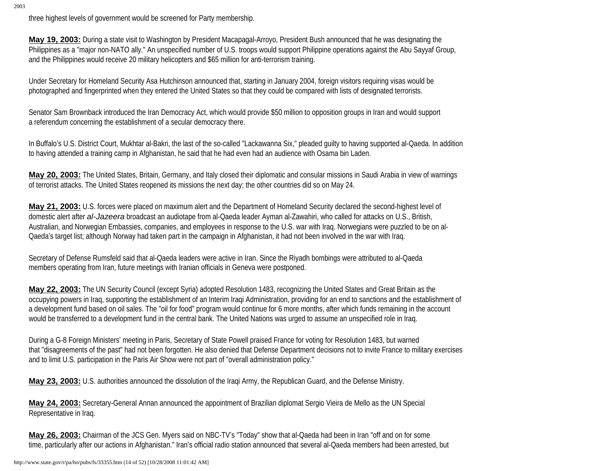three highest levels of government would be screened for Party membership.

**May 19, 2003:** During a state visit to Washington by President Macapagal-Arroyo, President Bush announced that he was designating the Philippines as a "major non-NATO ally." An unspecified number of U.S. troops would support Philippine operations against the Abu Sayyaf Group, and the Philippines would receive 20 military helicopters and \$65 million for anti-terrorism training.

Under Secretary for Homeland Security Asa Hutchinson announced that, starting in January 2004, foreign visitors requiring visas would be photographed and fingerprinted when they entered the United States so that they could be compared with lists of designated terrorists.

Senator Sam Brownback introduced the Iran Democracy Act, which would provide \$50 million to opposition groups in Iran and would support a referendum concerning the establishment of a secular democracy there.

In Buffalo's U.S. District Court, Mukhtar al-Bakri, the last of the so-called "Lackawanna Six," pleaded guilty to having supported al-Qaeda. In addition to having attended a training camp in Afghanistan, he said that he had even had an audience with Osama bin Laden.

**May 20, 2003:** The United States, Britain, Germany, and Italy closed their diplomatic and consular missions in Saudi Arabia in view of warnings of terrorist attacks. The United States reopened its missions the next day; the other countries did so on May 24.

**May 21, 2003:** U.S. forces were placed on maximum alert and the Department of Homeland Security declared the second-highest level of domestic alert after *al-Jazeera* broadcast an audiotape from al-Qaeda leader Ayman al-Zawahiri, who called for attacks on U.S., British, Australian, and Norwegian Embassies, companies, and employees in response to the U.S. war with Iraq. Norwegians were puzzled to be on al-Qaeda's target list; although Norway had taken part in the campaign in Afghanistan, it had not been involved in the war with Iraq.

Secretary of Defense Rumsfeld said that al-Qaeda leaders were active in Iran. Since the Riyadh bombings were attributed to al-Qaeda members operating from Iran, future meetings with Iranian officials in Geneva were postponed.

**May 22, 2003:** The UN Security Council (except Syria) adopted Resolution 1483, recognizing the United States and Great Britain as the occupying powers in Iraq, supporting the establishment of an Interim Iraqi Administration, providing for an end to sanctions and the establishment of a development fund based on oil sales. The "oil for food" program would continue for 6 more months, after which funds remaining in the account would be transferred to a development fund in the central bank. The United Nations was urged to assume an unspecified role in Iraq.

During a G-8 Foreign Ministers' meeting in Paris, Secretary of State Powell praised France for voting for Resolution 1483, but warned that "disagreements of the past" had not been forgotten. He also denied that Defense Department decisions not to invite France to military exercises and to limit U.S. participation in the Paris Air Show were not part of "overall administration policy."

**May 23, 2003:** U.S. authorities announced the dissolution of the Iraqi Army, the Republican Guard, and the Defense Ministry.

**May 24, 2003:** Secretary-General Annan announced the appointment of Brazilian diplomat Sergio Vieira de Mello as the UN Special Representative in Iraq.

**May 26, 2003:** Chairman of the JCS Gen. Myers said on NBC-TV's "Today" show that al-Qaeda had been in Iran "off and on for some time, particularly after our actions in Afghanistan." Iran's official radio station announced that several al-Qaeda members had been arrested, but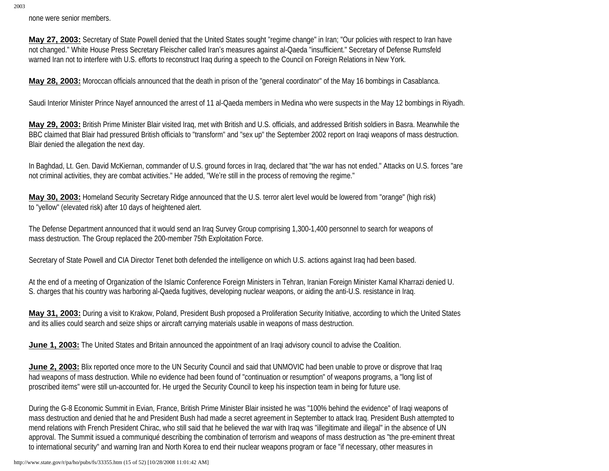none were senior members.

**May 27, 2003:** Secretary of State Powell denied that the United States sought "regime change" in Iran; "Our policies with respect to Iran have not changed." White House Press Secretary Fleischer called Iran's measures against al-Qaeda "insufficient." Secretary of Defense Rumsfeld warned Iran not to interfere with U.S. efforts to reconstruct Iraq during a speech to the Council on Foreign Relations in New York.

**May 28, 2003:** Moroccan officials announced that the death in prison of the "general coordinator" of the May 16 bombings in Casablanca.

Saudi Interior Minister Prince Nayef announced the arrest of 11 al-Qaeda members in Medina who were suspects in the May 12 bombings in Riyadh.

**May 29, 2003:** British Prime Minister Blair visited Iraq, met with British and U.S. officials, and addressed British soldiers in Basra. Meanwhile the BBC claimed that Blair had pressured British officials to "transform" and "sex up" the September 2002 report on Iraqi weapons of mass destruction. Blair denied the allegation the next day.

In Baghdad, Lt. Gen. David McKiernan, commander of U.S. ground forces in Iraq, declared that "the war has not ended." Attacks on U.S. forces "are not criminal activities, they are combat activities." He added, "We're still in the process of removing the regime."

**May 30, 2003:** Homeland Security Secretary Ridge announced that the U.S. terror alert level would be lowered from "orange" (high risk) to "yellow" (elevated risk) after 10 days of heightened alert.

The Defense Department announced that it would send an Iraq Survey Group comprising 1,300-1,400 personnel to search for weapons of mass destruction. The Group replaced the 200-member 75th Exploitation Force.

Secretary of State Powell and CIA Director Tenet both defended the intelligence on which U.S. actions against Iraq had been based.

At the end of a meeting of Organization of the Islamic Conference Foreign Ministers in Tehran, Iranian Foreign Minister Kamal Kharrazi denied U. S. charges that his country was harboring al-Qaeda fugitives, developing nuclear weapons, or aiding the anti-U.S. resistance in Iraq.

**May 31, 2003:** During a visit to Krakow, Poland, President Bush proposed a Proliferation Security Initiative, according to which the United States and its allies could search and seize ships or aircraft carrying materials usable in weapons of mass destruction.

**June 1, 2003:** The United States and Britain announced the appointment of an Iraqi advisory council to advise the Coalition.

**June 2, 2003:** Blix reported once more to the UN Security Council and said that UNMOVIC had been unable to prove or disprove that Iraq had weapons of mass destruction. While no evidence had been found of "continuation or resumption" of weapons programs, a "long list of proscribed items" were still un-accounted for. He urged the Security Council to keep his inspection team in being for future use.

During the G-8 Economic Summit in Evian, France, British Prime Minister Blair insisted he was "100% behind the evidence" of Iraqi weapons of mass destruction and denied that he and President Bush had made a secret agreement in September to attack Iraq. President Bush attempted to mend relations with French President Chirac, who still said that he believed the war with Iraq was "illegitimate and illegal" in the absence of UN approval. The Summit issued a communiqué describing the combination of terrorism and weapons of mass destruction as "the pre-eminent threat to international security" and warning Iran and North Korea to end their nuclear weapons program or face "if necessary, other measures in

http://www.state.gov/r/pa/ho/pubs/fs/33355.htm (15 of 52) [10/28/2008 11:01:42 AM]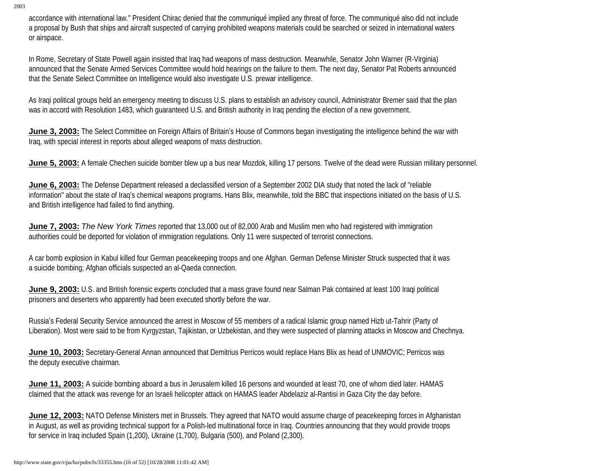accordance with international law." President Chirac denied that the communiqué implied any threat of force. The communiqué also did not include a proposal by Bush that ships and aircraft suspected of carrying prohibited weapons materials could be searched or seized in international waters or airspace.

In Rome, Secretary of State Powell again insisted that Iraq had weapons of mass destruction. Meanwhile, Senator John Warner (R-Virginia) announced that the Senate Armed Services Committee would hold hearings on the failure to them. The next day, Senator Pat Roberts announced that the Senate Select Committee on Intelligence would also investigate U.S. prewar intelligence.

As Iraqi political groups held an emergency meeting to discuss U.S. plans to establish an advisory council, Administrator Bremer said that the plan was in accord with Resolution 1483, which guaranteed U.S. and British authority in Iraq pending the election of a new government.

**June 3, 2003:** The Select Committee on Foreign Affairs of Britain's House of Commons began investigating the intelligence behind the war with Iraq, with special interest in reports about alleged weapons of mass destruction.

**June 5, 2003:** A female Chechen suicide bomber blew up a bus near Mozdok, killing 17 persons. Twelve of the dead were Russian military personnel.

**June 6, 2003:** The Defense Department released a declassified version of a September 2002 DIA study that noted the lack of "reliable information" about the state of Iraq's chemical weapons programs. Hans Blix, meanwhile, told the BBC that inspections initiated on the basis of U.S. and British intelligence had failed to find anything.

**June 7, 2003:** *The New York Times* reported that 13,000 out of 82,000 Arab and Muslim men who had registered with immigration authorities could be deported for violation of immigration regulations. Only 11 were suspected of terrorist connections.

A car bomb explosion in Kabul killed four German peacekeeping troops and one Afghan. German Defense Minister Struck suspected that it was a suicide bombing; Afghan officials suspected an al-Qaeda connection.

**June 9, 2003:** U.S. and British forensic experts concluded that a mass grave found near Salman Pak contained at least 100 Iraqi political prisoners and deserters who apparently had been executed shortly before the war.

Russia's Federal Security Service announced the arrest in Moscow of 55 members of a radical Islamic group named Hizb ut-Tahrir (Party of Liberation). Most were said to be from Kyrgyzstan, Tajikistan, or Uzbekistan, and they were suspected of planning attacks in Moscow and Chechnya.

**June 10, 2003:** Secretary-General Annan announced that Demitrius Perricos would replace Hans Blix as head of UNMOVIC; Perricos was the deputy executive chairman.

**June 11, 2003:** A suicide bombing aboard a bus in Jerusalem killed 16 persons and wounded at least 70, one of whom died later. HAMAS claimed that the attack was revenge for an Israeli helicopter attack on HAMAS leader Abdelaziz al-Rantisi in Gaza City the day before.

**June 12, 2003:** NATO Defense Ministers met in Brussels. They agreed that NATO would assume charge of peacekeeping forces in Afghanistan in August, as well as providing technical support for a Polish-led multinational force in Iraq. Countries announcing that they would provide troops for service in Iraq included Spain (1,200), Ukraine (1,700), Bulgaria (500), and Poland (2,300).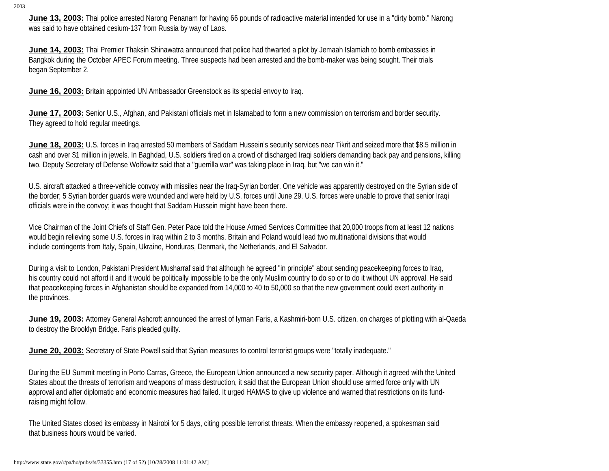June 13, 2003: Thai police arrested Narong Penanam for having 66 pounds of radioactive material intended for use in a "dirty bomb." Narong was said to have obtained cesium-137 from Russia by way of Laos.

**June 14, 2003:** Thai Premier Thaksin Shinawatra announced that police had thwarted a plot by Jemaah Islamiah to bomb embassies in Bangkok during the October APEC Forum meeting. Three suspects had been arrested and the bomb-maker was being sought. Their trials began September 2.

**June 16, 2003:** Britain appointed UN Ambassador Greenstock as its special envoy to Iraq.

**June 17, 2003:** Senior U.S., Afghan, and Pakistani officials met in Islamabad to form a new commission on terrorism and border security. They agreed to hold regular meetings.

**June 18, 2003:** U.S. forces in Iraq arrested 50 members of Saddam Hussein's security services near Tikrit and seized more that \$8.5 million in cash and over \$1 million in jewels. In Baghdad, U.S. soldiers fired on a crowd of discharged Iraqi soldiers demanding back pay and pensions, killing two. Deputy Secretary of Defense Wolfowitz said that a "guerrilla war" was taking place in Iraq, but "we can win it."

U.S. aircraft attacked a three-vehicle convoy with missiles near the Iraq-Syrian border. One vehicle was apparently destroyed on the Syrian side of the border; 5 Syrian border guards were wounded and were held by U.S. forces until June 29. U.S. forces were unable to prove that senior Iraqi officials were in the convoy; it was thought that Saddam Hussein might have been there.

Vice Chairman of the Joint Chiefs of Staff Gen. Peter Pace told the House Armed Services Committee that 20,000 troops from at least 12 nations would begin relieving some U.S. forces in Iraq within 2 to 3 months. Britain and Poland would lead two multinational divisions that would include contingents from Italy, Spain, Ukraine, Honduras, Denmark, the Netherlands, and El Salvador.

During a visit to London, Pakistani President Musharraf said that although he agreed "in principle" about sending peacekeeping forces to Iraq, his country could not afford it and it would be politically impossible to be the only Muslim country to do so or to do it without UN approval. He said that peacekeeping forces in Afghanistan should be expanded from 14,000 to 40 to 50,000 so that the new government could exert authority in the provinces.

**June 19, 2003:** Attorney General Ashcroft announced the arrest of Iyman Faris, a Kashmiri-born U.S. citizen, on charges of plotting with al-Qaeda to destroy the Brooklyn Bridge. Faris pleaded guilty.

**June 20, 2003:** Secretary of State Powell said that Syrian measures to control terrorist groups were "totally inadequate."

During the EU Summit meeting in Porto Carras, Greece, the European Union announced a new security paper. Although it agreed with the United States about the threats of terrorism and weapons of mass destruction, it said that the European Union should use armed force only with UN approval and after diplomatic and economic measures had failed. It urged HAMAS to give up violence and warned that restrictions on its fundraising might follow.

The United States closed its embassy in Nairobi for 5 days, citing possible terrorist threats. When the embassy reopened, a spokesman said that business hours would be varied.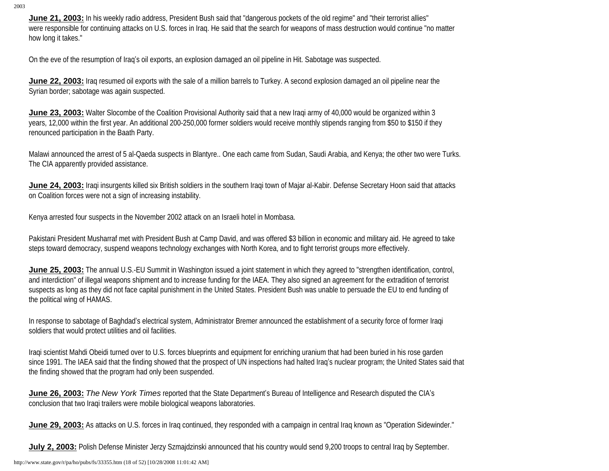June 21, 2003: In his weekly radio address, President Bush said that "dangerous pockets of the old regime" and "their terrorist allies" were responsible for continuing attacks on U.S. forces in Iraq. He said that the search for weapons of mass destruction would continue "no matter how long it takes."

On the eve of the resumption of Iraq's oil exports, an explosion damaged an oil pipeline in Hit. Sabotage was suspected.

**June 22, 2003:** Iraq resumed oil exports with the sale of a million barrels to Turkey. A second explosion damaged an oil pipeline near the Syrian border; sabotage was again suspected.

**June 23, 2003:** Walter Slocombe of the Coalition Provisional Authority said that a new Iragi army of 40,000 would be organized within 3 years, 12,000 within the first year. An additional 200-250,000 former soldiers would receive monthly stipends ranging from \$50 to \$150 if they renounced participation in the Baath Party.

Malawi announced the arrest of 5 al-Qaeda suspects in Blantyre.. One each came from Sudan, Saudi Arabia, and Kenya; the other two were Turks. The CIA apparently provided assistance.

**June 24, 2003:** Iraqi insurgents killed six British soldiers in the southern Iraqi town of Majar al-Kabir. Defense Secretary Hoon said that attacks on Coalition forces were not a sign of increasing instability.

Kenya arrested four suspects in the November 2002 attack on an Israeli hotel in Mombasa.

Pakistani President Musharraf met with President Bush at Camp David, and was offered \$3 billion in economic and military aid. He agreed to take steps toward democracy, suspend weapons technology exchanges with North Korea, and to fight terrorist groups more effectively.

**June 25, 2003:** The annual U.S.-EU Summit in Washington issued a joint statement in which they agreed to "strengthen identification, control, and interdiction" of illegal weapons shipment and to increase funding for the IAEA. They also signed an agreement for the extradition of terrorist suspects as long as they did not face capital punishment in the United States. President Bush was unable to persuade the EU to end funding of the political wing of HAMAS.

In response to sabotage of Baghdad's electrical system, Administrator Bremer announced the establishment of a security force of former Iraqi soldiers that would protect utilities and oil facilities.

Iraqi scientist Mahdi Obeidi turned over to U.S. forces blueprints and equipment for enriching uranium that had been buried in his rose garden since 1991. The IAEA said that the finding showed that the prospect of UN inspections had halted Iraq's nuclear program; the United States said that the finding showed that the program had only been suspended.

**June 26, 2003:** *The New York Times* reported that the State Department's Bureau of Intelligence and Research disputed the CIA's conclusion that two Iraqi trailers were mobile biological weapons laboratories.

**June 29, 2003:** As attacks on U.S. forces in Iraq continued, they responded with a campaign in central Iraq known as "Operation Sidewinder."

July 2, 2003: Polish Defense Minister Jerzy Szmajdzinski announced that his country would send 9,200 troops to central Iraq by September.

http://www.state.gov/r/pa/ho/pubs/fs/33355.htm (18 of 52) [10/28/2008 11:01:42 AM]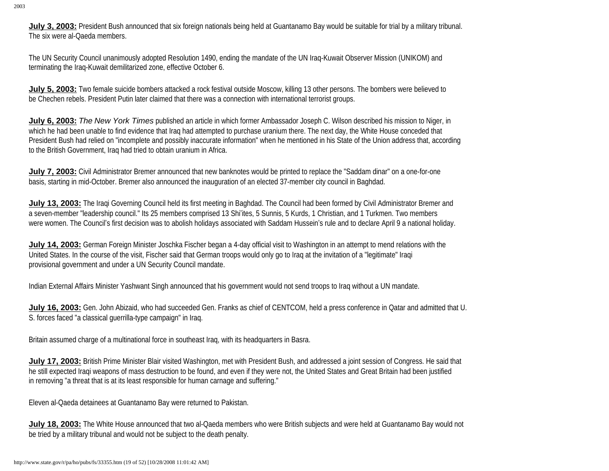**July 3, 2003:** President Bush announced that six foreign nationals being held at Guantanamo Bay would be suitable for trial by a military tribunal. The six were al-Qaeda members.

The UN Security Council unanimously adopted Resolution 1490, ending the mandate of the UN Iraq-Kuwait Observer Mission (UNIKOM) and terminating the Iraq-Kuwait demilitarized zone, effective October 6.

**July 5, 2003:** Two female suicide bombers attacked a rock festival outside Moscow, killing 13 other persons. The bombers were believed to be Chechen rebels. President Putin later claimed that there was a connection with international terrorist groups.

**July 6, 2003:** *The New York Times* published an article in which former Ambassador Joseph C. Wilson described his mission to Niger, in which he had been unable to find evidence that Iraq had attempted to purchase uranium there. The next day, the White House conceded that President Bush had relied on "incomplete and possibly inaccurate information" when he mentioned in his State of the Union address that, according to the British Government, Iraq had tried to obtain uranium in Africa.

**July 7, 2003:** Civil Administrator Bremer announced that new banknotes would be printed to replace the "Saddam dinar" on a one-for-one basis, starting in mid-October. Bremer also announced the inauguration of an elected 37-member city council in Baghdad.

**July 13, 2003:** The Iraqi Governing Council held its first meeting in Baghdad. The Council had been formed by Civil Administrator Bremer and a seven-member "leadership council." Its 25 members comprised 13 Shi'ites, 5 Sunnis, 5 Kurds, 1 Christian, and 1 Turkmen. Two members were women. The Council's first decision was to abolish holidays associated with Saddam Hussein's rule and to declare April 9 a national holiday.

**July 14, 2003:** German Foreign Minister Joschka Fischer began a 4-day official visit to Washington in an attempt to mend relations with the United States. In the course of the visit, Fischer said that German troops would only go to Iraq at the invitation of a "legitimate" Iraqi provisional government and under a UN Security Council mandate.

Indian External Affairs Minister Yashwant Singh announced that his government would not send troops to Iraq without a UN mandate.

**July 16, 2003:** Gen. John Abizaid, who had succeeded Gen. Franks as chief of CENTCOM, held a press conference in Qatar and admitted that U. S. forces faced "a classical guerrilla-type campaign" in Iraq.

Britain assumed charge of a multinational force in southeast Iraq, with its headquarters in Basra.

**July 17, 2003:** British Prime Minister Blair visited Washington, met with President Bush, and addressed a joint session of Congress. He said that he still expected Iraqi weapons of mass destruction to be found, and even if they were not, the United States and Great Britain had been justified in removing "a threat that is at its least responsible for human carnage and suffering."

Eleven al-Qaeda detainees at Guantanamo Bay were returned to Pakistan.

**July 18, 2003:** The White House announced that two al-Qaeda members who were British subjects and were held at Guantanamo Bay would not be tried by a military tribunal and would not be subject to the death penalty.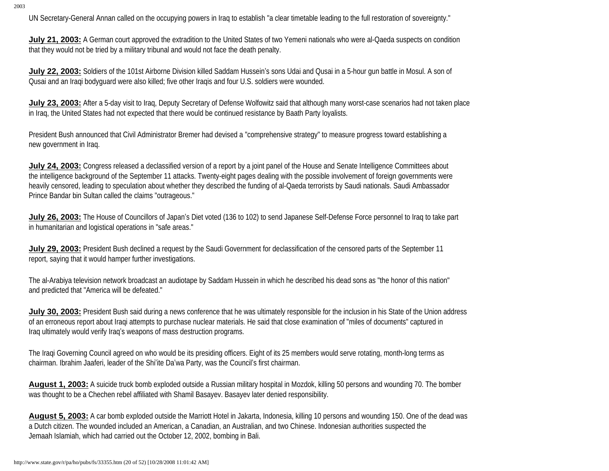UN Secretary-General Annan called on the occupying powers in Iraq to establish "a clear timetable leading to the full restoration of sovereignty."

**July 21, 2003:** A German court approved the extradition to the United States of two Yemeni nationals who were al-Qaeda suspects on condition that they would not be tried by a military tribunal and would not face the death penalty.

**July 22, 2003:** Soldiers of the 101st Airborne Division killed Saddam Hussein's sons Udai and Qusai in a 5-hour gun battle in Mosul. A son of Qusai and an Iraqi bodyguard were also killed; five other Iraqis and four U.S. soldiers were wounded.

**July 23, 2003:** After a 5-day visit to Iraq, Deputy Secretary of Defense Wolfowitz said that although many worst-case scenarios had not taken place in Iraq, the United States had not expected that there would be continued resistance by Baath Party loyalists.

President Bush announced that Civil Administrator Bremer had devised a "comprehensive strategy" to measure progress toward establishing a new government in Iraq.

**July 24, 2003:** Congress released a declassified version of a report by a joint panel of the House and Senate Intelligence Committees about the intelligence background of the September 11 attacks. Twenty-eight pages dealing with the possible involvement of foreign governments were heavily censored, leading to speculation about whether they described the funding of al-Qaeda terrorists by Saudi nationals. Saudi Ambassador Prince Bandar bin Sultan called the claims "outrageous."

**July 26, 2003:** The House of Councillors of Japan's Diet voted (136 to 102) to send Japanese Self-Defense Force personnel to Iraq to take part in humanitarian and logistical operations in "safe areas."

**July 29, 2003:** President Bush declined a request by the Saudi Government for declassification of the censored parts of the September 11 report, saying that it would hamper further investigations.

The al-Arabiya television network broadcast an audiotape by Saddam Hussein in which he described his dead sons as "the honor of this nation" and predicted that "America will be defeated."

**July 30, 2003:** President Bush said during a news conference that he was ultimately responsible for the inclusion in his State of the Union address of an erroneous report about Iraqi attempts to purchase nuclear materials. He said that close examination of "miles of documents" captured in Iraq ultimately would verify Iraq's weapons of mass destruction programs.

The Iraqi Governing Council agreed on who would be its presiding officers. Eight of its 25 members would serve rotating, month-long terms as chairman. Ibrahim Jaaferi, leader of the Shi'ite Da'wa Party, was the Council's first chairman.

**August 1, 2003:** A suicide truck bomb exploded outside a Russian military hospital in Mozdok, killing 50 persons and wounding 70. The bomber was thought to be a Chechen rebel affiliated with Shamil Basayev. Basayev later denied responsibility.

**August 5, 2003:** A car bomb exploded outside the Marriott Hotel in Jakarta, Indonesia, killing 10 persons and wounding 150. One of the dead was a Dutch citizen. The wounded included an American, a Canadian, an Australian, and two Chinese. Indonesian authorities suspected the Jemaah Islamiah, which had carried out the October 12, 2002, bombing in Bali.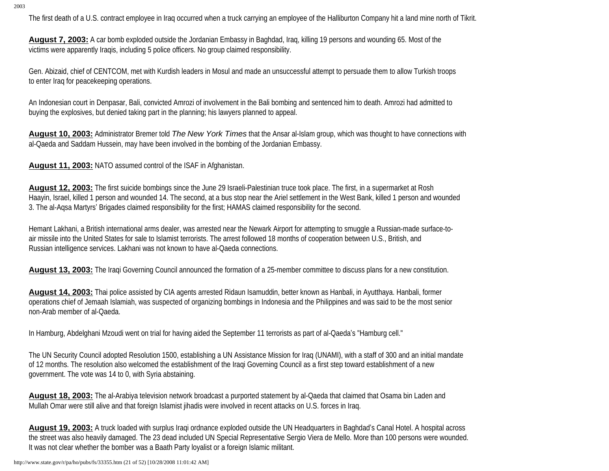The first death of a U.S. contract employee in Iraq occurred when a truck carrying an employee of the Halliburton Company hit a land mine north of Tikrit.

**August 7, 2003:** A car bomb exploded outside the Jordanian Embassy in Baghdad, Iraq, killing 19 persons and wounding 65. Most of the victims were apparently Iraqis, including 5 police officers. No group claimed responsibility.

Gen. Abizaid, chief of CENTCOM, met with Kurdish leaders in Mosul and made an unsuccessful attempt to persuade them to allow Turkish troops to enter Iraq for peacekeeping operations.

An Indonesian court in Denpasar, Bali, convicted Amrozi of involvement in the Bali bombing and sentenced him to death. Amrozi had admitted to buying the explosives, but denied taking part in the planning; his lawyers planned to appeal.

**August 10, 2003:** Administrator Bremer told *The New York Times* that the Ansar al-Islam group, which was thought to have connections with al-Qaeda and Saddam Hussein, may have been involved in the bombing of the Jordanian Embassy.

**August 11, 2003:** NATO assumed control of the ISAF in Afghanistan.

**August 12, 2003:** The first suicide bombings since the June 29 Israeli-Palestinian truce took place. The first, in a supermarket at Rosh Haayin, Israel, killed 1 person and wounded 14. The second, at a bus stop near the Ariel settlement in the West Bank, killed 1 person and wounded 3. The al-Aqsa Martyrs' Brigades claimed responsibility for the first; HAMAS claimed responsibility for the second.

Hemant Lakhani, a British international arms dealer, was arrested near the Newark Airport for attempting to smuggle a Russian-made surface-toair missile into the United States for sale to Islamist terrorists. The arrest followed 18 months of cooperation between U.S., British, and Russian intelligence services. Lakhani was not known to have al-Qaeda connections.

**August 13, 2003:** The Iraqi Governing Council announced the formation of a 25-member committee to discuss plans for a new constitution.

**August 14, 2003:** Thai police assisted by CIA agents arrested Ridaun Isamuddin, better known as Hanbali, in Ayutthaya. Hanbali, former operations chief of Jemaah Islamiah, was suspected of organizing bombings in Indonesia and the Philippines and was said to be the most senior non-Arab member of al-Qaeda.

In Hamburg, Abdelghani Mzoudi went on trial for having aided the September 11 terrorists as part of al-Qaeda's "Hamburg cell."

The UN Security Council adopted Resolution 1500, establishing a UN Assistance Mission for Iraq (UNAMI), with a staff of 300 and an initial mandate of 12 months. The resolution also welcomed the establishment of the Iraqi Governing Council as a first step toward establishment of a new government. The vote was 14 to 0, with Syria abstaining.

**August 18, 2003:** The al-Arabiya television network broadcast a purported statement by al-Qaeda that claimed that Osama bin Laden and Mullah Omar were still alive and that foreign Islamist jihadis were involved in recent attacks on U.S. forces in Iraq.

**August 19, 2003:** A truck loaded with surplus Iraqi ordnance exploded outside the UN Headquarters in Baghdad's Canal Hotel. A hospital across the street was also heavily damaged. The 23 dead included UN Special Representative Sergio Viera de Mello. More than 100 persons were wounded. It was not clear whether the bomber was a Baath Party loyalist or a foreign Islamic militant.

http://www.state.gov/r/pa/ho/pubs/fs/33355.htm (21 of 52) [10/28/2008 11:01:42 AM]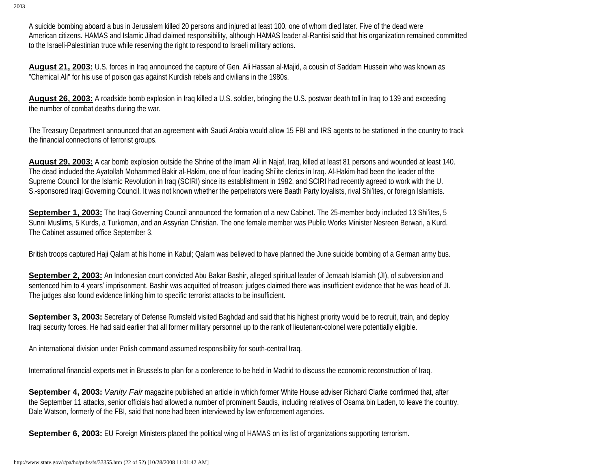A suicide bombing aboard a bus in Jerusalem killed 20 persons and injured at least 100, one of whom died later. Five of the dead were American citizens. HAMAS and Islamic Jihad claimed responsibility, although HAMAS leader al-Rantisi said that his organization remained committed to the Israeli-Palestinian truce while reserving the right to respond to Israeli military actions.

**August 21, 2003:** U.S. forces in Iraq announced the capture of Gen. Ali Hassan al-Majid, a cousin of Saddam Hussein who was known as "Chemical Ali" for his use of poison gas against Kurdish rebels and civilians in the 1980s.

**August 26, 2003:** A roadside bomb explosion in Iraq killed a U.S. soldier, bringing the U.S. postwar death toll in Iraq to 139 and exceeding the number of combat deaths during the war.

The Treasury Department announced that an agreement with Saudi Arabia would allow 15 FBI and IRS agents to be stationed in the country to track the financial connections of terrorist groups.

**August 29, 2003:** A car bomb explosion outside the Shrine of the Imam Ali in Najaf, Iraq, killed at least 81 persons and wounded at least 140. The dead included the Ayatollah Mohammed Bakir al-Hakim, one of four leading Shi'ite clerics in Iraq. Al-Hakim had been the leader of the Supreme Council for the Islamic Revolution in Iraq (SCIRI) since its establishment in 1982, and SCIRI had recently agreed to work with the U. S.-sponsored Iraqi Governing Council. It was not known whether the perpetrators were Baath Party loyalists, rival Shi'ites, or foreign Islamists.

**September 1, 2003:** The Iraqi Governing Council announced the formation of a new Cabinet. The 25-member body included 13 Shi'ites, 5 Sunni Muslims, 5 Kurds, a Turkoman, and an Assyrian Christian. The one female member was Public Works Minister Nesreen Berwari, a Kurd. The Cabinet assumed office September 3.

British troops captured Haji Qalam at his home in Kabul; Qalam was believed to have planned the June suicide bombing of a German army bus.

**September 2, 2003:** An Indonesian court convicted Abu Bakar Bashir, alleged spiritual leader of Jemaah Islamiah (JI), of subversion and sentenced him to 4 years' imprisonment. Bashir was acquitted of treason; judges claimed there was insufficient evidence that he was head of JI. The judges also found evidence linking him to specific terrorist attacks to be insufficient.

**September 3, 2003:** Secretary of Defense Rumsfeld visited Baghdad and said that his highest priority would be to recruit, train, and deploy Iraqi security forces. He had said earlier that all former military personnel up to the rank of lieutenant-colonel were potentially eligible.

An international division under Polish command assumed responsibility for south-central Iraq.

International financial experts met in Brussels to plan for a conference to be held in Madrid to discuss the economic reconstruction of Iraq.

**September 4, 2003:** *Vanity Fair* magazine published an article in which former White House adviser Richard Clarke confirmed that, after the September 11 attacks, senior officials had allowed a number of prominent Saudis, including relatives of Osama bin Laden, to leave the country. Dale Watson, formerly of the FBI, said that none had been interviewed by law enforcement agencies.

**September 6, 2003:** EU Foreign Ministers placed the political wing of HAMAS on its list of organizations supporting terrorism.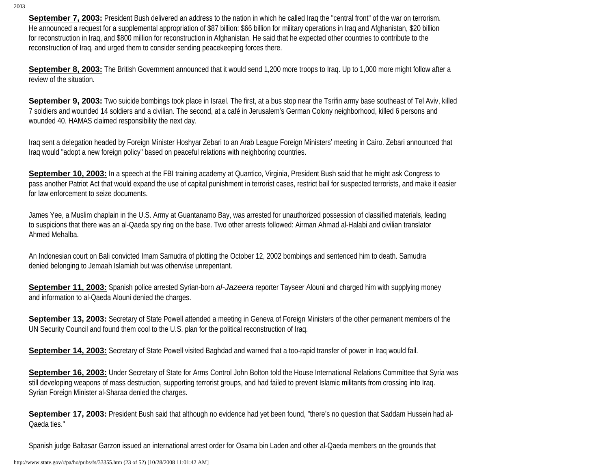**September 7, 2003:** President Bush delivered an address to the nation in which he called Iraq the "central front" of the war on terrorism. He announced a request for a supplemental appropriation of \$87 billion: \$66 billion for military operations in Iraq and Afghanistan, \$20 billion for reconstruction in Iraq, and \$800 million for reconstruction in Afghanistan. He said that he expected other countries to contribute to the reconstruction of Iraq, and urged them to consider sending peacekeeping forces there.

**September 8, 2003:** The British Government announced that it would send 1,200 more troops to Iraq. Up to 1,000 more might follow after a review of the situation.

**September 9, 2003:** Two suicide bombings took place in Israel. The first, at a bus stop near the Tsrifin army base southeast of Tel Aviv, killed 7 soldiers and wounded 14 soldiers and a civilian. The second, at a café in Jerusalem's German Colony neighborhood, killed 6 persons and wounded 40. HAMAS claimed responsibility the next day.

Iraq sent a delegation headed by Foreign Minister Hoshyar Zebari to an Arab League Foreign Ministers' meeting in Cairo. Zebari announced that Iraq would "adopt a new foreign policy" based on peaceful relations with neighboring countries.

**September 10, 2003:** In a speech at the FBI training academy at Quantico, Virginia, President Bush said that he might ask Congress to pass another Patriot Act that would expand the use of capital punishment in terrorist cases, restrict bail for suspected terrorists, and make it easier for law enforcement to seize documents.

James Yee, a Muslim chaplain in the U.S. Army at Guantanamo Bay, was arrested for unauthorized possession of classified materials, leading to suspicions that there was an al-Qaeda spy ring on the base. Two other arrests followed: Airman Ahmad al-Halabi and civilian translator Ahmed Mehalba.

An Indonesian court on Bali convicted Imam Samudra of plotting the October 12, 2002 bombings and sentenced him to death. Samudra denied belonging to Jemaah Islamiah but was otherwise unrepentant.

**September 11, 2003:** Spanish police arrested Syrian-born *al-Jazeera* reporter Tayseer Alouni and charged him with supplying money and information to al-Qaeda Alouni denied the charges.

**September 13, 2003:** Secretary of State Powell attended a meeting in Geneva of Foreign Ministers of the other permanent members of the UN Security Council and found them cool to the U.S. plan for the political reconstruction of Iraq.

**September 14, 2003:** Secretary of State Powell visited Baghdad and warned that a too-rapid transfer of power in Iraq would fail.

September 16, 2003: Under Secretary of State for Arms Control John Bolton told the House International Relations Committee that Syria was still developing weapons of mass destruction, supporting terrorist groups, and had failed to prevent Islamic militants from crossing into Iraq. Syrian Foreign Minister al-Sharaa denied the charges.

September 17, 2003: President Bush said that although no evidence had yet been found, "there's no question that Saddam Hussein had al-Qaeda ties."

Spanish judge Baltasar Garzon issued an international arrest order for Osama bin Laden and other al-Qaeda members on the grounds that

http://www.state.gov/r/pa/ho/pubs/fs/33355.htm (23 of 52) [10/28/2008 11:01:42 AM]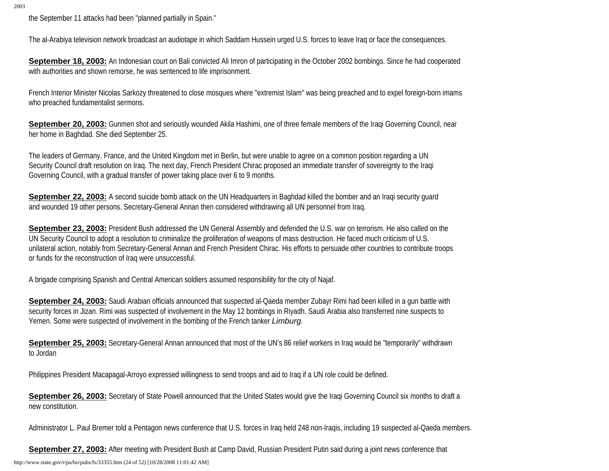the September 11 attacks had been "planned partially in Spain."

The al-Arabiya television network broadcast an audiotape in which Saddam Hussein urged U.S. forces to leave Iraq or face the consequences.

**September 18, 2003:** An Indonesian court on Bali convicted Ali Imron of participating in the October 2002 bombings. Since he had cooperated with authorities and shown remorse, he was sentenced to life imprisonment.

French Interior Minister Nicolas Sarkozy threatened to close mosques where "extremist Islam" was being preached and to expel foreign-born imams who preached fundamentalist sermons.

**September 20, 2003:** Gunmen shot and seriously wounded Akila Hashimi, one of three female members of the Iraqi Governing Council, near her home in Baghdad. She died September 25.

The leaders of Germany, France, and the United Kingdom met in Berlin, but were unable to agree on a common position regarding a UN Security Council draft resolution on Iraq. The next day, French President Chirac proposed an immediate transfer of sovereignty to the Iraqi Governing Council, with a gradual transfer of power taking place over 6 to 9 months.

**September 22, 2003:** A second suicide bomb attack on the UN Headquarters in Baghdad killed the bomber and an Iraqi security quard and wounded 19 other persons. Secretary-General Annan then considered withdrawing all UN personnel from Iraq.

**September 23, 2003:** President Bush addressed the UN General Assembly and defended the U.S. war on terrorism. He also called on the UN Security Council to adopt a resolution to criminalize the proliferation of weapons of mass destruction. He faced much criticism of U.S. unilateral action, notably from Secretary-General Annan and French President Chirac. His efforts to persuade other countries to contribute troops or funds for the reconstruction of Iraq were unsuccessful.

A brigade comprising Spanish and Central American soldiers assumed responsibility for the city of Najaf.

September 24, 2003: Saudi Arabian officials announced that suspected al-Qaeda member Zubayr Rimi had been killed in a gun battle with security forces in Jizan. Rimi was suspected of involvement in the May 12 bombings in Riyadh. Saudi Arabia also transferred nine suspects to Yemen. Some were suspected of involvement in the bombing of the French tanker *Limburg*.

**September 25, 2003:** Secretary-General Annan announced that most of the UN's 86 relief workers in Iraq would be "temporarily" withdrawn to Jordan

Philippines President Macapagal-Arroyo expressed willingness to send troops and aid to Iraq if a UN role could be defined.

**September 26, 2003:** Secretary of State Powell announced that the United States would give the Iraqi Governing Council six months to draft a new constitution.

Administrator L. Paul Bremer told a Pentagon news conference that U.S. forces in Iraq held 248 non-Iraqis, including 19 suspected al-Qaeda members.

**September 27, 2003:** After meeting with President Bush at Camp David, Russian President Putin said during a joint news conference that

http://www.state.gov/r/pa/ho/pubs/fs/33355.htm (24 of 52) [10/28/2008 11:01:42 AM]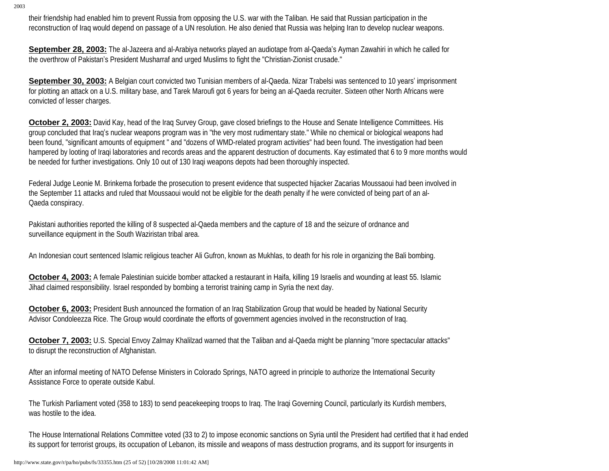their friendship had enabled him to prevent Russia from opposing the U.S. war with the Taliban. He said that Russian participation in the reconstruction of Iraq would depend on passage of a UN resolution. He also denied that Russia was helping Iran to develop nuclear weapons.

**September 28, 2003:** The al-Jazeera and al-Arabiya networks played an audiotape from al-Qaeda's Ayman Zawahiri in which he called for the overthrow of Pakistan's President Musharraf and urged Muslims to fight the "Christian-Zionist crusade."

**September 30, 2003:** A Belgian court convicted two Tunisian members of al-Qaeda. Nizar Trabelsi was sentenced to 10 years' imprisonment for plotting an attack on a U.S. military base, and Tarek Maroufi got 6 years for being an al-Qaeda recruiter. Sixteen other North Africans were convicted of lesser charges.

**October 2, 2003:** David Kay, head of the Iraq Survey Group, gave closed briefings to the House and Senate Intelligence Committees. His group concluded that Iraq's nuclear weapons program was in "the very most rudimentary state." While no chemical or biological weapons had been found, "significant amounts of equipment " and "dozens of WMD-related program activities" had been found. The investigation had been hampered by looting of Iraqi laboratories and records areas and the apparent destruction of documents. Kay estimated that 6 to 9 more months would be needed for further investigations. Only 10 out of 130 Iraqi weapons depots had been thoroughly inspected.

Federal Judge Leonie M. Brinkema forbade the prosecution to present evidence that suspected hijacker Zacarias Moussaoui had been involved in the September 11 attacks and ruled that Moussaoui would not be eligible for the death penalty if he were convicted of being part of an al-Qaeda conspiracy.

Pakistani authorities reported the killing of 8 suspected al-Qaeda members and the capture of 18 and the seizure of ordnance and surveillance equipment in the South Waziristan tribal area.

An Indonesian court sentenced Islamic religious teacher Ali Gufron, known as Mukhlas, to death for his role in organizing the Bali bombing.

**October 4, 2003:** A female Palestinian suicide bomber attacked a restaurant in Haifa, killing 19 Israelis and wounding at least 55. Islamic Jihad claimed responsibility. Israel responded by bombing a terrorist training camp in Syria the next day.

**October 6, 2003:** President Bush announced the formation of an Iraq Stabilization Group that would be headed by National Security Advisor Condoleezza Rice. The Group would coordinate the efforts of government agencies involved in the reconstruction of Iraq.

**October 7, 2003:** U.S. Special Envoy Zalmay Khalilzad warned that the Taliban and al-Qaeda might be planning "more spectacular attacks" to disrupt the reconstruction of Afghanistan.

After an informal meeting of NATO Defense Ministers in Colorado Springs, NATO agreed in principle to authorize the International Security Assistance Force to operate outside Kabul.

The Turkish Parliament voted (358 to 183) to send peacekeeping troops to Iraq. The Iraqi Governing Council, particularly its Kurdish members, was hostile to the idea.

The House International Relations Committee voted (33 to 2) to impose economic sanctions on Syria until the President had certified that it had ended its support for terrorist groups, its occupation of Lebanon, its missile and weapons of mass destruction programs, and its support for insurgents in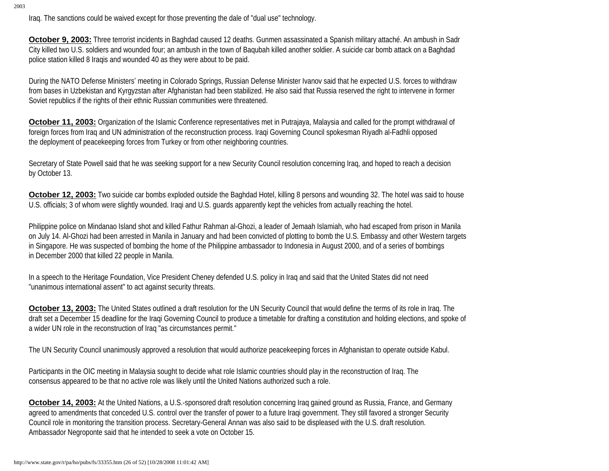Iraq. The sanctions could be waived except for those preventing the dale of "dual use" technology.

**October 9, 2003:** Three terrorist incidents in Baghdad caused 12 deaths. Gunmen assassinated a Spanish military attaché. An ambush in Sadr City killed two U.S. soldiers and wounded four; an ambush in the town of Baqubah killed another soldier. A suicide car bomb attack on a Baghdad police station killed 8 Iraqis and wounded 40 as they were about to be paid.

During the NATO Defense Ministers' meeting in Colorado Springs, Russian Defense Minister Ivanov said that he expected U.S. forces to withdraw from bases in Uzbekistan and Kyrgyzstan after Afghanistan had been stabilized. He also said that Russia reserved the right to intervene in former Soviet republics if the rights of their ethnic Russian communities were threatened.

**October 11, 2003:** Organization of the Islamic Conference representatives met in Putrajaya, Malaysia and called for the prompt withdrawal of foreign forces from Iraq and UN administration of the reconstruction process. Iraqi Governing Council spokesman Riyadh al-Fadhli opposed the deployment of peacekeeping forces from Turkey or from other neighboring countries.

Secretary of State Powell said that he was seeking support for a new Security Council resolution concerning Iraq, and hoped to reach a decision by October 13.

**October 12, 2003:** Two suicide car bombs exploded outside the Baghdad Hotel, killing 8 persons and wounding 32. The hotel was said to house U.S. officials; 3 of whom were slightly wounded. Iraqi and U.S. guards apparently kept the vehicles from actually reaching the hotel.

Philippine police on Mindanao Island shot and killed Fathur Rahman al-Ghozi, a leader of Jemaah Islamiah, who had escaped from prison in Manila on July 14. Al-Ghozi had been arrested in Manila in January and had been convicted of plotting to bomb the U.S. Embassy and other Western targets in Singapore. He was suspected of bombing the home of the Philippine ambassador to Indonesia in August 2000, and of a series of bombings in December 2000 that killed 22 people in Manila.

In a speech to the Heritage Foundation, Vice President Cheney defended U.S. policy in Iraq and said that the United States did not need "unanimous international assent" to act against security threats.

**October 13, 2003:** The United States outlined a draft resolution for the UN Security Council that would define the terms of its role in Iraq. The draft set a December 15 deadline for the Iraqi Governing Council to produce a timetable for drafting a constitution and holding elections, and spoke of a wider UN role in the reconstruction of Iraq "as circumstances permit."

The UN Security Council unanimously approved a resolution that would authorize peacekeeping forces in Afghanistan to operate outside Kabul.

Participants in the OIC meeting in Malaysia sought to decide what role Islamic countries should play in the reconstruction of Iraq. The consensus appeared to be that no active role was likely until the United Nations authorized such a role.

**October 14, 2003:** At the United Nations, a U.S.-sponsored draft resolution concerning Iraq gained ground as Russia, France, and Germany agreed to amendments that conceded U.S. control over the transfer of power to a future Iraqi government. They still favored a stronger Security Council role in monitoring the transition process. Secretary-General Annan was also said to be displeased with the U.S. draft resolution. Ambassador Negroponte said that he intended to seek a vote on October 15.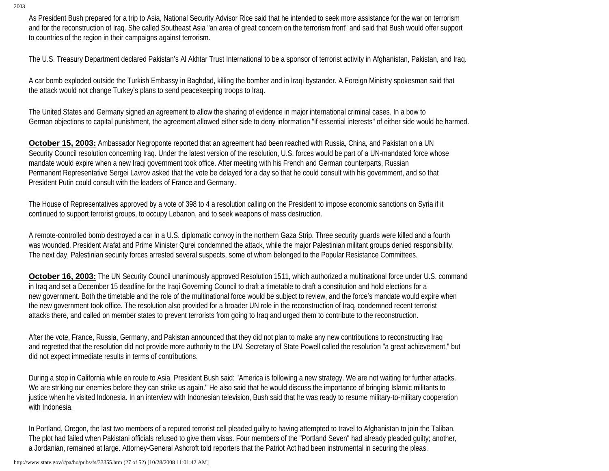As President Bush prepared for a trip to Asia, National Security Advisor Rice said that he intended to seek more assistance for the war on terrorism and for the reconstruction of Iraq. She called Southeast Asia "an area of great concern on the terrorism front" and said that Bush would offer support to countries of the region in their campaigns against terrorism.

The U.S. Treasury Department declared Pakistan's Al Akhtar Trust International to be a sponsor of terrorist activity in Afghanistan, Pakistan, and Iraq.

A car bomb exploded outside the Turkish Embassy in Baghdad, killing the bomber and in Iraqi bystander. A Foreign Ministry spokesman said that the attack would not change Turkey's plans to send peacekeeping troops to Iraq.

The United States and Germany signed an agreement to allow the sharing of evidence in major international criminal cases. In a bow to German objections to capital punishment, the agreement allowed either side to deny information "if essential interests" of either side would be harmed.

**October 15, 2003:** Ambassador Negroponte reported that an agreement had been reached with Russia, China, and Pakistan on a UN Security Council resolution concerning Iraq. Under the latest version of the resolution, U.S. forces would be part of a UN-mandated force whose mandate would expire when a new Iraqi government took office. After meeting with his French and German counterparts, Russian Permanent Representative Sergei Lavrov asked that the vote be delayed for a day so that he could consult with his government, and so that President Putin could consult with the leaders of France and Germany.

The House of Representatives approved by a vote of 398 to 4 a resolution calling on the President to impose economic sanctions on Syria if it continued to support terrorist groups, to occupy Lebanon, and to seek weapons of mass destruction.

A remote-controlled bomb destroyed a car in a U.S. diplomatic convoy in the northern Gaza Strip. Three security guards were killed and a fourth was wounded. President Arafat and Prime Minister Qurei condemned the attack, while the major Palestinian militant groups denied responsibility. The next day, Palestinian security forces arrested several suspects, some of whom belonged to the Popular Resistance Committees.

**October 16, 2003:** The UN Security Council unanimously approved Resolution 1511, which authorized a multinational force under U.S. command in Iraq and set a December 15 deadline for the Iraqi Governing Council to draft a timetable to draft a constitution and hold elections for a new government. Both the timetable and the role of the multinational force would be subject to review, and the force's mandate would expire when the new government took office. The resolution also provided for a broader UN role in the reconstruction of Iraq, condemned recent terrorist attacks there, and called on member states to prevent terrorists from going to Iraq and urged them to contribute to the reconstruction.

After the vote, France, Russia, Germany, and Pakistan announced that they did not plan to make any new contributions to reconstructing Iraq and regretted that the resolution did not provide more authority to the UN. Secretary of State Powell called the resolution "a great achievement," but did not expect immediate results in terms of contributions.

During a stop in California while en route to Asia, President Bush said: "America is following a new strategy. We are not waiting for further attacks. We are striking our enemies before they can strike us again." He also said that he would discuss the importance of bringing Islamic militants to justice when he visited Indonesia. In an interview with Indonesian television, Bush said that he was ready to resume military-to-military cooperation with Indonesia.

In Portland, Oregon, the last two members of a reputed terrorist cell pleaded guilty to having attempted to travel to Afghanistan to join the Taliban. The plot had failed when Pakistani officials refused to give them visas. Four members of the "Portland Seven" had already pleaded guilty; another, a Jordanian, remained at large. Attorney-General Ashcroft told reporters that the Patriot Act had been instrumental in securing the pleas.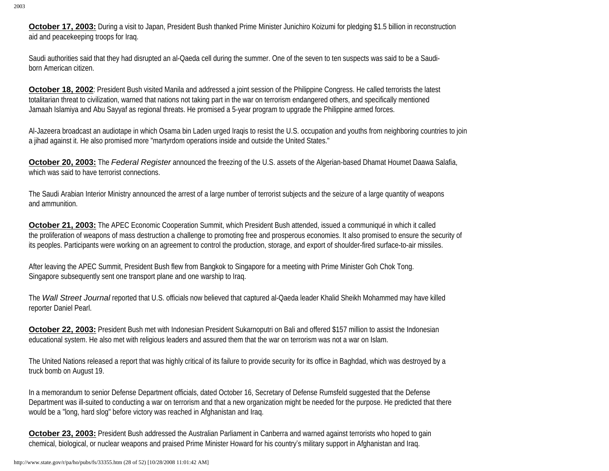**October 17, 2003:** During a visit to Japan, President Bush thanked Prime Minister Junichiro Koizumi for pledging \$1.5 billion in reconstruction aid and peacekeeping troops for Iraq.

Saudi authorities said that they had disrupted an al-Qaeda cell during the summer. One of the seven to ten suspects was said to be a Saudiborn American citizen.

**October 18, 2002**: President Bush visited Manila and addressed a joint session of the Philippine Congress. He called terrorists the latest totalitarian threat to civilization, warned that nations not taking part in the war on terrorism endangered others, and specifically mentioned Jamaah Islamiya and Abu Sayyaf as regional threats. He promised a 5-year program to upgrade the Philippine armed forces.

Al-Jazeera broadcast an audiotape in which Osama bin Laden urged Iraqis to resist the U.S. occupation and youths from neighboring countries to join a jihad against it. He also promised more "martyrdom operations inside and outside the United States."

**October 20, 2003:** The *Federal Register* announced the freezing of the U.S. assets of the Algerian-based Dhamat Houmet Daawa Salafia, which was said to have terrorist connections.

The Saudi Arabian Interior Ministry announced the arrest of a large number of terrorist subjects and the seizure of a large quantity of weapons and ammunition.

**October 21, 2003:** The APEC Economic Cooperation Summit, which President Bush attended, issued a communiqué in which it called the proliferation of weapons of mass destruction a challenge to promoting free and prosperous economies. It also promised to ensure the security of its peoples. Participants were working on an agreement to control the production, storage, and export of shoulder-fired surface-to-air missiles.

After leaving the APEC Summit, President Bush flew from Bangkok to Singapore for a meeting with Prime Minister Goh Chok Tong. Singapore subsequently sent one transport plane and one warship to Iraq.

The *Wall Street Journal* reported that U.S. officials now believed that captured al-Qaeda leader Khalid Sheikh Mohammed may have killed reporter Daniel Pearl.

**October 22, 2003:** President Bush met with Indonesian President Sukarnoputri on Bali and offered \$157 million to assist the Indonesian educational system. He also met with religious leaders and assured them that the war on terrorism was not a war on Islam.

The United Nations released a report that was highly critical of its failure to provide security for its office in Baghdad, which was destroyed by a truck bomb on August 19.

In a memorandum to senior Defense Department officials, dated October 16, Secretary of Defense Rumsfeld suggested that the Defense Department was ill-suited to conducting a war on terrorism and that a new organization might be needed for the purpose. He predicted that there would be a "long, hard slog" before victory was reached in Afghanistan and Iraq.

**October 23, 2003:** President Bush addressed the Australian Parliament in Canberra and warned against terrorists who hoped to gain chemical, biological, or nuclear weapons and praised Prime Minister Howard for his country's military support in Afghanistan and Iraq.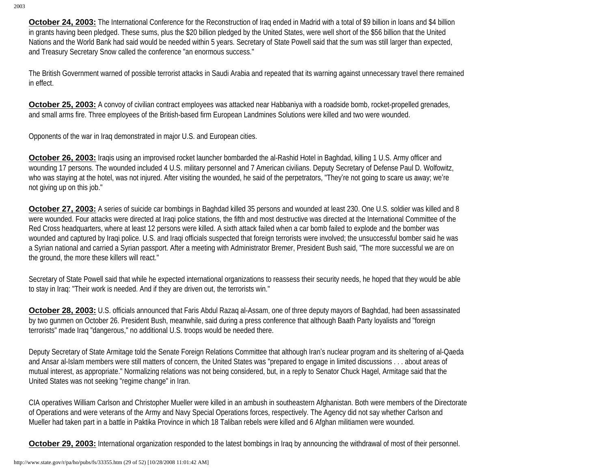**October 24, 2003:** The International Conference for the Reconstruction of Iraq ended in Madrid with a total of \$9 billion in loans and \$4 billion in grants having been pledged. These sums, plus the \$20 billion pledged by the United States, were well short of the \$56 billion that the United Nations and the World Bank had said would be needed within 5 years. Secretary of State Powell said that the sum was still larger than expected, and Treasury Secretary Snow called the conference "an enormous success."

The British Government warned of possible terrorist attacks in Saudi Arabia and repeated that its warning against unnecessary travel there remained in effect.

**October 25, 2003:** A convoy of civilian contract employees was attacked near Habbaniya with a roadside bomb, rocket-propelled grenades, and small arms fire. Three employees of the British-based firm European Landmines Solutions were killed and two were wounded.

Opponents of the war in Iraq demonstrated in major U.S. and European cities.

**October 26, 2003:** Iraqis using an improvised rocket launcher bombarded the al-Rashid Hotel in Baghdad, killing 1 U.S. Army officer and wounding 17 persons. The wounded included 4 U.S. military personnel and 7 American civilians. Deputy Secretary of Defense Paul D. Wolfowitz, who was staying at the hotel, was not injured. After visiting the wounded, he said of the perpetrators, "They're not going to scare us away; we're not giving up on this job."

**October 27, 2003:** A series of suicide car bombings in Baghdad killed 35 persons and wounded at least 230. One U.S. soldier was killed and 8 were wounded. Four attacks were directed at Iraqi police stations, the fifth and most destructive was directed at the International Committee of the Red Cross headquarters, where at least 12 persons were killed. A sixth attack failed when a car bomb failed to explode and the bomber was wounded and captured by Iraqi police. U.S. and Iraqi officials suspected that foreign terrorists were involved; the unsuccessful bomber said he was a Syrian national and carried a Syrian passport. After a meeting with Administrator Bremer, President Bush said, "The more successful we are on the ground, the more these killers will react."

Secretary of State Powell said that while he expected international organizations to reassess their security needs, he hoped that they would be able to stay in Iraq: "Their work is needed. And if they are driven out, the terrorists win."

**October 28, 2003:** U.S. officials announced that Faris Abdul Razaq al-Assam, one of three deputy mayors of Baghdad, had been assassinated by two gunmen on October 26. President Bush, meanwhile, said during a press conference that although Baath Party loyalists and "foreign terrorists" made Iraq "dangerous," no additional U.S. troops would be needed there.

Deputy Secretary of State Armitage told the Senate Foreign Relations Committee that although Iran's nuclear program and its sheltering of al-Qaeda and Ansar al-Islam members were still matters of concern, the United States was "prepared to engage in limited discussions . . . about areas of mutual interest, as appropriate." Normalizing relations was not being considered, but, in a reply to Senator Chuck Hagel, Armitage said that the United States was not seeking "regime change" in Iran.

CIA operatives William Carlson and Christopher Mueller were killed in an ambush in southeastern Afghanistan. Both were members of the Directorate of Operations and were veterans of the Army and Navy Special Operations forces, respectively. The Agency did not say whether Carlson and Mueller had taken part in a battle in Paktika Province in which 18 Taliban rebels were killed and 6 Afghan militiamen were wounded.

**October 29, 2003:** International organization responded to the latest bombings in Iraq by announcing the withdrawal of most of their personnel.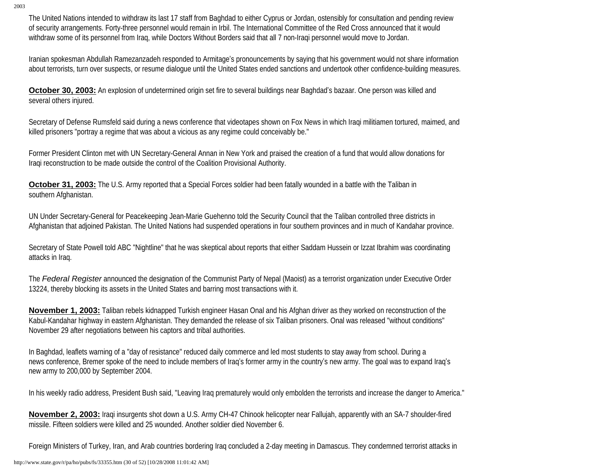The United Nations intended to withdraw its last 17 staff from Baghdad to either Cyprus or Jordan, ostensibly for consultation and pending review of security arrangements. Forty-three personnel would remain in Irbil. The International Committee of the Red Cross announced that it would withdraw some of its personnel from Iraq, while Doctors Without Borders said that all 7 non-Iraqi personnel would move to Jordan.

Iranian spokesman Abdullah Ramezanzadeh responded to Armitage's pronouncements by saying that his government would not share information about terrorists, turn over suspects, or resume dialogue until the United States ended sanctions and undertook other confidence-building measures.

**October 30, 2003:** An explosion of undetermined origin set fire to several buildings near Baghdad's bazaar. One person was killed and several others injured.

Secretary of Defense Rumsfeld said during a news conference that videotapes shown on Fox News in which Iraqi militiamen tortured, maimed, and killed prisoners "portray a regime that was about a vicious as any regime could conceivably be."

Former President Clinton met with UN Secretary-General Annan in New York and praised the creation of a fund that would allow donations for Iraqi reconstruction to be made outside the control of the Coalition Provisional Authority.

**October 31, 2003:** The U.S. Army reported that a Special Forces soldier had been fatally wounded in a battle with the Taliban in southern Afghanistan.

UN Under Secretary-General for Peacekeeping Jean-Marie Guehenno told the Security Council that the Taliban controlled three districts in Afghanistan that adjoined Pakistan. The United Nations had suspended operations in four southern provinces and in much of Kandahar province.

Secretary of State Powell told ABC "Nightline" that he was skeptical about reports that either Saddam Hussein or Izzat Ibrahim was coordinating attacks in Iraq.

The *Federal Register* announced the designation of the Communist Party of Nepal (Maoist) as a terrorist organization under Executive Order 13224, thereby blocking its assets in the United States and barring most transactions with it.

**November 1, 2003:** Taliban rebels kidnapped Turkish engineer Hasan Onal and his Afghan driver as they worked on reconstruction of the Kabul-Kandahar highway in eastern Afghanistan. They demanded the release of six Taliban prisoners. Onal was released "without conditions" November 29 after negotiations between his captors and tribal authorities.

In Baghdad, leaflets warning of a "day of resistance" reduced daily commerce and led most students to stay away from school. During a news conference, Bremer spoke of the need to include members of Iraq's former army in the country's new army. The goal was to expand Iraq's new army to 200,000 by September 2004.

In his weekly radio address, President Bush said, "Leaving Iraq prematurely would only embolden the terrorists and increase the danger to America."

**November 2, 2003:** Iraqi insurgents shot down a U.S. Army CH-47 Chinook helicopter near Fallujah, apparently with an SA-7 shoulder-fired missile. Fifteen soldiers were killed and 25 wounded. Another soldier died November 6.

Foreign Ministers of Turkey, Iran, and Arab countries bordering Iraq concluded a 2-day meeting in Damascus. They condemned terrorist attacks in

http://www.state.gov/r/pa/ho/pubs/fs/33355.htm (30 of 52) [10/28/2008 11:01:42 AM]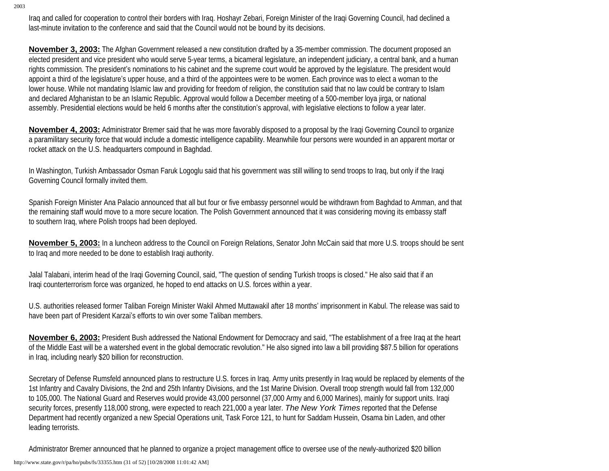Iraq and called for cooperation to control their borders with Iraq. Hoshayr Zebari, Foreign Minister of the Iraqi Governing Council, had declined a last-minute invitation to the conference and said that the Council would not be bound by its decisions.

**November 3, 2003:** The Afghan Government released a new constitution drafted by a 35-member commission. The document proposed an elected president and vice president who would serve 5-year terms, a bicameral legislature, an independent judiciary, a central bank, and a human rights commission. The president's nominations to his cabinet and the supreme court would be approved by the legislature. The president would appoint a third of the legislature's upper house, and a third of the appointees were to be women. Each province was to elect a woman to the lower house. While not mandating Islamic law and providing for freedom of religion, the constitution said that no law could be contrary to Islam and declared Afghanistan to be an Islamic Republic. Approval would follow a December meeting of a 500-member loya jirga, or national assembly. Presidential elections would be held 6 months after the constitution's approval, with legislative elections to follow a year later.

**November 4, 2003:** Administrator Bremer said that he was more favorably disposed to a proposal by the Iraqi Governing Council to organize a paramilitary security force that would include a domestic intelligence capability. Meanwhile four persons were wounded in an apparent mortar or rocket attack on the U.S. headquarters compound in Baghdad.

In Washington, Turkish Ambassador Osman Faruk Logoglu said that his government was still willing to send troops to Iraq, but only if the Iraqi Governing Council formally invited them.

Spanish Foreign Minister Ana Palacio announced that all but four or five embassy personnel would be withdrawn from Baghdad to Amman, and that the remaining staff would move to a more secure location. The Polish Government announced that it was considering moving its embassy staff to southern Iraq, where Polish troops had been deployed.

**November 5, 2003:** In a luncheon address to the Council on Foreign Relations, Senator John McCain said that more U.S. troops should be sent to Iraq and more needed to be done to establish Iraqi authority.

Jalal Talabani, interim head of the Iraqi Governing Council, said, "The question of sending Turkish troops is closed." He also said that if an Iraqi counterterrorism force was organized, he hoped to end attacks on U.S. forces within a year.

U.S. authorities released former Taliban Foreign Minister Wakil Ahmed Muttawakil after 18 months' imprisonment in Kabul. The release was said to have been part of President Karzai's efforts to win over some Taliban members.

**November 6, 2003:** President Bush addressed the National Endowment for Democracy and said, "The establishment of a free Iraq at the heart of the Middle East will be a watershed event in the global democratic revolution." He also signed into law a bill providing \$87.5 billion for operations in Iraq, including nearly \$20 billion for reconstruction.

Secretary of Defense Rumsfeld announced plans to restructure U.S. forces in Iraq. Army units presently in Iraq would be replaced by elements of the 1st Infantry and Cavalry Divisions, the 2nd and 25th Infantry Divisions, and the 1st Marine Division. Overall troop strength would fall from 132,000 to 105,000. The National Guard and Reserves would provide 43,000 personnel (37,000 Army and 6,000 Marines), mainly for support units. Iraqi security forces, presently 118,000 strong, were expected to reach 221,000 a year later. *The New York Times* reported that the Defense Department had recently organized a new Special Operations unit, Task Force 121, to hunt for Saddam Hussein, Osama bin Laden, and other leading terrorists.

Administrator Bremer announced that he planned to organize a project management office to oversee use of the newly-authorized \$20 billion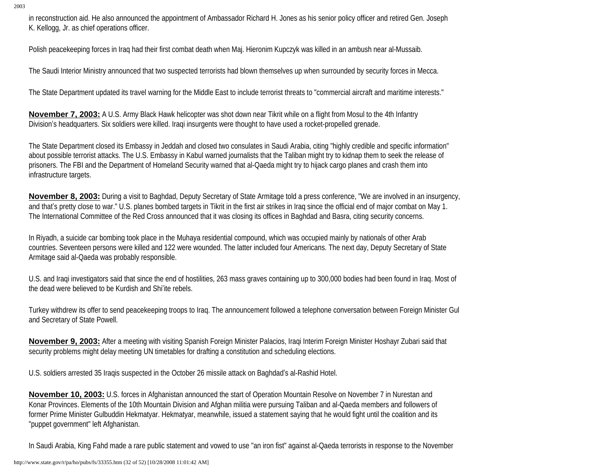in reconstruction aid. He also announced the appointment of Ambassador Richard H. Jones as his senior policy officer and retired Gen. Joseph K. Kellogg, Jr. as chief operations officer.

Polish peacekeeping forces in Iraq had their first combat death when Maj. Hieronim Kupczyk was killed in an ambush near al-Mussaib.

The Saudi Interior Ministry announced that two suspected terrorists had blown themselves up when surrounded by security forces in Mecca.

The State Department updated its travel warning for the Middle East to include terrorist threats to "commercial aircraft and maritime interests."

**November 7, 2003:** A U.S. Army Black Hawk helicopter was shot down near Tikrit while on a flight from Mosul to the 4th Infantry Division's headquarters. Six soldiers were killed. Iraqi insurgents were thought to have used a rocket-propelled grenade.

The State Department closed its Embassy in Jeddah and closed two consulates in Saudi Arabia, citing "highly credible and specific information" about possible terrorist attacks. The U.S. Embassy in Kabul warned journalists that the Taliban might try to kidnap them to seek the release of prisoners. The FBI and the Department of Homeland Security warned that al-Qaeda might try to hijack cargo planes and crash them into infrastructure targets.

**November 8, 2003:** During a visit to Baghdad, Deputy Secretary of State Armitage told a press conference, "We are involved in an insurgency, and that's pretty close to war." U.S. planes bombed targets in Tikrit in the first air strikes in Iraq since the official end of major combat on May 1. The International Committee of the Red Cross announced that it was closing its offices in Baghdad and Basra, citing security concerns.

In Riyadh, a suicide car bombing took place in the Muhaya residential compound, which was occupied mainly by nationals of other Arab countries. Seventeen persons were killed and 122 were wounded. The latter included four Americans. The next day, Deputy Secretary of State Armitage said al-Qaeda was probably responsible.

U.S. and Iraqi investigators said that since the end of hostilities, 263 mass graves containing up to 300,000 bodies had been found in Iraq. Most of the dead were believed to be Kurdish and Shi'ite rebels.

Turkey withdrew its offer to send peacekeeping troops to Iraq. The announcement followed a telephone conversation between Foreign Minister Gul and Secretary of State Powell.

**November 9, 2003:** After a meeting with visiting Spanish Foreign Minister Palacios, Iraqi Interim Foreign Minister Hoshayr Zubari said that security problems might delay meeting UN timetables for drafting a constitution and scheduling elections.

U.S. soldiers arrested 35 Iraqis suspected in the October 26 missile attack on Baghdad's al-Rashid Hotel.

**November 10, 2003:** U.S. forces in Afghanistan announced the start of Operation Mountain Resolve on November 7 in Nurestan and Konar Provinces. Elements of the 10th Mountain Division and Afghan militia were pursuing Taliban and al-Qaeda members and followers of former Prime Minister Gulbuddin Hekmatyar. Hekmatyar, meanwhile, issued a statement saying that he would fight until the coalition and its "puppet government" left Afghanistan.

In Saudi Arabia, King Fahd made a rare public statement and vowed to use "an iron fist" against al-Qaeda terrorists in response to the November

http://www.state.gov/r/pa/ho/pubs/fs/33355.htm (32 of 52) [10/28/2008 11:01:42 AM]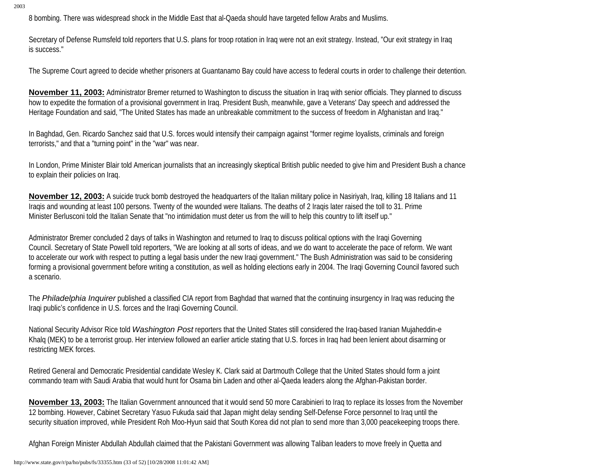8 bombing. There was widespread shock in the Middle East that al-Qaeda should have targeted fellow Arabs and Muslims.

Secretary of Defense Rumsfeld told reporters that U.S. plans for troop rotation in Iraq were not an exit strategy. Instead, "Our exit strategy in Iraq is success."

The Supreme Court agreed to decide whether prisoners at Guantanamo Bay could have access to federal courts in order to challenge their detention.

**November 11, 2003:** Administrator Bremer returned to Washington to discuss the situation in Iraq with senior officials. They planned to discuss how to expedite the formation of a provisional government in Iraq. President Bush, meanwhile, gave a Veterans' Day speech and addressed the Heritage Foundation and said, "The United States has made an unbreakable commitment to the success of freedom in Afghanistan and Iraq."

In Baghdad, Gen. Ricardo Sanchez said that U.S. forces would intensify their campaign against "former regime loyalists, criminals and foreign terrorists," and that a "turning point" in the "war" was near.

In London, Prime Minister Blair told American journalists that an increasingly skeptical British public needed to give him and President Bush a chance to explain their policies on Iraq.

**November 12, 2003:** A suicide truck bomb destroyed the headquarters of the Italian military police in Nasiriyah, Iraq, killing 18 Italians and 11 Iraqis and wounding at least 100 persons. Twenty of the wounded were Italians. The deaths of 2 Iraqis later raised the toll to 31. Prime Minister Berlusconi told the Italian Senate that "no intimidation must deter us from the will to help this country to lift itself up."

Administrator Bremer concluded 2 days of talks in Washington and returned to Iraq to discuss political options with the Iraqi Governing Council. Secretary of State Powell told reporters, "We are looking at all sorts of ideas, and we do want to accelerate the pace of reform. We want to accelerate our work with respect to putting a legal basis under the new Iraqi government." The Bush Administration was said to be considering forming a provisional government before writing a constitution, as well as holding elections early in 2004. The Iraqi Governing Council favored such a scenario.

The *Philadelphia Inquirer* published a classified CIA report from Baghdad that warned that the continuing insurgency in Iraq was reducing the Iraqi public's confidence in U.S. forces and the Iraqi Governing Council.

National Security Advisor Rice told *Washington Post* reporters that the United States still considered the Iraq-based Iranian Mujaheddin-e Khalq (MEK) to be a terrorist group. Her interview followed an earlier article stating that U.S. forces in Iraq had been lenient about disarming or restricting MEK forces.

Retired General and Democratic Presidential candidate Wesley K. Clark said at Dartmouth College that the United States should form a joint commando team with Saudi Arabia that would hunt for Osama bin Laden and other al-Qaeda leaders along the Afghan-Pakistan border.

**November 13, 2003:** The Italian Government announced that it would send 50 more Carabinieri to Iraq to replace its losses from the November 12 bombing. However, Cabinet Secretary Yasuo Fukuda said that Japan might delay sending Self-Defense Force personnel to Iraq until the security situation improved, while President Roh Moo-Hyun said that South Korea did not plan to send more than 3,000 peacekeeping troops there.

Afghan Foreign Minister Abdullah Abdullah claimed that the Pakistani Government was allowing Taliban leaders to move freely in Quetta and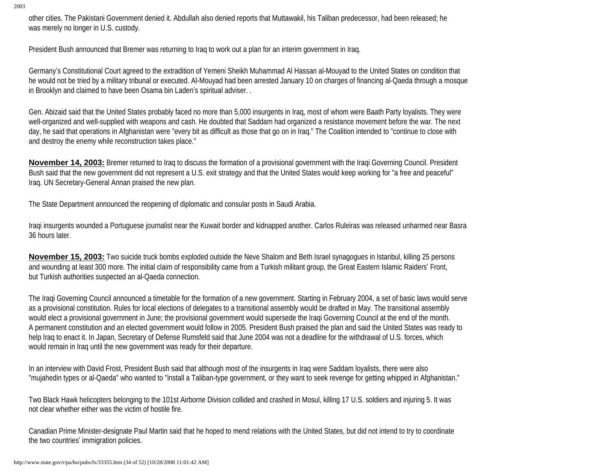other cities. The Pakistani Government denied it. Abdullah also denied reports that Muttawakil, his Taliban predecessor, had been released; he was merely no longer in U.S. custody.

President Bush announced that Bremer was returning to Iraq to work out a plan for an interim government in Iraq.

Germany's Constitutional Court agreed to the extradition of Yemeni Sheikh Muhammad Al Hassan al-Mouyad to the United States on condition that he would not be tried by a military tribunal or executed. Al-Mouyad had been arrested January 10 on charges of financing al-Qaeda through a mosque in Brooklyn and claimed to have been Osama bin Laden's spiritual adviser. .

Gen. Abizaid said that the United States probably faced no more than 5,000 insurgents in Iraq, most of whom were Baath Party loyalists. They were well-organized and well-supplied with weapons and cash. He doubted that Saddam had organized a resistance movement before the war. The next day, he said that operations in Afghanistan were "every bit as difficult as those that go on in Iraq." The Coalition intended to "continue to close with and destroy the enemy while reconstruction takes place."

**November 14, 2003:** Bremer returned to Iraq to discuss the formation of a provisional government with the Iraqi Governing Council. President Bush said that the new government did not represent a U.S. exit strategy and that the United States would keep working for "a free and peaceful" Iraq. UN Secretary-General Annan praised the new plan.

The State Department announced the reopening of diplomatic and consular posts in Saudi Arabia.

Iraqi insurgents wounded a Portuguese journalist near the Kuwait border and kidnapped another. Carlos Ruleiras was released unharmed near Basra 36 hours later.

**November 15, 2003:** Two suicide truck bombs exploded outside the Neve Shalom and Beth Israel synagogues in Istanbul, killing 25 persons and wounding at least 300 more. The initial claim of responsibility came from a Turkish militant group, the Great Eastern Islamic Raiders' Front, but Turkish authorities suspected an al-Qaeda connection.

The Iraqi Governing Council announced a timetable for the formation of a new government. Starting in February 2004, a set of basic laws would serve as a provisional constitution. Rules for local elections of delegates to a transitional assembly would be drafted in May. The transitional assembly would elect a provisional government in June; the provisional government would supersede the Iraqi Governing Council at the end of the month. A permanent constitution and an elected government would follow in 2005. President Bush praised the plan and said the United States was ready to help Iraq to enact it. In Japan, Secretary of Defense Rumsfeld said that June 2004 was not a deadline for the withdrawal of U.S. forces, which would remain in Iraq until the new government was ready for their departure.

In an interview with David Frost, President Bush said that although most of the insurgents in Iraq were Saddam loyalists, there were also "mujahedin types or al-Qaeda" who wanted to "install a Taliban-type government, or they want to seek revenge for getting whipped in Afghanistan."

Two Black Hawk helicopters belonging to the 101st Airborne Division collided and crashed in Mosul, killing 17 U.S. soldiers and injuring 5. It was not clear whether either was the victim of hostile fire.

Canadian Prime Minister-designate Paul Martin said that he hoped to mend relations with the United States, but did not intend to try to coordinate the two countries' immigration policies.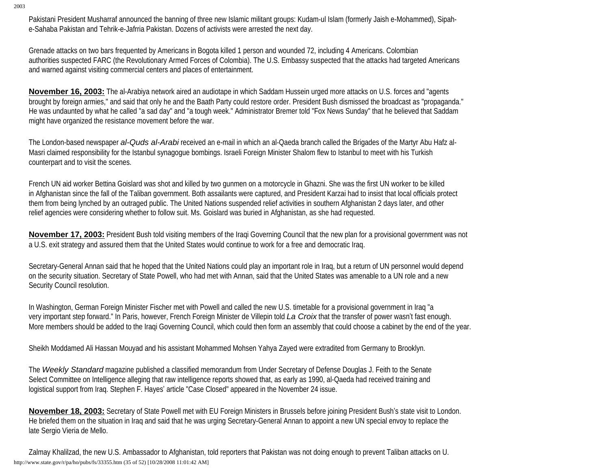Pakistani President Musharraf announced the banning of three new Islamic militant groups: Kudam-ul Islam (formerly Jaish e-Mohammed), Sipahe-Sahaba Pakistan and Tehrik-e-Jafrria Pakistan. Dozens of activists were arrested the next day.

Grenade attacks on two bars frequented by Americans in Bogota killed 1 person and wounded 72, including 4 Americans. Colombian authorities suspected FARC (the Revolutionary Armed Forces of Colombia). The U.S. Embassy suspected that the attacks had targeted Americans and warned against visiting commercial centers and places of entertainment.

**November 16, 2003:** The al-Arabiya network aired an audiotape in which Saddam Hussein urged more attacks on U.S. forces and "agents brought by foreign armies," and said that only he and the Baath Party could restore order. President Bush dismissed the broadcast as "propaganda." He was undaunted by what he called "a sad day" and "a tough week." Administrator Bremer told "Fox News Sunday" that he believed that Saddam might have organized the resistance movement before the war.

The London-based newspaper *al-Quds al-Arabi* received an e-mail in which an al-Qaeda branch called the Brigades of the Martyr Abu Hafz al-Masri claimed responsibility for the Istanbul synagogue bombings. Israeli Foreign Minister Shalom flew to Istanbul to meet with his Turkish counterpart and to visit the scenes.

French UN aid worker Bettina Goislard was shot and killed by two gunmen on a motorcycle in Ghazni. She was the first UN worker to be killed in Afghanistan since the fall of the Taliban government. Both assailants were captured, and President Karzai had to insist that local officials protect them from being lynched by an outraged public. The United Nations suspended relief activities in southern Afghanistan 2 days later, and other relief agencies were considering whether to follow suit. Ms. Goislard was buried in Afghanistan, as she had requested.

**November 17, 2003:** President Bush told visiting members of the Iraqi Governing Council that the new plan for a provisional government was not a U.S. exit strategy and assured them that the United States would continue to work for a free and democratic Iraq.

Secretary-General Annan said that he hoped that the United Nations could play an important role in Iraq, but a return of UN personnel would depend on the security situation. Secretary of State Powell, who had met with Annan, said that the United States was amenable to a UN role and a new Security Council resolution.

In Washington, German Foreign Minister Fischer met with Powell and called the new U.S. timetable for a provisional government in Iraq "a very important step forward." In Paris, however, French Foreign Minister de Villepin told *La Croix* that the transfer of power wasn't fast enough. More members should be added to the Iraqi Governing Council, which could then form an assembly that could choose a cabinet by the end of the year.

Sheikh Moddamed Ali Hassan Mouyad and his assistant Mohammed Mohsen Yahya Zayed were extradited from Germany to Brooklyn.

The *Weekly Standard* magazine published a classified memorandum from Under Secretary of Defense Douglas J. Feith to the Senate Select Committee on Intelligence alleging that raw intelligence reports showed that, as early as 1990, al-Qaeda had received training and logistical support from Iraq. Stephen F. Hayes' article "Case Closed" appeared in the November 24 issue.

**November 18, 2003:** Secretary of State Powell met with EU Foreign Ministers in Brussels before joining President Bush's state visit to London. He briefed them on the situation in Iraq and said that he was urging Secretary-General Annan to appoint a new UN special envoy to replace the late Sergio Vieria de Mello.

Zalmay Khalilzad, the new U.S. Ambassador to Afghanistan, told reporters that Pakistan was not doing enough to prevent Taliban attacks on U. http://www.state.gov/r/pa/ho/pubs/fs/33355.htm (35 of 52) [10/28/2008 11:01:42 AM]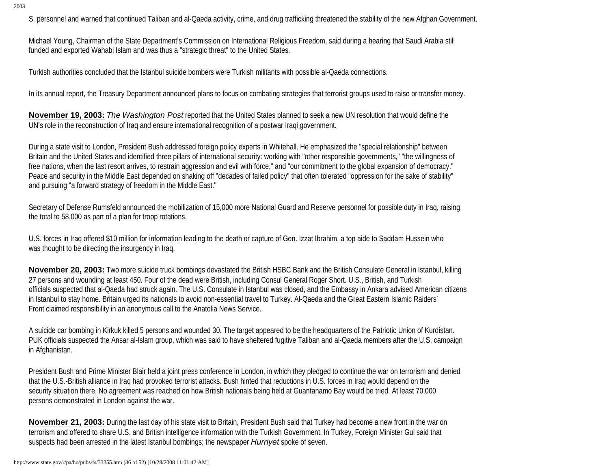S. personnel and warned that continued Taliban and al-Qaeda activity, crime, and drug trafficking threatened the stability of the new Afghan Government.

Michael Young, Chairman of the State Department's Commission on International Religious Freedom, said during a hearing that Saudi Arabia still funded and exported Wahabi Islam and was thus a "strategic threat" to the United States.

Turkish authorities concluded that the Istanbul suicide bombers were Turkish militants with possible al-Qaeda connections.

In its annual report, the Treasury Department announced plans to focus on combating strategies that terrorist groups used to raise or transfer money.

**November 19, 2003:** *The Washington Post* reported that the United States planned to seek a new UN resolution that would define the UN's role in the reconstruction of Iraq and ensure international recognition of a postwar Iraqi government.

During a state visit to London, President Bush addressed foreign policy experts in Whitehall. He emphasized the "special relationship" between Britain and the United States and identified three pillars of international security: working with "other responsible governments," "the willingness of free nations, when the last resort arrives, to restrain aggression and evil with force," and "our commitment to the global expansion of democracy." Peace and security in the Middle East depended on shaking off "decades of failed policy" that often tolerated "oppression for the sake of stability" and pursuing "a forward strategy of freedom in the Middle East."

Secretary of Defense Rumsfeld announced the mobilization of 15,000 more National Guard and Reserve personnel for possible duty in Iraq, raising the total to 58,000 as part of a plan for troop rotations.

U.S. forces in Iraq offered \$10 million for information leading to the death or capture of Gen. Izzat Ibrahim, a top aide to Saddam Hussein who was thought to be directing the insurgency in Iraq.

**November 20, 2003:** Two more suicide truck bombings devastated the British HSBC Bank and the British Consulate General in Istanbul, killing 27 persons and wounding at least 450. Four of the dead were British, including Consul General Roger Short. U.S., British, and Turkish officials suspected that al-Qaeda had struck again. The U.S. Consulate in Istanbul was closed, and the Embassy in Ankara advised American citizens in Istanbul to stay home. Britain urged its nationals to avoid non-essential travel to Turkey. Al-Qaeda and the Great Eastern Islamic Raiders' Front claimed responsibility in an anonymous call to the Anatolia News Service.

A suicide car bombing in Kirkuk killed 5 persons and wounded 30. The target appeared to be the headquarters of the Patriotic Union of Kurdistan. PUK officials suspected the Ansar al-Islam group, which was said to have sheltered fugitive Taliban and al-Qaeda members after the U.S. campaign in Afghanistan.

President Bush and Prime Minister Blair held a joint press conference in London, in which they pledged to continue the war on terrorism and denied that the U.S.-British alliance in Iraq had provoked terrorist attacks. Bush hinted that reductions in U.S. forces in Iraq would depend on the security situation there. No agreement was reached on how British nationals being held at Guantanamo Bay would be tried. At least 70,000 persons demonstrated in London against the war.

**November 21, 2003:** During the last day of his state visit to Britain, President Bush said that Turkey had become a new front in the war on terrorism and offered to share U.S. and British intelligence information with the Turkish Government. In Turkey, Foreign Minister Gul said that suspects had been arrested in the latest Istanbul bombings; the newspaper *Hurriyet* spoke of seven.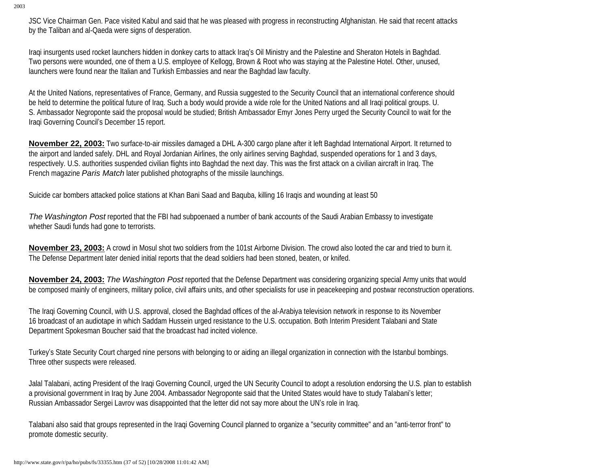JSC Vice Chairman Gen. Pace visited Kabul and said that he was pleased with progress in reconstructing Afghanistan. He said that recent attacks by the Taliban and al-Qaeda were signs of desperation.

Iraqi insurgents used rocket launchers hidden in donkey carts to attack Iraq's Oil Ministry and the Palestine and Sheraton Hotels in Baghdad. Two persons were wounded, one of them a U.S. employee of Kellogg, Brown & Root who was staying at the Palestine Hotel. Other, unused, launchers were found near the Italian and Turkish Embassies and near the Baghdad law faculty.

At the United Nations, representatives of France, Germany, and Russia suggested to the Security Council that an international conference should be held to determine the political future of Iraq. Such a body would provide a wide role for the United Nations and all Iraqi political groups. U. S. Ambassador Negroponte said the proposal would be studied; British Ambassador Emyr Jones Perry urged the Security Council to wait for the Iraqi Governing Council's December 15 report.

**November 22, 2003:** Two surface-to-air missiles damaged a DHL A-300 cargo plane after it left Baghdad International Airport. It returned to the airport and landed safely. DHL and Royal Jordanian Airlines, the only airlines serving Baghdad, suspended operations for 1 and 3 days, respectively. U.S. authorities suspended civilian flights into Baghdad the next day. This was the first attack on a civilian aircraft in Iraq. The French magazine *Paris Match* later published photographs of the missile launchings.

Suicide car bombers attacked police stations at Khan Bani Saad and Baquba, killing 16 Iraqis and wounding at least 50

*The Washington Post* reported that the FBI had subpoenaed a number of bank accounts of the Saudi Arabian Embassy to investigate whether Saudi funds had gone to terrorists.

**November 23, 2003:** A crowd in Mosul shot two soldiers from the 101st Airborne Division. The crowd also looted the car and tried to burn it. The Defense Department later denied initial reports that the dead soldiers had been stoned, beaten, or knifed.

**November 24, 2003:** *The Washington Post* reported that the Defense Department was considering organizing special Army units that would be composed mainly of engineers, military police, civil affairs units, and other specialists for use in peacekeeping and postwar reconstruction operations.

The Iraqi Governing Council, with U.S. approval, closed the Baghdad offices of the al-Arabiya television network in response to its November 16 broadcast of an audiotape in which Saddam Hussein urged resistance to the U.S. occupation. Both Interim President Talabani and State Department Spokesman Boucher said that the broadcast had incited violence.

Turkey's State Security Court charged nine persons with belonging to or aiding an illegal organization in connection with the Istanbul bombings. Three other suspects were released.

Jalal Talabani, acting President of the Iraqi Governing Council, urged the UN Security Council to adopt a resolution endorsing the U.S. plan to establish a provisional government in Iraq by June 2004. Ambassador Negroponte said that the United States would have to study Talabani's letter; Russian Ambassador Sergei Lavrov was disappointed that the letter did not say more about the UN's role in Iraq.

Talabani also said that groups represented in the Iraqi Governing Council planned to organize a "security committee" and an "anti-terror front" to promote domestic security.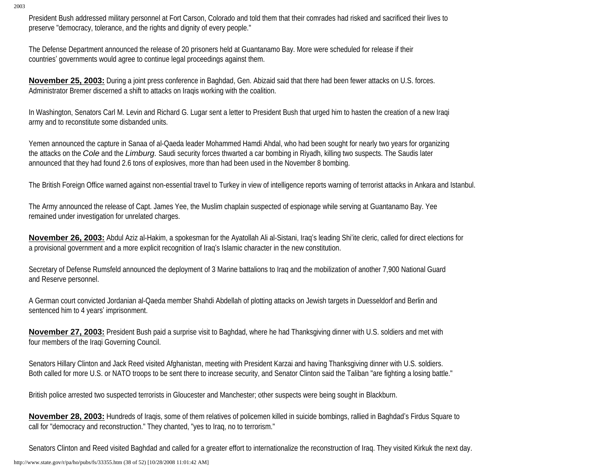President Bush addressed military personnel at Fort Carson, Colorado and told them that their comrades had risked and sacrificed their lives to preserve "democracy, tolerance, and the rights and dignity of every people."

The Defense Department announced the release of 20 prisoners held at Guantanamo Bay. More were scheduled for release if their countries' governments would agree to continue legal proceedings against them.

**November 25, 2003:** During a joint press conference in Baghdad, Gen. Abizaid said that there had been fewer attacks on U.S. forces. Administrator Bremer discerned a shift to attacks on Iraqis working with the coalition.

In Washington, Senators Carl M. Levin and Richard G. Lugar sent a letter to President Bush that urged him to hasten the creation of a new Iraqi army and to reconstitute some disbanded units.

Yemen announced the capture in Sanaa of al-Qaeda leader Mohammed Hamdi Ahdal, who had been sought for nearly two years for organizing the attacks on the *Cole* and the *Limburg.* Saudi security forces thwarted a car bombing in Riyadh, killing two suspects. The Saudis later announced that they had found 2.6 tons of explosives, more than had been used in the November 8 bombing.

The British Foreign Office warned against non-essential travel to Turkey in view of intelligence reports warning of terrorist attacks in Ankara and Istanbul.

The Army announced the release of Capt. James Yee, the Muslim chaplain suspected of espionage while serving at Guantanamo Bay. Yee remained under investigation for unrelated charges.

**November 26, 2003:** Abdul Aziz al-Hakim, a spokesman for the Ayatollah Ali al-Sistani, Iraq's leading Shi'ite cleric, called for direct elections for a provisional government and a more explicit recognition of Iraq's Islamic character in the new constitution.

Secretary of Defense Rumsfeld announced the deployment of 3 Marine battalions to Iraq and the mobilization of another 7,900 National Guard and Reserve personnel.

A German court convicted Jordanian al-Qaeda member Shahdi Abdellah of plotting attacks on Jewish targets in Duesseldorf and Berlin and sentenced him to 4 years' imprisonment.

**November 27, 2003:** President Bush paid a surprise visit to Baghdad, where he had Thanksgiving dinner with U.S. soldiers and met with four members of the Iraqi Governing Council.

Senators Hillary Clinton and Jack Reed visited Afghanistan, meeting with President Karzai and having Thanksgiving dinner with U.S. soldiers. Both called for more U.S. or NATO troops to be sent there to increase security, and Senator Clinton said the Taliban "are fighting a losing battle."

British police arrested two suspected terrorists in Gloucester and Manchester; other suspects were being sought in Blackburn.

**November 28, 2003:** Hundreds of Iraqis, some of them relatives of policemen killed in suicide bombings, rallied in Baghdad's Firdus Square to call for "democracy and reconstruction." They chanted, "yes to Iraq, no to terrorism."

Senators Clinton and Reed visited Baghdad and called for a greater effort to internationalize the reconstruction of Iraq. They visited Kirkuk the next day.

http://www.state.gov/r/pa/ho/pubs/fs/33355.htm (38 of 52) [10/28/2008 11:01:42 AM]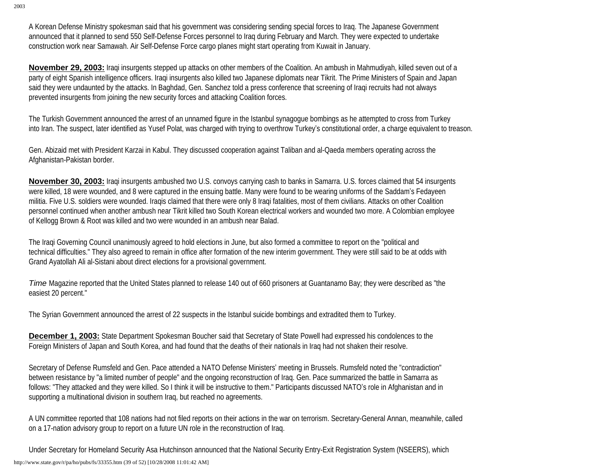A Korean Defense Ministry spokesman said that his government was considering sending special forces to Iraq. The Japanese Government announced that it planned to send 550 Self-Defense Forces personnel to Iraq during February and March. They were expected to undertake construction work near Samawah. Air Self-Defense Force cargo planes might start operating from Kuwait in January.

**November 29, 2003:** Iraqi insurgents stepped up attacks on other members of the Coalition. An ambush in Mahmudiyah, killed seven out of a party of eight Spanish intelligence officers. Iraqi insurgents also killed two Japanese diplomats near Tikrit. The Prime Ministers of Spain and Japan said they were undaunted by the attacks. In Baghdad, Gen. Sanchez told a press conference that screening of Iraqi recruits had not always prevented insurgents from joining the new security forces and attacking Coalition forces.

The Turkish Government announced the arrest of an unnamed figure in the Istanbul synagogue bombings as he attempted to cross from Turkey into Iran. The suspect, later identified as Yusef Polat, was charged with trying to overthrow Turkey's constitutional order, a charge equivalent to treason.

Gen. Abizaid met with President Karzai in Kabul. They discussed cooperation against Taliban and al-Qaeda members operating across the Afghanistan-Pakistan border.

**November 30, 2003:** Iraqi insurgents ambushed two U.S. convoys carrying cash to banks in Samarra. U.S. forces claimed that 54 insurgents were killed, 18 were wounded, and 8 were captured in the ensuing battle. Many were found to be wearing uniforms of the Saddam's Fedayeen militia. Five U.S. soldiers were wounded. Iraqis claimed that there were only 8 Iraqi fatalities, most of them civilians. Attacks on other Coalition personnel continued when another ambush near Tikrit killed two South Korean electrical workers and wounded two more. A Colombian employee of Kellogg Brown & Root was killed and two were wounded in an ambush near Balad.

The Iraqi Governing Council unanimously agreed to hold elections in June, but also formed a committee to report on the "political and technical difficulties." They also agreed to remain in office after formation of the new interim government. They were still said to be at odds with Grand Ayatollah Ali al-Sistani about direct elections for a provisional government.

*Time* Magazine reported that the United States planned to release 140 out of 660 prisoners at Guantanamo Bay; they were described as "the easiest 20 percent."

The Syrian Government announced the arrest of 22 suspects in the Istanbul suicide bombings and extradited them to Turkey.

**December 1, 2003:** State Department Spokesman Boucher said that Secretary of State Powell had expressed his condolences to the Foreign Ministers of Japan and South Korea, and had found that the deaths of their nationals in Iraq had not shaken their resolve.

Secretary of Defense Rumsfeld and Gen. Pace attended a NATO Defense Ministers' meeting in Brussels. Rumsfeld noted the "contradiction" between resistance by "a limited number of people" and the ongoing reconstruction of Iraq. Gen. Pace summarized the battle in Samarra as follows: "They attacked and they were killed. So I think it will be instructive to them." Participants discussed NATO's role in Afghanistan and in supporting a multinational division in southern Iraq, but reached no agreements.

A UN committee reported that 108 nations had not filed reports on their actions in the war on terrorism. Secretary-General Annan, meanwhile, called on a 17-nation advisory group to report on a future UN role in the reconstruction of Iraq.

Under Secretary for Homeland Security Asa Hutchinson announced that the National Security Entry-Exit Registration System (NSEERS), which http://www.state.gov/r/pa/ho/pubs/fs/33355.htm (39 of 52) [10/28/2008 11:01:42 AM]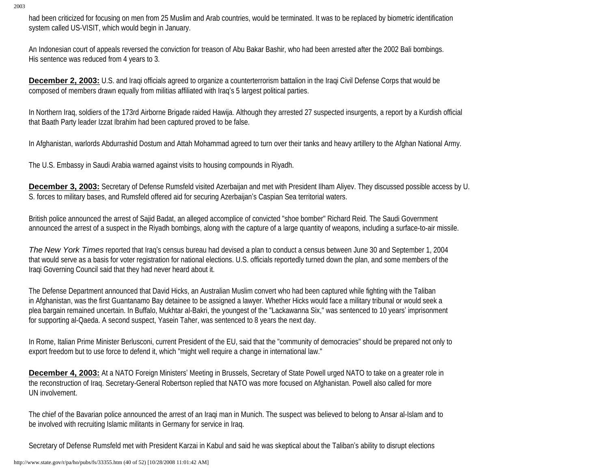had been criticized for focusing on men from 25 Muslim and Arab countries, would be terminated. It was to be replaced by biometric identification system called US-VISIT, which would begin in January.

An Indonesian court of appeals reversed the conviction for treason of Abu Bakar Bashir, who had been arrested after the 2002 Bali bombings. His sentence was reduced from 4 years to 3.

**December 2, 2003:** U.S. and Iraqi officials agreed to organize a counterterrorism battalion in the Iraqi Civil Defense Corps that would be composed of members drawn equally from militias affiliated with Iraq's 5 largest political parties.

In Northern Iraq, soldiers of the 173rd Airborne Brigade raided Hawija. Although they arrested 27 suspected insurgents, a report by a Kurdish official that Baath Party leader Izzat Ibrahim had been captured proved to be false.

In Afghanistan, warlords Abdurrashid Dostum and Attah Mohammad agreed to turn over their tanks and heavy artillery to the Afghan National Army.

The U.S. Embassy in Saudi Arabia warned against visits to housing compounds in Riyadh.

**December 3, 2003:** Secretary of Defense Rumsfeld visited Azerbaijan and met with President Ilham Aliyev. They discussed possible access by U. S. forces to military bases, and Rumsfeld offered aid for securing Azerbaijan's Caspian Sea territorial waters.

British police announced the arrest of Sajid Badat, an alleged accomplice of convicted "shoe bomber" Richard Reid. The Saudi Government announced the arrest of a suspect in the Riyadh bombings, along with the capture of a large quantity of weapons, including a surface-to-air missile.

*The New York Times* reported that Iraq's census bureau had devised a plan to conduct a census between June 30 and September 1, 2004 that would serve as a basis for voter registration for national elections. U.S. officials reportedly turned down the plan, and some members of the Iraqi Governing Council said that they had never heard about it.

The Defense Department announced that David Hicks, an Australian Muslim convert who had been captured while fighting with the Taliban in Afghanistan, was the first Guantanamo Bay detainee to be assigned a lawyer. Whether Hicks would face a military tribunal or would seek a plea bargain remained uncertain. In Buffalo, Mukhtar al-Bakri, the youngest of the "Lackawanna Six," was sentenced to 10 years' imprisonment for supporting al-Qaeda. A second suspect, Yasein Taher, was sentenced to 8 years the next day.

In Rome, Italian Prime Minister Berlusconi, current President of the EU, said that the "community of democracies" should be prepared not only to export freedom but to use force to defend it, which "might well require a change in international law."

**December 4, 2003:** At a NATO Foreign Ministers' Meeting in Brussels, Secretary of State Powell urged NATO to take on a greater role in the reconstruction of Iraq. Secretary-General Robertson replied that NATO was more focused on Afghanistan. Powell also called for more UN involvement.

The chief of the Bavarian police announced the arrest of an Iraqi man in Munich. The suspect was believed to belong to Ansar al-Islam and to be involved with recruiting Islamic militants in Germany for service in Iraq.

Secretary of Defense Rumsfeld met with President Karzai in Kabul and said he was skeptical about the Taliban's ability to disrupt elections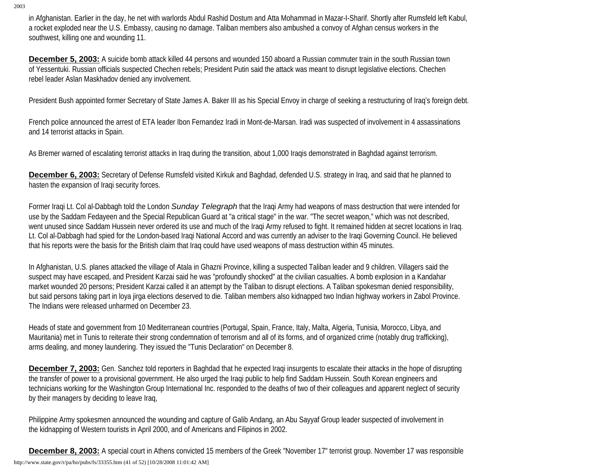in Afghanistan. Earlier in the day, he net with warlords Abdul Rashid Dostum and Atta Mohammad in Mazar-I-Sharif. Shortly after Rumsfeld left Kabul, a rocket exploded near the U.S. Embassy, causing no damage. Taliban members also ambushed a convoy of Afghan census workers in the southwest, killing one and wounding 11.

**December 5, 2003:** A suicide bomb attack killed 44 persons and wounded 150 aboard a Russian commuter train in the south Russian town of Yessentuki. Russian officials suspected Chechen rebels; President Putin said the attack was meant to disrupt legislative elections. Chechen rebel leader Aslan Maskhadov denied any involvement.

President Bush appointed former Secretary of State James A. Baker III as his Special Envoy in charge of seeking a restructuring of Iraq's foreign debt.

French police announced the arrest of ETA leader Ibon Fernandez Iradi in Mont-de-Marsan. Iradi was suspected of involvement in 4 assassinations and 14 terrorist attacks in Spain.

As Bremer warned of escalating terrorist attacks in Iraq during the transition, about 1,000 Iraqis demonstrated in Baghdad against terrorism.

**December 6, 2003:** Secretary of Defense Rumsfeld visited Kirkuk and Baghdad, defended U.S. strategy in Iraq, and said that he planned to hasten the expansion of Iraqi security forces.

Former Iraqi Lt. Col al-Dabbagh told the London *Sunday Telegraph* that the Iraqi Army had weapons of mass destruction that were intended for use by the Saddam Fedayeen and the Special Republican Guard at "a critical stage" in the war. "The secret weapon," which was not described, went unused since Saddam Hussein never ordered its use and much of the Iraqi Army refused to fight. It remained hidden at secret locations in Iraq. Lt. Col al-Dabbagh had spied for the London-based Iraqi National Accord and was currently an adviser to the Iraqi Governing Council. He believed that his reports were the basis for the British claim that Iraq could have used weapons of mass destruction within 45 minutes.

In Afghanistan, U.S. planes attacked the village of Atala in Ghazni Province, killing a suspected Taliban leader and 9 children. Villagers said the suspect may have escaped, and President Karzai said he was "profoundly shocked" at the civilian casualties. A bomb explosion in a Kandahar market wounded 20 persons; President Karzai called it an attempt by the Taliban to disrupt elections. A Taliban spokesman denied responsibility, but said persons taking part in loya jirga elections deserved to die. Taliban members also kidnapped two Indian highway workers in Zabol Province. The Indians were released unharmed on December 23.

Heads of state and government from 10 Mediterranean countries (Portugal, Spain, France, Italy, Malta, Algeria, Tunisia, Morocco, Libya, and Mauritania) met in Tunis to reiterate their strong condemnation of terrorism and all of its forms, and of organized crime (notably drug trafficking), arms dealing, and money laundering. They issued the "Tunis Declaration" on December 8.

**December 7, 2003:** Gen. Sanchez told reporters in Baghdad that he expected Iraqi insurgents to escalate their attacks in the hope of disrupting the transfer of power to a provisional government. He also urged the Iraqi public to help find Saddam Hussein. South Korean engineers and technicians working for the Washington Group International Inc. responded to the deaths of two of their colleagues and apparent neglect of security by their managers by deciding to leave Iraq,

Philippine Army spokesmen announced the wounding and capture of Galib Andang, an Abu Sayyaf Group leader suspected of involvement in the kidnapping of Western tourists in April 2000, and of Americans and Filipinos in 2002.

**December 8, 2003:** A special court in Athens convicted 15 members of the Greek "November 17" terrorist group. November 17 was responsible http://www.state.gov/r/pa/ho/pubs/fs/33355.htm (41 of 52) [10/28/2008 11:01:42 AM]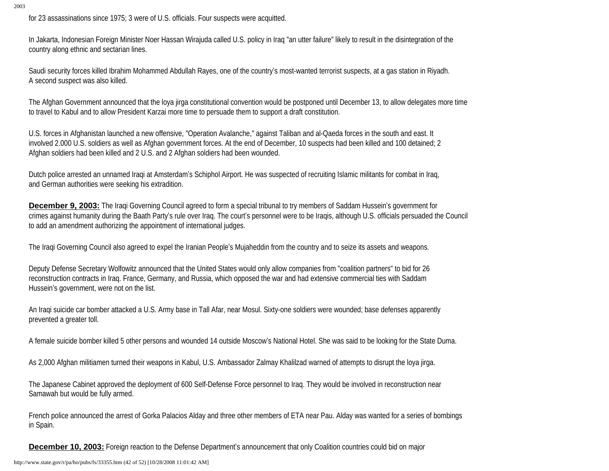for 23 assassinations since 1975; 3 were of U.S. officials. Four suspects were acquitted.

In Jakarta, Indonesian Foreign Minister Noer Hassan Wirajuda called U.S. policy in Iraq "an utter failure" likely to result in the disintegration of the country along ethnic and sectarian lines.

Saudi security forces killed Ibrahim Mohammed Abdullah Rayes, one of the country's most-wanted terrorist suspects, at a gas station in Riyadh. A second suspect was also killed.

The Afghan Government announced that the loya jirga constitutional convention would be postponed until December 13, to allow delegates more time to travel to Kabul and to allow President Karzai more time to persuade them to support a draft constitution.

U.S. forces in Afghanistan launched a new offensive, "Operation Avalanche," against Taliban and al-Qaeda forces in the south and east. It involved 2.000 U.S. soldiers as well as Afghan government forces. At the end of December, 10 suspects had been killed and 100 detained; 2 Afghan soldiers had been killed and 2 U.S. and 2 Afghan soldiers had been wounded.

Dutch police arrested an unnamed Iraqi at Amsterdam's Schiphol Airport. He was suspected of recruiting Islamic militants for combat in Iraq, and German authorities were seeking his extradition.

**December 9, 2003:** The Iraqi Governing Council agreed to form a special tribunal to try members of Saddam Hussein's government for crimes against humanity during the Baath Party's rule over Iraq. The court's personnel were to be Iraqis, although U.S. officials persuaded the Council to add an amendment authorizing the appointment of international judges.

The Iraqi Governing Council also agreed to expel the Iranian People's Mujaheddin from the country and to seize its assets and weapons.

Deputy Defense Secretary Wolfowitz announced that the United States would only allow companies from "coalition partners" to bid for 26 reconstruction contracts in Iraq. France, Germany, and Russia, which opposed the war and had extensive commercial ties with Saddam Hussein's government, were not on the list.

An Iraqi suicide car bomber attacked a U.S. Army base in Tall Afar, near Mosul. Sixty-one soldiers were wounded; base defenses apparently prevented a greater toll.

A female suicide bomber killed 5 other persons and wounded 14 outside Moscow's National Hotel. She was said to be looking for the State Duma.

As 2,000 Afghan militiamen turned their weapons in Kabul, U.S. Ambassador Zalmay Khalilzad warned of attempts to disrupt the loya jirga.

The Japanese Cabinet approved the deployment of 600 Self-Defense Force personnel to Iraq. They would be involved in reconstruction near Samawah but would be fully armed.

French police announced the arrest of Gorka Palacios Alday and three other members of ETA near Pau. Alday was wanted for a series of bombings in Spain.

**December 10, 2003:** Foreign reaction to the Defense Department's announcement that only Coalition countries could bid on major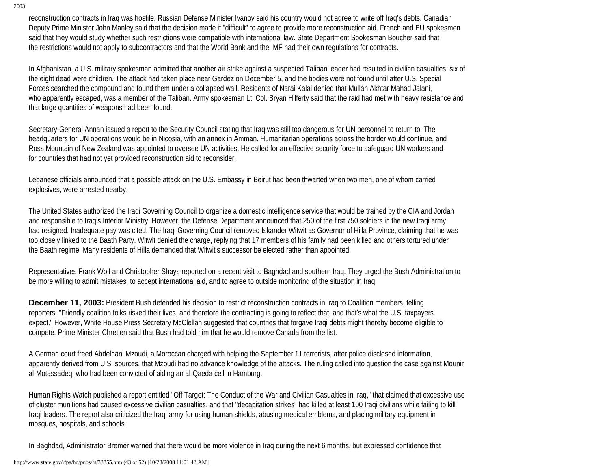reconstruction contracts in Iraq was hostile. Russian Defense Minister Ivanov said his country would not agree to write off Iraq's debts. Canadian Deputy Prime Minister John Manley said that the decision made it "difficult" to agree to provide more reconstruction aid. French and EU spokesmen said that they would study whether such restrictions were compatible with international law. State Department Spokesman Boucher said that the restrictions would not apply to subcontractors and that the World Bank and the IMF had their own regulations for contracts.

In Afghanistan, a U.S. military spokesman admitted that another air strike against a suspected Taliban leader had resulted in civilian casualties: six of the eight dead were children. The attack had taken place near Gardez on December 5, and the bodies were not found until after U.S. Special Forces searched the compound and found them under a collapsed wall. Residents of Narai Kalai denied that Mullah Akhtar Mahad Jalani, who apparently escaped, was a member of the Taliban. Army spokesman Lt. Col. Bryan Hilferty said that the raid had met with heavy resistance and that large quantities of weapons had been found.

Secretary-General Annan issued a report to the Security Council stating that Iraq was still too dangerous for UN personnel to return to. The headquarters for UN operations would be in Nicosia, with an annex in Amman. Humanitarian operations across the border would continue, and Ross Mountain of New Zealand was appointed to oversee UN activities. He called for an effective security force to safeguard UN workers and for countries that had not yet provided reconstruction aid to reconsider.

Lebanese officials announced that a possible attack on the U.S. Embassy in Beirut had been thwarted when two men, one of whom carried explosives, were arrested nearby.

The United States authorized the Iraqi Governing Council to organize a domestic intelligence service that would be trained by the CIA and Jordan and responsible to Iraq's Interior Ministry. However, the Defense Department announced that 250 of the first 750 soldiers in the new Iraqi army had resigned. Inadequate pay was cited. The Iraqi Governing Council removed Iskander Witwit as Governor of Hilla Province, claiming that he was too closely linked to the Baath Party. Witwit denied the charge, replying that 17 members of his family had been killed and others tortured under the Baath regime. Many residents of Hilla demanded that Witwit's successor be elected rather than appointed.

Representatives Frank Wolf and Christopher Shays reported on a recent visit to Baghdad and southern Iraq. They urged the Bush Administration to be more willing to admit mistakes, to accept international aid, and to agree to outside monitoring of the situation in Iraq.

**December 11, 2003:** President Bush defended his decision to restrict reconstruction contracts in Iraq to Coalition members, telling reporters: "Friendly coalition folks risked their lives, and therefore the contracting is going to reflect that, and that's what the U.S. taxpayers expect." However, White House Press Secretary McClellan suggested that countries that forgave Iraqi debts might thereby become eligible to compete. Prime Minister Chretien said that Bush had told him that he would remove Canada from the list.

A German court freed Abdelhani Mzoudi, a Moroccan charged with helping the September 11 terrorists, after police disclosed information, apparently derived from U.S. sources, that Mzoudi had no advance knowledge of the attacks. The ruling called into question the case against Mounir al-Motassadeq, who had been convicted of aiding an al-Qaeda cell in Hamburg.

Human Rights Watch published a report entitled "Off Target: The Conduct of the War and Civilian Casualties in Iraq," that claimed that excessive use of cluster munitions had caused excessive civilian casualties, and that "decapitation strikes" had killed at least 100 Iraqi civilians while failing to kill Iraqi leaders. The report also criticized the Iraqi army for using human shields, abusing medical emblems, and placing military equipment in mosques, hospitals, and schools.

In Baghdad, Administrator Bremer warned that there would be more violence in Iraq during the next 6 months, but expressed confidence that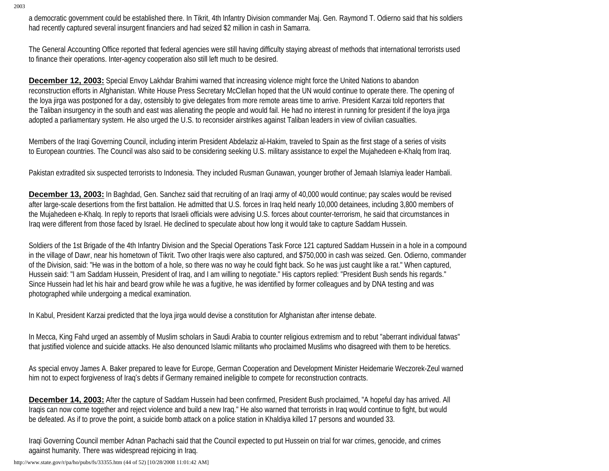a democratic government could be established there. In Tikrit, 4th Infantry Division commander Maj. Gen. Raymond T. Odierno said that his soldiers had recently captured several insurgent financiers and had seized \$2 million in cash in Samarra.

The General Accounting Office reported that federal agencies were still having difficulty staying abreast of methods that international terrorists used to finance their operations. Inter-agency cooperation also still left much to be desired.

**December 12, 2003:** Special Envoy Lakhdar Brahimi warned that increasing violence might force the United Nations to abandon reconstruction efforts in Afghanistan. White House Press Secretary McClellan hoped that the UN would continue to operate there. The opening of the loya jirga was postponed for a day, ostensibly to give delegates from more remote areas time to arrive. President Karzai told reporters that the Taliban insurgency in the south and east was alienating the people and would fail. He had no interest in running for president if the loya jirga adopted a parliamentary system. He also urged the U.S. to reconsider airstrikes against Taliban leaders in view of civilian casualties.

Members of the Iraqi Governing Council, including interim President Abdelaziz al-Hakim, traveled to Spain as the first stage of a series of visits to European countries. The Council was also said to be considering seeking U.S. military assistance to expel the Mujahedeen e-Khalq from Iraq.

Pakistan extradited six suspected terrorists to Indonesia. They included Rusman Gunawan, younger brother of Jemaah Islamiya leader Hambali.

**December 13, 2003:** In Baghdad, Gen. Sanchez said that recruiting of an Iraqi army of 40,000 would continue; pay scales would be revised after large-scale desertions from the first battalion. He admitted that U.S. forces in Iraq held nearly 10,000 detainees, including 3,800 members of the Mujahedeen e-Khalq. In reply to reports that Israeli officials were advising U.S. forces about counter-terrorism, he said that circumstances in Iraq were different from those faced by Israel. He declined to speculate about how long it would take to capture Saddam Hussein.

Soldiers of the 1st Brigade of the 4th Infantry Division and the Special Operations Task Force 121 captured Saddam Hussein in a hole in a compound in the village of Dawr, near his hometown of Tikrit. Two other Iraqis were also captured, and \$750,000 in cash was seized. Gen. Odierno, commander of the Division, said: "He was in the bottom of a hole, so there was no way he could fight back. So he was just caught like a rat." When captured, Hussein said: "I am Saddam Hussein, President of Iraq, and I am willing to negotiate." His captors replied: "President Bush sends his regards." Since Hussein had let his hair and beard grow while he was a fugitive, he was identified by former colleagues and by DNA testing and was photographed while undergoing a medical examination.

In Kabul, President Karzai predicted that the loya jirga would devise a constitution for Afghanistan after intense debate.

In Mecca, King Fahd urged an assembly of Muslim scholars in Saudi Arabia to counter religious extremism and to rebut "aberrant individual fatwas" that justified violence and suicide attacks. He also denounced Islamic militants who proclaimed Muslims who disagreed with them to be heretics.

As special envoy James A. Baker prepared to leave for Europe, German Cooperation and Development Minister Heidemarie Weczorek-Zeul warned him not to expect forgiveness of Iraq's debts if Germany remained ineligible to compete for reconstruction contracts.

**December 14, 2003:** After the capture of Saddam Hussein had been confirmed, President Bush proclaimed, "A hopeful day has arrived. All Iraqis can now come together and reject violence and build a new Iraq." He also warned that terrorists in Iraq would continue to fight, but would be defeated. As if to prove the point, a suicide bomb attack on a police station in Khaldiya killed 17 persons and wounded 33.

Iraqi Governing Council member Adnan Pachachi said that the Council expected to put Hussein on trial for war crimes, genocide, and crimes against humanity. There was widespread rejoicing in Iraq.

http://www.state.gov/r/pa/ho/pubs/fs/33355.htm (44 of 52) [10/28/2008 11:01:42 AM]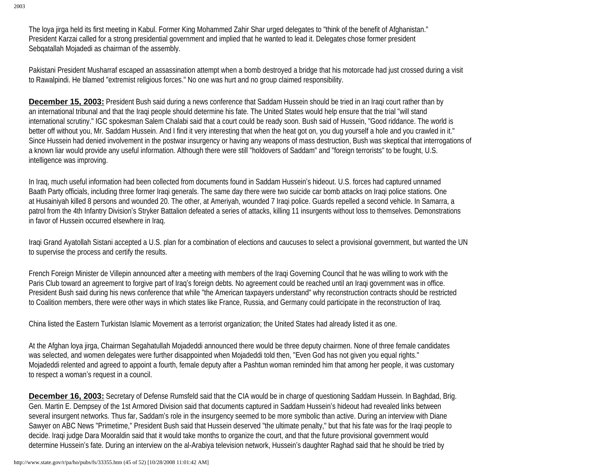The loya jirga held its first meeting in Kabul. Former King Mohammed Zahir Shar urged delegates to "think of the benefit of Afghanistan." President Karzai called for a strong presidential government and implied that he wanted to lead it. Delegates chose former president Sebqatallah Mojadedi as chairman of the assembly.

Pakistani President Musharraf escaped an assassination attempt when a bomb destroyed a bridge that his motorcade had just crossed during a visit to Rawalpindi. He blamed "extremist religious forces." No one was hurt and no group claimed responsibility.

**December 15, 2003:** President Bush said during a news conference that Saddam Hussein should be tried in an Iraqi court rather than by an international tribunal and that the Iraqi people should determine his fate. The United States would help ensure that the trial "will stand international scrutiny." IGC spokesman Salem Chalabi said that a court could be ready soon. Bush said of Hussein, "Good riddance. The world is better off without you, Mr. Saddam Hussein. And I find it very interesting that when the heat got on, you dug yourself a hole and you crawled in it." Since Hussein had denied involvement in the postwar insurgency or having any weapons of mass destruction, Bush was skeptical that interrogations of a known liar would provide any useful information. Although there were still "holdovers of Saddam" and "foreign terrorists" to be fought, U.S. intelligence was improving.

In Iraq, much useful information had been collected from documents found in Saddam Hussein's hideout. U.S. forces had captured unnamed Baath Party officials, including three former Iraqi generals. The same day there were two suicide car bomb attacks on Iraqi police stations. One at Husainiyah killed 8 persons and wounded 20. The other, at Ameriyah, wounded 7 Iraqi police. Guards repelled a second vehicle. In Samarra, a patrol from the 4th Infantry Division's Stryker Battalion defeated a series of attacks, killing 11 insurgents without loss to themselves. Demonstrations in favor of Hussein occurred elsewhere in Iraq.

Iraqi Grand Ayatollah Sistani accepted a U.S. plan for a combination of elections and caucuses to select a provisional government, but wanted the UN to supervise the process and certify the results.

French Foreign Minister de Villepin announced after a meeting with members of the Iraqi Governing Council that he was willing to work with the Paris Club toward an agreement to forgive part of Iraq's foreign debts. No agreement could be reached until an Iraqi government was in office. President Bush said during his news conference that while "the American taxpayers understand" why reconstruction contracts should be restricted to Coalition members, there were other ways in which states like France, Russia, and Germany could participate in the reconstruction of Iraq.

China listed the Eastern Turkistan Islamic Movement as a terrorist organization; the United States had already listed it as one.

At the Afghan loya jirga, Chairman Segahatullah Mojadeddi announced there would be three deputy chairmen. None of three female candidates was selected, and women delegates were further disappointed when Mojadeddi told then, "Even God has not given you equal rights." Mojadeddi relented and agreed to appoint a fourth, female deputy after a Pashtun woman reminded him that among her people, it was customary to respect a woman's request in a council.

**December 16, 2003:** Secretary of Defense Rumsfeld said that the CIA would be in charge of questioning Saddam Hussein. In Baghdad, Brig. Gen. Martin E. Dempsey of the 1st Armored Division said that documents captured in Saddam Hussein's hideout had revealed links between several insurgent networks. Thus far, Saddam's role in the insurgency seemed to be more symbolic than active. During an interview with Diane Sawyer on ABC News "Primetime," President Bush said that Hussein deserved "the ultimate penalty," but that his fate was for the Iraqi people to decide. Iraqi judge Dara Mooraldin said that it would take months to organize the court, and that the future provisional government would determine Hussein's fate. During an interview on the al-Arabiya television network, Hussein's daughter Raghad said that he should be tried by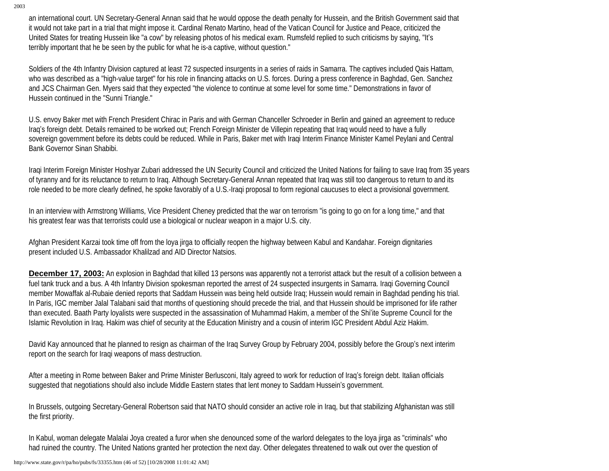an international court. UN Secretary-General Annan said that he would oppose the death penalty for Hussein, and the British Government said that it would not take part in a trial that might impose it. Cardinal Renato Martino, head of the Vatican Council for Justice and Peace, criticized the United States for treating Hussein like "a cow" by releasing photos of his medical exam. Rumsfeld replied to such criticisms by saying, "It's terribly important that he be seen by the public for what he is-a captive, without question."

Soldiers of the 4th Infantry Division captured at least 72 suspected insurgents in a series of raids in Samarra. The captives included Qais Hattam, who was described as a "high-value target" for his role in financing attacks on U.S. forces. During a press conference in Baghdad, Gen. Sanchez and JCS Chairman Gen. Myers said that they expected "the violence to continue at some level for some time." Demonstrations in favor of Hussein continued in the "Sunni Triangle."

U.S. envoy Baker met with French President Chirac in Paris and with German Chanceller Schroeder in Berlin and gained an agreement to reduce Iraq's foreign debt. Details remained to be worked out; French Foreign Minister de Villepin repeating that Iraq would need to have a fully sovereign government before its debts could be reduced. While in Paris, Baker met with Iraqi Interim Finance Minister Kamel Peylani and Central Bank Governor Sinan Shabibi.

Iraqi Interim Foreign Minister Hoshyar Zubari addressed the UN Security Council and criticized the United Nations for failing to save Iraq from 35 years of tyranny and for its reluctance to return to Iraq. Although Secretary-General Annan repeated that Iraq was still too dangerous to return to and its role needed to be more clearly defined, he spoke favorably of a U.S.-Iraqi proposal to form regional caucuses to elect a provisional government.

In an interview with Armstrong Williams, Vice President Cheney predicted that the war on terrorism "is going to go on for a long time," and that his greatest fear was that terrorists could use a biological or nuclear weapon in a major U.S. city.

Afghan President Karzai took time off from the loya jirga to officially reopen the highway between Kabul and Kandahar. Foreign dignitaries present included U.S. Ambassador Khalilzad and AID Director Natsios.

**December 17, 2003:** An explosion in Baghdad that killed 13 persons was apparently not a terrorist attack but the result of a collision between a fuel tank truck and a bus. A 4th Infantry Division spokesman reported the arrest of 24 suspected insurgents in Samarra. Iraqi Governing Council member Mowaffak al-Rubaie denied reports that Saddam Hussein was being held outside Iraq; Hussein would remain in Baghdad pending his trial. In Paris, IGC member Jalal Talabani said that months of questioning should precede the trial, and that Hussein should be imprisoned for life rather than executed. Baath Party loyalists were suspected in the assassination of Muhammad Hakim, a member of the Shi'ite Supreme Council for the Islamic Revolution in Iraq. Hakim was chief of security at the Education Ministry and a cousin of interim IGC President Abdul Aziz Hakim.

David Kay announced that he planned to resign as chairman of the Iraq Survey Group by February 2004, possibly before the Group's next interim report on the search for Iraqi weapons of mass destruction.

After a meeting in Rome between Baker and Prime Minister Berlusconi, Italy agreed to work for reduction of Iraq's foreign debt. Italian officials suggested that negotiations should also include Middle Eastern states that lent money to Saddam Hussein's government.

In Brussels, outgoing Secretary-General Robertson said that NATO should consider an active role in Iraq, but that stabilizing Afghanistan was still the first priority.

In Kabul, woman delegate Malalai Joya created a furor when she denounced some of the warlord delegates to the loya jirga as "criminals" who had ruined the country. The United Nations granted her protection the next day. Other delegates threatened to walk out over the question of

http://www.state.gov/r/pa/ho/pubs/fs/33355.htm (46 of 52) [10/28/2008 11:01:42 AM]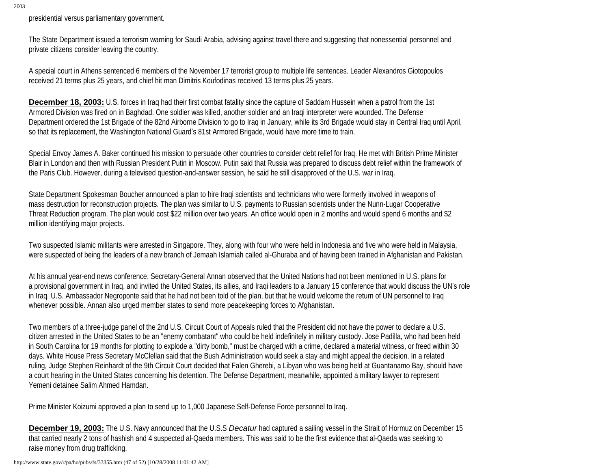presidential versus parliamentary government.

The State Department issued a terrorism warning for Saudi Arabia, advising against travel there and suggesting that nonessential personnel and private citizens consider leaving the country.

A special court in Athens sentenced 6 members of the November 17 terrorist group to multiple life sentences. Leader Alexandros Giotopoulos received 21 terms plus 25 years, and chief hit man Dimitris Koufodinas received 13 terms plus 25 years.

**December 18, 2003:** U.S. forces in Iraq had their first combat fatality since the capture of Saddam Hussein when a patrol from the 1st Armored Division was fired on in Baghdad. One soldier was killed, another soldier and an Iraqi interpreter were wounded. The Defense Department ordered the 1st Brigade of the 82nd Airborne Division to go to Iraq in January, while its 3rd Brigade would stay in Central Iraq until April, so that its replacement, the Washington National Guard's 81st Armored Brigade, would have more time to train.

Special Envoy James A. Baker continued his mission to persuade other countries to consider debt relief for Iraq. He met with British Prime Minister Blair in London and then with Russian President Putin in Moscow. Putin said that Russia was prepared to discuss debt relief within the framework of the Paris Club. However, during a televised question-and-answer session, he said he still disapproved of the U.S. war in Iraq.

State Department Spokesman Boucher announced a plan to hire Iraqi scientists and technicians who were formerly involved in weapons of mass destruction for reconstruction projects. The plan was similar to U.S. payments to Russian scientists under the Nunn-Lugar Cooperative Threat Reduction program. The plan would cost \$22 million over two years. An office would open in 2 months and would spend 6 months and \$2 million identifying major projects.

Two suspected Islamic militants were arrested in Singapore. They, along with four who were held in Indonesia and five who were held in Malaysia, were suspected of being the leaders of a new branch of Jemaah Islamiah called al-Ghuraba and of having been trained in Afghanistan and Pakistan.

At his annual year-end news conference, Secretary-General Annan observed that the United Nations had not been mentioned in U.S. plans for a provisional government in Iraq, and invited the United States, its allies, and Iraqi leaders to a January 15 conference that would discuss the UN's role in Iraq. U.S. Ambassador Negroponte said that he had not been told of the plan, but that he would welcome the return of UN personnel to Iraq whenever possible. Annan also urged member states to send more peacekeeping forces to Afghanistan.

Two members of a three-judge panel of the 2nd U.S. Circuit Court of Appeals ruled that the President did not have the power to declare a U.S. citizen arrested in the United States to be an "enemy combatant" who could be held indefinitely in military custody. Jose Padilla, who had been held in South Carolina for 19 months for plotting to explode a "dirty bomb," must be charged with a crime, declared a material witness, or freed within 30 days. White House Press Secretary McClellan said that the Bush Administration would seek a stay and might appeal the decision. In a related ruling, Judge Stephen Reinhardt of the 9th Circuit Court decided that Falen Gherebi, a Libyan who was being held at Guantanamo Bay, should have a court hearing in the United States concerning his detention. The Defense Department, meanwhile, appointed a military lawyer to represent Yemeni detainee Salim Ahmed Hamdan.

Prime Minister Koizumi approved a plan to send up to 1,000 Japanese Self-Defense Force personnel to Iraq.

**December 19, 2003:** The U.S. Navy announced that the U.S.S *Decatur* had captured a sailing vessel in the Strait of Hormuz on December 15 that carried nearly 2 tons of hashish and 4 suspected al-Qaeda members. This was said to be the first evidence that al-Qaeda was seeking to raise money from drug trafficking.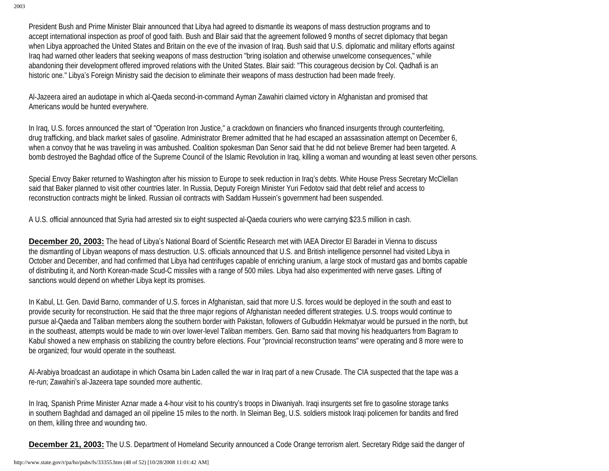President Bush and Prime Minister Blair announced that Libya had agreed to dismantle its weapons of mass destruction programs and to accept international inspection as proof of good faith. Bush and Blair said that the agreement followed 9 months of secret diplomacy that began when Libya approached the United States and Britain on the eve of the invasion of Iraq. Bush said that U.S. diplomatic and military efforts against Iraq had warned other leaders that seeking weapons of mass destruction "bring isolation and otherwise unwelcome consequences," while abandoning their development offered improved relations with the United States. Blair said: "This courageous decision by Col. Qadhafi is an historic one." Libya's Foreign Ministry said the decision to eliminate their weapons of mass destruction had been made freely.

Al-Jazeera aired an audiotape in which al-Qaeda second-in-command Ayman Zawahiri claimed victory in Afghanistan and promised that Americans would be hunted everywhere.

In Iraq, U.S. forces announced the start of "Operation Iron Justice," a crackdown on financiers who financed insurgents through counterfeiting, drug trafficking, and black market sales of gasoline. Administrator Bremer admitted that he had escaped an assassination attempt on December 6, when a convoy that he was traveling in was ambushed. Coalition spokesman Dan Senor said that he did not believe Bremer had been targeted. A bomb destroyed the Baghdad office of the Supreme Council of the Islamic Revolution in Iraq, killing a woman and wounding at least seven other persons.

Special Envoy Baker returned to Washington after his mission to Europe to seek reduction in Iraq's debts. White House Press Secretary McClellan said that Baker planned to visit other countries later. In Russia, Deputy Foreign Minister Yuri Fedotov said that debt relief and access to reconstruction contracts might be linked. Russian oil contracts with Saddam Hussein's government had been suspended.

A U.S. official announced that Syria had arrested six to eight suspected al-Qaeda couriers who were carrying \$23.5 million in cash.

**December 20, 2003:** The head of Libya's National Board of Scientific Research met with IAEA Director El Baradei in Vienna to discuss the dismantling of Libyan weapons of mass destruction. U.S. officials announced that U.S. and British intelligence personnel had visited Libya in October and December, and had confirmed that Libya had centrifuges capable of enriching uranium, a large stock of mustard gas and bombs capable of distributing it, and North Korean-made Scud-C missiles with a range of 500 miles. Libya had also experimented with nerve gases. Lifting of sanctions would depend on whether Libya kept its promises.

In Kabul, Lt. Gen. David Barno, commander of U.S. forces in Afghanistan, said that more U.S. forces would be deployed in the south and east to provide security for reconstruction. He said that the three major regions of Afghanistan needed different strategies. U.S. troops would continue to pursue al-Qaeda and Taliban members along the southern border with Pakistan, followers of Gulbuddin Hekmatyar would be pursued in the north, but in the southeast, attempts would be made to win over lower-level Taliban members. Gen. Barno said that moving his headquarters from Bagram to Kabul showed a new emphasis on stabilizing the country before elections. Four "provincial reconstruction teams" were operating and 8 more were to be organized; four would operate in the southeast.

Al-Arabiya broadcast an audiotape in which Osama bin Laden called the war in Iraq part of a new Crusade. The CIA suspected that the tape was a re-run; Zawahiri's al-Jazeera tape sounded more authentic.

In Iraq, Spanish Prime Minister Aznar made a 4-hour visit to his country's troops in Diwaniyah. Iraqi insurgents set fire to gasoline storage tanks in southern Baghdad and damaged an oil pipeline 15 miles to the north. In Sleiman Beg, U.S. soldiers mistook Iraqi policemen for bandits and fired on them, killing three and wounding two.

**December 21, 2003:** The U.S. Department of Homeland Security announced a Code Orange terrorism alert. Secretary Ridge said the danger of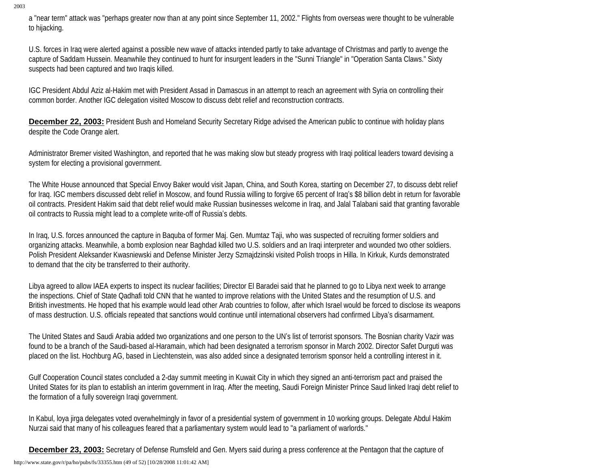a "near term" attack was "perhaps greater now than at any point since September 11, 2002." Flights from overseas were thought to be vulnerable to hijacking.

U.S. forces in Iraq were alerted against a possible new wave of attacks intended partly to take advantage of Christmas and partly to avenge the capture of Saddam Hussein. Meanwhile they continued to hunt for insurgent leaders in the "Sunni Triangle" in "Operation Santa Claws." Sixty suspects had been captured and two Iraqis killed.

IGC President Abdul Aziz al-Hakim met with President Assad in Damascus in an attempt to reach an agreement with Syria on controlling their common border. Another IGC delegation visited Moscow to discuss debt relief and reconstruction contracts.

**December 22, 2003:** President Bush and Homeland Security Secretary Ridge advised the American public to continue with holiday plans despite the Code Orange alert.

Administrator Bremer visited Washington, and reported that he was making slow but steady progress with Iraqi political leaders toward devising a system for electing a provisional government.

The White House announced that Special Envoy Baker would visit Japan, China, and South Korea, starting on December 27, to discuss debt relief for Iraq. IGC members discussed debt relief in Moscow, and found Russia willing to forgive 65 percent of Iraq's \$8 billion debt in return for favorable oil contracts. President Hakim said that debt relief would make Russian businesses welcome in Iraq, and Jalal Talabani said that granting favorable oil contracts to Russia might lead to a complete write-off of Russia's debts.

In Iraq, U.S. forces announced the capture in Baquba of former Maj. Gen. Mumtaz Taji, who was suspected of recruiting former soldiers and organizing attacks. Meanwhile, a bomb explosion near Baghdad killed two U.S. soldiers and an Iraqi interpreter and wounded two other soldiers. Polish President Aleksander Kwasniewski and Defense Minister Jerzy Szmajdzinski visited Polish troops in Hilla. In Kirkuk, Kurds demonstrated to demand that the city be transferred to their authority.

Libya agreed to allow IAEA experts to inspect its nuclear facilities; Director El Baradei said that he planned to go to Libya next week to arrange the inspections. Chief of State Qadhafi told CNN that he wanted to improve relations with the United States and the resumption of U.S. and British investments. He hoped that his example would lead other Arab countries to follow, after which Israel would be forced to disclose its weapons of mass destruction. U.S. officials repeated that sanctions would continue until international observers had confirmed Libya's disarmament.

The United States and Saudi Arabia added two organizations and one person to the UN's list of terrorist sponsors. The Bosnian charity Vazir was found to be a branch of the Saudi-based al-Haramain, which had been designated a terrorism sponsor in March 2002. Director Safet Durguti was placed on the list. Hochburg AG, based in Liechtenstein, was also added since a designated terrorism sponsor held a controlling interest in it.

Gulf Cooperation Council states concluded a 2-day summit meeting in Kuwait City in which they signed an anti-terrorism pact and praised the United States for its plan to establish an interim government in Iraq. After the meeting, Saudi Foreign Minister Prince Saud linked Iraqi debt relief to the formation of a fully sovereign Iraqi government.

In Kabul, loya jirga delegates voted overwhelmingly in favor of a presidential system of government in 10 working groups. Delegate Abdul Hakim Nurzai said that many of his colleagues feared that a parliamentary system would lead to "a parliament of warlords."

**December 23, 2003:** Secretary of Defense Rumsfeld and Gen. Myers said during a press conference at the Pentagon that the capture of

http://www.state.gov/r/pa/ho/pubs/fs/33355.htm (49 of 52) [10/28/2008 11:01:42 AM]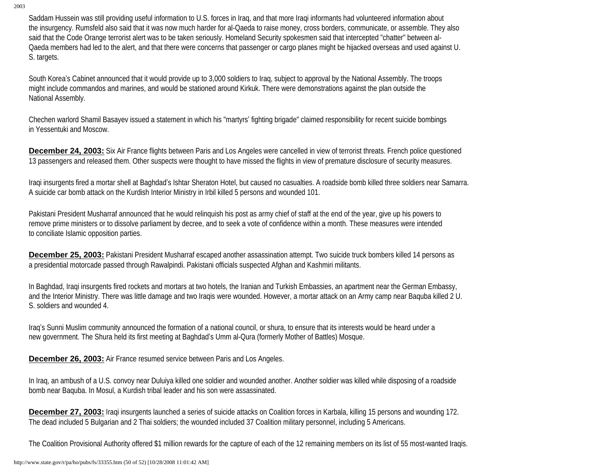Saddam Hussein was still providing useful information to U.S. forces in Iraq, and that more Iraqi informants had volunteered information about the insurgency. Rumsfeld also said that it was now much harder for al-Qaeda to raise money, cross borders, communicate, or assemble. They also said that the Code Orange terrorist alert was to be taken seriously. Homeland Security spokesmen said that intercepted "chatter" between al-Qaeda members had led to the alert, and that there were concerns that passenger or cargo planes might be hijacked overseas and used against U. S. targets.

South Korea's Cabinet announced that it would provide up to 3,000 soldiers to Iraq, subject to approval by the National Assembly. The troops might include commandos and marines, and would be stationed around Kirkuk. There were demonstrations against the plan outside the National Assembly.

Chechen warlord Shamil Basayev issued a statement in which his "martyrs' fighting brigade" claimed responsibility for recent suicide bombings in Yessentuki and Moscow.

**December 24, 2003:** Six Air France flights between Paris and Los Angeles were cancelled in view of terrorist threats. French police questioned 13 passengers and released them. Other suspects were thought to have missed the flights in view of premature disclosure of security measures.

Iraqi insurgents fired a mortar shell at Baghdad's Ishtar Sheraton Hotel, but caused no casualties. A roadside bomb killed three soldiers near Samarra. A suicide car bomb attack on the Kurdish Interior Ministry in Irbil killed 5 persons and wounded 101.

Pakistani President Musharraf announced that he would relinquish his post as army chief of staff at the end of the year, give up his powers to remove prime ministers or to dissolve parliament by decree, and to seek a vote of confidence within a month. These measures were intended to conciliate Islamic opposition parties.

**December 25, 2003:** Pakistani President Musharraf escaped another assassination attempt. Two suicide truck bombers killed 14 persons as a presidential motorcade passed through Rawalpindi. Pakistani officials suspected Afghan and Kashmiri militants.

In Baghdad, Iraqi insurgents fired rockets and mortars at two hotels, the Iranian and Turkish Embassies, an apartment near the German Embassy, and the Interior Ministry. There was little damage and two Iraqis were wounded. However, a mortar attack on an Army camp near Baquba killed 2 U. S. soldiers and wounded 4.

Iraq's Sunni Muslim community announced the formation of a national council, or shura, to ensure that its interests would be heard under a new government. The Shura held its first meeting at Baghdad's Umm al-Qura (formerly Mother of Battles) Mosque.

**December 26, 2003:** Air France resumed service between Paris and Los Angeles.

In Iraq, an ambush of a U.S. convoy near Duluiya killed one soldier and wounded another. Another soldier was killed while disposing of a roadside bomb near Baquba. In Mosul, a Kurdish tribal leader and his son were assassinated.

**December 27, 2003:** Iraqi insurgents launched a series of suicide attacks on Coalition forces in Karbala, killing 15 persons and wounding 172. The dead included 5 Bulgarian and 2 Thai soldiers; the wounded included 37 Coalition military personnel, including 5 Americans.

The Coalition Provisional Authority offered \$1 million rewards for the capture of each of the 12 remaining members on its list of 55 most-wanted Iraqis.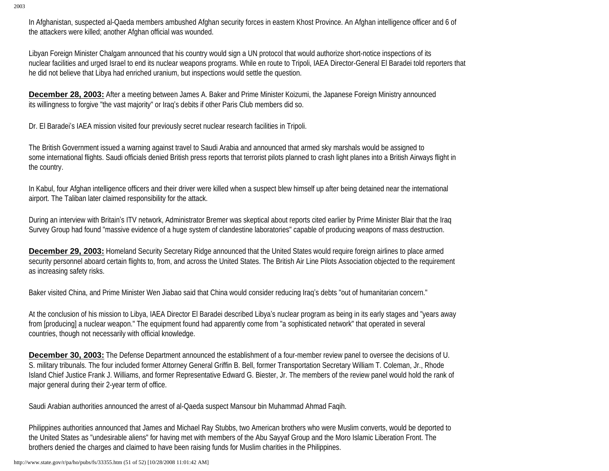In Afghanistan, suspected al-Qaeda members ambushed Afghan security forces in eastern Khost Province. An Afghan intelligence officer and 6 of the attackers were killed; another Afghan official was wounded.

Libyan Foreign Minister Chalgam announced that his country would sign a UN protocol that would authorize short-notice inspections of its nuclear facilities and urged Israel to end its nuclear weapons programs. While en route to Tripoli, IAEA Director-General El Baradei told reporters that he did not believe that Libya had enriched uranium, but inspections would settle the question.

**December 28, 2003:** After a meeting between James A. Baker and Prime Minister Koizumi, the Japanese Foreign Ministry announced its willingness to forgive "the vast majority" or Iraq's debits if other Paris Club members did so.

Dr. El Baradei's IAEA mission visited four previously secret nuclear research facilities in Tripoli.

The British Government issued a warning against travel to Saudi Arabia and announced that armed sky marshals would be assigned to some international flights. Saudi officials denied British press reports that terrorist pilots planned to crash light planes into a British Airways flight in the country.

In Kabul, four Afghan intelligence officers and their driver were killed when a suspect blew himself up after being detained near the international airport. The Taliban later claimed responsibility for the attack.

During an interview with Britain's ITV network, Administrator Bremer was skeptical about reports cited earlier by Prime Minister Blair that the Iraq Survey Group had found "massive evidence of a huge system of clandestine laboratories" capable of producing weapons of mass destruction.

**December 29, 2003:** Homeland Security Secretary Ridge announced that the United States would require foreign airlines to place armed security personnel aboard certain flights to, from, and across the United States. The British Air Line Pilots Association objected to the requirement as increasing safety risks.

Baker visited China, and Prime Minister Wen Jiabao said that China would consider reducing Iraq's debts "out of humanitarian concern."

At the conclusion of his mission to Libya, IAEA Director El Baradei described Libya's nuclear program as being in its early stages and "years away from [producing] a nuclear weapon." The equipment found had apparently come from "a sophisticated network" that operated in several countries, though not necessarily with official knowledge.

**December 30, 2003:** The Defense Department announced the establishment of a four-member review panel to oversee the decisions of U. S. military tribunals. The four included former Attorney General Griffin B. Bell, former Transportation Secretary William T. Coleman, Jr., Rhode Island Chief Justice Frank J. Williams, and former Representative Edward G. Biester, Jr. The members of the review panel would hold the rank of major general during their 2-year term of office.

Saudi Arabian authorities announced the arrest of al-Qaeda suspect Mansour bin Muhammad Ahmad Faqih.

Philippines authorities announced that James and Michael Ray Stubbs, two American brothers who were Muslim converts, would be deported to the United States as "undesirable aliens" for having met with members of the Abu Sayyaf Group and the Moro Islamic Liberation Front. The brothers denied the charges and claimed to have been raising funds for Muslim charities in the Philippines.

http://www.state.gov/r/pa/ho/pubs/fs/33355.htm (51 of 52) [10/28/2008 11:01:42 AM]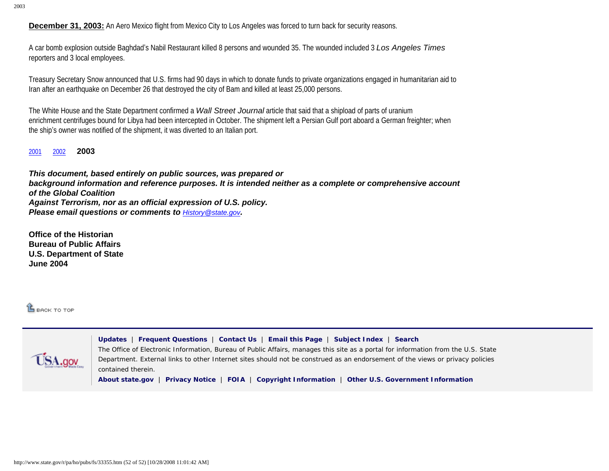**December 31, 2003:** An Aero Mexico flight from Mexico City to Los Angeles was forced to turn back for security reasons.

A car bomb explosion outside Baghdad's Nabil Restaurant killed 8 persons and wounded 35. The wounded included 3 *Los Angeles Times* reporters and 3 local employees.

Treasury Secretary Snow announced that U.S. firms had 90 days in which to donate funds to private organizations engaged in humanitarian aid to Iran after an earthquake on December 26 that destroyed the city of Bam and killed at least 25,000 persons.

The White House and the State Department confirmed a *Wall Street Journal* article that said that a shipload of parts of uranium enrichment centrifuges bound for Libya had been intercepted in October. The shipment left a Persian Gulf port aboard a German freighter; when the ship's owner was notified of the shipment, it was diverted to an Italian port.

[2001](http://www.state.gov/r/pa/ho/pubs/fs/5889.htm)[2002](http://www.state.gov/r/pa/ho/pubs/fs/33354.htm) **2003** 

*This document, based entirely on public sources, was prepared or background information and reference purposes. It is intended neither as a complete or comprehensive account of the Global Coalition Against Terrorism, nor as an official expression of U.S. policy. Please email questions or comments to [History@state.gov](mailto:History@state.gov).*

**Office of the Historian Bureau of Public Affairs U.S. Department of State June 2004** 

**LE BACK TO TOP** 



**[Updates](http://www.state.gov/whats_new/)** | **[Frequent Questions](http://contact-us.state.gov/cgi-bin/state.cfg/php/enduser/std_alp.php)** | **[Contact Us](http://contact-us.state.gov/)** | **[Email this Page](mailto:?body=I thought you might be interested in the following information: http://www.state.gov/r/pa/ho/pubs/fs/&subject=Interesting Information from the U.S. State Department)** | **[Subject Index](http://www.state.gov/r/pa/ei/a2z/)** | **[Search](http://search.state.gov/search)** The Office of Electronic Information, Bureau of Public Affairs, manages this site as a portal for information from the U.S. State Department. External links to other Internet sites should not be construed as an endorsement of the views or privacy policies contained therein.

**[About state.gov](http://www.state.gov/misc/87529.htm)** | **[Privacy Notice](http://www.state.gov/misc/87529.htm#privacy)** | **[FOIA](http://foia.state.gov/)** | **[Copyright Information](http://www.state.gov/misc/87529.htm#copyright)** | **[Other U.S. Government Information](http://www.state.gov/misc/60289.htm)**